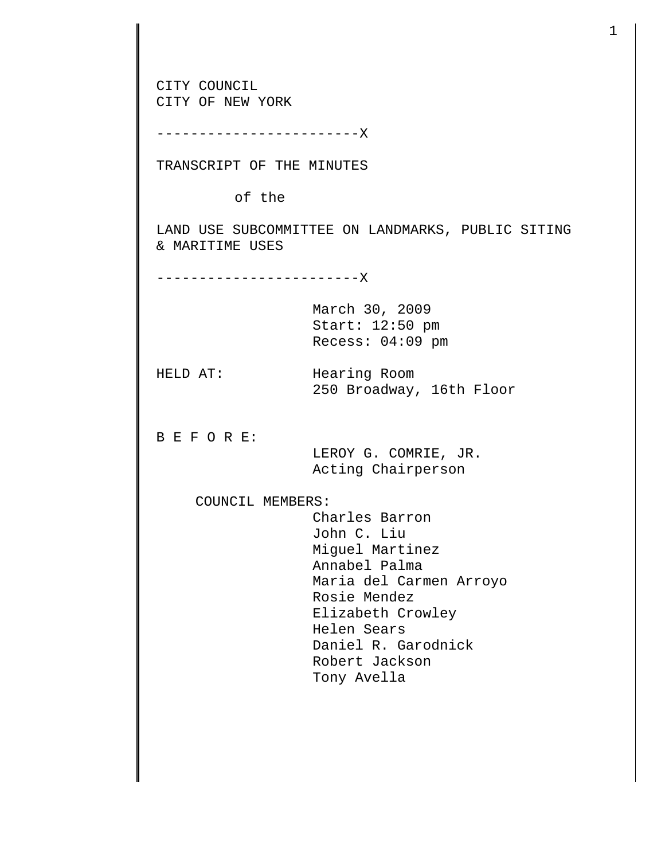CITY COUNCIL CITY OF NEW YORK ------------------------X TRANSCRIPT OF THE MINUTES of the LAND USE SUBCOMMITTEE ON LANDMARKS, PUBLIC SITING & MARITIME USES ------------------------X March 30, 2009 Start: 12:50 pm Recess: 04:09 pm HELD AT: Hearing Room 250 Broadway, 16th Floor B E F O R E: LEROY G. COMRIE, JR. Acting Chairperson COUNCIL MEMBERS: Charles Barron John C. Liu Miguel Martinez Annabel Palma Maria del Carmen Arroyo Rosie Mendez Elizabeth Crowley Helen Sears Daniel R. Garodnick Robert Jackson Tony Avella

1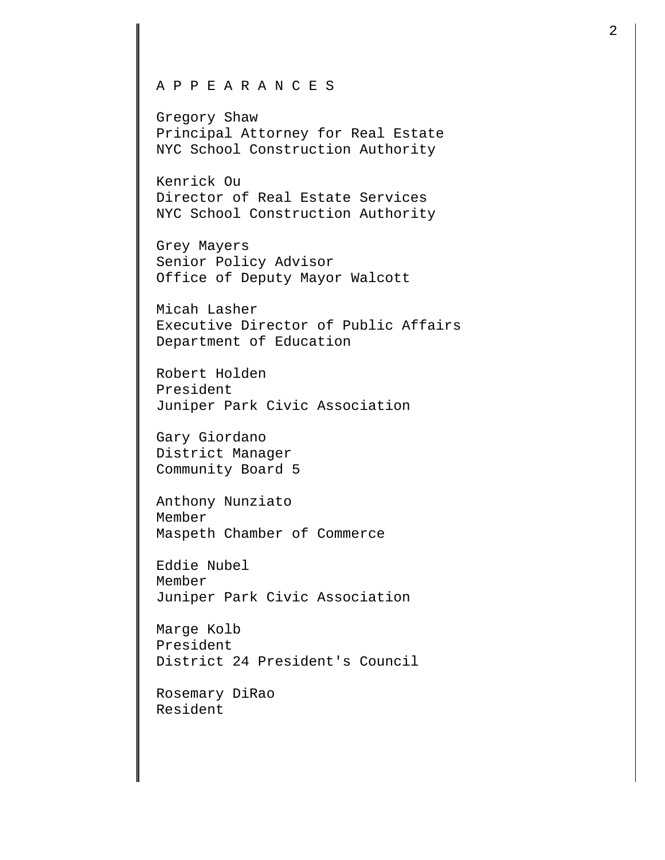## A P P E A R A N C E S

Gregory Shaw Principal Attorney for Real Estate NYC School Construction Authority

Kenrick Ou Director of Real Estate Services NYC School Construction Authority

Grey Mayers Senior Policy Advisor Office of Deputy Mayor Walcott

Micah Lasher Executive Director of Public Affairs Department of Education

Robert Holden President Juniper Park Civic Association

Gary Giordano District Manager Community Board 5

Anthony Nunziato Member Maspeth Chamber of Commerce

Eddie Nubel Member Juniper Park Civic Association

Marge Kolb President District 24 President's Council

Rosemary DiRao Resident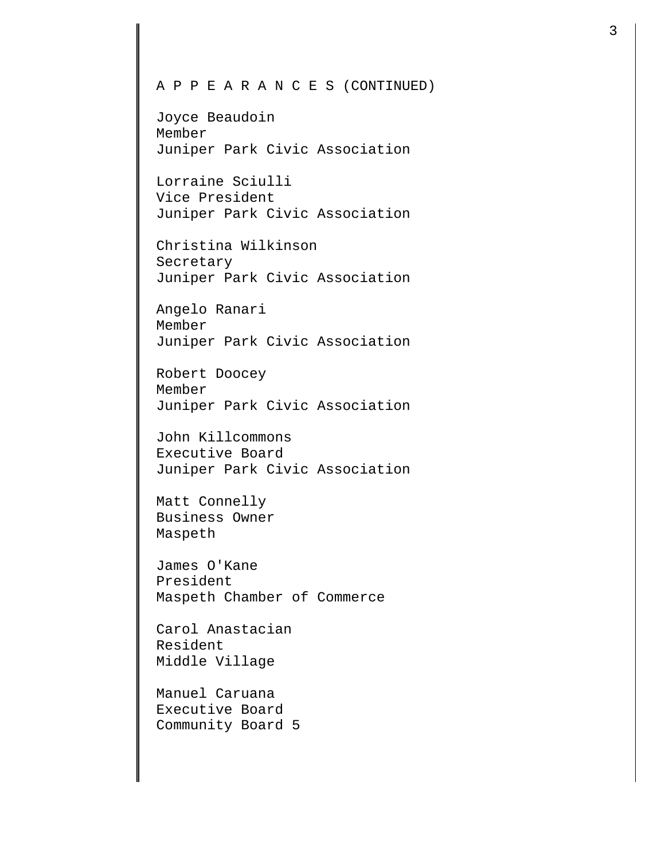## A P P E A R A N C E S (CONTINUED)

Joyce Beaudoin Member Juniper Park Civic Association

Lorraine Sciulli Vice President Juniper Park Civic Association

Christina Wilkinson Secretary Juniper Park Civic Association

Angelo Ranari Member Juniper Park Civic Association

Robert Doocey Member Juniper Park Civic Association

John Killcommons Executive Board Juniper Park Civic Association

Matt Connelly Business Owner Maspeth

James O'Kane President Maspeth Chamber of Commerce

Carol Anastacian Resident Middle Village

Manuel Caruana Executive Board Community Board 5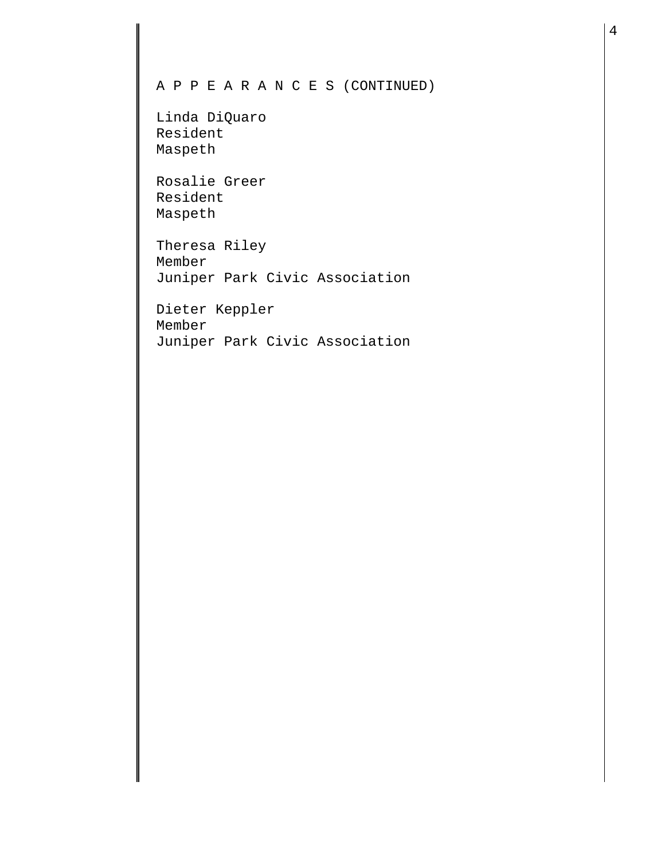## A P P E A R A N C E S (CONTINUED)

Linda DiQuaro Resident Maspeth

Rosalie Greer Resident Maspeth

Theresa Riley Member Juniper Park Civic Association

Dieter Keppler Member Juniper Park Civic Association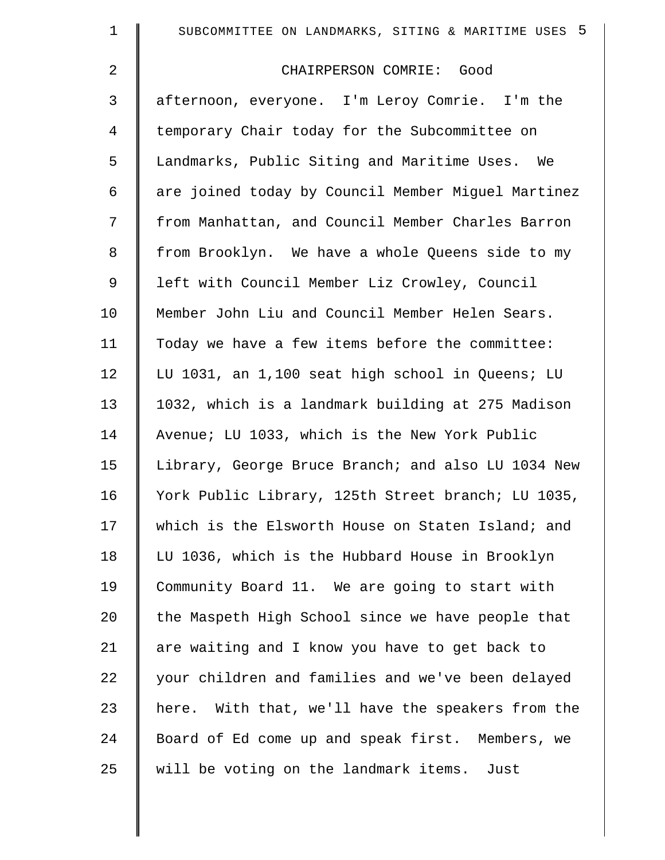| $\mathbf 1$    | SUBCOMMITTEE ON LANDMARKS, SITING & MARITIME USES 5  |
|----------------|------------------------------------------------------|
| $\overline{2}$ | CHAIRPERSON COMRIE: Good                             |
| 3              | afternoon, everyone. I'm Leroy Comrie. I'm the       |
| 4              | temporary Chair today for the Subcommittee on        |
| 5              | Landmarks, Public Siting and Maritime Uses. We       |
| 6              | are joined today by Council Member Miguel Martinez   |
| 7              | from Manhattan, and Council Member Charles Barron    |
| 8              | from Brooklyn. We have a whole Queens side to my     |
| 9              | left with Council Member Liz Crowley, Council        |
| 10             | Member John Liu and Council Member Helen Sears.      |
| 11             | Today we have a few items before the committee:      |
| 12             | LU 1031, an 1,100 seat high school in Queens; LU     |
| 13             | 1032, which is a landmark building at 275 Madison    |
| 14             | Avenue; LU 1033, which is the New York Public        |
| 15             | Library, George Bruce Branch; and also LU 1034 New   |
| 16             | York Public Library, 125th Street branch; LU 1035,   |
| 17             | which is the Elsworth House on Staten Island; and    |
| 18             | LU 1036, which is the Hubbard House in Brooklyn      |
| 19             | Community Board 11. We are going to start with       |
| 20             | the Maspeth High School since we have people that    |
| 21             | are waiting and I know you have to get back to       |
| 22             | your children and families and we've been delayed    |
| 23             | With that, we'll have the speakers from the<br>here. |
| 24             | Board of Ed come up and speak first. Members, we     |
| 25             | will be voting on the landmark items. Just           |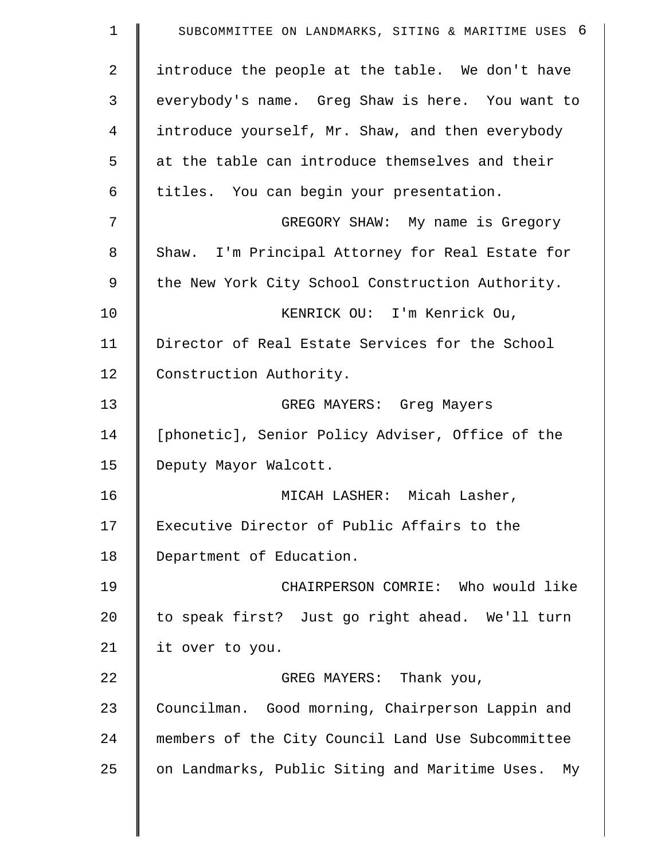| $\mathbf 1$ | SUBCOMMITTEE ON LANDMARKS, SITING & MARITIME USES 6 |
|-------------|-----------------------------------------------------|
| 2           | introduce the people at the table. We don't have    |
| 3           | everybody's name. Greg Shaw is here. You want to    |
| 4           | introduce yourself, Mr. Shaw, and then everybody    |
| 5           | at the table can introduce themselves and their     |
| 6           | titles. You can begin your presentation.            |
| 7           | GREGORY SHAW: My name is Gregory                    |
| 8           | Shaw. I'm Principal Attorney for Real Estate for    |
| 9           | the New York City School Construction Authority.    |
| 10          | KENRICK OU: I'm Kenrick Ou,                         |
| 11          | Director of Real Estate Services for the School     |
| 12          | Construction Authority.                             |
| 13          | GREG MAYERS: Greg Mayers                            |
| 14          | [phonetic], Senior Policy Adviser, Office of the    |
| 15          | Deputy Mayor Walcott.                               |
| 16          | MICAH LASHER: Micah Lasher,                         |
| 17          | Executive Director of Public Affairs to the         |
| 18          | Department of Education.                            |
| 19          | CHAIRPERSON COMRIE: Who would like                  |
| 20          | to speak first? Just go right ahead. We'll turn     |
| 21          | it over to you.                                     |
| 22          | GREG MAYERS: Thank you,                             |
| 23          | Councilman. Good morning, Chairperson Lappin and    |
| 24          | members of the City Council Land Use Subcommittee   |
| 25          | on Landmarks, Public Siting and Maritime Uses. My   |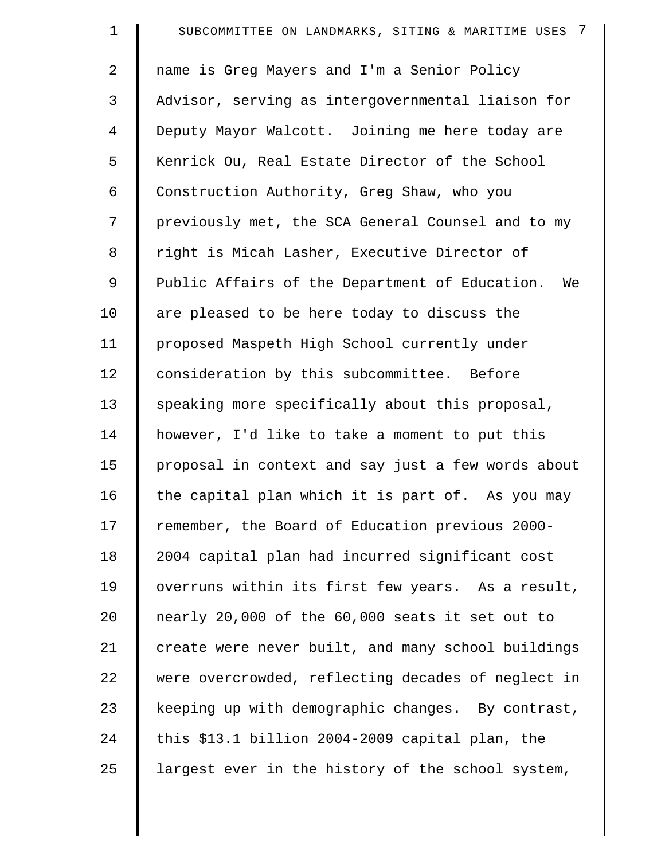| $\mathbf 1$    | -7<br>SUBCOMMITTEE ON LANDMARKS, SITING & MARITIME USES |
|----------------|---------------------------------------------------------|
| $\overline{a}$ | name is Greg Mayers and I'm a Senior Policy             |
| 3              | Advisor, serving as intergovernmental liaison for       |
| $\overline{4}$ | Deputy Mayor Walcott. Joining me here today are         |
| 5              | Kenrick Ou, Real Estate Director of the School          |
| 6              | Construction Authority, Greg Shaw, who you              |
| 7              | previously met, the SCA General Counsel and to my       |
| 8              | right is Micah Lasher, Executive Director of            |
| 9              | Public Affairs of the Department of Education.<br>We    |
| 10             | are pleased to be here today to discuss the             |
| 11             | proposed Maspeth High School currently under            |
| 12             | consideration by this subcommittee. Before              |
| 13             | speaking more specifically about this proposal,         |
| 14             | however, I'd like to take a moment to put this          |
| 15             | proposal in context and say just a few words about      |
| 16             | the capital plan which it is part of. As you may        |
| 17             | remember, the Board of Education previous 2000-         |
| 18             | 2004 capital plan had incurred significant cost         |
| 19             | overruns within its first few years. As a result,       |
| 20             | nearly 20,000 of the 60,000 seats it set out to         |
| 21             | create were never built, and many school buildings      |
| 22             | were overcrowded, reflecting decades of neglect in      |
| 23             | keeping up with demographic changes. By contrast,       |
| 24             | this \$13.1 billion 2004-2009 capital plan, the         |
| 25             | largest ever in the history of the school system,       |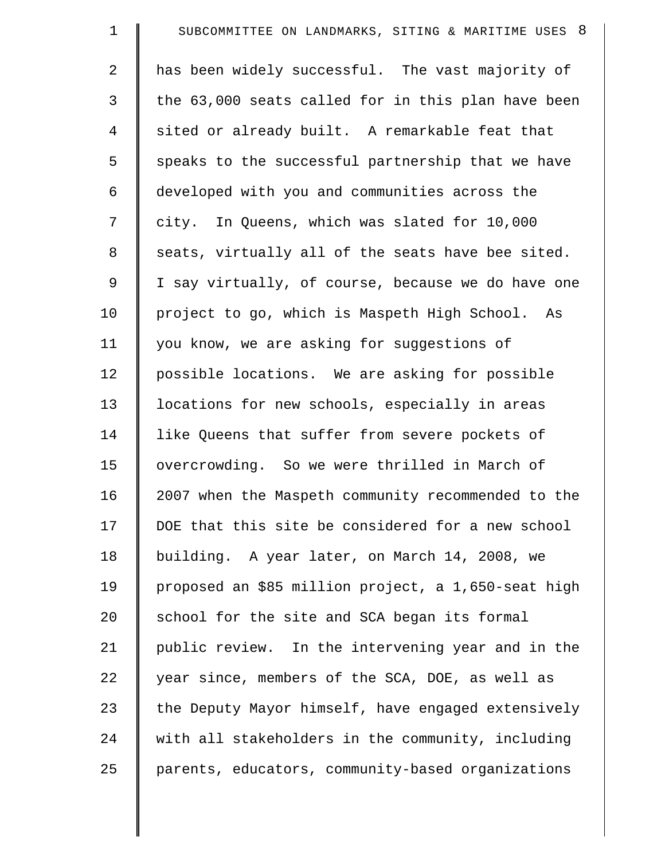| $\mathbf 1$    | SUBCOMMITTEE ON LANDMARKS, SITING & MARITIME USES 8 |
|----------------|-----------------------------------------------------|
| $\overline{2}$ | has been widely successful. The vast majority of    |
| 3              | the 63,000 seats called for in this plan have been  |
| 4              | sited or already built. A remarkable feat that      |
| 5              | speaks to the successful partnership that we have   |
| 6              | developed with you and communities across the       |
| 7              | city. In Queens, which was slated for 10,000        |
| $\,8\,$        | seats, virtually all of the seats have bee sited.   |
| 9              | I say virtually, of course, because we do have one  |
| 10             | project to go, which is Maspeth High School. As     |
| 11             | you know, we are asking for suggestions of          |
| 12             | possible locations. We are asking for possible      |
| 13             | locations for new schools, especially in areas      |
| 14             | like Queens that suffer from severe pockets of      |
| 15             | overcrowding. So we were thrilled in March of       |
| 16             | 2007 when the Maspeth community recommended to the  |
| 17             | DOE that this site be considered for a new school   |
| 18             | building. A year later, on March 14, 2008, we       |
| 19             | proposed an \$85 million project, a 1,650-seat high |
| 20             | school for the site and SCA began its formal        |
| 21             | public review. In the intervening year and in the   |
| 22             | year since, members of the SCA, DOE, as well as     |
| 23             | the Deputy Mayor himself, have engaged extensively  |
| 24             | with all stakeholders in the community, including   |
| 25             | parents, educators, community-based organizations   |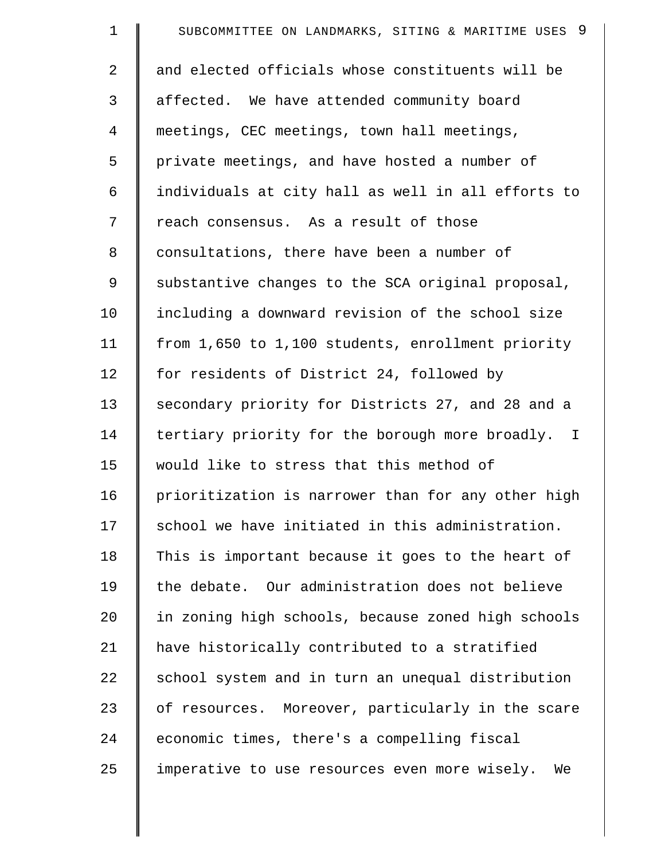| $\mathbf 1$    | - 9<br>SUBCOMMITTEE ON LANDMARKS, SITING & MARITIME USES |
|----------------|----------------------------------------------------------|
| $\overline{a}$ | and elected officials whose constituents will be         |
| 3              | affected. We have attended community board               |
| 4              | meetings, CEC meetings, town hall meetings,              |
| 5              | private meetings, and have hosted a number of            |
| 6              | individuals at city hall as well in all efforts to       |
| 7              | reach consensus. As a result of those                    |
| 8              | consultations, there have been a number of               |
| 9              | substantive changes to the SCA original proposal,        |
| 10             | including a downward revision of the school size         |
| 11             | from 1,650 to 1,100 students, enrollment priority        |
| 12             | for residents of District 24, followed by                |
| 13             | secondary priority for Districts 27, and 28 and a        |
| 14             | tertiary priority for the borough more broadly. I        |
| 15             | would like to stress that this method of                 |
| 16             | prioritization is narrower than for any other high       |
| 17             | school we have initiated in this administration.         |
| 18             | This is important because it goes to the heart of        |
| 19             | the debate. Our administration does not believe          |
| 20             | in zoning high schools, because zoned high schools       |
| 21             | have historically contributed to a stratified            |
| 22             | school system and in turn an unequal distribution        |
| 23             | of resources. Moreover, particularly in the scare        |
| 24             | economic times, there's a compelling fiscal              |
| 25             | imperative to use resources even more wisely.<br>We      |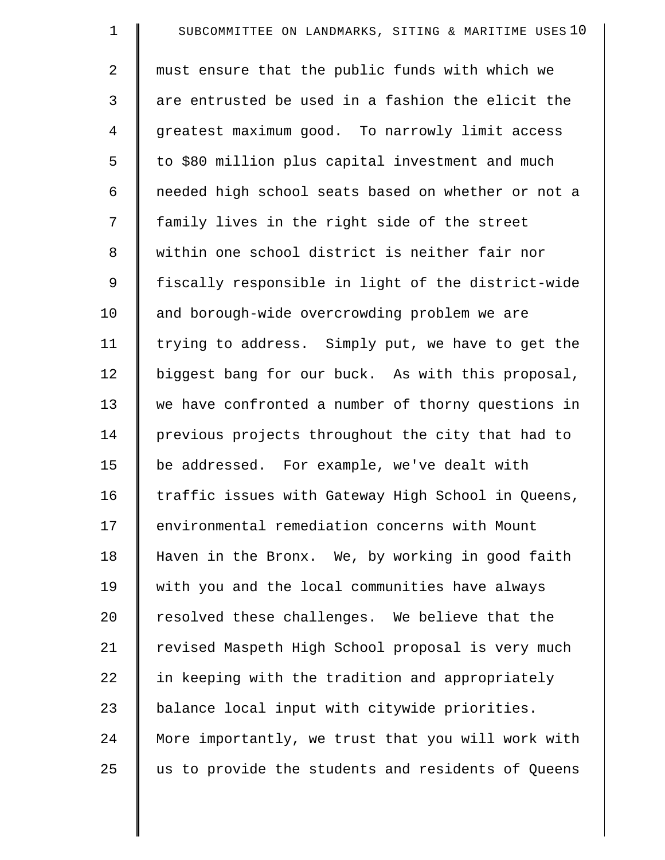| $\mathbf 1$ | SUBCOMMITTEE ON LANDMARKS, SITING & MARITIME USES 10 |
|-------------|------------------------------------------------------|
| 2           | must ensure that the public funds with which we      |
| 3           | are entrusted be used in a fashion the elicit the    |
| 4           | greatest maximum good. To narrowly limit access      |
| 5           | to \$80 million plus capital investment and much     |
| 6           | needed high school seats based on whether or not a   |
| 7           | family lives in the right side of the street         |
| 8           | within one school district is neither fair nor       |
| 9           | fiscally responsible in light of the district-wide   |
| 10          | and borough-wide overcrowding problem we are         |
| 11          | trying to address. Simply put, we have to get the    |
| 12          | biggest bang for our buck. As with this proposal,    |
| 13          | we have confronted a number of thorny questions in   |
| 14          | previous projects throughout the city that had to    |
| 15          | be addressed. For example, we've dealt with          |
| 16          | traffic issues with Gateway High School in Queens,   |
| 17          | environmental remediation concerns with Mount        |
| 18          | Haven in the Bronx. We, by working in good faith     |
| 19          | with you and the local communities have always       |
| 20          | resolved these challenges. We believe that the       |
| 21          | revised Maspeth High School proposal is very much    |
| 22          | in keeping with the tradition and appropriately      |
| 23          | balance local input with citywide priorities.        |
| 24          | More importantly, we trust that you will work with   |
| 25          | us to provide the students and residents of Queens   |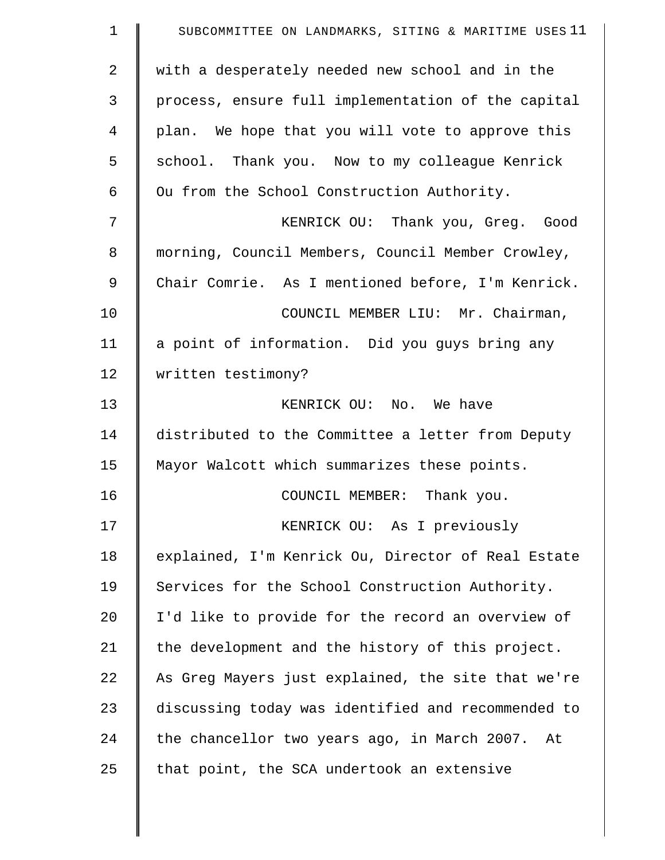| $\mathbf 1$    | SUBCOMMITTEE ON LANDMARKS, SITING & MARITIME USES 11 |
|----------------|------------------------------------------------------|
| $\overline{2}$ | with a desperately needed new school and in the      |
| 3              | process, ensure full implementation of the capital   |
| $\overline{4}$ | plan. We hope that you will vote to approve this     |
| 5              | school. Thank you. Now to my colleague Kenrick       |
| 6              | Ou from the School Construction Authority.           |
| 7              | KENRICK OU: Thank you, Greg. Good                    |
| 8              | morning, Council Members, Council Member Crowley,    |
| 9              | Chair Comrie. As I mentioned before, I'm Kenrick.    |
| 10             | COUNCIL MEMBER LIU: Mr. Chairman,                    |
| 11             | a point of information. Did you guys bring any       |
| 12             | written testimony?                                   |
| 13             | KENRICK OU: No. We have                              |
| 14             | distributed to the Committee a letter from Deputy    |
| 15             | Mayor Walcott which summarizes these points.         |
| 16             | COUNCIL MEMBER: Thank you.                           |
| 17             | KENRICK OU: As I previously                          |
| 18             | explained, I'm Kenrick Ou, Director of Real Estate   |
| 19             | Services for the School Construction Authority.      |
| 20             | I'd like to provide for the record an overview of    |
| 21             | the development and the history of this project.     |
| 22             | As Greg Mayers just explained, the site that we're   |
| 23             | discussing today was identified and recommended to   |
| 24             | the chancellor two years ago, in March 2007. At      |
| 25             | that point, the SCA undertook an extensive           |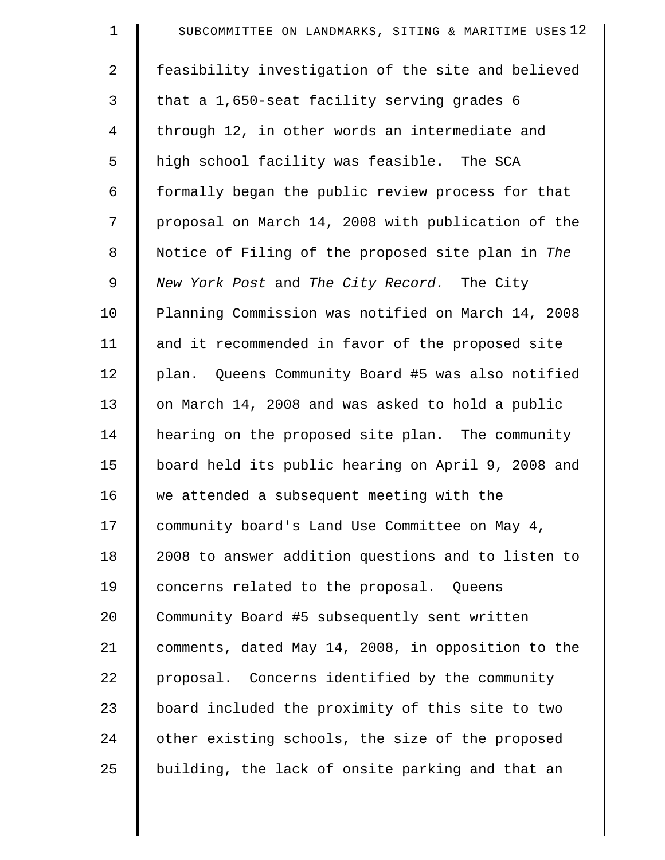| $\mathbf 1$    | SUBCOMMITTEE ON LANDMARKS, SITING & MARITIME USES 12 |
|----------------|------------------------------------------------------|
| $\overline{a}$ | feasibility investigation of the site and believed   |
| 3              | that a 1,650-seat facility serving grades 6          |
| 4              | through 12, in other words an intermediate and       |
| 5              | high school facility was feasible. The SCA           |
| 6              | formally began the public review process for that    |
| 7              | proposal on March 14, 2008 with publication of the   |
| 8              | Notice of Filing of the proposed site plan in The    |
| $\mathsf 9$    | New York Post and The City Record. The City          |
| 10             | Planning Commission was notified on March 14, 2008   |
| 11             | and it recommended in favor of the proposed site     |
| 12             | plan. Queens Community Board #5 was also notified    |
| 13             | on March 14, 2008 and was asked to hold a public     |
| 14             | hearing on the proposed site plan. The community     |
| 15             | board held its public hearing on April 9, 2008 and   |
| 16             | we attended a subsequent meeting with the            |
| 17             | community board's Land Use Committee on May 4,       |
| 18             | 2008 to answer addition questions and to listen to   |
| 19             | concerns related to the proposal. Queens             |
| 20             | Community Board #5 subsequently sent written         |
| 21             | comments, dated May 14, 2008, in opposition to the   |
| 22             | proposal. Concerns identified by the community       |
| 23             | board included the proximity of this site to two     |
| 24             | other existing schools, the size of the proposed     |
| 25             | building, the lack of onsite parking and that an     |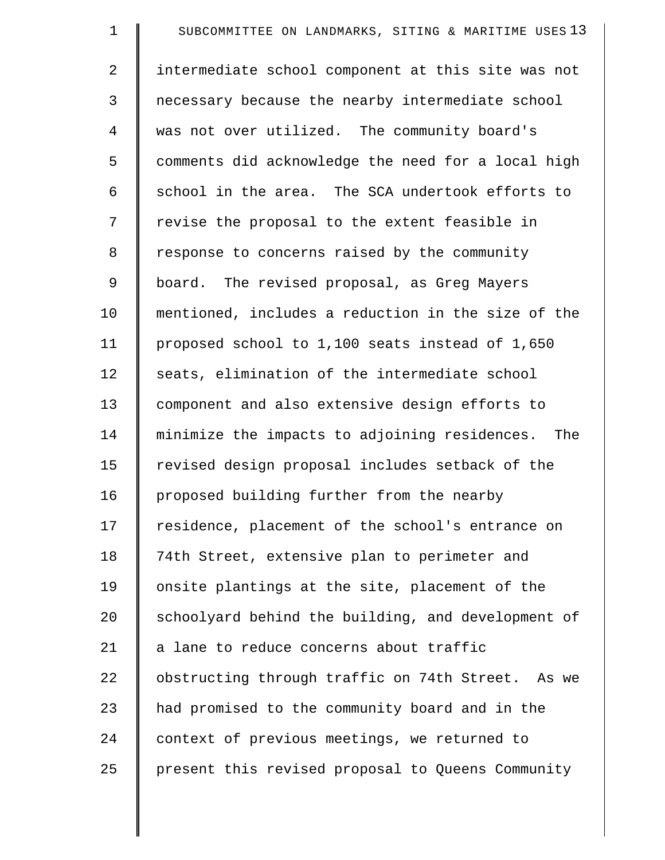| $\mathbf 1$    | SUBCOMMITTEE ON LANDMARKS, SITING & MARITIME USES 13 |
|----------------|------------------------------------------------------|
| $\overline{2}$ | intermediate school component at this site was not   |
| 3              | necessary because the nearby intermediate school     |
| 4              | was not over utilized. The community board's         |
| 5              | comments did acknowledge the need for a local high   |
| 6              | school in the area. The SCA undertook efforts to     |
| 7              | revise the proposal to the extent feasible in        |
| 8              | response to concerns raised by the community         |
| 9              | board. The revised proposal, as Greg Mayers          |
| 10             | mentioned, includes a reduction in the size of the   |
| 11             | proposed school to 1,100 seats instead of 1,650      |
| 12             | seats, elimination of the intermediate school        |
| 13             | component and also extensive design efforts to       |
| 14             | minimize the impacts to adjoining residences. The    |
| 15             | revised design proposal includes setback of the      |
| 16             | proposed building further from the nearby            |
| 17             | residence, placement of the school's entrance on     |
| 18             | 74th Street, extensive plan to perimeter and         |
| 19             | onsite plantings at the site, placement of the       |
| 20             | schoolyard behind the building, and development of   |
| 21             | a lane to reduce concerns about traffic              |
| 22             | obstructing through traffic on 74th Street. As we    |
| 23             | had promised to the community board and in the       |
| 24             | context of previous meetings, we returned to         |
| 25             | present this revised proposal to Queens Community    |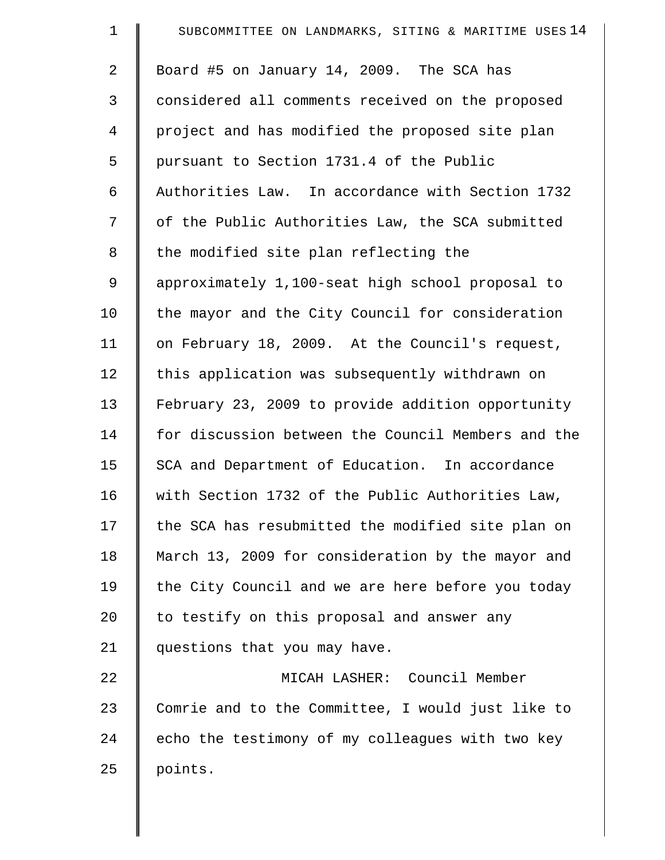| $\mathbf 1$ | SUBCOMMITTEE ON LANDMARKS, SITING & MARITIME USES 14 |
|-------------|------------------------------------------------------|
| 2           | Board #5 on January 14, 2009. The SCA has            |
| 3           | considered all comments received on the proposed     |
| 4           | project and has modified the proposed site plan      |
| 5           | pursuant to Section 1731.4 of the Public             |
| 6           | Authorities Law. In accordance with Section 1732     |
| 7           | of the Public Authorities Law, the SCA submitted     |
| 8           | the modified site plan reflecting the                |
| 9           | approximately 1,100-seat high school proposal to     |
| 10          | the mayor and the City Council for consideration     |
| 11          | on February 18, 2009. At the Council's request,      |
| 12          | this application was subsequently withdrawn on       |
| 13          | February 23, 2009 to provide addition opportunity    |
| 14          | for discussion between the Council Members and the   |
| 15          | SCA and Department of Education. In accordance       |
| 16          | with Section 1732 of the Public Authorities Law,     |
| 17          | the SCA has resubmitted the modified site plan on    |
| 18          | March 13, 2009 for consideration by the mayor and    |
| 19          | the City Council and we are here before you today    |
| 20          | to testify on this proposal and answer any           |
| 21          | questions that you may have.                         |
| 22          | MICAH LASHER: Council Member                         |
| 23          | Comrie and to the Committee, I would just like to    |
| 24          | echo the testimony of my colleagues with two key     |
| 25          | points.                                              |
|             |                                                      |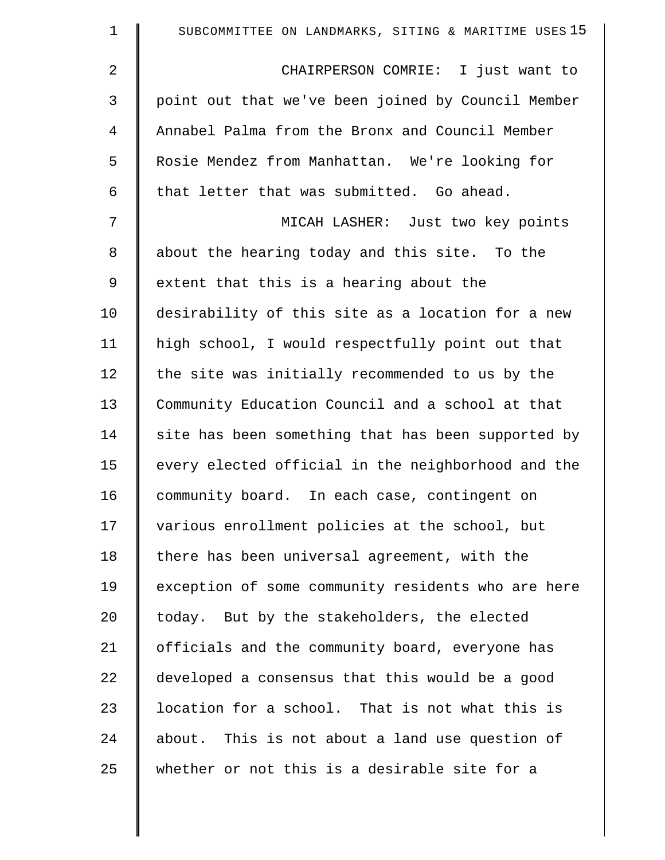| $\mathbf 1$    | SUBCOMMITTEE ON LANDMARKS, SITING & MARITIME USES 15 |
|----------------|------------------------------------------------------|
| $\overline{2}$ | CHAIRPERSON COMRIE: I just want to                   |
| 3              | point out that we've been joined by Council Member   |
| 4              | Annabel Palma from the Bronx and Council Member      |
| 5              | Rosie Mendez from Manhattan. We're looking for       |
| 6              | that letter that was submitted. Go ahead.            |
| 7              | MICAH LASHER: Just two key points                    |
| $\,8\,$        | about the hearing today and this site. To the        |
| 9              | extent that this is a hearing about the              |
| 10             | desirability of this site as a location for a new    |
| 11             | high school, I would respectfully point out that     |
| 12             | the site was initially recommended to us by the      |
| 13             | Community Education Council and a school at that     |
| 14             | site has been something that has been supported by   |
| 15             | every elected official in the neighborhood and the   |
| 16             | community board. In each case, contingent on         |
| 17             | various enrollment policies at the school, but       |
| 18             | there has been universal agreement, with the         |
| 19             | exception of some community residents who are here   |
| 20             | today. But by the stakeholders, the elected          |
| 21             | officials and the community board, everyone has      |
| 22             | developed a consensus that this would be a good      |
| 23             | location for a school. That is not what this is      |
| 24             | about. This is not about a land use question of      |
| 25             | whether or not this is a desirable site for a        |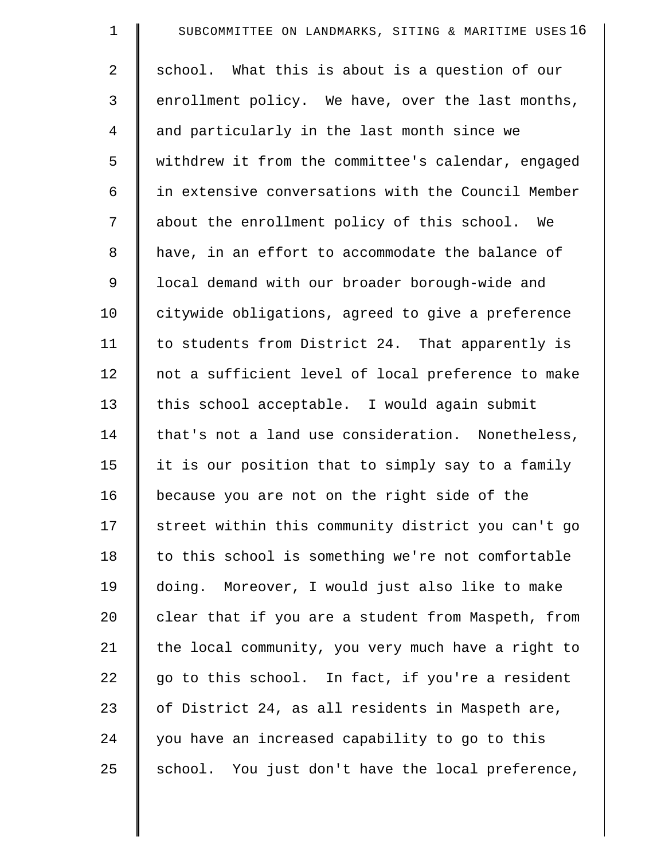| $\mathbf 1$    | SUBCOMMITTEE ON LANDMARKS, SITING & MARITIME USES 16 |
|----------------|------------------------------------------------------|
| $\overline{a}$ | school. What this is about is a question of our      |
| 3              | enrollment policy. We have, over the last months,    |
| 4              | and particularly in the last month since we          |
| 5              | withdrew it from the committee's calendar, engaged   |
| 6              | in extensive conversations with the Council Member   |
| 7              | about the enrollment policy of this school. We       |
| $\,8\,$        | have, in an effort to accommodate the balance of     |
| 9              | local demand with our broader borough-wide and       |
| 10             | citywide obligations, agreed to give a preference    |
| 11             | to students from District 24. That apparently is     |
| 12             | not a sufficient level of local preference to make   |
| 13             | this school acceptable. I would again submit         |
| 14             | that's not a land use consideration. Nonetheless,    |
| 15             | it is our position that to simply say to a family    |
| 16             | because you are not on the right side of the         |
| 17             | street within this community district you can't go   |
| 18             | to this school is something we're not comfortable    |
| 19             | doing. Moreover, I would just also like to make      |
| 20             | clear that if you are a student from Maspeth, from   |
| 21             | the local community, you very much have a right to   |
| 22             | go to this school. In fact, if you're a resident     |
| 23             | of District 24, as all residents in Maspeth are,     |
| 24             | you have an increased capability to go to this       |
| 25             | school. You just don't have the local preference,    |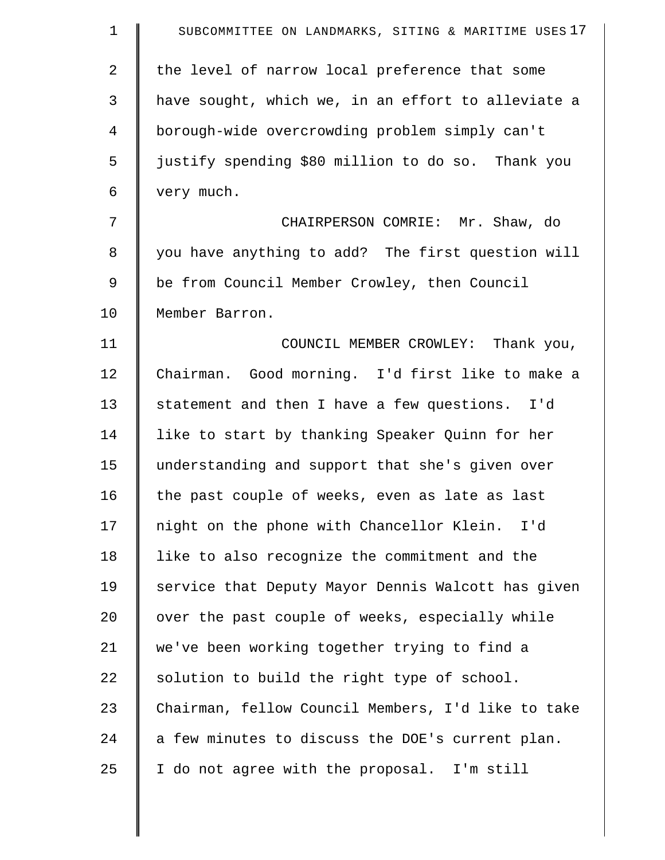| $\mathbf 1$    | SUBCOMMITTEE ON LANDMARKS, SITING & MARITIME USES 17 |
|----------------|------------------------------------------------------|
| 2              | the level of narrow local preference that some       |
| 3              | have sought, which we, in an effort to alleviate a   |
| $\overline{4}$ | borough-wide overcrowding problem simply can't       |
| 5              | justify spending \$80 million to do so. Thank you    |
| 6              | very much.                                           |
| 7              | CHAIRPERSON COMRIE: Mr. Shaw, do                     |
| 8              | you have anything to add? The first question will    |
| 9              | be from Council Member Crowley, then Council         |
| 10             | Member Barron.                                       |
| 11             | COUNCIL MEMBER CROWLEY: Thank you,                   |
| 12             | Chairman. Good morning. I'd first like to make a     |
| 13             | statement and then I have a few questions. I'd       |
| 14             | like to start by thanking Speaker Quinn for her      |
| 15             | understanding and support that she's given over      |
| 16             | the past couple of weeks, even as late as last       |
| 17             | night on the phone with Chancellor Klein. I'd        |
| 18             | like to also recognize the commitment and the        |
| 19             | service that Deputy Mayor Dennis Walcott has given   |
| 20             | over the past couple of weeks, especially while      |
| 21             | we've been working together trying to find a         |
| 22             | solution to build the right type of school.          |
| 23             | Chairman, fellow Council Members, I'd like to take   |
| 24             | a few minutes to discuss the DOE's current plan.     |
| 25             | I do not agree with the proposal. I'm still          |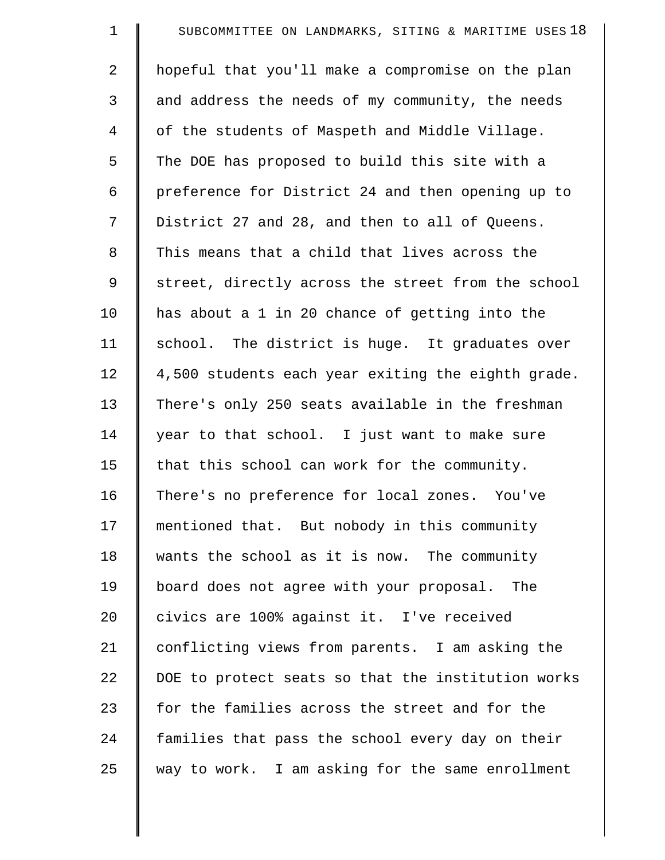| $\mathbf 1$    | SUBCOMMITTEE ON LANDMARKS, SITING & MARITIME USES 18 |
|----------------|------------------------------------------------------|
| $\overline{a}$ | hopeful that you'll make a compromise on the plan    |
| 3              | and address the needs of my community, the needs     |
| 4              | of the students of Maspeth and Middle Village.       |
| 5              | The DOE has proposed to build this site with a       |
| 6              | preference for District 24 and then opening up to    |
| 7              | District 27 and 28, and then to all of Queens.       |
| 8              | This means that a child that lives across the        |
| $\mathsf 9$    | street, directly across the street from the school   |
| 10             | has about a 1 in 20 chance of getting into the       |
| 11             | school. The district is huge. It graduates over      |
| 12             | 4,500 students each year exiting the eighth grade.   |
| 13             | There's only 250 seats available in the freshman     |
| 14             | year to that school. I just want to make sure        |
| 15             | that this school can work for the community.         |
| 16             | There's no preference for local zones. You've        |
| 17             | mentioned that. But nobody in this community         |
| 18             | wants the school as it is now. The community         |
| 19             | board does not agree with your proposal. The         |
| 20             | civics are 100% against it. I've received            |
| 21             | conflicting views from parents. I am asking the      |
| 22             | DOE to protect seats so that the institution works   |
| 23             | for the families across the street and for the       |
| 24             | families that pass the school every day on their     |
| 25             | way to work. I am asking for the same enrollment     |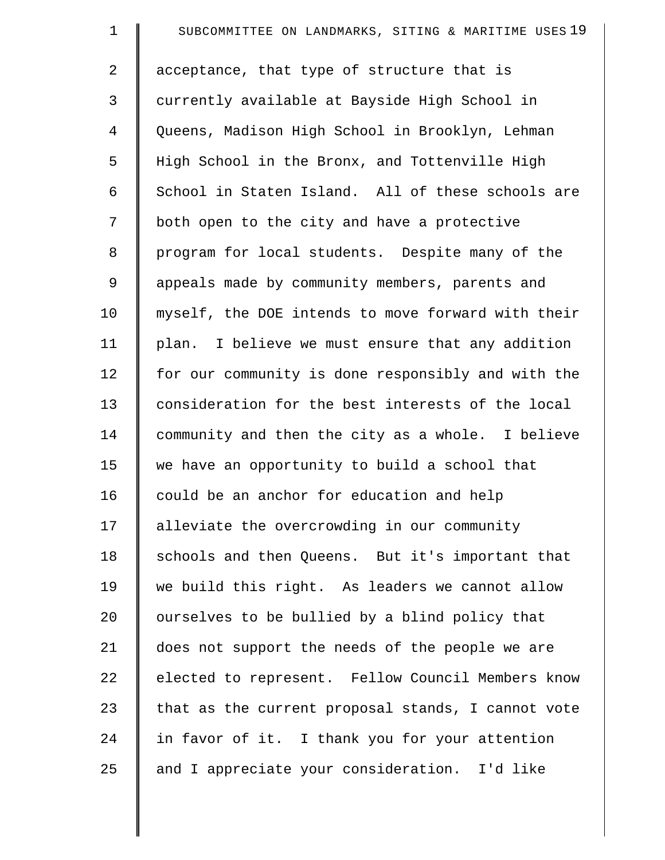| $\mathbf 1$ | SUBCOMMITTEE ON LANDMARKS, SITING & MARITIME USES 19 |
|-------------|------------------------------------------------------|
| 2           | acceptance, that type of structure that is           |
| 3           | currently available at Bayside High School in        |
| 4           | Queens, Madison High School in Brooklyn, Lehman      |
| 5           | High School in the Bronx, and Tottenville High       |
| 6           | School in Staten Island. All of these schools are    |
| 7           | both open to the city and have a protective          |
| $\,8\,$     | program for local students. Despite many of the      |
| 9           | appeals made by community members, parents and       |
| 10          | myself, the DOE intends to move forward with their   |
| 11          | plan. I believe we must ensure that any addition     |
| 12          | for our community is done responsibly and with the   |
| 13          | consideration for the best interests of the local    |
| 14          | community and then the city as a whole. I believe    |
| 15          | we have an opportunity to build a school that        |
| 16          | could be an anchor for education and help            |
| 17          | alleviate the overcrowding in our community          |
| 18          | schools and then Queens. But it's important that     |
| 19          | we build this right. As leaders we cannot allow      |
| 20          | ourselves to be bullied by a blind policy that       |
| 21          | does not support the needs of the people we are      |
| 22          | elected to represent. Fellow Council Members know    |
| 23          | that as the current proposal stands, I cannot vote   |
| 24          | in favor of it. I thank you for your attention       |
| 25          | and I appreciate your consideration. I'd like        |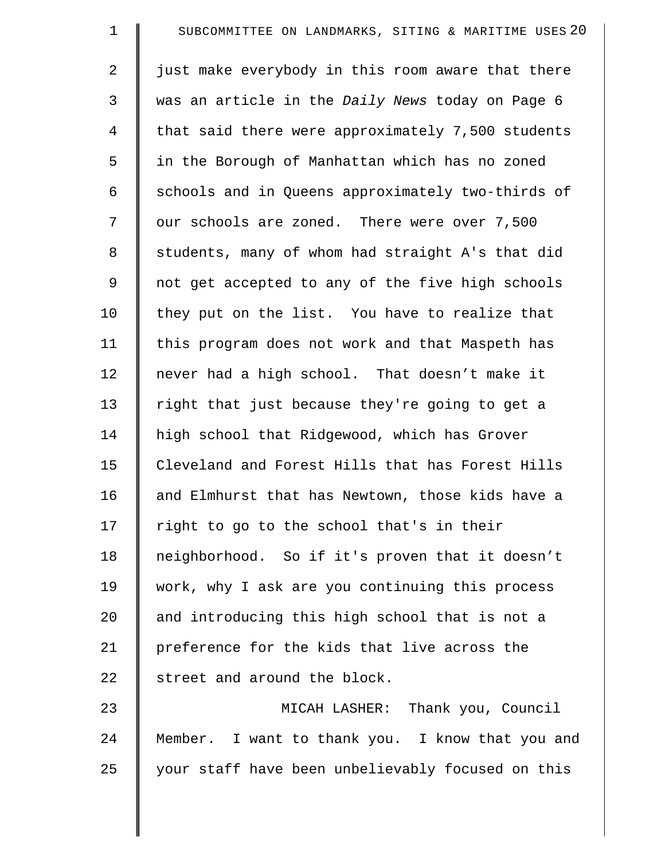| SUBCOMMITTEE ON LANDMARKS, SITING & MARITIME USES 20    |
|---------------------------------------------------------|
| just make everybody in this room aware that there       |
| was an article in the <i>Daily News</i> today on Page 6 |
| that said there were approximately 7,500 students       |
| in the Borough of Manhattan which has no zoned          |
| schools and in Queens approximately two-thirds of       |
| our schools are zoned. There were over 7,500            |
| students, many of whom had straight A's that did        |
| not get accepted to any of the five high schools        |
| they put on the list. You have to realize that          |
| this program does not work and that Maspeth has         |
| never had a high school. That doesn't make it           |
| right that just because they're going to get a          |
| high school that Ridgewood, which has Grover            |
| Cleveland and Forest Hills that has Forest Hills        |
| and Elmhurst that has Newtown, those kids have a        |
| right to go to the school that's in their               |
| neighborhood. So if it's proven that it doesn't         |
| work, why I ask are you continuing this process         |
| and introducing this high school that is not a          |
| preference for the kids that live across the            |
| street and around the block.                            |
| MICAH LASHER: Thank you, Council                        |
| Member. I want to thank you. I know that you and        |
| your staff have been unbelievably focused on this       |
|                                                         |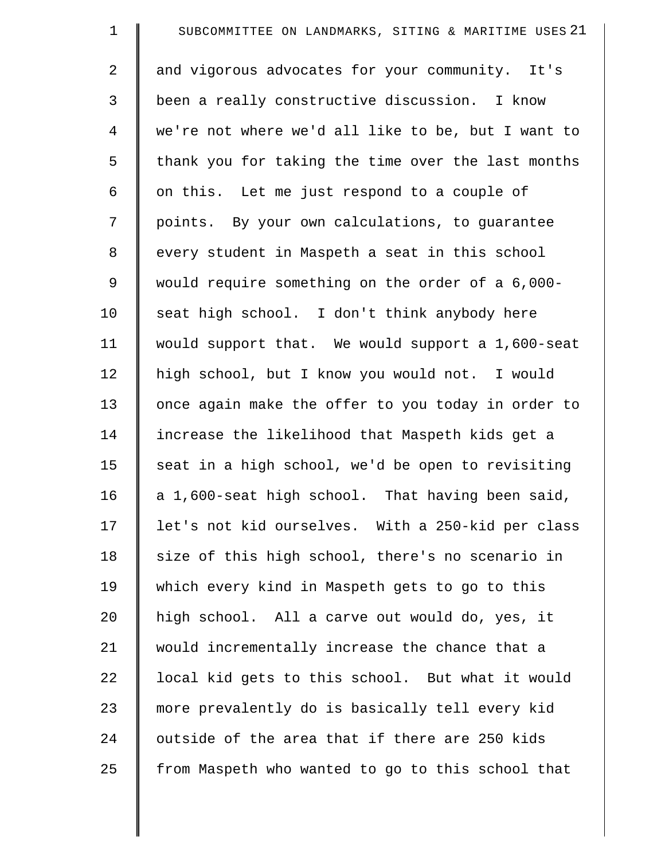| $\mathbf 1$    | SUBCOMMITTEE ON LANDMARKS, SITING & MARITIME USES 21 |
|----------------|------------------------------------------------------|
| $\overline{2}$ | and vigorous advocates for your community. It's      |
| 3              | been a really constructive discussion. I know        |
| 4              | we're not where we'd all like to be, but I want to   |
| 5              | thank you for taking the time over the last months   |
| 6              | on this. Let me just respond to a couple of          |
| 7              | points. By your own calculations, to guarantee       |
| $\,8\,$        | every student in Maspeth a seat in this school       |
| 9              | would require something on the order of a 6,000-     |
| 10             | seat high school. I don't think anybody here         |
| 11             | would support that. We would support a 1,600-seat    |
| 12             | high school, but I know you would not. I would       |
| 13             | once again make the offer to you today in order to   |
| 14             | increase the likelihood that Maspeth kids get a      |
| 15             | seat in a high school, we'd be open to revisiting    |
| 16             | a 1,600-seat high school. That having been said,     |
| 17             | let's not kid ourselves. With a 250-kid per class    |
| 18             | size of this high school, there's no scenario in     |
| 19             | which every kind in Maspeth gets to go to this       |
| 20             | high school. All a carve out would do, yes, it       |
| 21             | would incrementally increase the chance that a       |
| 22             | local kid gets to this school. But what it would     |
| 23             | more prevalently do is basically tell every kid      |
| 24             | outside of the area that if there are 250 kids       |
| 25             | from Maspeth who wanted to go to this school that    |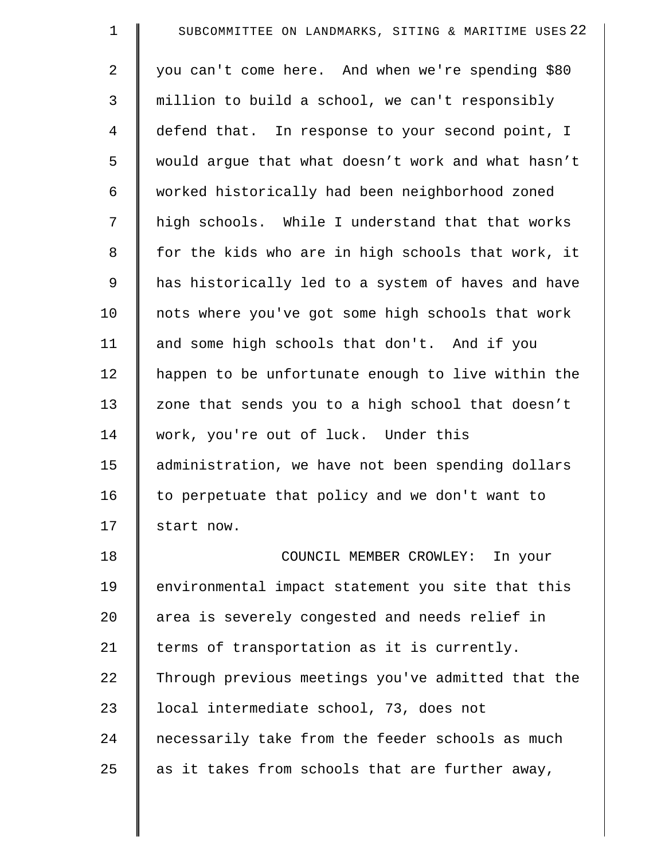| $\mathbf 1$    | SUBCOMMITTEE ON LANDMARKS, SITING & MARITIME USES 22 |
|----------------|------------------------------------------------------|
| 2              | you can't come here. And when we're spending \$80    |
| 3              | million to build a school, we can't responsibly      |
| $\overline{4}$ | defend that. In response to your second point, I     |
| 5              | would argue that what doesn't work and what hasn't   |
| 6              | worked historically had been neighborhood zoned      |
| 7              | high schools. While I understand that that works     |
| $\,8\,$        | for the kids who are in high schools that work, it   |
| 9              | has historically led to a system of haves and have   |
| 10             | nots where you've got some high schools that work    |
| 11             | and some high schools that don't. And if you         |
| 12             | happen to be unfortunate enough to live within the   |
| 13             | zone that sends you to a high school that doesn't    |
| 14             | work, you're out of luck. Under this                 |
| 15             | administration, we have not been spending dollars    |
| 16             | to perpetuate that policy and we don't want to       |
| 17             | start now.                                           |
| 18             | COUNCIL MEMBER CROWLEY: In your                      |
| 19             | environmental impact statement you site that this    |
| 20             | area is severely congested and needs relief in       |
| 21             | terms of transportation as it is currently.          |
| 22             | Through previous meetings you've admitted that the   |
| 23             | local intermediate school, 73, does not              |
| 24             | necessarily take from the feeder schools as much     |
| 25             | as it takes from schools that are further away,      |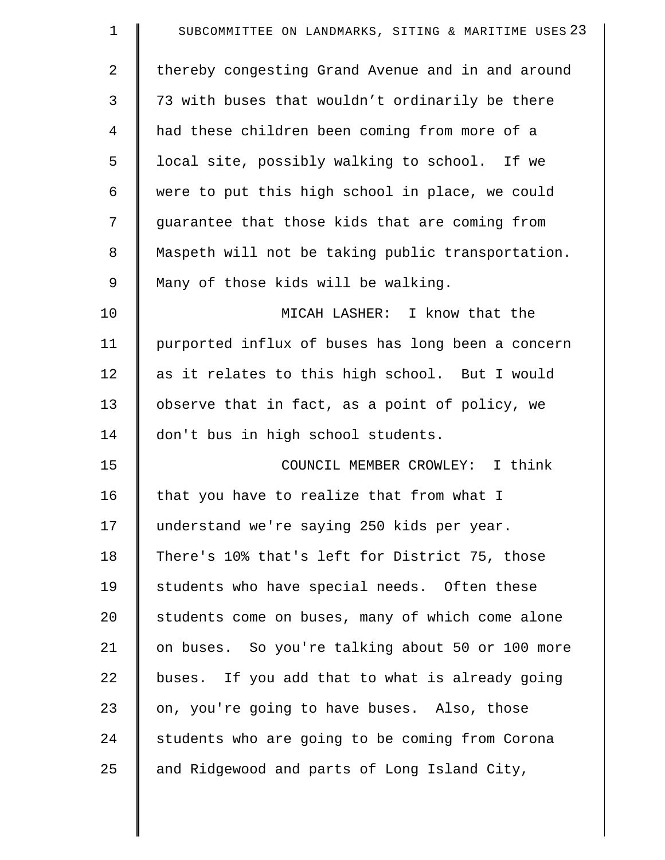| $\mathbf 1$ | SUBCOMMITTEE ON LANDMARKS, SITING & MARITIME USES 23 |
|-------------|------------------------------------------------------|
| 2           | thereby congesting Grand Avenue and in and around    |
| 3           | 73 with buses that wouldn't ordinarily be there      |
| 4           | had these children been coming from more of a        |
| 5           | local site, possibly walking to school. If we        |
| 6           | were to put this high school in place, we could      |
| 7           | guarantee that those kids that are coming from       |
| 8           | Maspeth will not be taking public transportation.    |
| 9           | Many of those kids will be walking.                  |
| 10          | MICAH LASHER: I know that the                        |
| 11          | purported influx of buses has long been a concern    |
| 12          | as it relates to this high school. But I would       |
| 13          | observe that in fact, as a point of policy, we       |
| 14          | don't bus in high school students.                   |
| 15          | COUNCIL MEMBER CROWLEY: I think                      |
| 16          | that you have to realize that from what I            |
| 17          | understand we're saying 250 kids per year.           |
| 18          | There's 10% that's left for District 75, those       |
| 19          | students who have special needs. Often these         |
| 20          | students come on buses, many of which come alone     |
| 21          | on buses. So you're talking about 50 or 100 more     |
| 22          | buses. If you add that to what is already going      |
| 23          | on, you're going to have buses. Also, those          |
| 24          | students who are going to be coming from Corona      |
| 25          | and Ridgewood and parts of Long Island City,         |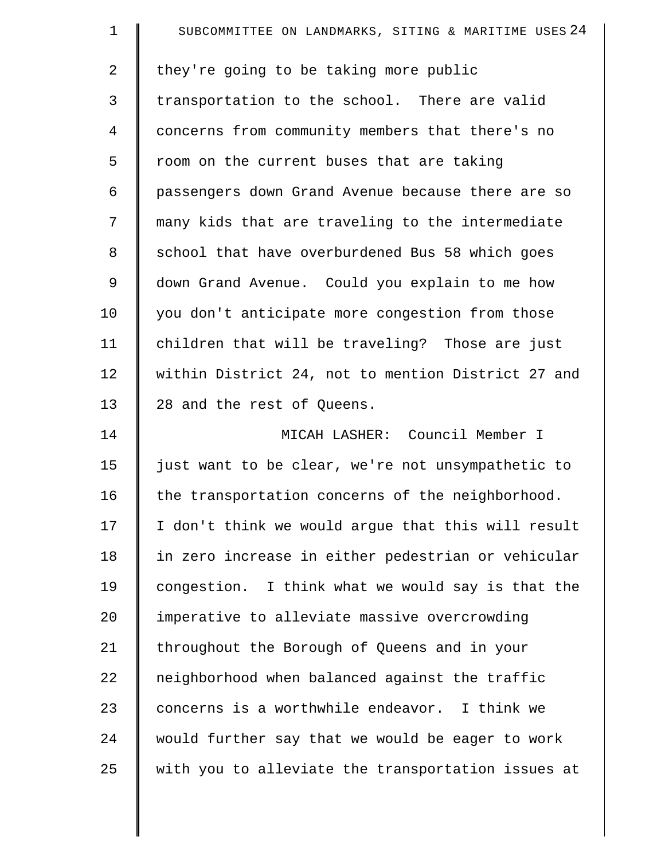| $\mathbf 1$    | SUBCOMMITTEE ON LANDMARKS, SITING & MARITIME USES 24 |
|----------------|------------------------------------------------------|
| $\overline{2}$ | they're going to be taking more public               |
| 3              | transportation to the school. There are valid        |
| 4              | concerns from community members that there's no      |
| 5              | room on the current buses that are taking            |
| 6              | passengers down Grand Avenue because there are so    |
| 7              | many kids that are traveling to the intermediate     |
| 8              | school that have overburdened Bus 58 which goes      |
| 9              | down Grand Avenue. Could you explain to me how       |
| 10             | you don't anticipate more congestion from those      |
| 11             | children that will be traveling? Those are just      |
| 12             | within District 24, not to mention District 27 and   |
| 13             | 28 and the rest of Queens.                           |
| 14             | MICAH LASHER: Council Member I                       |
| 15             | just want to be clear, we're not unsympathetic to    |
| 16             | the transportation concerns of the neighborhood.     |
| 17             | I don't think we would argue that this will result   |
| 18             | in zero increase in either pedestrian or vehicular   |
| 19             | congestion. I think what we would say is that the    |
| 20             | imperative to alleviate massive overcrowding         |
| 21             | throughout the Borough of Queens and in your         |
| 22             | neighborhood when balanced against the traffic       |
| 23             | concerns is a worthwhile endeavor. I think we        |
| 24             | would further say that we would be eager to work     |
| 25             | with you to alleviate the transportation issues at   |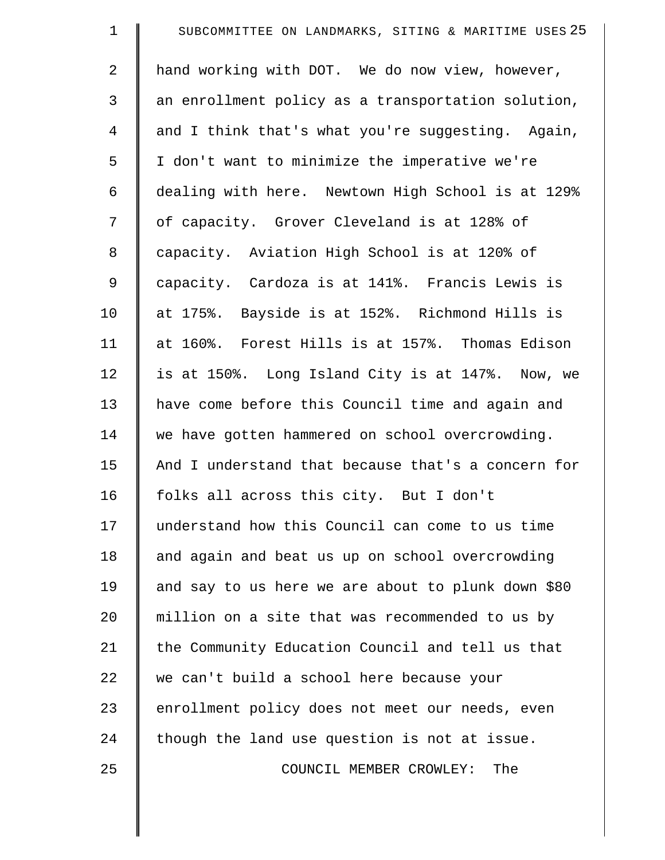| $\mathbf 1$    | SUBCOMMITTEE ON LANDMARKS, SITING & MARITIME USES 25 |
|----------------|------------------------------------------------------|
| $\overline{2}$ | hand working with DOT. We do now view, however,      |
| 3              | an enrollment policy as a transportation solution,   |
| $\overline{4}$ | and I think that's what you're suggesting. Again,    |
| 5              | I don't want to minimize the imperative we're        |
| 6              | dealing with here. Newtown High School is at 129%    |
| 7              | of capacity. Grover Cleveland is at 128% of          |
| 8              | capacity. Aviation High School is at 120% of         |
| $\mathsf 9$    | capacity. Cardoza is at 141%. Francis Lewis is       |
| 10             | at 175%. Bayside is at 152%. Richmond Hills is       |
| 11             | at 160%. Forest Hills is at 157%. Thomas Edison      |
| 12             | is at 150%. Long Island City is at 147%. Now, we     |
| 13             | have come before this Council time and again and     |
| 14             | we have gotten hammered on school overcrowding.      |
| 15             | And I understand that because that's a concern for   |
| 16             | folks all across this city. But I don't              |
| 17             | understand how this Council can come to us time      |
| 18             | and again and beat us up on school overcrowding      |
| 19             | and say to us here we are about to plunk down \$80   |
| 20             | million on a site that was recommended to us by      |
| 21             | the Community Education Council and tell us that     |
| 22             | we can't build a school here because your            |
| 23             | enrollment policy does not meet our needs, even      |
| 24             | though the land use question is not at issue.        |
| 25             | COUNCIL MEMBER CROWLEY: The                          |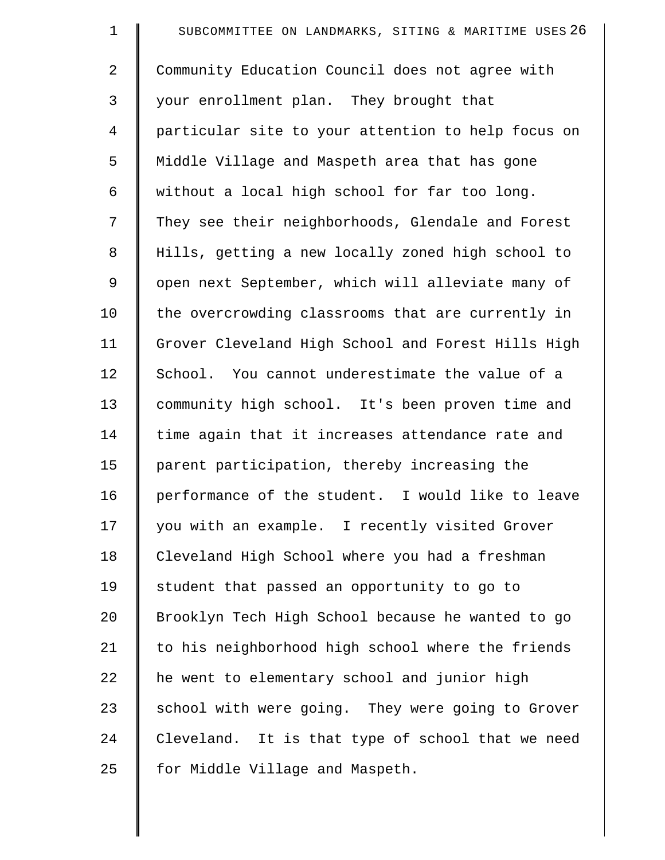| $\mathbf 1$    | SUBCOMMITTEE ON LANDMARKS, SITING & MARITIME USES 26 |
|----------------|------------------------------------------------------|
| $\overline{2}$ | Community Education Council does not agree with      |
| 3              | your enrollment plan. They brought that              |
| 4              | particular site to your attention to help focus on   |
| 5              | Middle Village and Maspeth area that has gone        |
| 6              | without a local high school for far too long.        |
| 7              | They see their neighborhoods, Glendale and Forest    |
| $\,8\,$        | Hills, getting a new locally zoned high school to    |
| 9              | open next September, which will alleviate many of    |
| 10             | the overcrowding classrooms that are currently in    |
| 11             | Grover Cleveland High School and Forest Hills High   |
| 12             | School. You cannot underestimate the value of a      |
| 13             | community high school. It's been proven time and     |
| 14             | time again that it increases attendance rate and     |
| 15             | parent participation, thereby increasing the         |
| 16             | performance of the student. I would like to leave    |
| 17             | you with an example. I recently visited Grover       |
| 18             | Cleveland High School where you had a freshman       |
| 19             | student that passed an opportunity to go to          |
| 20             | Brooklyn Tech High School because he wanted to go    |
| 21             | to his neighborhood high school where the friends    |
| 22             | he went to elementary school and junior high         |
| 23             | school with were going. They were going to Grover    |
| 24             | Cleveland. It is that type of school that we need    |
| 25             | for Middle Village and Maspeth.                      |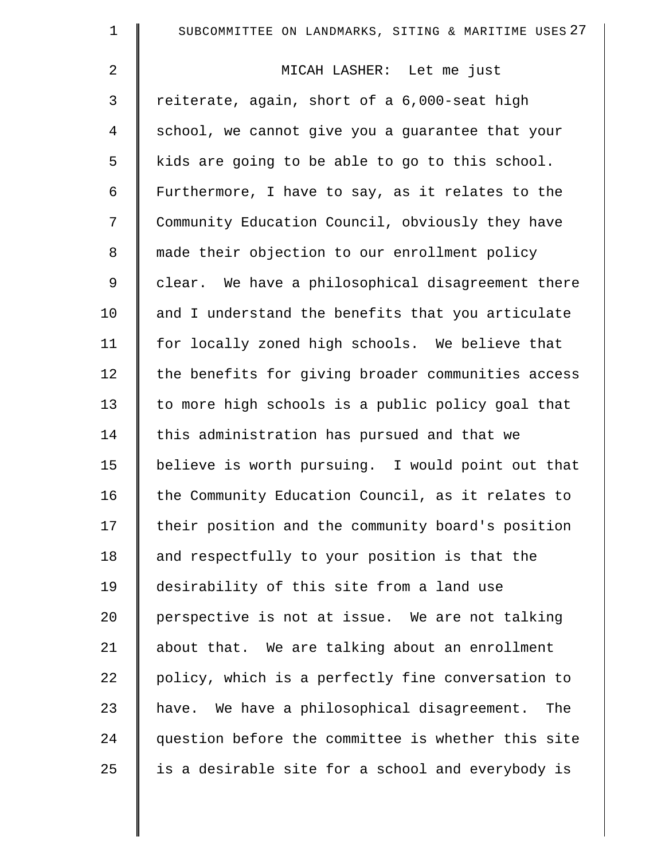| $\mathbf 1$    | SUBCOMMITTEE ON LANDMARKS, SITING & MARITIME USES 27 |
|----------------|------------------------------------------------------|
| $\overline{a}$ | MICAH LASHER: Let me just                            |
| 3              | reiterate, again, short of a 6,000-seat high         |
| 4              | school, we cannot give you a guarantee that your     |
| 5              | kids are going to be able to go to this school.      |
| 6              | Furthermore, I have to say, as it relates to the     |
| 7              | Community Education Council, obviously they have     |
| 8              | made their objection to our enrollment policy        |
| 9              | clear. We have a philosophical disagreement there    |
| 10             | and I understand the benefits that you articulate    |
| 11             | for locally zoned high schools. We believe that      |
| 12             | the benefits for giving broader communities access   |
| 13             | to more high schools is a public policy goal that    |
| 14             | this administration has pursued and that we          |
| 15             | believe is worth pursuing. I would point out that    |
| 16             | the Community Education Council, as it relates to    |
| 17             | their position and the community board's position    |
| 18             | and respectfully to your position is that the        |
| 19             | desirability of this site from a land use            |
| 20             | perspective is not at issue. We are not talking      |
| 21             | about that. We are talking about an enrollment       |
| 22             | policy, which is a perfectly fine conversation to    |
| 23             | have. We have a philosophical disagreement.<br>The   |
| 24             | question before the committee is whether this site   |
| 25             | is a desirable site for a school and everybody is    |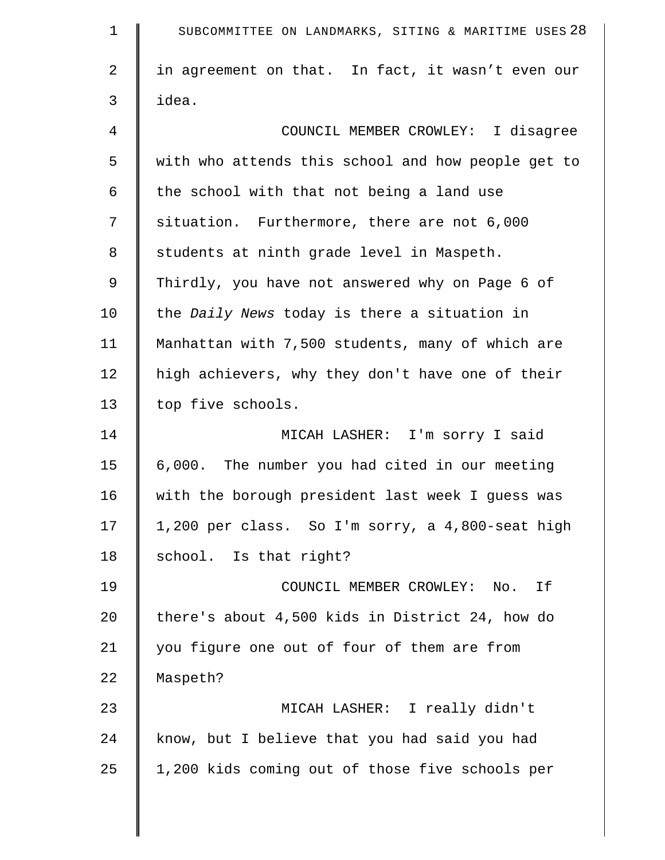| $\mathbf 1$ | SUBCOMMITTEE ON LANDMARKS, SITING & MARITIME USES 28 |
|-------------|------------------------------------------------------|
| 2           | in agreement on that. In fact, it wasn't even our    |
| 3           | idea.                                                |
| 4           | COUNCIL MEMBER CROWLEY: I disagree                   |
| 5           | with who attends this school and how people get to   |
| 6           | the school with that not being a land use            |
| 7           | situation. Furthermore, there are not 6,000          |
| 8           | students at ninth grade level in Maspeth.            |
| 9           | Thirdly, you have not answered why on Page 6 of      |
| 10          | the Daily News today is there a situation in         |
| 11          | Manhattan with 7,500 students, many of which are     |
| 12          | high achievers, why they don't have one of their     |
| 13          | top five schools.                                    |
| 14          | MICAH LASHER: I'm sorry I said                       |
| 15          | 6,000. The number you had cited in our meeting       |
| 16          | with the borough president last week I guess was     |
| 17          | 1,200 per class. So I'm sorry, a 4,800-seat high     |
| 18          | school. Is that right?                               |
| 19          | COUNCIL MEMBER CROWLEY:<br>No. If                    |
| 20          | there's about 4,500 kids in District 24, how do      |
| 21          | you figure one out of four of them are from          |
| 22          | Maspeth?                                             |
| 23          | MICAH LASHER: I really didn't                        |
| 24          | know, but I believe that you had said you had        |
| 25          | 1,200 kids coming out of those five schools per      |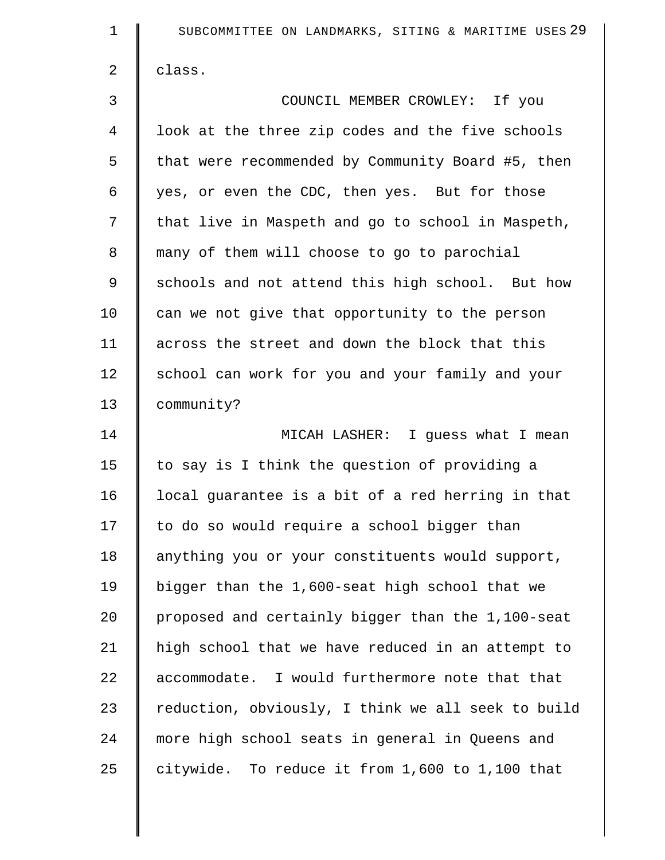| $\mathbf 1$    | SUBCOMMITTEE ON LANDMARKS, SITING & MARITIME USES 29 |
|----------------|------------------------------------------------------|
| $\overline{a}$ | class.                                               |
| 3              | COUNCIL MEMBER CROWLEY: If you                       |
| 4              | look at the three zip codes and the five schools     |
| 5              | that were recommended by Community Board #5, then    |
| 6              | yes, or even the CDC, then yes. But for those        |
| 7              | that live in Maspeth and go to school in Maspeth,    |
| 8              | many of them will choose to go to parochial          |
| 9              | schools and not attend this high school. But how     |
| 10             | can we not give that opportunity to the person       |
| 11             | across the street and down the block that this       |
| 12             | school can work for you and your family and your     |
| 13             | community?                                           |
| 14             | MICAH LASHER: I guess what I mean                    |
| 15             | to say is I think the question of providing a        |
| 16             | local guarantee is a bit of a red herring in that    |
| 17             | to do so would require a school bigger than          |
| 18             | anything you or your constituents would support,     |
| 19             | bigger than the 1,600-seat high school that we       |
| 20             | proposed and certainly bigger than the 1,100-seat    |
| 21             | high school that we have reduced in an attempt to    |
| 22             | accommodate. I would furthermore note that that      |
| 23             | reduction, obviously, I think we all seek to build   |
| 24             | more high school seats in general in Queens and      |
| 25             | citywide. To reduce it from 1,600 to 1,100 that      |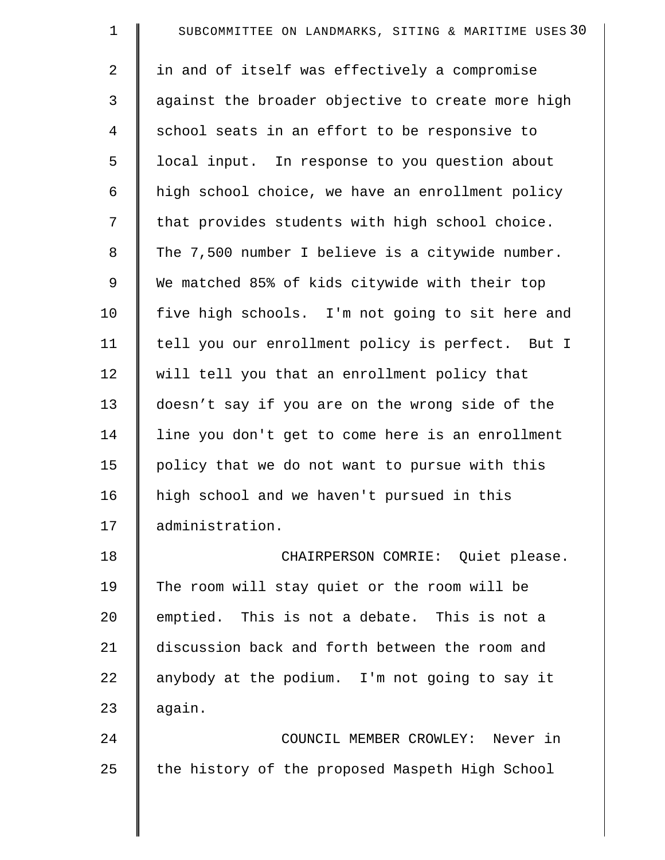| $\mathbf 1$    | SUBCOMMITTEE ON LANDMARKS, SITING & MARITIME USES 30 |
|----------------|------------------------------------------------------|
| $\overline{2}$ | in and of itself was effectively a compromise        |
| 3              | against the broader objective to create more high    |
| $\overline{4}$ | school seats in an effort to be responsive to        |
| 5              | local input. In response to you question about       |
| 6              | high school choice, we have an enrollment policy     |
| 7              | that provides students with high school choice.      |
| 8              | The 7,500 number I believe is a citywide number.     |
| 9              | We matched 85% of kids citywide with their top       |
| 10             | five high schools. I'm not going to sit here and     |
| 11             | tell you our enrollment policy is perfect. But I     |
| 12             | will tell you that an enrollment policy that         |
| 13             | doesn't say if you are on the wrong side of the      |
| 14             | line you don't get to come here is an enrollment     |
| 15             | policy that we do not want to pursue with this       |
| 16             | high school and we haven't pursued in this           |
| 17             | administration.                                      |
| 18             | CHAIRPERSON COMRIE: Quiet please.                    |
| 19             | The room will stay quiet or the room will be         |
| 20             | emptied. This is not a debate. This is not a         |
| 21             | discussion back and forth between the room and       |
| 22             | anybody at the podium. I'm not going to say it       |
| 23             | again.                                               |
| 24             | COUNCIL MEMBER CROWLEY: Never in                     |
| 25             | the history of the proposed Maspeth High School      |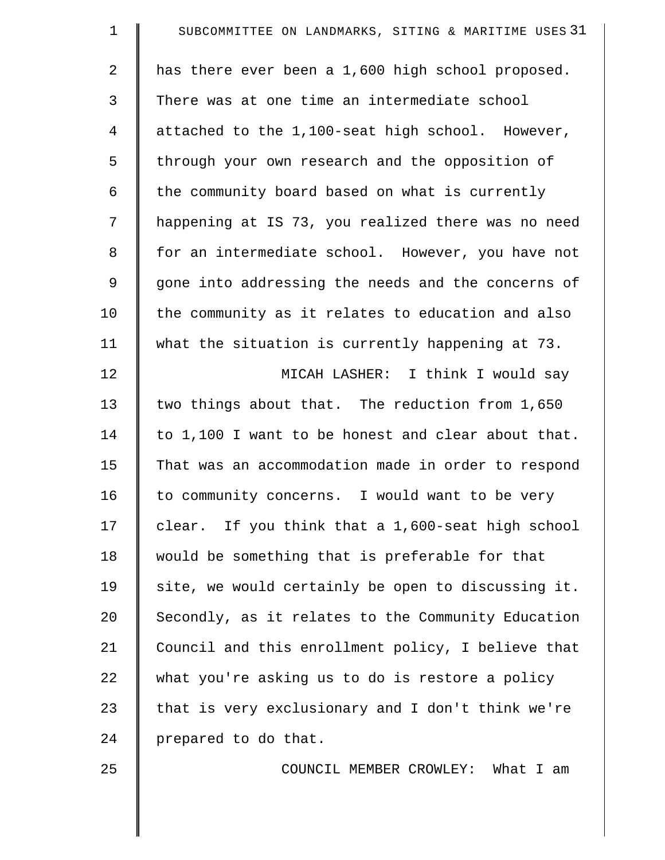| $\mathbf 1$    | SUBCOMMITTEE ON LANDMARKS, SITING & MARITIME USES 31 |
|----------------|------------------------------------------------------|
| $\overline{2}$ | has there ever been a 1,600 high school proposed.    |
| 3              | There was at one time an intermediate school         |
| $\overline{4}$ | attached to the 1,100-seat high school. However,     |
| 5              | through your own research and the opposition of      |
| 6              | the community board based on what is currently       |
| 7              | happening at IS 73, you realized there was no need   |
| 8              | for an intermediate school. However, you have not    |
| 9              | gone into addressing the needs and the concerns of   |
| 10             | the community as it relates to education and also    |
| 11             | what the situation is currently happening at 73.     |
| 12             | MICAH LASHER: I think I would say                    |
| 13             | two things about that. The reduction from 1,650      |
| 14             | to 1,100 I want to be honest and clear about that.   |
| 15             | That was an accommodation made in order to respond   |
| 16             | to community concerns. I would want to be very       |
| 17             | clear. If you think that a 1,600-seat high school    |
| 18             | would be something that is preferable for that       |
| 19             | site, we would certainly be open to discussing it.   |
| 20             | Secondly, as it relates to the Community Education   |
| 21             | Council and this enrollment policy, I believe that   |
| 22             | what you're asking us to do is restore a policy      |
| 23             | that is very exclusionary and I don't think we're    |
| 24             | prepared to do that.                                 |
| 25             | COUNCIL MEMBER CROWLEY: What I am                    |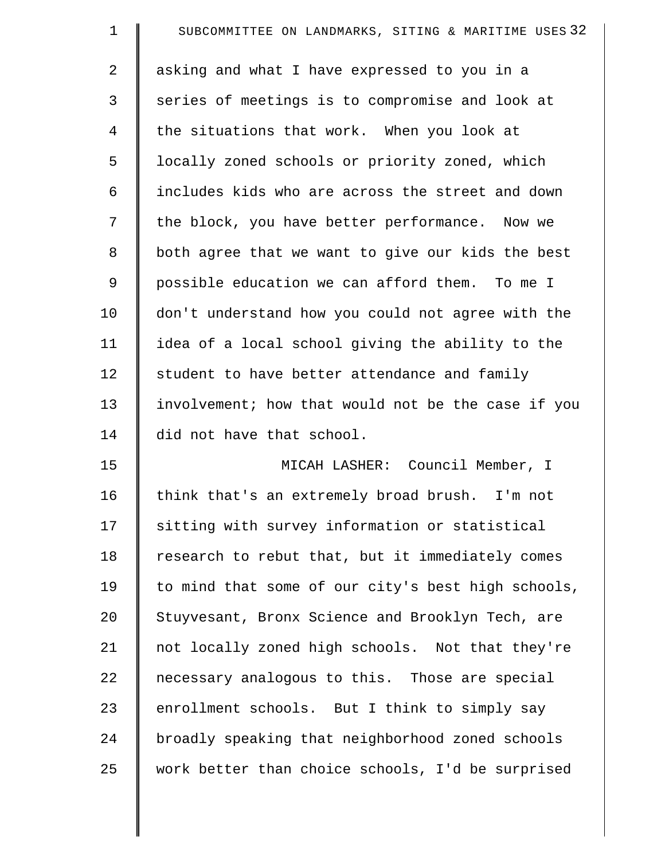| $\mathbf 1$ | SUBCOMMITTEE ON LANDMARKS, SITING & MARITIME USES 32 |
|-------------|------------------------------------------------------|
| 2           | asking and what I have expressed to you in a         |
| 3           | series of meetings is to compromise and look at      |
| 4           | the situations that work. When you look at           |
| 5           | locally zoned schools or priority zoned, which       |
| 6           | includes kids who are across the street and down     |
| 7           | the block, you have better performance. Now we       |
| 8           | both agree that we want to give our kids the best    |
| 9           | possible education we can afford them. To me I       |
| 10          | don't understand how you could not agree with the    |
| 11          | idea of a local school giving the ability to the     |
| 12          | student to have better attendance and family         |
| 13          | involvement; how that would not be the case if you   |
| 14          | did not have that school.                            |
| 15          | MICAH LASHER: Council Member, I                      |
| 16          | think that's an extremely broad brush. I'm not       |
| 17          | sitting with survey information or statistical       |
| 18          | research to rebut that, but it immediately comes     |
| 19          | to mind that some of our city's best high schools,   |
| 20          | Stuyvesant, Bronx Science and Brooklyn Tech, are     |
| 21          | not locally zoned high schools. Not that they're     |
| 22          | necessary analogous to this. Those are special       |
| 23          | enrollment schools. But I think to simply say        |
| 24          | broadly speaking that neighborhood zoned schools     |
| 25          | work better than choice schools, I'd be surprised    |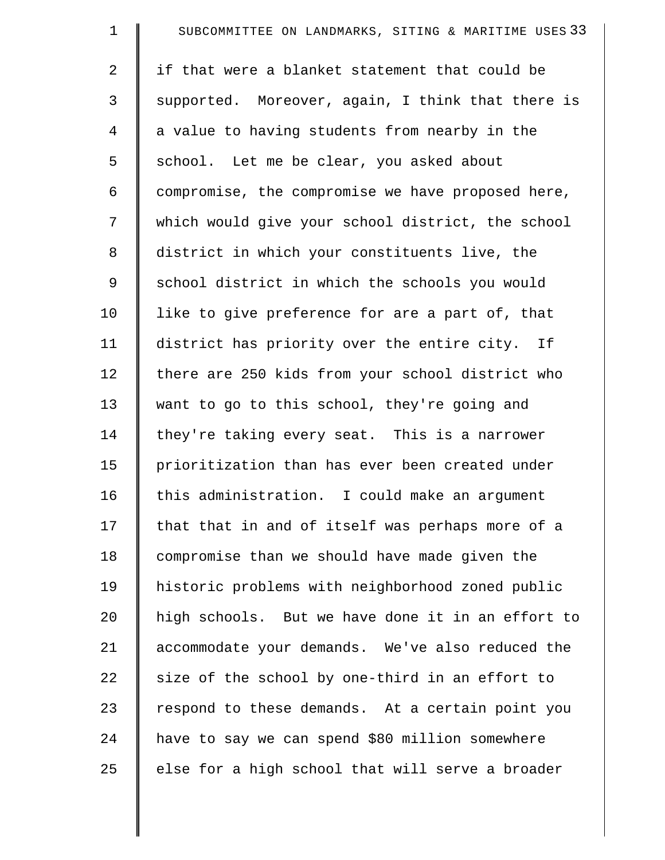| $\mathbf 1$ | SUBCOMMITTEE ON LANDMARKS, SITING & MARITIME USES 33 |
|-------------|------------------------------------------------------|
| 2           | if that were a blanket statement that could be       |
| 3           | supported. Moreover, again, I think that there is    |
| 4           | a value to having students from nearby in the        |
| 5           | school. Let me be clear, you asked about             |
| 6           | compromise, the compromise we have proposed here,    |
| 7           | which would give your school district, the school    |
| 8           | district in which your constituents live, the        |
| 9           | school district in which the schools you would       |
| 10          | like to give preference for are a part of, that      |
| 11          | district has priority over the entire city. If       |
| 12          | there are 250 kids from your school district who     |
| 13          | want to go to this school, they're going and         |
| 14          | they're taking every seat. This is a narrower        |
| 15          | prioritization than has ever been created under      |
| 16          | this administration. I could make an argument        |
| 17          | that that in and of itself was perhaps more of a     |
| 18          | compromise than we should have made given the        |
| 19          | historic problems with neighborhood zoned public     |
| 20          | high schools. But we have done it in an effort to    |
| 21          | accommodate your demands. We've also reduced the     |
| 22          | size of the school by one-third in an effort to      |
| 23          | respond to these demands. At a certain point you     |
| 24          | have to say we can spend \$80 million somewhere      |
| 25          | else for a high school that will serve a broader     |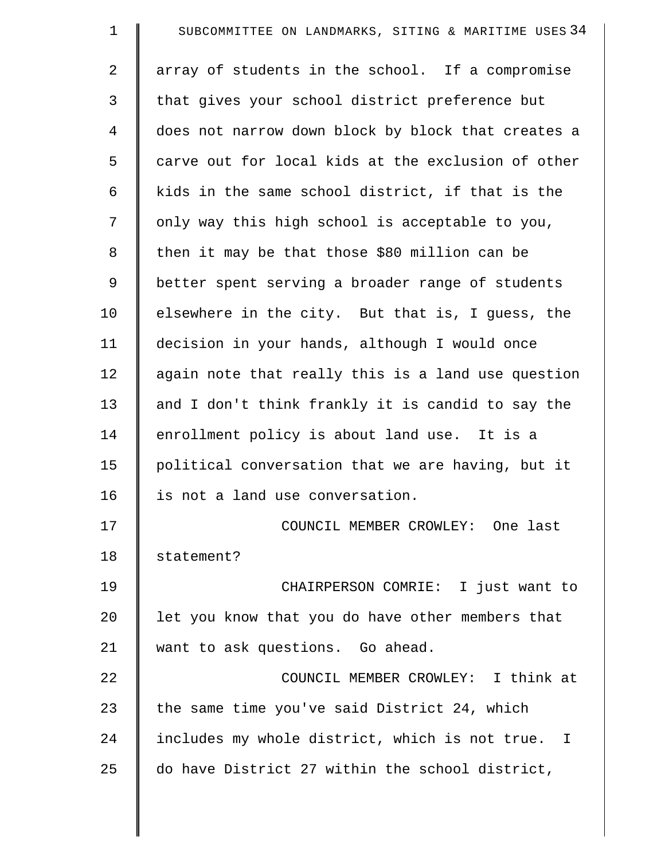| $\mathbf 1$    | SUBCOMMITTEE ON LANDMARKS, SITING & MARITIME USES 34 |
|----------------|------------------------------------------------------|
| $\overline{2}$ | array of students in the school. If a compromise     |
| 3              | that gives your school district preference but       |
| $\overline{4}$ | does not narrow down block by block that creates a   |
| 5              | carve out for local kids at the exclusion of other   |
| 6              | kids in the same school district, if that is the     |
| 7              | only way this high school is acceptable to you,      |
| 8              | then it may be that those \$80 million can be        |
| 9              | better spent serving a broader range of students     |
| 10             | elsewhere in the city. But that is, I guess, the     |
| 11             | decision in your hands, although I would once        |
| 12             | again note that really this is a land use question   |
| 13             | and I don't think frankly it is candid to say the    |
| 14             | enrollment policy is about land use. It is a         |
| 15             | political conversation that we are having, but it    |
| 16             | is not a land use conversation.                      |
| 17             | COUNCIL MEMBER CROWLEY: One last                     |
| 18             | statement?                                           |
| 19             | CHAIRPERSON COMRIE: I just want to                   |
| 20             | let you know that you do have other members that     |
| 21             | want to ask questions. Go ahead.                     |
| 22             | COUNCIL MEMBER CROWLEY: I think at                   |
| 23             | the same time you've said District 24, which         |
| 24             | includes my whole district, which is not true. I     |
| 25             | do have District 27 within the school district,      |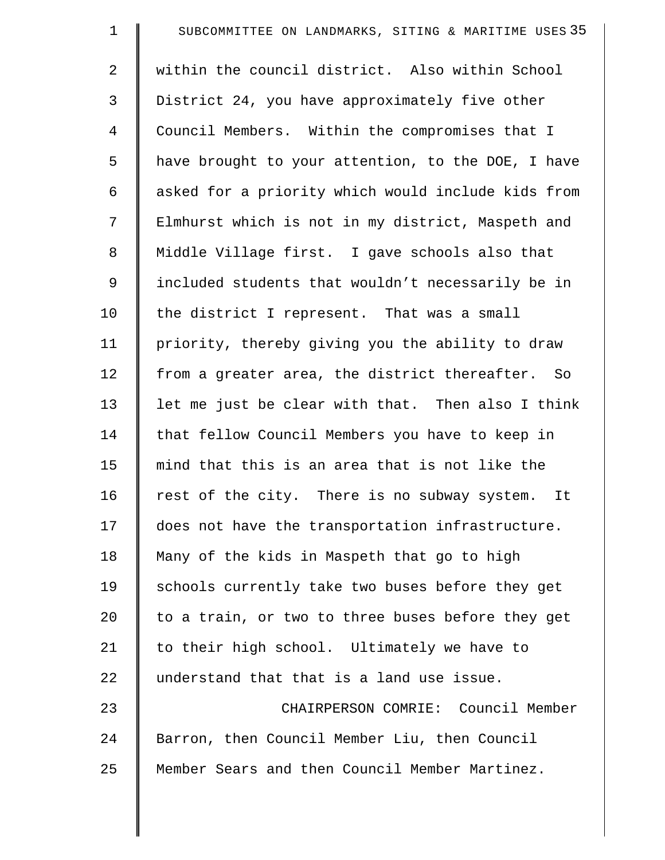| $\mathbf 1$ | SUBCOMMITTEE ON LANDMARKS, SITING & MARITIME USES 35 |
|-------------|------------------------------------------------------|
| 2           | within the council district. Also within School      |
| 3           | District 24, you have approximately five other       |
| 4           | Council Members. Within the compromises that I       |
| 5           | have brought to your attention, to the DOE, I have   |
| 6           | asked for a priority which would include kids from   |
| 7           | Elmhurst which is not in my district, Maspeth and    |
| $\,8\,$     | Middle Village first. I gave schools also that       |
| 9           | included students that wouldn't necessarily be in    |
| 10          | the district I represent. That was a small           |
| 11          | priority, thereby giving you the ability to draw     |
| 12          | from a greater area, the district thereafter. So     |
| 13          | let me just be clear with that. Then also I think    |
| 14          | that fellow Council Members you have to keep in      |
| 15          | mind that this is an area that is not like the       |
| 16          | rest of the city. There is no subway system. It      |
| 17          | does not have the transportation infrastructure.     |
| 18          | Many of the kids in Maspeth that go to high          |
| 19          | schools currently take two buses before they get     |
| 20          | to a train, or two to three buses before they get    |
| 21          | to their high school. Ultimately we have to          |
| 22          | understand that that is a land use issue.            |
| 23          | CHAIRPERSON COMRIE: Council Member                   |
| 24          | Barron, then Council Member Liu, then Council        |
| 25          | Member Sears and then Council Member Martinez.       |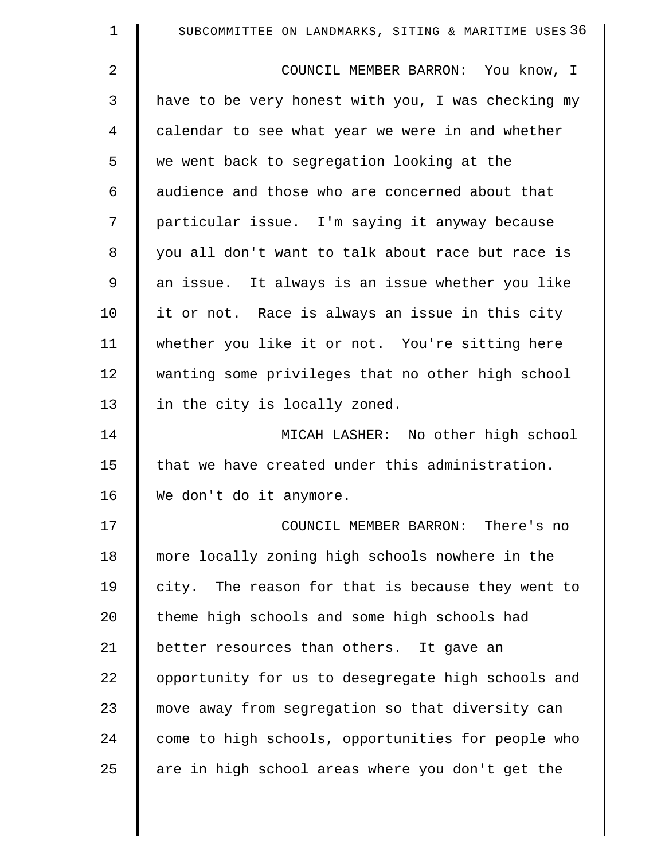| $\mathbf 1$    | SUBCOMMITTEE ON LANDMARKS, SITING & MARITIME USES 36 |
|----------------|------------------------------------------------------|
| $\overline{2}$ | COUNCIL MEMBER BARRON: You know, I                   |
| 3              | have to be very honest with you, I was checking my   |
| 4              | calendar to see what year we were in and whether     |
| 5              | we went back to segregation looking at the           |
| 6              | audience and those who are concerned about that      |
| 7              | particular issue. I'm saying it anyway because       |
| 8              | you all don't want to talk about race but race is    |
| 9              | an issue. It always is an issue whether you like     |
| 10             | it or not. Race is always an issue in this city      |
| 11             | whether you like it or not. You're sitting here      |
| 12             | wanting some privileges that no other high school    |
| 13             | in the city is locally zoned.                        |
| 14             | MICAH LASHER: No other high school                   |
| 15             | that we have created under this administration.      |
| 16             | We don't do it anymore.                              |
| 17             | COUNCIL MEMBER BARRON: There's no                    |
| 18             | more locally zoning high schools nowhere in the      |
| 19             | city. The reason for that is because they went to    |
| 20             | theme high schools and some high schools had         |
| 21             | better resources than others. It gave an             |
| 22             | opportunity for us to desegregate high schools and   |
| 23             | move away from segregation so that diversity can     |
| 24             | come to high schools, opportunities for people who   |
| 25             | are in high school areas where you don't get the     |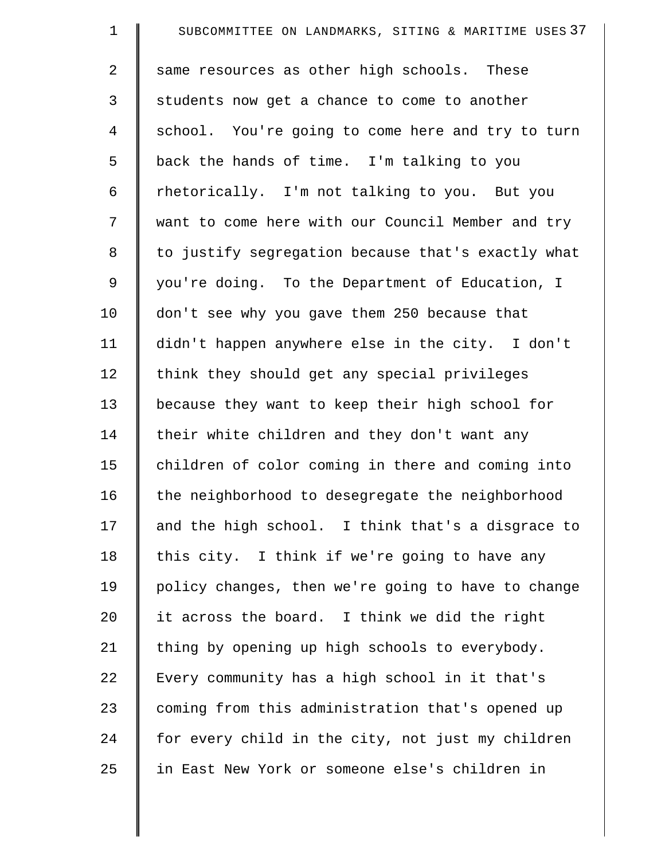| $\mathbf 1$ | SUBCOMMITTEE ON LANDMARKS, SITING & MARITIME USES 37 |
|-------------|------------------------------------------------------|
| 2           | same resources as other high schools. These          |
| 3           | students now get a chance to come to another         |
| 4           | school. You're going to come here and try to turn    |
| 5           | back the hands of time. I'm talking to you           |
| 6           | rhetorically. I'm not talking to you. But you        |
| 7           | want to come here with our Council Member and try    |
| $\,8\,$     | to justify segregation because that's exactly what   |
| 9           | you're doing. To the Department of Education, I      |
| 10          | don't see why you gave them 250 because that         |
| 11          | didn't happen anywhere else in the city. I don't     |
| 12          | think they should get any special privileges         |
| 13          | because they want to keep their high school for      |
| 14          | their white children and they don't want any         |
| 15          | children of color coming in there and coming into    |
| 16          | the neighborhood to desegregate the neighborhood     |
| 17          | and the high school. I think that's a disgrace to    |
| 18          | this city. I think if we're going to have any        |
| 19          | policy changes, then we're going to have to change   |
| 20          | it across the board. I think we did the right        |
| 21          | thing by opening up high schools to everybody.       |
| 22          | Every community has a high school in it that's       |
| 23          | coming from this administration that's opened up     |
| 24          | for every child in the city, not just my children    |
| 25          | in East New York or someone else's children in       |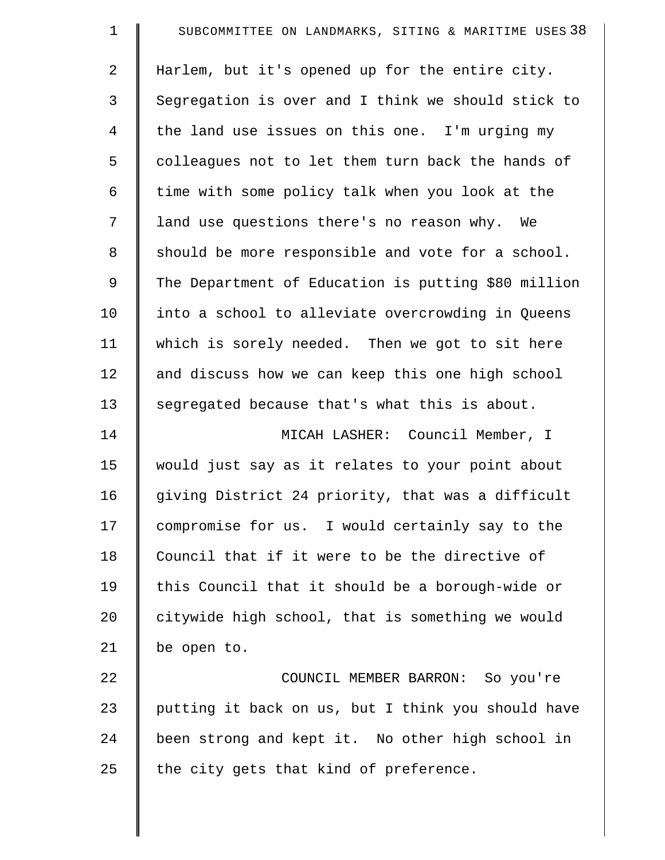| $\mathbf 1$    | SUBCOMMITTEE ON LANDMARKS, SITING & MARITIME USES 38 |
|----------------|------------------------------------------------------|
| $\overline{a}$ | Harlem, but it's opened up for the entire city.      |
| 3              | Segregation is over and I think we should stick to   |
| $\overline{4}$ | the land use issues on this one. I'm urging my       |
| 5              | colleagues not to let them turn back the hands of    |
| 6              | time with some policy talk when you look at the      |
| 7              | land use questions there's no reason why. We         |
| 8              | should be more responsible and vote for a school.    |
| 9              | The Department of Education is putting \$80 million  |
| 10             | into a school to alleviate overcrowding in Queens    |
| 11             | which is sorely needed. Then we got to sit here      |
| 12             | and discuss how we can keep this one high school     |
| 13             | segregated because that's what this is about.        |
| 14             | MICAH LASHER: Council Member, I                      |
| 15             | would just say as it relates to your point about     |
| 16             | giving District 24 priority, that was a difficult    |
| 17             | compromise for us. I would certainly say to the      |
| 18             | Council that if it were to be the directive of       |
| 19             | this Council that it should be a borough-wide or     |
| 20             | citywide high school, that is something we would     |
| 21             | be open to.                                          |
| 22             | COUNCIL MEMBER BARRON: So you're                     |
| 23             | putting it back on us, but I think you should have   |
| 24             | been strong and kept it. No other high school in     |
| 25             | the city gets that kind of preference.               |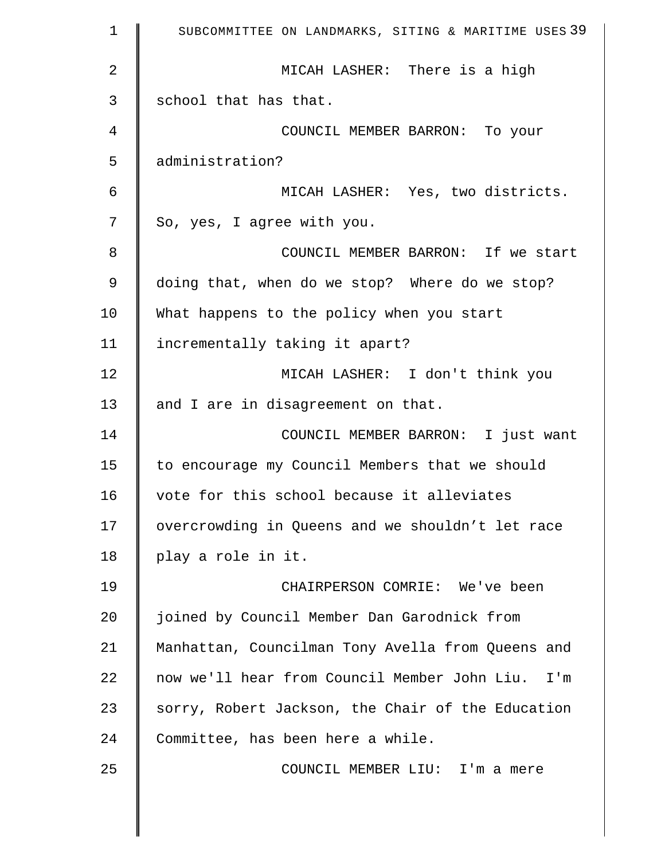| 1  | SUBCOMMITTEE ON LANDMARKS, SITING & MARITIME USES 39 |
|----|------------------------------------------------------|
| 2  | MICAH LASHER: There is a high                        |
| 3  | school that has that.                                |
| 4  | COUNCIL MEMBER BARRON: To your                       |
| 5  | administration?                                      |
| 6  | MICAH LASHER: Yes, two districts.                    |
| 7  | So, yes, I agree with you.                           |
| 8  | COUNCIL MEMBER BARRON: If we start                   |
| 9  | doing that, when do we stop? Where do we stop?       |
| 10 | What happens to the policy when you start            |
| 11 | incrementally taking it apart?                       |
| 12 | MICAH LASHER: I don't think you                      |
| 13 | and I are in disagreement on that.                   |
| 14 | COUNCIL MEMBER BARRON: I just want                   |
| 15 | to encourage my Council Members that we should       |
| 16 | vote for this school because it alleviates           |
| 17 | overcrowding in Queens and we shouldn't let race     |
| 18 | play a role in it.                                   |
| 19 | CHAIRPERSON COMRIE: We've been                       |
| 20 | joined by Council Member Dan Garodnick from          |
| 21 | Manhattan, Councilman Tony Avella from Queens and    |
| 22 | now we'll hear from Council Member John Liu.<br>I'm  |
| 23 | sorry, Robert Jackson, the Chair of the Education    |
| 24 | Committee, has been here a while.                    |
| 25 | COUNCIL MEMBER LIU: I'm a mere                       |
|    |                                                      |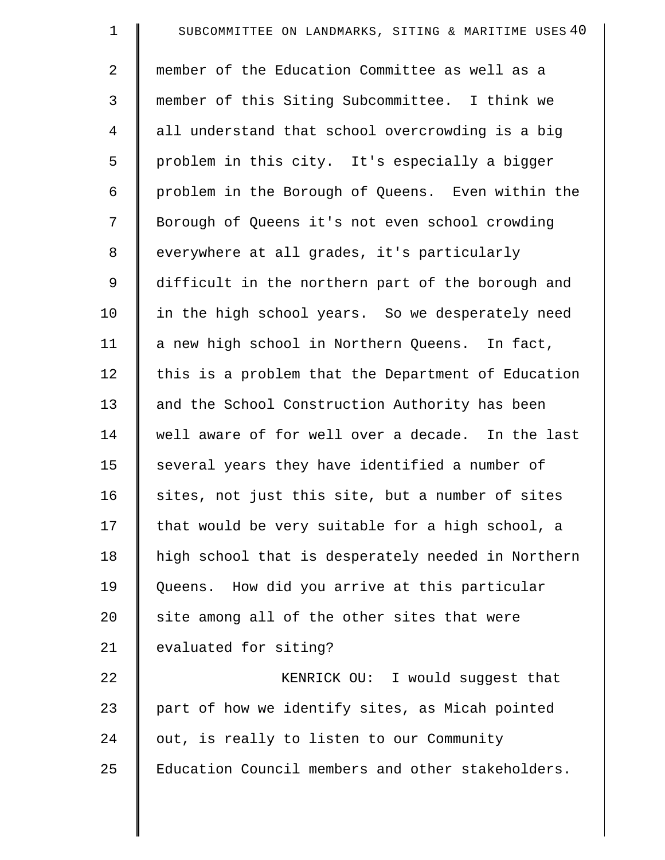| $\mathbf 1$    | SUBCOMMITTEE ON LANDMARKS, SITING & MARITIME USES 40 |
|----------------|------------------------------------------------------|
| $\overline{a}$ | member of the Education Committee as well as a       |
| 3              | member of this Siting Subcommittee. I think we       |
| $\overline{4}$ | all understand that school overcrowding is a big     |
| 5              | problem in this city. It's especially a bigger       |
| 6              | problem in the Borough of Queens. Even within the    |
| 7              | Borough of Queens it's not even school crowding      |
| 8              | everywhere at all grades, it's particularly          |
| 9              | difficult in the northern part of the borough and    |
| 10             | in the high school years. So we desperately need     |
| 11             | a new high school in Northern Queens. In fact,       |
| 12             | this is a problem that the Department of Education   |
| 13             | and the School Construction Authority has been       |
| 14             | well aware of for well over a decade. In the last    |
| 15             | several years they have identified a number of       |
| 16             | sites, not just this site, but a number of sites     |
| 17             | that would be very suitable for a high school, a     |
| 18             | high school that is desperately needed in Northern   |
| 19             | Queens. How did you arrive at this particular        |
| 20             | site among all of the other sites that were          |
| 21             | evaluated for siting?                                |
| 22             | KENRICK OU: I would suggest that                     |
| 23             | part of how we identify sites, as Micah pointed      |
| 24             | out, is really to listen to our Community            |
| 25             | Education Council members and other stakeholders.    |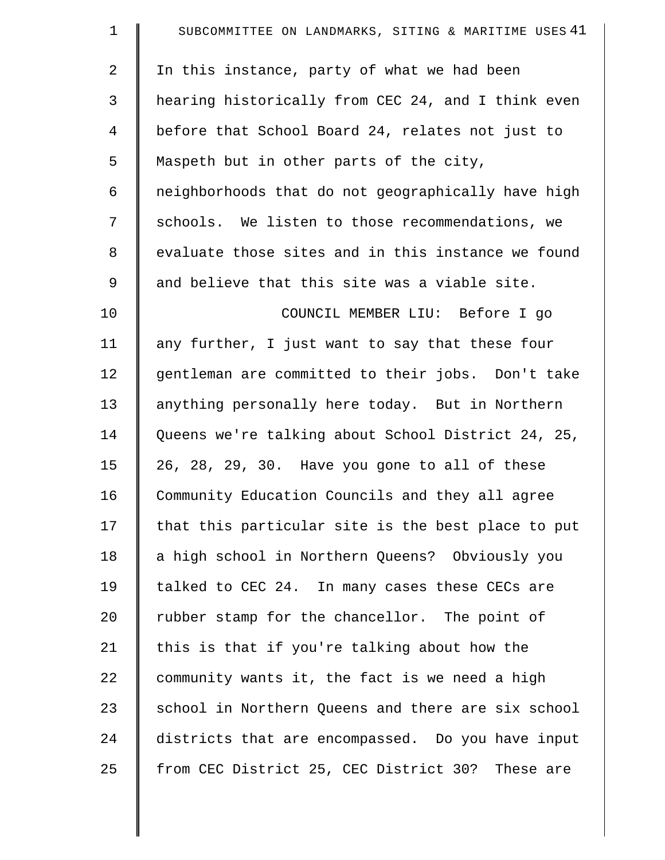| $\mathbf 1$    | SUBCOMMITTEE ON LANDMARKS, SITING & MARITIME USES 41 |
|----------------|------------------------------------------------------|
| 2              | In this instance, party of what we had been          |
| 3              | hearing historically from CEC 24, and I think even   |
| $\overline{4}$ | before that School Board 24, relates not just to     |
| 5              | Maspeth but in other parts of the city,              |
| 6              | neighborhoods that do not geographically have high   |
| 7              | schools. We listen to those recommendations, we      |
| 8              | evaluate those sites and in this instance we found   |
| 9              | and believe that this site was a viable site.        |
| 10             | COUNCIL MEMBER LIU: Before I go                      |
| 11             | any further, I just want to say that these four      |
| 12             | gentleman are committed to their jobs. Don't take    |
| 13             | anything personally here today. But in Northern      |
| 14             | Queens we're talking about School District 24, 25,   |
| 15             | 26, 28, 29, 30. Have you gone to all of these        |
| 16             | Community Education Councils and they all agree      |
| 17             | that this particular site is the best place to put   |
| 18             | a high school in Northern Queens? Obviously you      |
| 19             | talked to CEC 24. In many cases these CECs are       |
| 20             | rubber stamp for the chancellor. The point of        |
| 21             | this is that if you're talking about how the         |
| 22             | community wants it, the fact is we need a high       |
| 23             | school in Northern Queens and there are six school   |
| 24             | districts that are encompassed. Do you have input    |
| 25             | from CEC District 25, CEC District 30? These are     |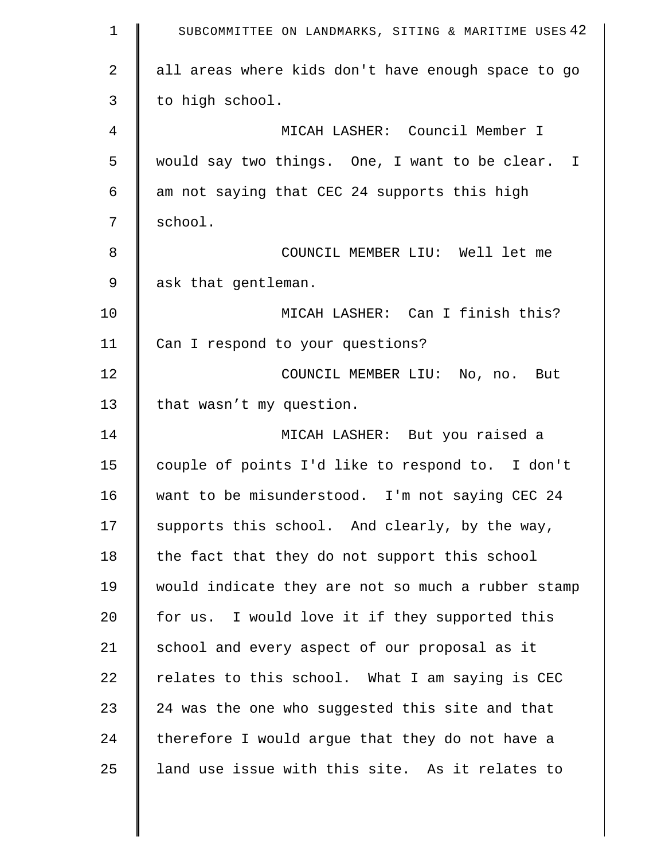| $\mathbf 1$    | SUBCOMMITTEE ON LANDMARKS, SITING & MARITIME USES 42 |
|----------------|------------------------------------------------------|
| 2              | all areas where kids don't have enough space to go   |
| 3              | to high school.                                      |
| $\overline{4}$ | MICAH LASHER: Council Member I                       |
| 5              | would say two things. One, I want to be clear. I     |
| 6              | am not saying that CEC 24 supports this high         |
| 7              | school.                                              |
| 8              | COUNCIL MEMBER LIU: Well let me                      |
| 9              | ask that gentleman.                                  |
| 10             | MICAH LASHER: Can I finish this?                     |
| 11             | Can I respond to your questions?                     |
| 12             | COUNCIL MEMBER LIU: No, no. But                      |
| 13             | that wasn't my question.                             |
| 14             | MICAH LASHER: But you raised a                       |
| 15             | couple of points I'd like to respond to. I don't     |
| 16             | want to be misunderstood. I'm not saying CEC 24      |
| 17             | supports this school. And clearly, by the way,       |
| 18             | the fact that they do not support this school        |
| 19             | would indicate they are not so much a rubber stamp   |
| 20             | for us. I would love it if they supported this       |
| 21             | school and every aspect of our proposal as it        |
| 22             | relates to this school. What I am saying is CEC      |
| 23             | 24 was the one who suggested this site and that      |
| 24             | therefore I would argue that they do not have a      |
| 25             | land use issue with this site. As it relates to      |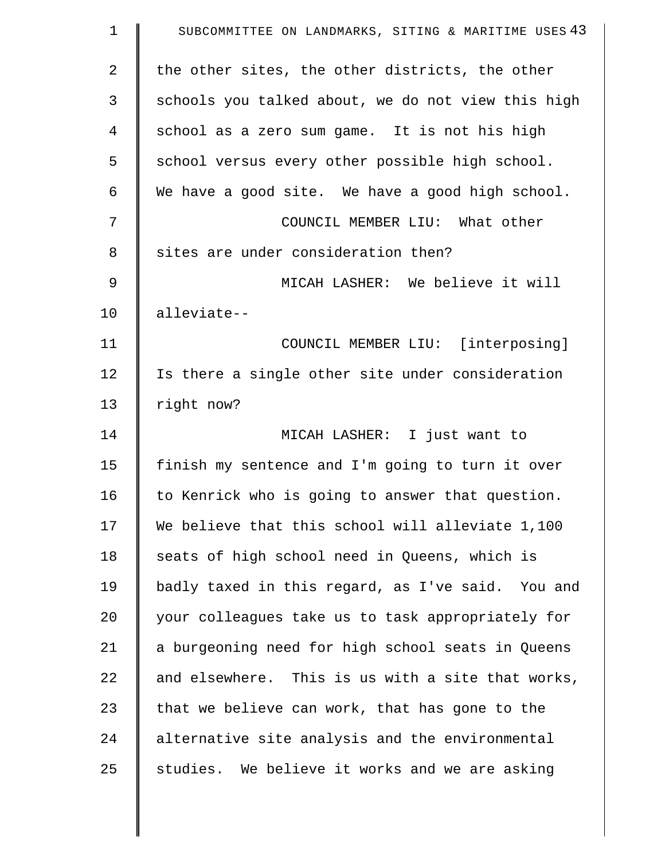| $\mathbf 1$ | SUBCOMMITTEE ON LANDMARKS, SITING & MARITIME USES 43 |
|-------------|------------------------------------------------------|
| 2           | the other sites, the other districts, the other      |
| 3           | schools you talked about, we do not view this high   |
| 4           | school as a zero sum game. It is not his high        |
| 5           | school versus every other possible high school.      |
| 6           | We have a good site. We have a good high school.     |
| 7           | COUNCIL MEMBER LIU: What other                       |
| 8           | sites are under consideration then?                  |
| 9           | MICAH LASHER: We believe it will                     |
| 10          | alleviate--                                          |
| 11          | COUNCIL MEMBER LIU: [interposing]                    |
| 12          | Is there a single other site under consideration     |
| 13          | right now?                                           |
| 14          | MICAH LASHER: I just want to                         |
| 15          | finish my sentence and I'm going to turn it over     |
| 16          | to Kenrick who is going to answer that question.     |
| 17          | We believe that this school will alleviate 1,100     |
| 18          | seats of high school need in Queens, which is        |
| 19          | badly taxed in this regard, as I've said. You and    |
| 20          | your colleagues take us to task appropriately for    |
| 21          | a burgeoning need for high school seats in Queens    |
| 22          | and elsewhere. This is us with a site that works,    |
| 23          | that we believe can work, that has gone to the       |
| 24          | alternative site analysis and the environmental      |
| 25          | studies. We believe it works and we are asking       |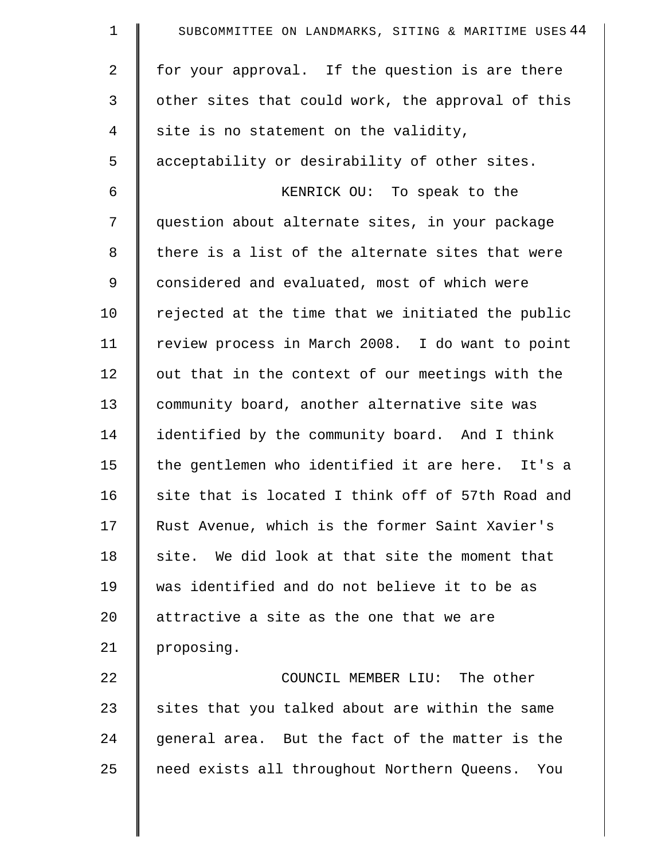| $\mathbf 1$ | SUBCOMMITTEE ON LANDMARKS, SITING & MARITIME USES 44 |
|-------------|------------------------------------------------------|
| 2           | for your approval. If the question is are there      |
| 3           | other sites that could work, the approval of this    |
| 4           | site is no statement on the validity,                |
| 5           | acceptability or desirability of other sites.        |
| 6           | KENRICK OU: To speak to the                          |
| 7           | question about alternate sites, in your package      |
| 8           | there is a list of the alternate sites that were     |
| 9           | considered and evaluated, most of which were         |
| 10          | rejected at the time that we initiated the public    |
| 11          | review process in March 2008. I do want to point     |
| 12          | out that in the context of our meetings with the     |
| 13          | community board, another alternative site was        |
| 14          | identified by the community board. And I think       |
| 15          | the gentlemen who identified it are here. It's a     |
| 16          | site that is located I think off of 57th Road and    |
| 17          | Rust Avenue, which is the former Saint Xavier's      |
| 18          | site. We did look at that site the moment that       |
| 19          | was identified and do not believe it to be as        |
| 20          | attractive a site as the one that we are             |
| 21          | proposing.                                           |
| 22          | COUNCIL MEMBER LIU: The other                        |
| 23          | sites that you talked about are within the same      |
| 24          | general area. But the fact of the matter is the      |
| 25          | need exists all throughout Northern Queens. You      |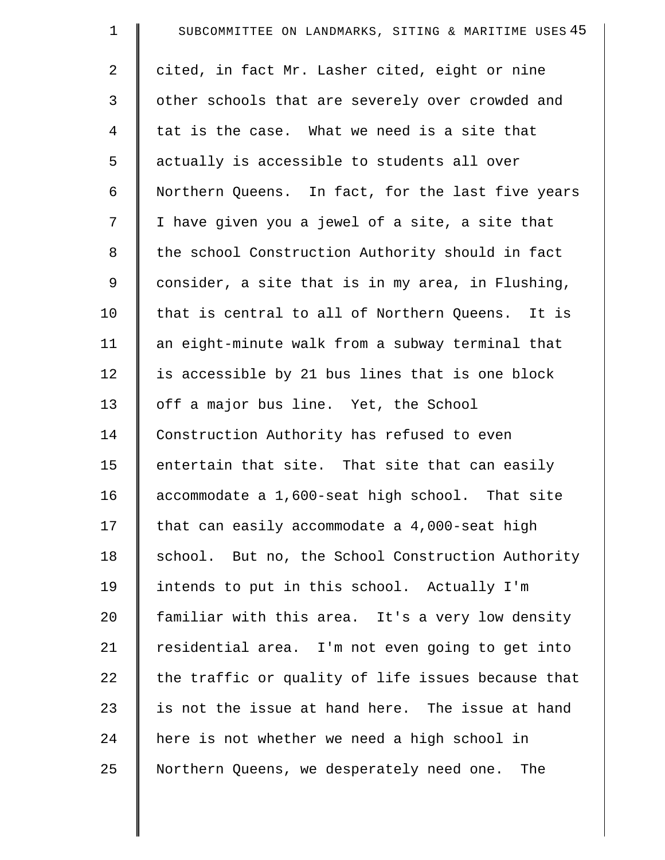| $\mathbf 1$ | SUBCOMMITTEE ON LANDMARKS, SITING & MARITIME USES 45 |
|-------------|------------------------------------------------------|
| 2           | cited, in fact Mr. Lasher cited, eight or nine       |
| 3           | other schools that are severely over crowded and     |
| 4           | tat is the case. What we need is a site that         |
| 5           | actually is accessible to students all over          |
| 6           | Northern Queens. In fact, for the last five years    |
| 7           | I have given you a jewel of a site, a site that      |
| 8           | the school Construction Authority should in fact     |
| 9           | consider, a site that is in my area, in Flushing,    |
| 10          | that is central to all of Northern Queens. It is     |
| 11          | an eight-minute walk from a subway terminal that     |
| 12          | is accessible by 21 bus lines that is one block      |
| 13          | off a major bus line. Yet, the School                |
| 14          | Construction Authority has refused to even           |
| 15          | entertain that site. That site that can easily       |
| 16          | accommodate a 1,600-seat high school. That site      |
| 17          | that can easily accommodate a 4,000-seat high        |
| 18          | school. But no, the School Construction Authority    |
| 19          | intends to put in this school. Actually I'm          |
| 20          | familiar with this area. It's a very low density     |
| 21          | residential area. I'm not even going to get into     |
| 22          | the traffic or quality of life issues because that   |
| 23          | is not the issue at hand here. The issue at hand     |
| 24          | here is not whether we need a high school in         |
| 25          | Northern Queens, we desperately need one. The        |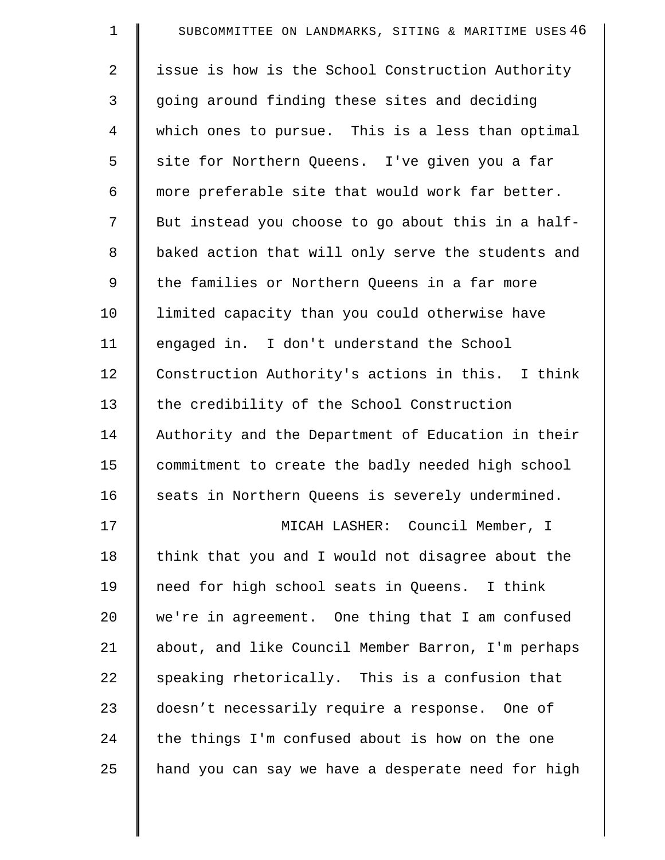| $\mathbf 1$    | SUBCOMMITTEE ON LANDMARKS, SITING & MARITIME USES 46 |
|----------------|------------------------------------------------------|
| $\overline{2}$ | issue is how is the School Construction Authority    |
| 3              | going around finding these sites and deciding        |
| $\overline{4}$ | which ones to pursue. This is a less than optimal    |
| 5              | site for Northern Queens. I've given you a far       |
| 6              | more preferable site that would work far better.     |
| 7              | But instead you choose to go about this in a half-   |
| 8              | baked action that will only serve the students and   |
| 9              | the families or Northern Queens in a far more        |
| 10             | limited capacity than you could otherwise have       |
| 11             | engaged in. I don't understand the School            |
| 12             | Construction Authority's actions in this. I think    |
| 13             | the credibility of the School Construction           |
| 14             | Authority and the Department of Education in their   |
| 15             | commitment to create the badly needed high school    |
| 16             | seats in Northern Queens is severely undermined.     |
| 17             | MICAH LASHER: Council Member, I                      |
| 18             | think that you and I would not disagree about the    |
| 19             | need for high school seats in Queens. I think        |
| 20             | we're in agreement. One thing that I am confused     |
| 21             | about, and like Council Member Barron, I'm perhaps   |
| 22             | speaking rhetorically. This is a confusion that      |
| 23             | doesn't necessarily require a response. One of       |
| 24             | the things I'm confused about is how on the one      |
| 25             | hand you can say we have a desperate need for high   |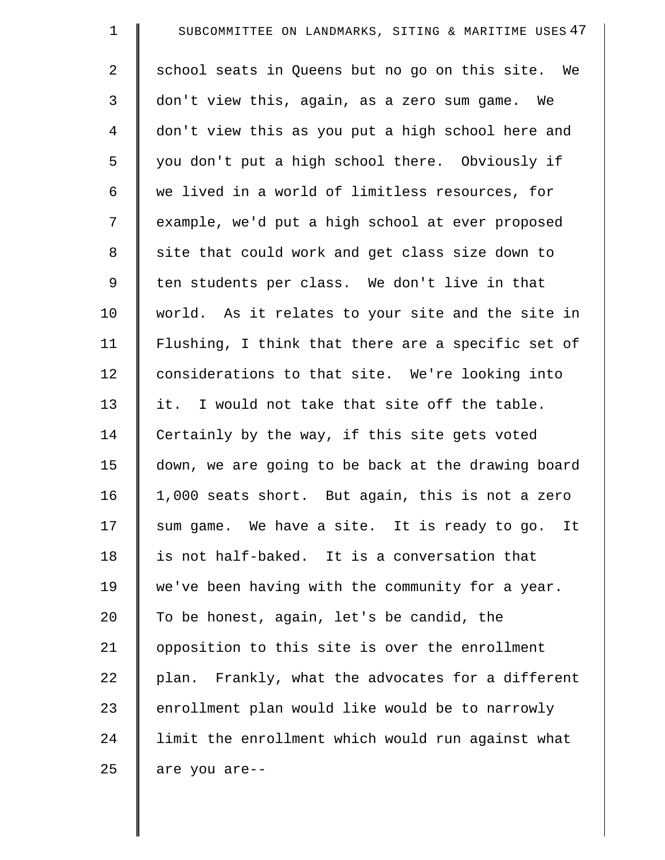| $\mathbf 1$    | SUBCOMMITTEE ON LANDMARKS, SITING & MARITIME USES 47 |
|----------------|------------------------------------------------------|
| $\overline{2}$ | school seats in Queens but no go on this site. We    |
| 3              | don't view this, again, as a zero sum game. We       |
| 4              | don't view this as you put a high school here and    |
| 5              | you don't put a high school there. Obviously if      |
| 6              | we lived in a world of limitless resources, for      |
| 7              | example, we'd put a high school at ever proposed     |
| $\,8\,$        | site that could work and get class size down to      |
| 9              | ten students per class. We don't live in that        |
| 10             | world. As it relates to your site and the site in    |
| 11             | Flushing, I think that there are a specific set of   |
| 12             | considerations to that site. We're looking into      |
| 13             | it. I would not take that site off the table.        |
| 14             | Certainly by the way, if this site gets voted        |
| 15             | down, we are going to be back at the drawing board   |
| 16             | 1,000 seats short. But again, this is not a zero     |
| 17             | sum game. We have a site. It is ready to go. It      |
| 18             | is not half-baked. It is a conversation that         |
| 19             | we've been having with the community for a year.     |
| 20             | To be honest, again, let's be candid, the            |
| 21             | opposition to this site is over the enrollment       |
| 22             | plan. Frankly, what the advocates for a different    |
| 23             | enrollment plan would like would be to narrowly      |
| 24             | limit the enrollment which would run against what    |
| 25             | are you are--                                        |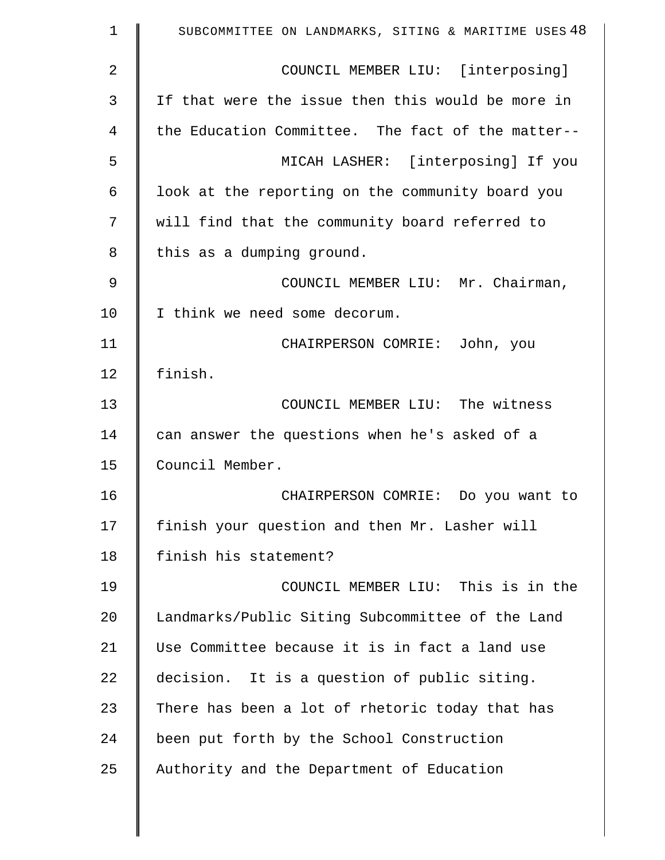| 1  | SUBCOMMITTEE ON LANDMARKS, SITING & MARITIME USES 48 |
|----|------------------------------------------------------|
| 2  | COUNCIL MEMBER LIU: [interposing]                    |
| 3  | If that were the issue then this would be more in    |
| 4  | the Education Committee. The fact of the matter--    |
| 5  | MICAH LASHER: [interposing] If you                   |
| 6  | look at the reporting on the community board you     |
| 7  | will find that the community board referred to       |
| 8  | this as a dumping ground.                            |
| 9  | COUNCIL MEMBER LIU: Mr. Chairman,                    |
| 10 | I think we need some decorum.                        |
| 11 | CHAIRPERSON COMRIE: John, you                        |
| 12 | finish.                                              |
| 13 | COUNCIL MEMBER LIU: The witness                      |
| 14 | can answer the questions when he's asked of a        |
| 15 | Council Member.                                      |
| 16 | CHAIRPERSON COMRIE: Do you want to                   |
| 17 | finish your question and then Mr. Lasher will        |
| 18 | finish his statement?                                |
| 19 | COUNCIL MEMBER LIU: This is in the                   |
| 20 | Landmarks/Public Siting Subcommittee of the Land     |
| 21 | Use Committee because it is in fact a land use       |
| 22 | decision. It is a question of public siting.         |
| 23 | There has been a lot of rhetoric today that has      |
| 24 | been put forth by the School Construction            |
| 25 | Authority and the Department of Education            |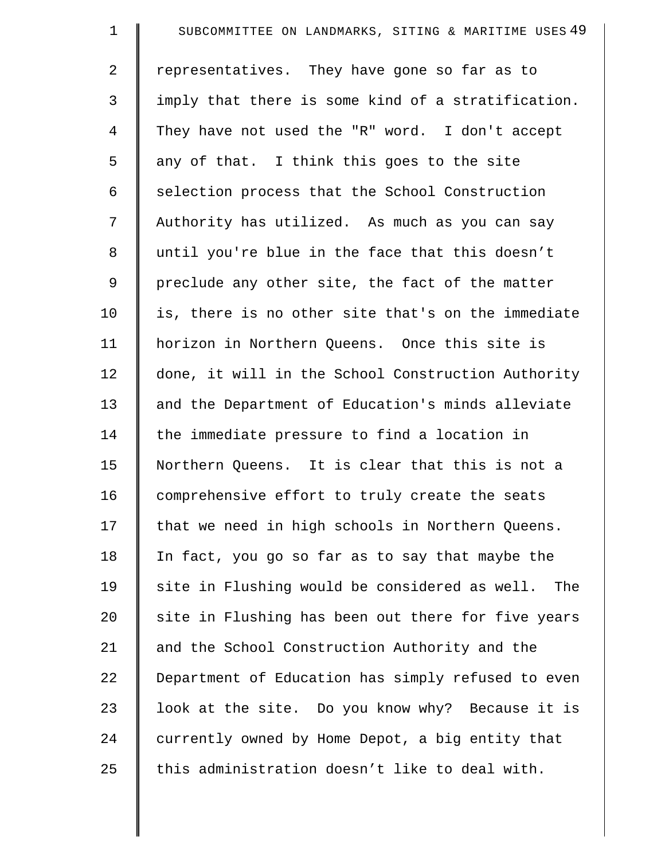| $\mathbf 1$    | SUBCOMMITTEE ON LANDMARKS, SITING & MARITIME USES 49 |
|----------------|------------------------------------------------------|
| $\overline{2}$ | representatives. They have gone so far as to         |
| 3              | imply that there is some kind of a stratification.   |
| 4              | They have not used the "R" word. I don't accept      |
| 5              | any of that. I think this goes to the site           |
| 6              | selection process that the School Construction       |
| 7              | Authority has utilized. As much as you can say       |
| 8              | until you're blue in the face that this doesn't      |
| 9              | preclude any other site, the fact of the matter      |
| 10             | is, there is no other site that's on the immediate   |
| 11             | horizon in Northern Queens. Once this site is        |
| 12             | done, it will in the School Construction Authority   |
| 13             | and the Department of Education's minds alleviate    |
| 14             | the immediate pressure to find a location in         |
| 15             | Northern Queens. It is clear that this is not a      |
| 16             | comprehensive effort to truly create the seats       |
| 17             | that we need in high schools in Northern Queens.     |
| 18             | In fact, you go so far as to say that maybe the      |
| 19             | site in Flushing would be considered as well.<br>The |
| 20             | site in Flushing has been out there for five years   |
| 21             | and the School Construction Authority and the        |
| 22             | Department of Education has simply refused to even   |
| 23             | look at the site. Do you know why? Because it is     |
| 24             | currently owned by Home Depot, a big entity that     |
| 25             | this administration doesn't like to deal with.       |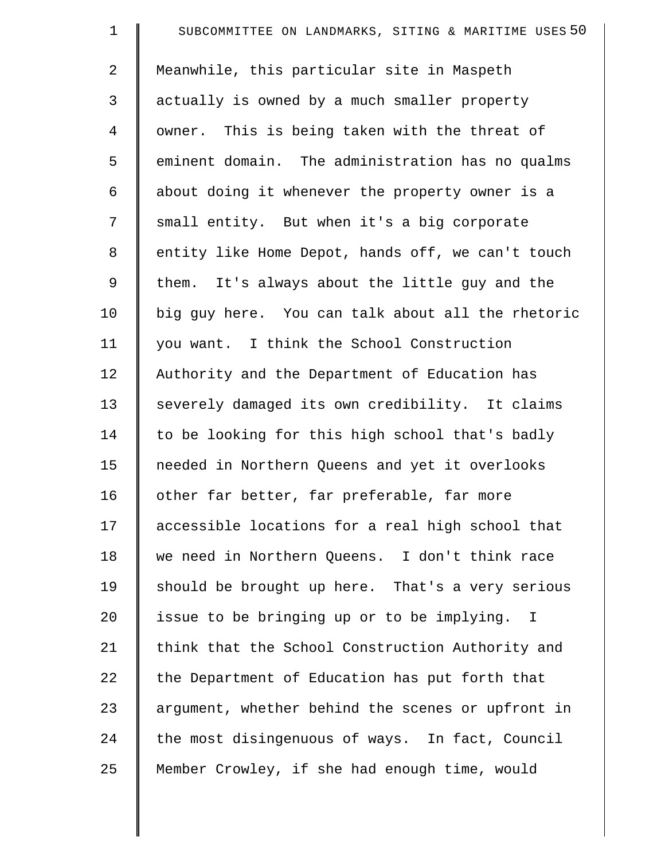| $\mathbf 1$ | SUBCOMMITTEE ON LANDMARKS, SITING & MARITIME USES 50 |
|-------------|------------------------------------------------------|
| 2           | Meanwhile, this particular site in Maspeth           |
| 3           | actually is owned by a much smaller property         |
| 4           | owner. This is being taken with the threat of        |
| 5           | eminent domain. The administration has no qualms     |
| 6           | about doing it whenever the property owner is a      |
| 7           | small entity. But when it's a big corporate          |
| 8           | entity like Home Depot, hands off, we can't touch    |
| 9           | them. It's always about the little guy and the       |
| 10          | big guy here. You can talk about all the rhetoric    |
| 11          | you want. I think the School Construction            |
| 12          | Authority and the Department of Education has        |
| 13          | severely damaged its own credibility. It claims      |
| 14          | to be looking for this high school that's badly      |
| 15          | needed in Northern Queens and yet it overlooks       |
| 16          | other far better, far preferable, far more           |
| 17          | accessible locations for a real high school that     |
| 18          | we need in Northern Queens. I don't think race       |
| 19          | should be brought up here. That's a very serious     |
| 20          | issue to be bringing up or to be implying. I         |
| 21          | think that the School Construction Authority and     |
| 22          | the Department of Education has put forth that       |
| 23          | argument, whether behind the scenes or upfront in    |
| 24          | the most disingenuous of ways. In fact, Council      |
| 25          | Member Crowley, if she had enough time, would        |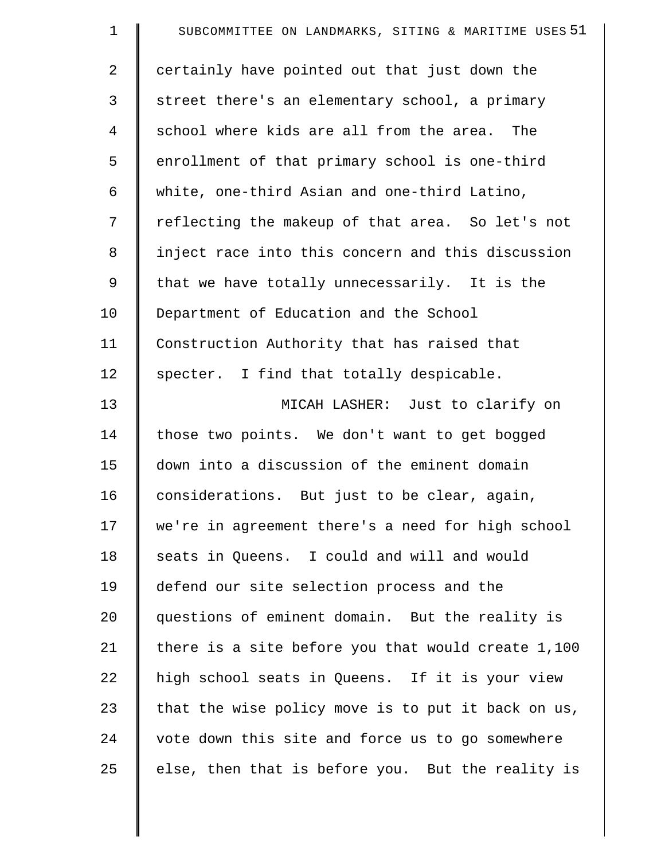| $\mathbf 1$    | SUBCOMMITTEE ON LANDMARKS, SITING & MARITIME USES 51 |
|----------------|------------------------------------------------------|
| $\overline{2}$ | certainly have pointed out that just down the        |
| 3              | street there's an elementary school, a primary       |
| 4              | school where kids are all from the area. The         |
| 5              | enrollment of that primary school is one-third       |
| 6              | white, one-third Asian and one-third Latino,         |
| 7              | reflecting the makeup of that area. So let's not     |
| 8              | inject race into this concern and this discussion    |
| 9              | that we have totally unnecessarily. It is the        |
| 10             | Department of Education and the School               |
| 11             | Construction Authority that has raised that          |
| 12             | specter. I find that totally despicable.             |
| 13             | MICAH LASHER: Just to clarify on                     |
| 14             | those two points. We don't want to get bogged        |
| 15             | down into a discussion of the eminent domain         |
| 16             | considerations. But just to be clear, again,         |
| 17             | we're in agreement there's a need for high school    |
| 18             | seats in Queens. I could and will and would          |
| 19             | defend our site selection process and the            |
| 20             | questions of eminent domain. But the reality is      |
| 21             | there is a site before you that would create 1,100   |
| 22             | high school seats in Queens. If it is your view      |
| 23             | that the wise policy move is to put it back on us,   |
| 24             | vote down this site and force us to go somewhere     |
| 25             | else, then that is before you. But the reality is    |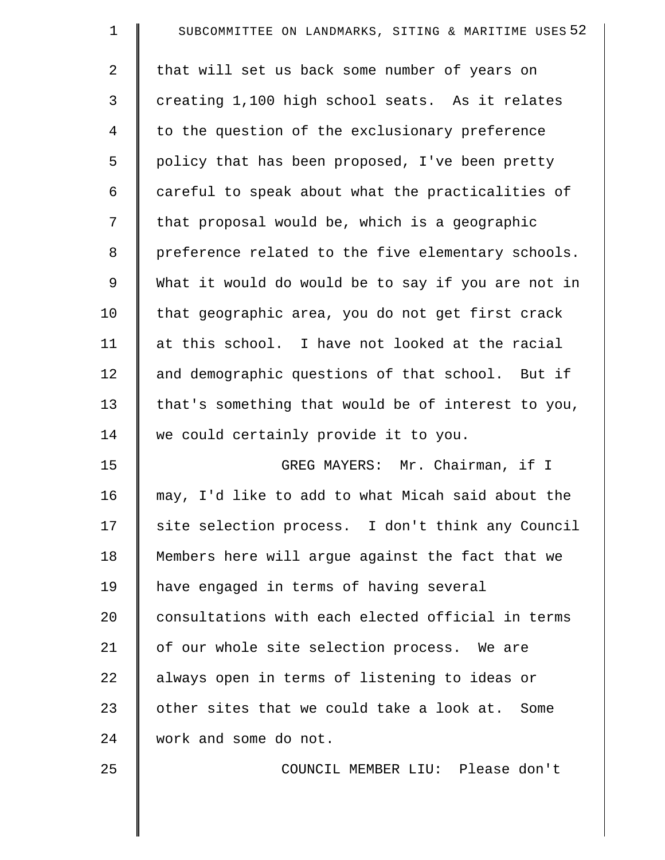| $\mathbf 1$    | SUBCOMMITTEE ON LANDMARKS, SITING & MARITIME USES 52 |
|----------------|------------------------------------------------------|
| 2              | that will set us back some number of years on        |
| 3              | creating 1,100 high school seats. As it relates      |
| $\overline{4}$ | to the question of the exclusionary preference       |
| 5              | policy that has been proposed, I've been pretty      |
| 6              | careful to speak about what the practicalities of    |
| 7              | that proposal would be, which is a geographic        |
| 8              | preference related to the five elementary schools.   |
| 9              | What it would do would be to say if you are not in   |
| 10             | that geographic area, you do not get first crack     |
| 11             | at this school. I have not looked at the racial      |
| 12             | and demographic questions of that school. But if     |
| 13             | that's something that would be of interest to you,   |
| 14             | we could certainly provide it to you.                |
| 15             | GREG MAYERS: Mr. Chairman, if I                      |
| 16             | may, I'd like to add to what Micah said about the    |
| 17             | site selection process. I don't think any Council    |
| 18             | Members here will argue against the fact that we     |
| 19             | have engaged in terms of having several              |
| 20             | consultations with each elected official in terms    |
| 21             | of our whole site selection process. We are          |
| 22             | always open in terms of listening to ideas or        |
| 23             | other sites that we could take a look at. Some       |
| 24             | work and some do not.                                |
| 25             | COUNCIL MEMBER LIU: Please don't                     |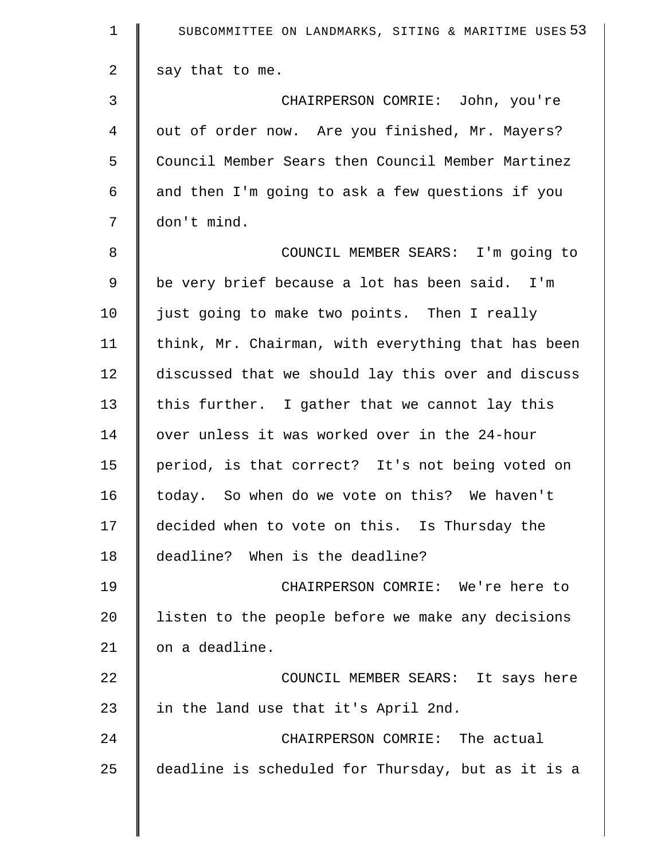| $\mathbf 1$    | SUBCOMMITTEE ON LANDMARKS, SITING & MARITIME USES 53 |
|----------------|------------------------------------------------------|
| $\overline{2}$ | say that to me.                                      |
| 3              | CHAIRPERSON COMRIE: John, you're                     |
| 4              | out of order now. Are you finished, Mr. Mayers?      |
| 5              | Council Member Sears then Council Member Martinez    |
| $\epsilon$     | and then I'm going to ask a few questions if you     |
| 7              | don't mind.                                          |
| 8              | COUNCIL MEMBER SEARS: I'm going to                   |
| $\mathsf 9$    | be very brief because a lot has been said. I'm       |
| 10             | just going to make two points. Then I really         |
| 11             | think, Mr. Chairman, with everything that has been   |
| 12             | discussed that we should lay this over and discuss   |
| 13             | this further. I gather that we cannot lay this       |
| 14             | over unless it was worked over in the 24-hour        |
| 15             | period, is that correct? It's not being voted on     |
| 16             | today. So when do we vote on this? We haven't        |
| 17             | decided when to vote on this. Is Thursday the        |
| 18             | deadline? When is the deadline?                      |
| 19             | CHAIRPERSON COMRIE: We're here to                    |
| 20             | listen to the people before we make any decisions    |
| 21             | on a deadline.                                       |
| 22             | COUNCIL MEMBER SEARS: It says here                   |
| 23             | in the land use that it's April 2nd.                 |
| 24             | CHAIRPERSON COMRIE: The actual                       |
| 25             | deadline is scheduled for Thursday, but as it is a   |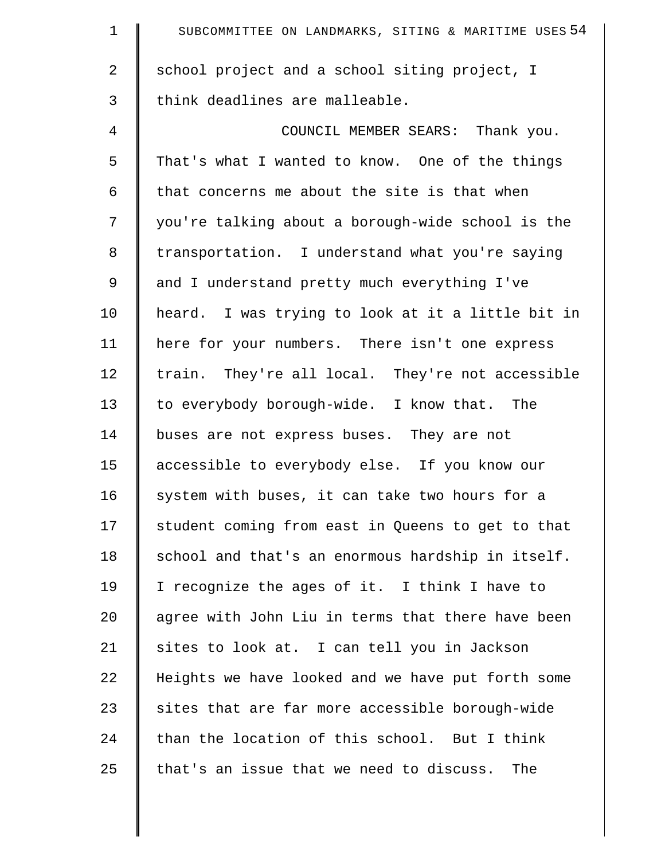| $\mathbf 1$    | SUBCOMMITTEE ON LANDMARKS, SITING & MARITIME USES 54 |
|----------------|------------------------------------------------------|
| $\overline{2}$ | school project and a school siting project, I        |
| 3              | think deadlines are malleable.                       |
| $\overline{4}$ | COUNCIL MEMBER SEARS: Thank you.                     |
| 5              | That's what I wanted to know. One of the things      |
| 6              | that concerns me about the site is that when         |
| 7              | you're talking about a borough-wide school is the    |
| 8              | transportation. I understand what you're saying      |
| 9              | and I understand pretty much everything I've         |
| 10             | heard. I was trying to look at it a little bit in    |
| 11             | here for your numbers. There isn't one express       |
| 12             | train. They're all local. They're not accessible     |
| 13             | to everybody borough-wide. I know that. The          |
| 14             | buses are not express buses. They are not            |
| 15             | accessible to everybody else. If you know our        |
| 16             | system with buses, it can take two hours for a       |
| 17             | student coming from east in Queens to get to that    |
| 18             | school and that's an enormous hardship in itself.    |
| 19             | I recognize the ages of it. I think I have to        |
| 20             | agree with John Liu in terms that there have been    |
| 21             | sites to look at. I can tell you in Jackson          |
| 22             | Heights we have looked and we have put forth some    |
| 23             | sites that are far more accessible borough-wide      |
| 24             | than the location of this school. But I think        |
| 25             | that's an issue that we need to discuss.<br>The      |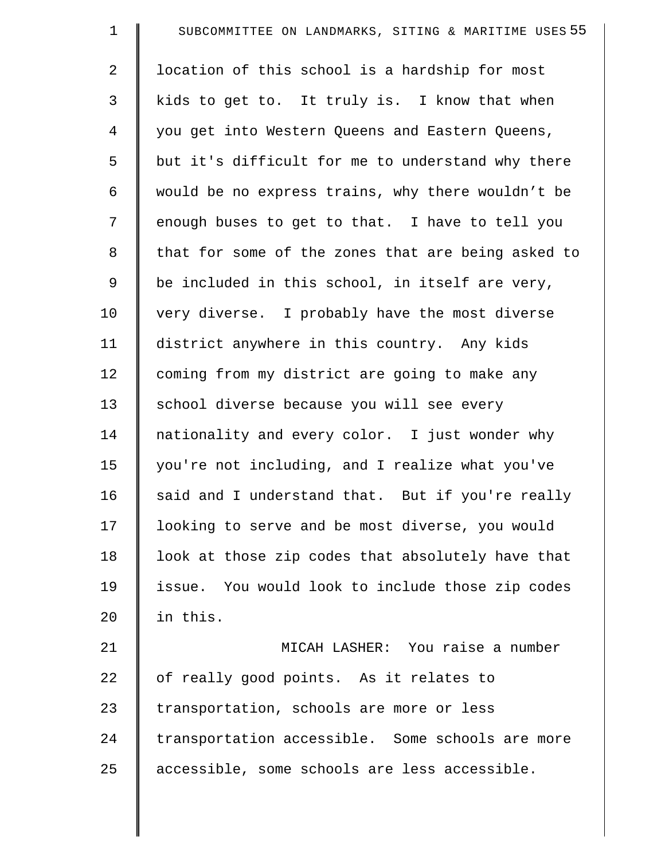| $\mathbf 1$ | SUBCOMMITTEE ON LANDMARKS, SITING & MARITIME USES 55 |
|-------------|------------------------------------------------------|
| 2           | location of this school is a hardship for most       |
| 3           | kids to get to. It truly is. I know that when        |
| 4           | you get into Western Queens and Eastern Queens,      |
| 5           | but it's difficult for me to understand why there    |
| 6           | would be no express trains, why there wouldn't be    |
| 7           | enough buses to get to that. I have to tell you      |
| 8           | that for some of the zones that are being asked to   |
| 9           | be included in this school, in itself are very,      |
| 10          | very diverse. I probably have the most diverse       |
| 11          | district anywhere in this country. Any kids          |
| 12          | coming from my district are going to make any        |
| 13          | school diverse because you will see every            |
| 14          | nationality and every color. I just wonder why       |
| 15          | you're not including, and I realize what you've      |
| 16          | said and I understand that. But if you're really     |
| 17          | looking to serve and be most diverse, you would      |
| 18          | look at those zip codes that absolutely have that    |
| 19          | issue. You would look to include those zip codes     |
| 20          | in this.                                             |
| 21          | MICAH LASHER: You raise a number                     |
| 22          | of really good points. As it relates to              |
| 23          | transportation, schools are more or less             |
| 24          | transportation accessible. Some schools are more     |
| 25          | accessible, some schools are less accessible.        |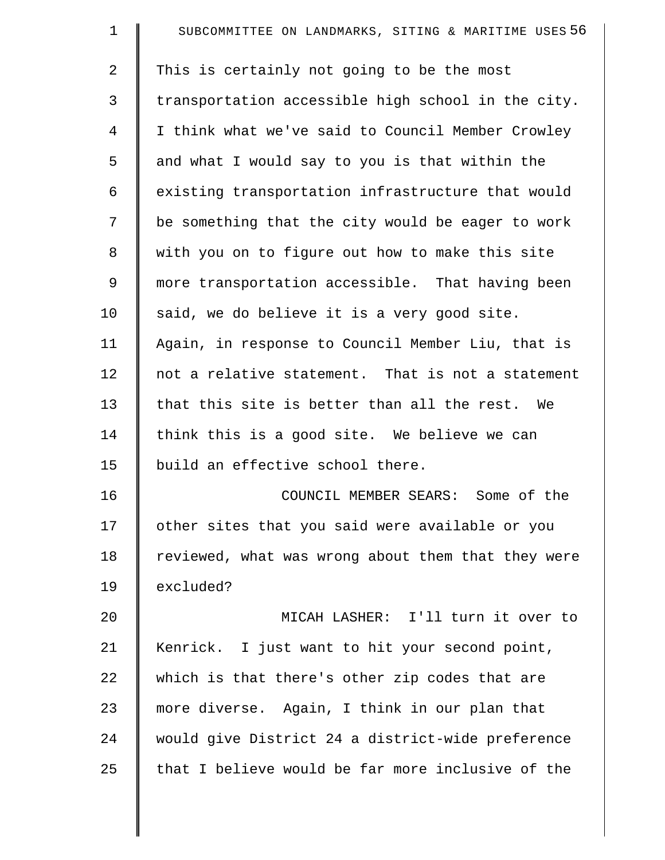| $\mathbf 1$    | SUBCOMMITTEE ON LANDMARKS, SITING & MARITIME USES 56 |
|----------------|------------------------------------------------------|
| $\overline{a}$ | This is certainly not going to be the most           |
| 3              | transportation accessible high school in the city.   |
| 4              | I think what we've said to Council Member Crowley    |
| 5              | and what I would say to you is that within the       |
| 6              | existing transportation infrastructure that would    |
| 7              | be something that the city would be eager to work    |
| 8              | with you on to figure out how to make this site      |
| 9              | more transportation accessible. That having been     |
| 10             | said, we do believe it is a very good site.          |
| 11             | Again, in response to Council Member Liu, that is    |
| 12             | not a relative statement. That is not a statement    |
| 13             | that this site is better than all the rest. We       |
| 14             | think this is a good site. We believe we can         |
| 15             | build an effective school there.                     |
| 16             | COUNCIL MEMBER SEARS: Some of the                    |
| 17             | other sites that you said were available or you      |
| 18             | reviewed, what was wrong about them that they were   |
| 19             | excluded?                                            |
| 20             | MICAH LASHER: I'll turn it over to                   |
| 21             | Kenrick. I just want to hit your second point,       |
| 22             | which is that there's other zip codes that are       |
| 23             | more diverse. Again, I think in our plan that        |
| 24             | would give District 24 a district-wide preference    |
| 25             | that I believe would be far more inclusive of the    |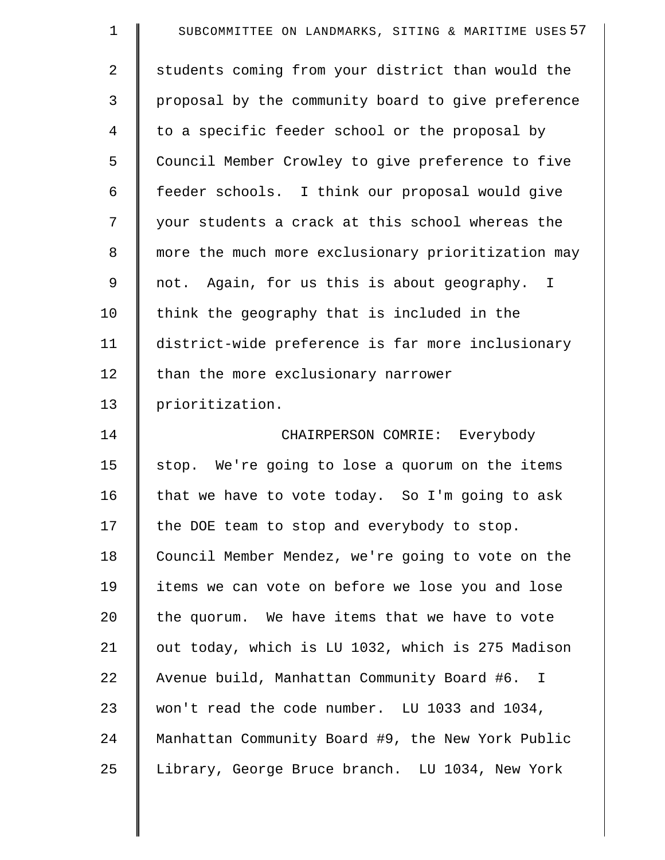| $\mathbf 1$    | SUBCOMMITTEE ON LANDMARKS, SITING & MARITIME USES 57 |
|----------------|------------------------------------------------------|
| $\overline{2}$ | students coming from your district than would the    |
| 3              | proposal by the community board to give preference   |
| 4              | to a specific feeder school or the proposal by       |
| 5              | Council Member Crowley to give preference to five    |
| 6              | feeder schools. I think our proposal would give      |
| 7              | your students a crack at this school whereas the     |
| 8              | more the much more exclusionary prioritization may   |
| 9              | not. Again, for us this is about geography. I        |
| 10             | think the geography that is included in the          |
| 11             | district-wide preference is far more inclusionary    |
| 12             | than the more exclusionary narrower                  |
| 13             | prioritization.                                      |
| 14             | CHAIRPERSON COMRIE: Everybody                        |
| 15             | stop. We're going to lose a quorum on the items      |
| 16             | that we have to vote today. So I'm going to ask      |
| 17             | the DOE team to stop and everybody to stop.          |
| 18             | Council Member Mendez, we're going to vote on the    |
| 19             | items we can vote on before we lose you and lose     |
| 20             | the quorum. We have items that we have to vote       |
| 21             | out today, which is LU 1032, which is 275 Madison    |
| 22             | Avenue build, Manhattan Community Board #6. I        |
| 23             | won't read the code number. LU 1033 and 1034,        |
| 24             | Manhattan Community Board #9, the New York Public    |
| 25             | Library, George Bruce branch. LU 1034, New York      |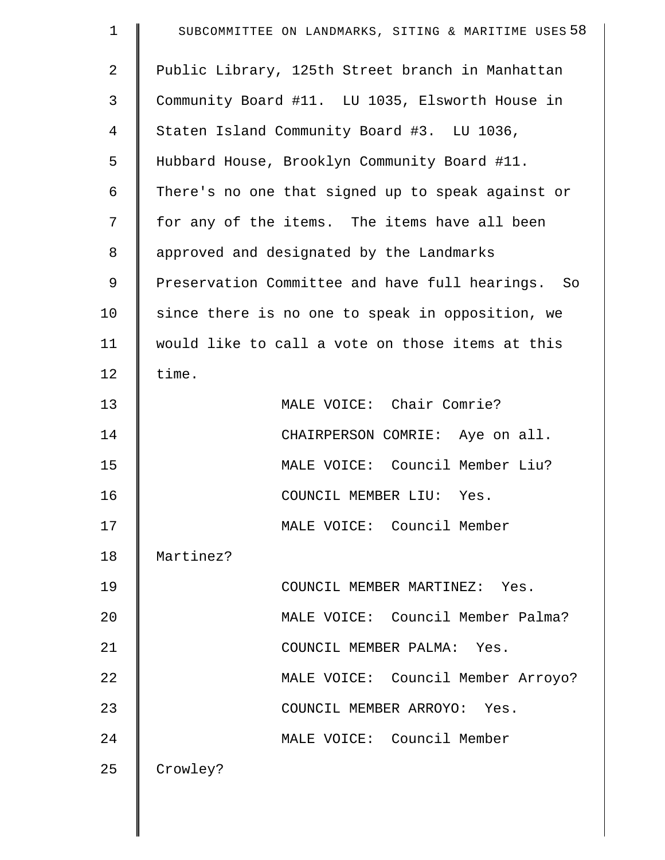| $\mathbf 1$    | SUBCOMMITTEE ON LANDMARKS, SITING & MARITIME USES 58 |
|----------------|------------------------------------------------------|
| $\overline{2}$ | Public Library, 125th Street branch in Manhattan     |
| 3              | Community Board #11. LU 1035, Elsworth House in      |
| $\overline{4}$ | Staten Island Community Board #3. LU 1036,           |
| 5              | Hubbard House, Brooklyn Community Board #11.         |
| 6              | There's no one that signed up to speak against or    |
| 7              | for any of the items. The items have all been        |
| 8              | approved and designated by the Landmarks             |
| 9              | Preservation Committee and have full hearings. So    |
| 10             | since there is no one to speak in opposition, we     |
| 11             | would like to call a vote on those items at this     |
| 12             | time.                                                |
| 13             | MALE VOICE: Chair Comrie?                            |
| 14             | CHAIRPERSON COMRIE: Aye on all.                      |
| 15             | MALE VOICE: Council Member Liu?                      |
| 16             | COUNCIL MEMBER LIU: Yes.                             |
| 17             | MALE VOICE: Council Member                           |
| 18             | Martinez?                                            |
| 19             | COUNCIL MEMBER MARTINEZ: Yes.                        |
| 20             | MALE VOICE: Council Member Palma?                    |
| 21             | COUNCIL MEMBER PALMA: Yes.                           |
| 22             | MALE VOICE: Council Member Arroyo?                   |
| 23             | COUNCIL MEMBER ARROYO: Yes.                          |
| 24             | MALE VOICE: Council Member                           |
| 25             | Crowley?                                             |
|                |                                                      |
|                |                                                      |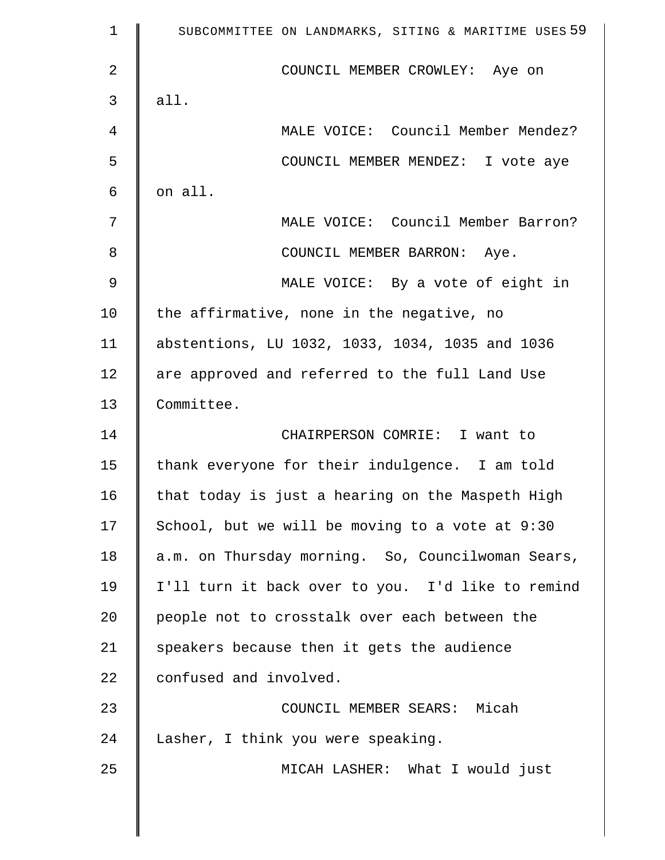| $\mathbf 1$ | SUBCOMMITTEE ON LANDMARKS, SITING & MARITIME USES 59 |
|-------------|------------------------------------------------------|
| 2           | COUNCIL MEMBER CROWLEY: Aye on                       |
| 3           | all.                                                 |
| 4           | MALE VOICE: Council Member Mendez?                   |
| 5           | COUNCIL MEMBER MENDEZ: I vote aye                    |
| 6           | on all.                                              |
| 7           | MALE VOICE: Council Member Barron?                   |
| 8           | COUNCIL MEMBER BARRON: Aye.                          |
| 9           | MALE VOICE: By a vote of eight in                    |
| 10          | the affirmative, none in the negative, no            |
| 11          | abstentions, LU 1032, 1033, 1034, 1035 and 1036      |
| 12          | are approved and referred to the full Land Use       |
| 13          | Committee.                                           |
| 14          | CHAIRPERSON COMRIE: I want to                        |
| 15          | thank everyone for their indulgence. I am told       |
| 16          | that today is just a hearing on the Maspeth High     |
| 17          | School, but we will be moving to a vote at 9:30      |
| 18          | a.m. on Thursday morning. So, Councilwoman Sears,    |
| 19          | I'll turn it back over to you. I'd like to remind    |
| 20          | people not to crosstalk over each between the        |
| 21          | speakers because then it gets the audience           |
| 22          | confused and involved.                               |
| 23          | COUNCIL MEMBER SEARS: Micah                          |
| 24          | Lasher, I think you were speaking.                   |
| 25          | MICAH LASHER: What I would just                      |
|             |                                                      |

 $\parallel$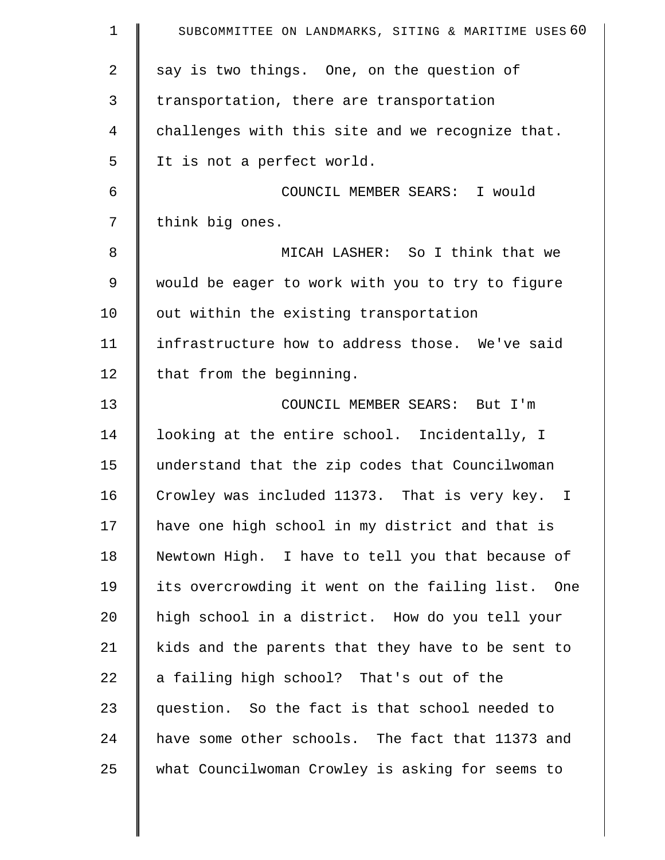| $\mathbf 1$    | SUBCOMMITTEE ON LANDMARKS, SITING & MARITIME USES 60 |
|----------------|------------------------------------------------------|
| $\overline{2}$ | say is two things. One, on the question of           |
| 3              | transportation, there are transportation             |
| 4              | challenges with this site and we recognize that.     |
| 5              | It is not a perfect world.                           |
| 6              | COUNCIL MEMBER SEARS: I would                        |
| 7              | think big ones.                                      |
| 8              | MICAH LASHER: So I think that we                     |
| 9              | would be eager to work with you to try to figure     |
| 10             | out within the existing transportation               |
| 11             | infrastructure how to address those. We've said      |
| 12             | that from the beginning.                             |
| 13             | COUNCIL MEMBER SEARS: But I'm                        |
| 14             | looking at the entire school. Incidentally, I        |
| 15             | understand that the zip codes that Councilwoman      |
| 16             | Crowley was included 11373. That is very key. I      |
| 17             | have one high school in my district and that is      |
| 18             | Newtown High. I have to tell you that because of     |
| 19             | its overcrowding it went on the failing list. One    |
| 20             | high school in a district. How do you tell your      |
| 21             | kids and the parents that they have to be sent to    |
| 22             | a failing high school? That's out of the             |
| 23             | question. So the fact is that school needed to       |
| 24             | have some other schools. The fact that 11373 and     |
| 25             | what Councilwoman Crowley is asking for seems to     |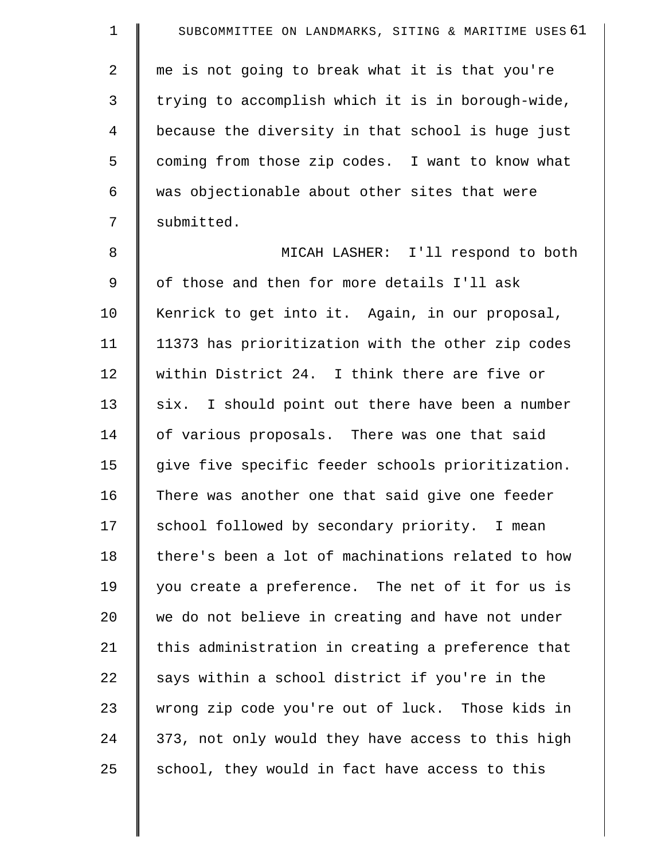1 | SUBCOMMITTEE ON LANDMARKS, SITING & MARITIME USES 61 2 | me is not going to break what it is that you're 3 | trying to accomplish which it is in borough-wide, 4 because the diversity in that school is huge just 5 | coming from those zip codes. I want to know what  $6$  was objectionable about other sites that were 7 | submitted. 8 || MICAH LASHER: I'll respond to both 9 | of those and then for more details I'll ask 10 | Kenrick to get into it. Again, in our proposal, 11 11373 has prioritization with the other zip codes 12 | within District 24. I think there are five or  $13$  six. I should point out there have been a number 14 | of various proposals. There was one that said 15 | give five specific feeder schools prioritization. 16 There was another one that said give one feeder 17 School followed by secondary priority. I mean 18 | there's been a lot of machinations related to how 19 you create a preference. The net of it for us is 20 we do not believe in creating and have not under 21  $\parallel$  this administration in creating a preference that  $22$  says within a school district if you're in the 23 wrong zip code you're out of luck. Those kids in  $24$  | 373, not only would they have access to this high  $25$  school, they would in fact have access to this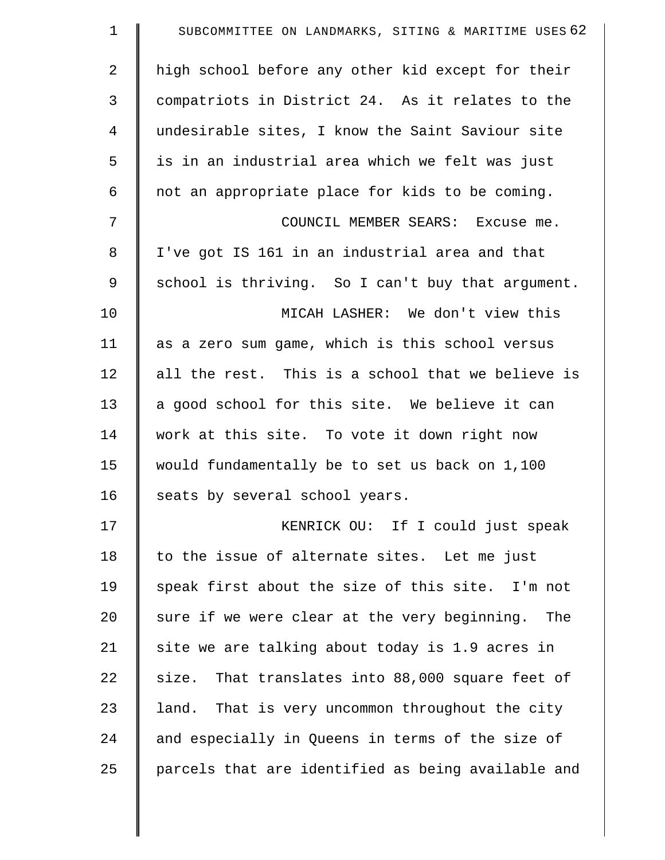| 1              | SUBCOMMITTEE ON LANDMARKS, SITING & MARITIME USES 62 |
|----------------|------------------------------------------------------|
| $\overline{2}$ | high school before any other kid except for their    |
| 3              | compatriots in District 24. As it relates to the     |
| $\overline{4}$ | undesirable sites, I know the Saint Saviour site     |
| 5              | is in an industrial area which we felt was just      |
| 6              | not an appropriate place for kids to be coming.      |
| 7              | COUNCIL MEMBER SEARS: Excuse me.                     |
| 8              | I've got IS 161 in an industrial area and that       |
| 9              | school is thriving. So I can't buy that argument.    |
| 10             | MICAH LASHER: We don't view this                     |
| 11             | as a zero sum game, which is this school versus      |
| 12             | all the rest. This is a school that we believe is    |
| 13             | a good school for this site. We believe it can       |
| 14             | work at this site. To vote it down right now         |
| 15             | would fundamentally be to set us back on 1,100       |
| 16             | seats by several school years.                       |
| 17             | KENRICK OU: If I could just speak                    |
| 18             | to the issue of alternate sites. Let me just         |
| 19             | speak first about the size of this site. I'm not     |
| 20             | sure if we were clear at the very beginning. The     |
| 21             | site we are talking about today is 1.9 acres in      |
| 22             | size. That translates into 88,000 square feet of     |
| 23             | land. That is very uncommon throughout the city      |
| 24             | and especially in Queens in terms of the size of     |
| 25             | parcels that are identified as being available and   |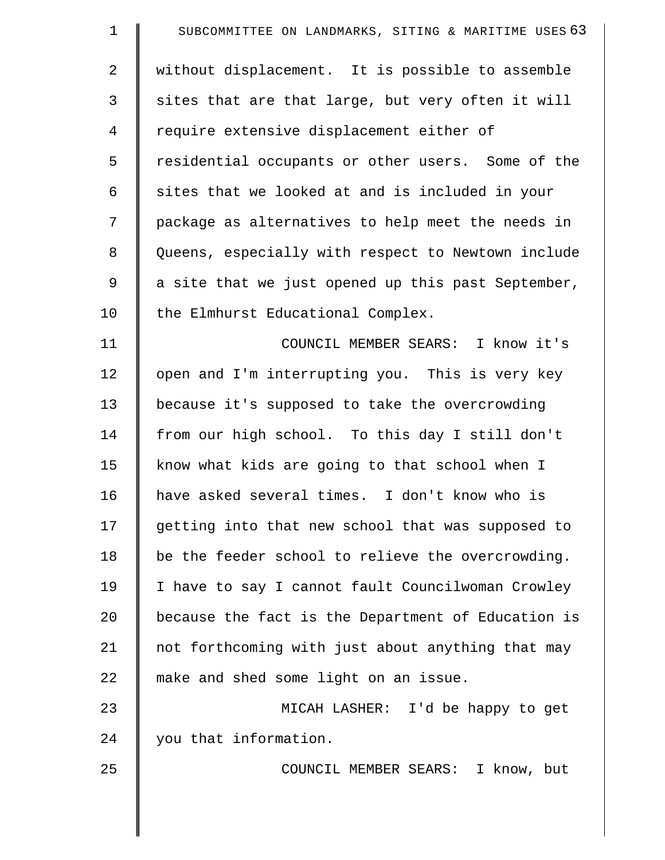| $\mathbf 1$    | SUBCOMMITTEE ON LANDMARKS, SITING & MARITIME USES 63 |
|----------------|------------------------------------------------------|
| $\overline{2}$ | without displacement. It is possible to assemble     |
| 3              | sites that are that large, but very often it will    |
| $\overline{4}$ | require extensive displacement either of             |
| 5              | residential occupants or other users. Some of the    |
| 6              | sites that we looked at and is included in your      |
| 7              | package as alternatives to help meet the needs in    |
| 8              | Queens, especially with respect to Newtown include   |
| 9              | a site that we just opened up this past September,   |
| 10             | the Elmhurst Educational Complex.                    |
| 11             | COUNCIL MEMBER SEARS: I know it's                    |
| 12             | open and I'm interrupting you. This is very key      |
| 13             | because it's supposed to take the overcrowding       |
| 14             | from our high school. To this day I still don't      |
| 15             | know what kids are going to that school when I       |
| 16             | have asked several times. I don't know who is        |
| 17             | getting into that new school that was supposed to    |
| 18             | be the feeder school to relieve the overcrowding.    |
| 19             | I have to say I cannot fault Councilwoman Crowley    |
| 20             | because the fact is the Department of Education is   |
| 21             | not forthcoming with just about anything that may    |
| 22             | make and shed some light on an issue.                |
| 23             | MICAH LASHER: I'd be happy to get                    |
| 24             | you that information.                                |
| 25             | COUNCIL MEMBER SEARS: I know, but                    |
|                |                                                      |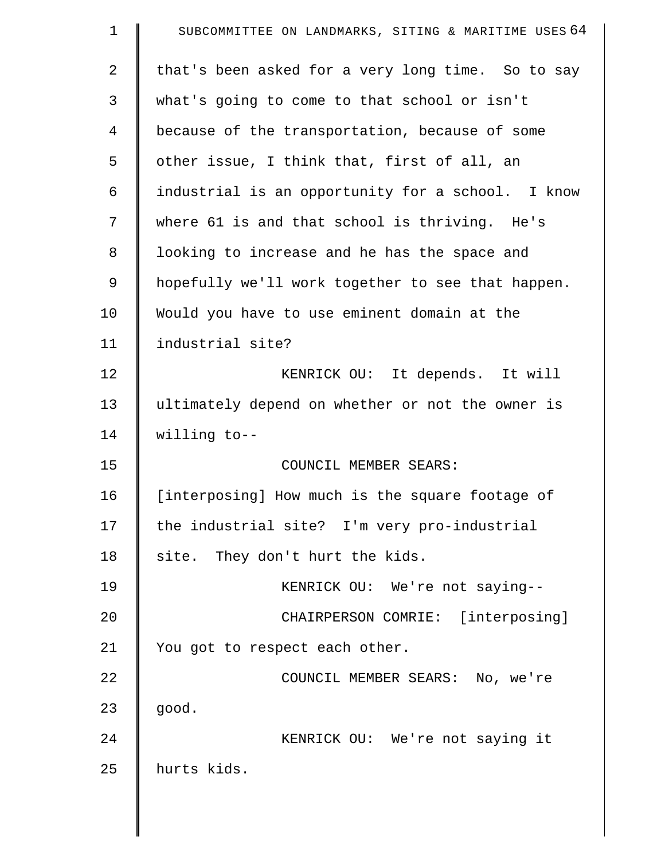| $\mathbf 1$    | SUBCOMMITTEE ON LANDMARKS, SITING & MARITIME USES 64 |
|----------------|------------------------------------------------------|
| $\overline{2}$ | that's been asked for a very long time. So to say    |
| 3              | what's going to come to that school or isn't         |
| 4              | because of the transportation, because of some       |
| 5              | other issue, I think that, first of all, an          |
| 6              | industrial is an opportunity for a school. I know    |
| 7              | where 61 is and that school is thriving. He's        |
| 8              | looking to increase and he has the space and         |
| 9              | hopefully we'll work together to see that happen.    |
| 10             | Would you have to use eminent domain at the          |
| 11             | industrial site?                                     |
| 12             | KENRICK OU: It depends. It will                      |
| 13             | ultimately depend on whether or not the owner is     |
| 14             | willing to--                                         |
| 15             | COUNCIL MEMBER SEARS:                                |
| 16             | [interposing] How much is the square footage of      |
| 17             | the industrial site? I'm very pro-industrial         |
| 18             | site. They don't hurt the kids.                      |
| 19             | KENRICK OU: We're not saying--                       |
| 20             | CHAIRPERSON COMRIE: [interposing]                    |
| 21             | You got to respect each other.                       |
| 22             | COUNCIL MEMBER SEARS: No, we're                      |
| 23             | good.                                                |
| 24             | KENRICK OU: We're not saying it                      |
| 25             | hurts kids.                                          |
|                |                                                      |

 $\parallel$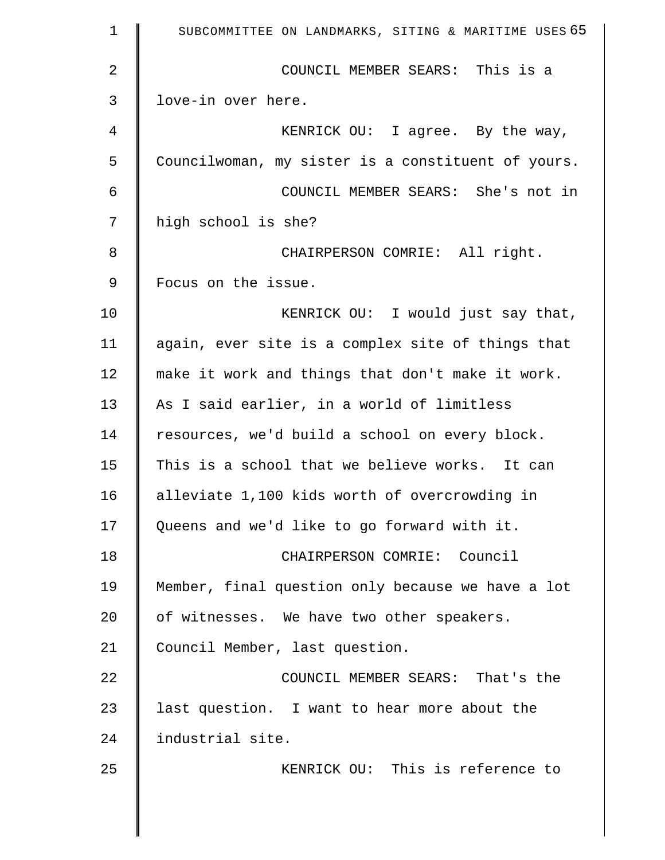| $\mathbf 1$ | SUBCOMMITTEE ON LANDMARKS, SITING & MARITIME USES 65 |
|-------------|------------------------------------------------------|
| 2           | COUNCIL MEMBER SEARS: This is a                      |
| 3           | love-in over here.                                   |
| 4           | KENRICK OU: I agree. By the way,                     |
| 5           | Councilwoman, my sister is a constituent of yours.   |
| 6           | COUNCIL MEMBER SEARS: She's not in                   |
| 7           | high school is she?                                  |
| 8           | CHAIRPERSON COMRIE: All right.                       |
| 9           | Focus on the issue.                                  |
| 10          | KENRICK OU: I would just say that,                   |
| 11          | again, ever site is a complex site of things that    |
| 12          | make it work and things that don't make it work.     |
| 13          | As I said earlier, in a world of limitless           |
| 14          | resources, we'd build a school on every block.       |
| 15          | This is a school that we believe works. It can       |
| 16          | alleviate 1,100 kids worth of overcrowding in        |
| 17          | Queens and we'd like to go forward with it.          |
| 18          | CHAIRPERSON COMRIE: Council                          |
| 19          | Member, final question only because we have a lot    |
| 20          | of witnesses. We have two other speakers.            |
| 21          | Council Member, last question.                       |
| 22          | COUNCIL MEMBER SEARS: That's the                     |
| 23          | last question. I want to hear more about the         |
| 24          | industrial site.                                     |
| 25          | KENRICK OU: This is reference to                     |
|             |                                                      |
|             |                                                      |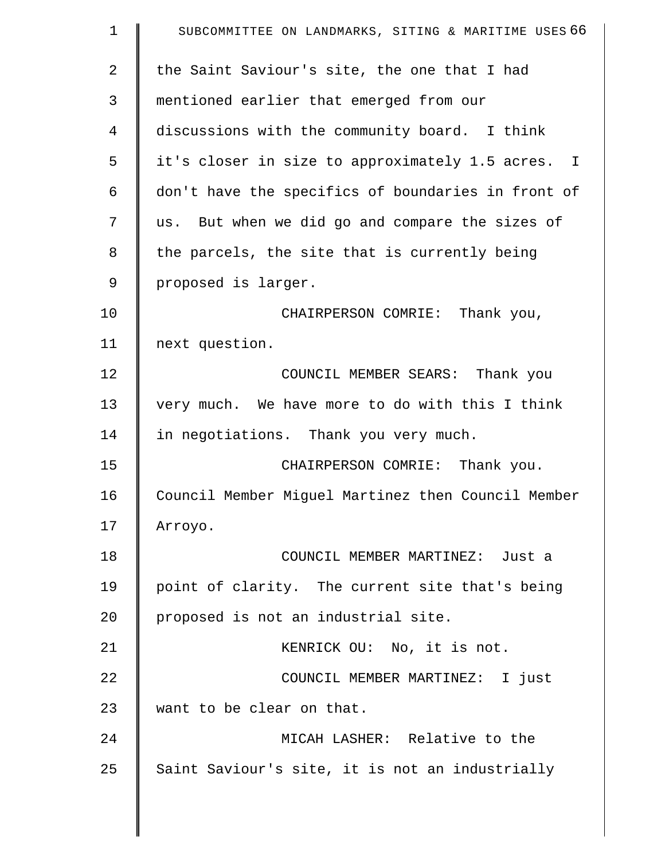| $\mathbf 1$    | SUBCOMMITTEE ON LANDMARKS, SITING & MARITIME USES 66 |
|----------------|------------------------------------------------------|
| $\overline{2}$ | the Saint Saviour's site, the one that I had         |
| 3              | mentioned earlier that emerged from our              |
| $\overline{4}$ | discussions with the community board. I think        |
| 5              | it's closer in size to approximately 1.5 acres. I    |
| 6              | don't have the specifics of boundaries in front of   |
| 7              | us. But when we did go and compare the sizes of      |
| 8              | the parcels, the site that is currently being        |
| 9              | proposed is larger.                                  |
| 10             | CHAIRPERSON COMRIE: Thank you,                       |
| 11             | next question.                                       |
| 12             | COUNCIL MEMBER SEARS: Thank you                      |
| 13             | very much. We have more to do with this I think      |
| 14             | in negotiations. Thank you very much.                |
| 15             | CHAIRPERSON COMRIE: Thank you.                       |
| 16             | Council Member Miguel Martinez then Council Member   |
| 17             | Arroyo.                                              |
| 18             | COUNCIL MEMBER MARTINEZ: Just a                      |
| 19             | point of clarity. The current site that's being      |
| 20             | proposed is not an industrial site.                  |
| 21             | KENRICK OU: No, it is not.                           |
| 22             | COUNCIL MEMBER MARTINEZ: I just                      |
| 23             | want to be clear on that.                            |
| 24             | MICAH LASHER: Relative to the                        |
| 25             | Saint Saviour's site, it is not an industrially      |
|                |                                                      |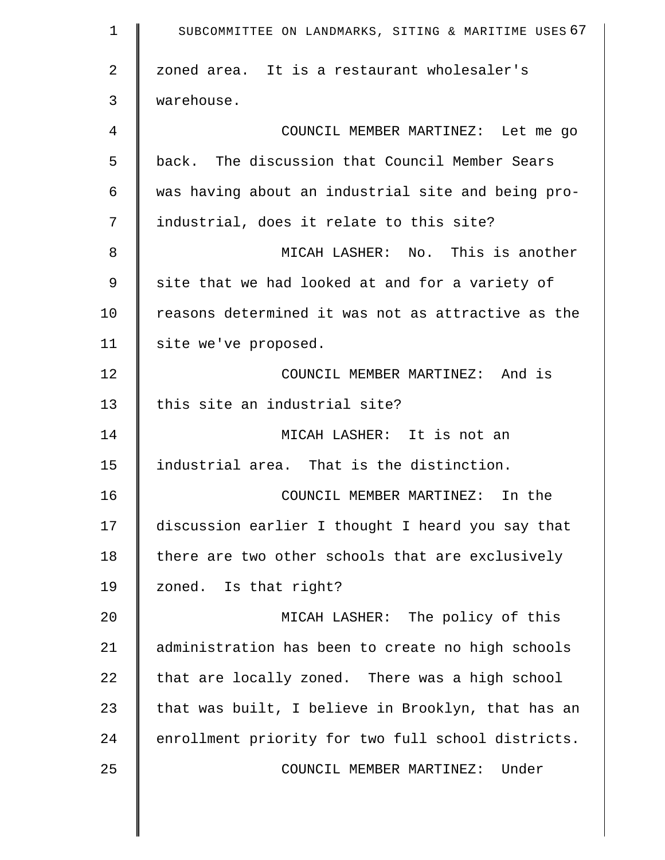| $\mathbf 1$    | SUBCOMMITTEE ON LANDMARKS, SITING & MARITIME USES 67 |
|----------------|------------------------------------------------------|
| $\overline{2}$ | zoned area. It is a restaurant wholesaler's          |
| 3              | warehouse.                                           |
| 4              | COUNCIL MEMBER MARTINEZ: Let me go                   |
| 5              | back. The discussion that Council Member Sears       |
| 6              | was having about an industrial site and being pro-   |
| 7              | industrial, does it relate to this site?             |
| 8              | MICAH LASHER: No. This is another                    |
| 9              | site that we had looked at and for a variety of      |
| 10             | reasons determined it was not as attractive as the   |
| 11             | site we've proposed.                                 |
| 12             | COUNCIL MEMBER MARTINEZ: And is                      |
| 13             | this site an industrial site?                        |
| 14             | MICAH LASHER: It is not an                           |
| 15             | industrial area. That is the distinction.            |
| 16             | COUNCIL MEMBER MARTINEZ: In the                      |
| 17             | discussion earlier I thought I heard you say that    |
| 18             | there are two other schools that are exclusively     |
| 19             | zoned. Is that right?                                |
| 20             | MICAH LASHER: The policy of this                     |
| 21             | administration has been to create no high schools    |
| 22             | that are locally zoned. There was a high school      |
| 23             | that was built, I believe in Brooklyn, that has an   |
| 24             | enrollment priority for two full school districts.   |
| 25             | COUNCIL MEMBER MARTINEZ:<br>Under                    |
|                |                                                      |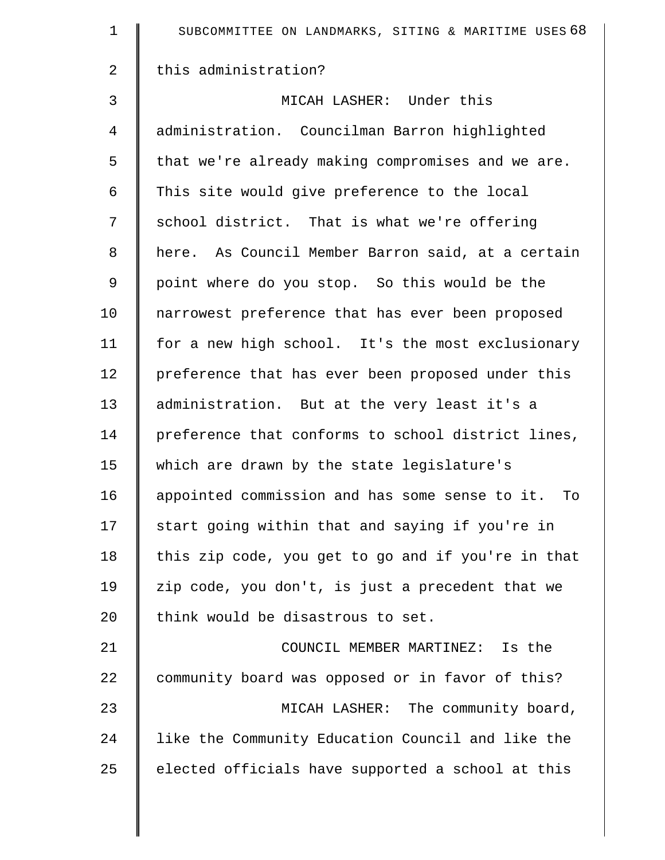| $\mathbf 1$    | SUBCOMMITTEE ON LANDMARKS, SITING & MARITIME USES 68 |
|----------------|------------------------------------------------------|
| $\overline{2}$ | this administration?                                 |
| 3              | MICAH LASHER: Under this                             |
| $\overline{4}$ | administration. Councilman Barron highlighted        |
| 5              | that we're already making compromises and we are.    |
| 6              | This site would give preference to the local         |
| 7              | school district. That is what we're offering         |
| 8              | here. As Council Member Barron said, at a certain    |
| 9              | point where do you stop. So this would be the        |
| 10             | narrowest preference that has ever been proposed     |
| 11             | for a new high school. It's the most exclusionary    |
| 12             | preference that has ever been proposed under this    |
| 13             | administration. But at the very least it's a         |
| 14             | preference that conforms to school district lines,   |
| 15             | which are drawn by the state legislature's           |
| 16             | appointed commission and has some sense to it. To    |
| 17             | start going within that and saying if you're in      |
| 18             | this zip code, you get to go and if you're in that   |
| 19             | zip code, you don't, is just a precedent that we     |
| 20             | think would be disastrous to set.                    |
| 21             | COUNCIL MEMBER MARTINEZ: Is the                      |
| 22             | community board was opposed or in favor of this?     |
| 23             | MICAH LASHER: The community board,                   |
| 24             | like the Community Education Council and like the    |
| 25             | elected officials have supported a school at this    |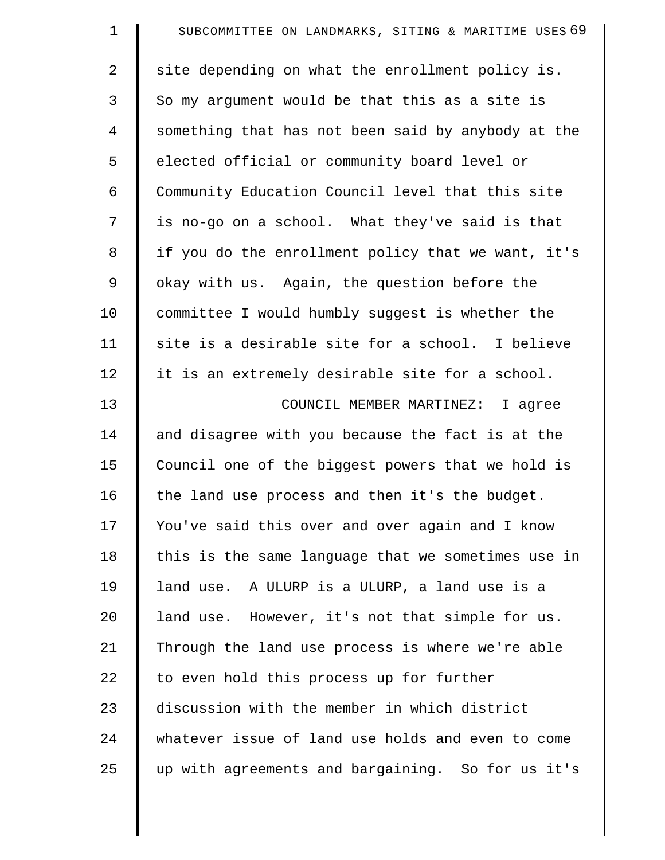| $\mathbf 1$    | SUBCOMMITTEE ON LANDMARKS, SITING & MARITIME USES 69 |
|----------------|------------------------------------------------------|
| $\overline{2}$ | site depending on what the enrollment policy is.     |
| 3              | So my argument would be that this as a site is       |
| $\overline{4}$ | something that has not been said by anybody at the   |
| 5              | elected official or community board level or         |
| 6              | Community Education Council level that this site     |
| 7              | is no-go on a school. What they've said is that      |
| 8              | if you do the enrollment policy that we want, it's   |
| 9              | okay with us. Again, the question before the         |
| 10             | committee I would humbly suggest is whether the      |
| 11             | site is a desirable site for a school. I believe     |
| 12             | it is an extremely desirable site for a school.      |
| 13             | COUNCIL MEMBER MARTINEZ: I agree                     |
| 14             | and disagree with you because the fact is at the     |
| 15             | Council one of the biggest powers that we hold is    |
| 16             | the land use process and then it's the budget.       |
| 17             | You've said this over and over again and I know      |
| 18             | this is the same language that we sometimes use in   |
| 19             | land use. A ULURP is a ULURP, a land use is a        |
| 20             | land use. However, it's not that simple for us.      |
| 21             | Through the land use process is where we're able     |
| 22             | to even hold this process up for further             |
| 23             | discussion with the member in which district         |
| 24             | whatever issue of land use holds and even to come    |
| 25             | up with agreements and bargaining. So for us it's    |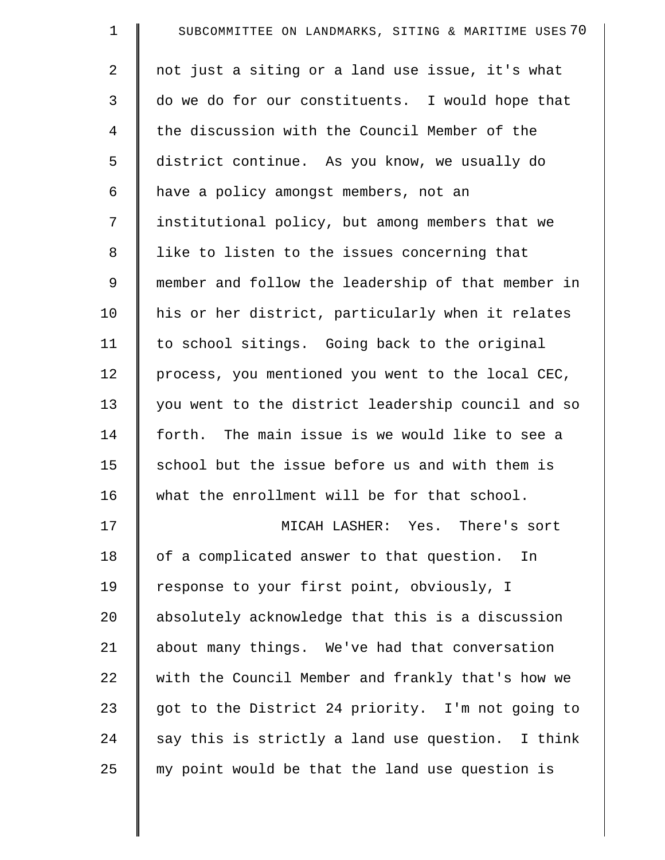| $\mathbf 1$ | SUBCOMMITTEE ON LANDMARKS, SITING & MARITIME USES 70 |
|-------------|------------------------------------------------------|
| 2           | not just a siting or a land use issue, it's what     |
| 3           | do we do for our constituents. I would hope that     |
| 4           | the discussion with the Council Member of the        |
| 5           | district continue. As you know, we usually do        |
| 6           | have a policy amongst members, not an                |
| 7           | institutional policy, but among members that we      |
| 8           | like to listen to the issues concerning that         |
| 9           | member and follow the leadership of that member in   |
| 10          | his or her district, particularly when it relates    |
| 11          | to school sitings. Going back to the original        |
| 12          | process, you mentioned you went to the local CEC,    |
| 13          | you went to the district leadership council and so   |
| 14          | forth. The main issue is we would like to see a      |
| 15          | school but the issue before us and with them is      |
| 16          | what the enrollment will be for that school.         |
| 17          | MICAH LASHER: Yes. There's sort                      |
| 18          | of a complicated answer to that question. In         |
| 19          | response to your first point, obviously, I           |
| 20          | absolutely acknowledge that this is a discussion     |
| 21          | about many things. We've had that conversation       |
| 22          | with the Council Member and frankly that's how we    |
| 23          | got to the District 24 priority. I'm not going to    |
| 24          | say this is strictly a land use question. I think    |
| 25          | my point would be that the land use question is      |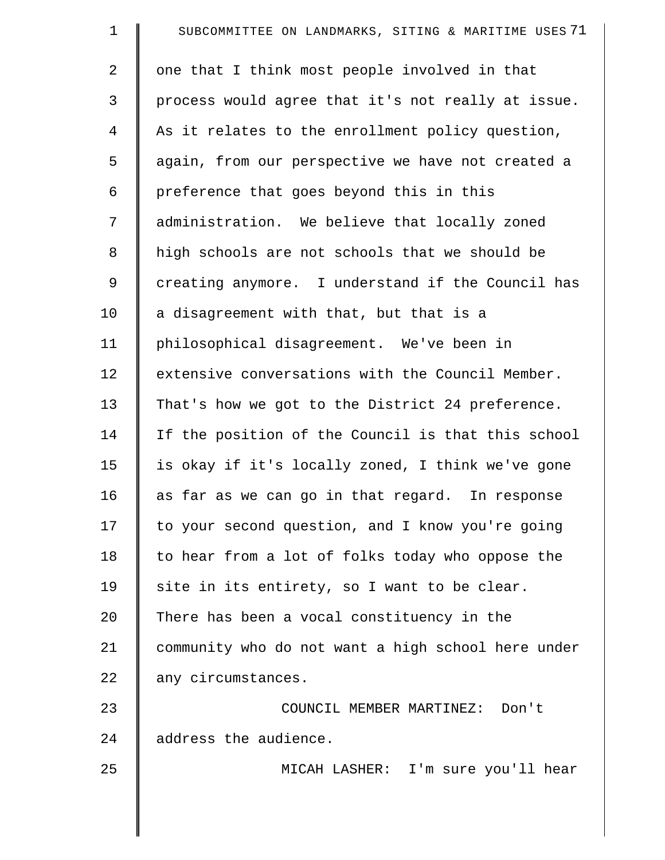| $\mathbf 1$ | SUBCOMMITTEE ON LANDMARKS, SITING & MARITIME USES 71 |
|-------------|------------------------------------------------------|
| 2           | one that I think most people involved in that        |
| 3           | process would agree that it's not really at issue.   |
| 4           | As it relates to the enrollment policy question,     |
| 5           | again, from our perspective we have not created a    |
| 6           | preference that goes beyond this in this             |
| 7           | administration. We believe that locally zoned        |
| 8           | high schools are not schools that we should be       |
| 9           | creating anymore. I understand if the Council has    |
| 10          | a disagreement with that, but that is a              |
| 11          | philosophical disagreement. We've been in            |
| 12          | extensive conversations with the Council Member.     |
| 13          | That's how we got to the District 24 preference.     |
| 14          | If the position of the Council is that this school   |
| 15          | is okay if it's locally zoned, I think we've gone    |
| 16          | as far as we can go in that regard. In response      |
| 17          | to your second question, and I know you're going     |
| 18          | to hear from a lot of folks today who oppose the     |
| 19          | site in its entirety, so I want to be clear.         |
| 20          | There has been a vocal constituency in the           |
| 21          | community who do not want a high school here under   |
| 22          | any circumstances.                                   |
| 23          | COUNCIL MEMBER MARTINEZ: Don't                       |
| 24          | address the audience.                                |
| 25          | MICAH LASHER: I'm sure you'll hear                   |
|             |                                                      |
|             |                                                      |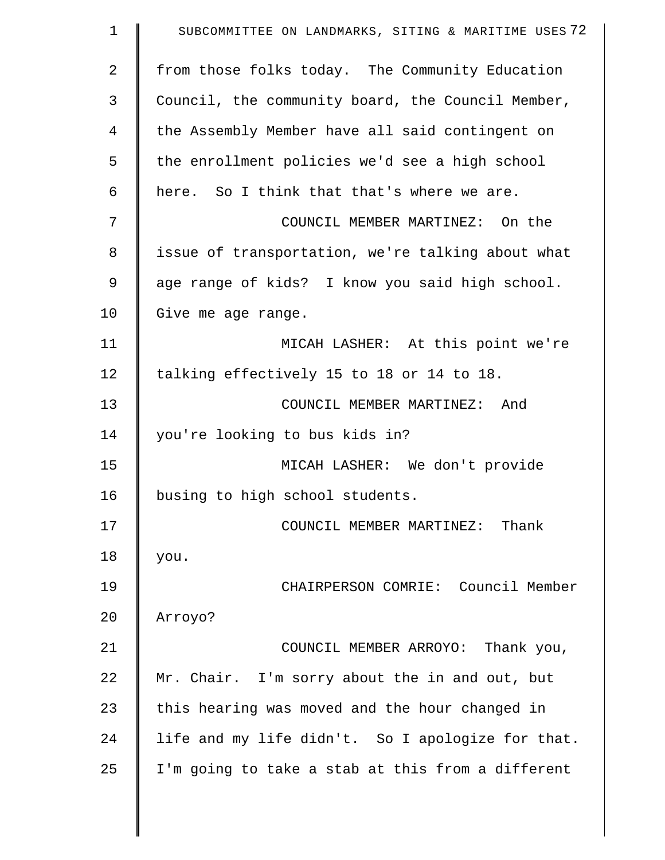| $\mathbf 1$    | SUBCOMMITTEE ON LANDMARKS, SITING & MARITIME USES 72 |
|----------------|------------------------------------------------------|
| $\overline{2}$ | from those folks today. The Community Education      |
| 3              | Council, the community board, the Council Member,    |
| 4              | the Assembly Member have all said contingent on      |
| 5              | the enrollment policies we'd see a high school       |
| 6              | here. So I think that that's where we are.           |
| 7              | COUNCIL MEMBER MARTINEZ: On the                      |
| 8              | issue of transportation, we're talking about what    |
| 9              | age range of kids? I know you said high school.      |
| 10             | Give me age range.                                   |
| 11             | MICAH LASHER: At this point we're                    |
| 12             | talking effectively 15 to 18 or 14 to 18.            |
| 13             | COUNCIL MEMBER MARTINEZ: And                         |
| 14             | you're looking to bus kids in?                       |
| 15             | MICAH LASHER: We don't provide                       |
| 16             | busing to high school students.                      |
| 17             | COUNCIL MEMBER MARTINEZ: Thank                       |
| 18             | you.                                                 |
| 19             | CHAIRPERSON COMRIE: Council Member                   |
| 20             | Arroyo?                                              |
| 21             | COUNCIL MEMBER ARROYO: Thank you,                    |
| 22             | Mr. Chair. I'm sorry about the in and out, but       |
| 23             | this hearing was moved and the hour changed in       |
| 24             | life and my life didn't. So I apologize for that.    |
| 25             | I'm going to take a stab at this from a different    |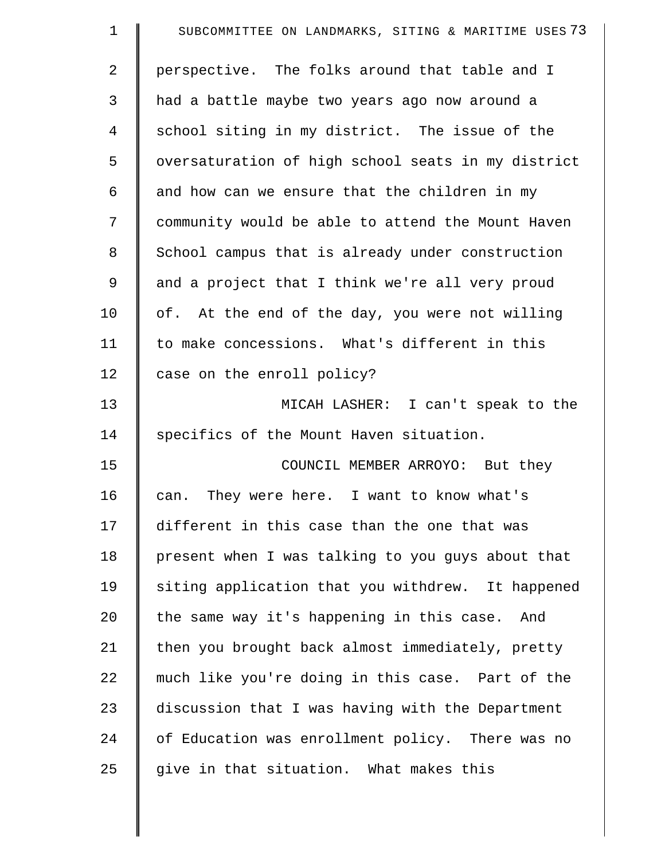| $\mathbf 1$    | SUBCOMMITTEE ON LANDMARKS, SITING & MARITIME USES 73 |
|----------------|------------------------------------------------------|
| $\overline{2}$ | perspective. The folks around that table and I       |
| 3              | had a battle maybe two years ago now around a        |
| 4              | school siting in my district. The issue of the       |
| 5              | oversaturation of high school seats in my district   |
| 6              | and how can we ensure that the children in my        |
| 7              | community would be able to attend the Mount Haven    |
| 8              | School campus that is already under construction     |
| 9              | and a project that I think we're all very proud      |
| 10             | of. At the end of the day, you were not willing      |
| 11             | to make concessions. What's different in this        |
| 12             | case on the enroll policy?                           |
| 13             | MICAH LASHER: I can't speak to the                   |
| 14             | specifics of the Mount Haven situation.              |
| 15             | COUNCIL MEMBER ARROYO: But they                      |
| 16             | can. They were here. I want to know what's           |
| 17             | different in this case than the one that was         |
| 18             | present when I was talking to you guys about that    |
| 19             | siting application that you withdrew. It happened    |
| 20             | the same way it's happening in this case. And        |
| 21             | then you brought back almost immediately, pretty     |
| 22             | much like you're doing in this case. Part of the     |
| 23             | discussion that I was having with the Department     |
| 24             | of Education was enrollment policy. There was no     |
| 25             | give in that situation. What makes this              |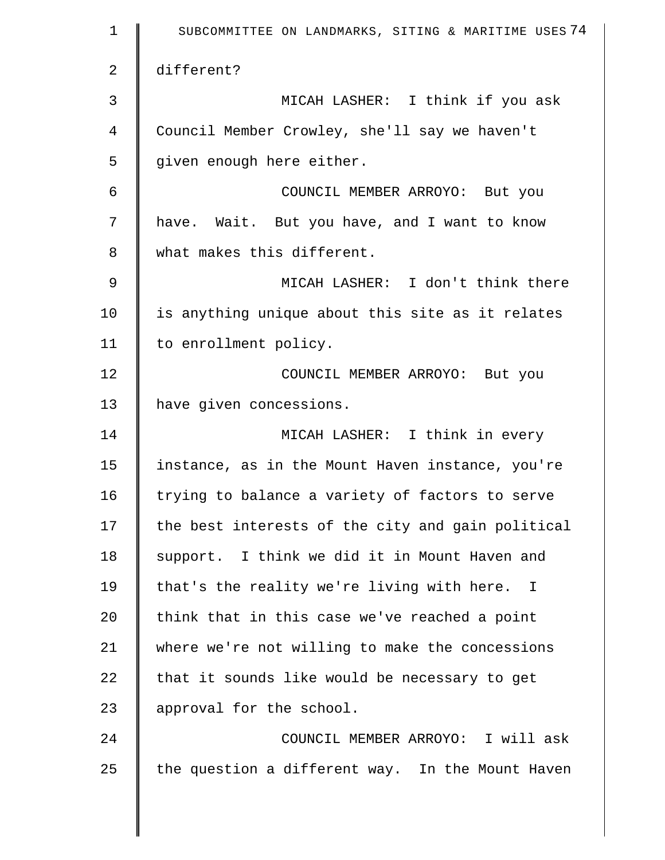| $\mathbf 1$    | SUBCOMMITTEE ON LANDMARKS, SITING & MARITIME USES 74 |
|----------------|------------------------------------------------------|
| 2              | different?                                           |
| $\mathfrak{Z}$ | MICAH LASHER: I think if you ask                     |
| 4              | Council Member Crowley, she'll say we haven't        |
| 5              | given enough here either.                            |
| 6              | COUNCIL MEMBER ARROYO: But you                       |
| 7              | have. Wait. But you have, and I want to know         |
| 8              | what makes this different.                           |
| $\mathsf 9$    | MICAH LASHER: I don't think there                    |
| 10             | is anything unique about this site as it relates     |
| 11             | to enrollment policy.                                |
| 12             | COUNCIL MEMBER ARROYO: But you                       |
| 13             | have given concessions.                              |
| 14             | MICAH LASHER: I think in every                       |
| 15             | instance, as in the Mount Haven instance, you're     |
| 16             | trying to balance a variety of factors to serve      |
| 17             | the best interests of the city and gain political    |
| 18             | support. I think we did it in Mount Haven and        |
| 19             | that's the reality we're living with here. I         |
| 20             | think that in this case we've reached a point        |
| 21             | where we're not willing to make the concessions      |
| 22             | that it sounds like would be necessary to get        |
| 23             | approval for the school.                             |
| 24             | COUNCIL MEMBER ARROYO: I will ask                    |
| 25             | the question a different way. In the Mount Haven     |
|                |                                                      |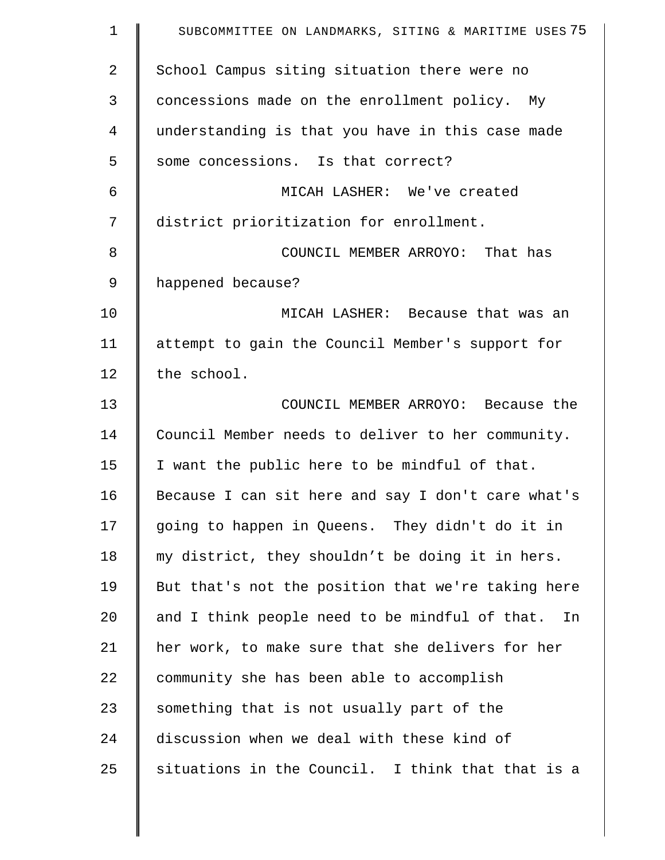| $\mathbf 1$    | SUBCOMMITTEE ON LANDMARKS, SITING & MARITIME USES 75   |
|----------------|--------------------------------------------------------|
| $\overline{a}$ | School Campus siting situation there were no           |
| 3              | concessions made on the enrollment policy. My          |
| 4              | understanding is that you have in this case made       |
| 5              | some concessions. Is that correct?                     |
| 6              | MICAH LASHER: We've created                            |
| 7              | district prioritization for enrollment.                |
| 8              | COUNCIL MEMBER ARROYO: That has                        |
| 9              | happened because?                                      |
| 10             | MICAH LASHER: Because that was an                      |
| 11             | attempt to gain the Council Member's support for       |
| 12             | the school.                                            |
| 13             | COUNCIL MEMBER ARROYO: Because the                     |
| 14             | Council Member needs to deliver to her community.      |
| 15             | I want the public here to be mindful of that.          |
| 16             | Because I can sit here and say I don't care what's     |
| 17             | going to happen in Queens. They didn't do it in        |
| 18             | my district, they shouldn't be doing it in hers.       |
| 19             | But that's not the position that we're taking here     |
| 20             | and I think people need to be mindful of that.<br>In L |
| 21             | her work, to make sure that she delivers for her       |
| 22             | community she has been able to accomplish              |
| 23             | something that is not usually part of the              |
| 24             | discussion when we deal with these kind of             |
| 25             | situations in the Council. I think that that is a      |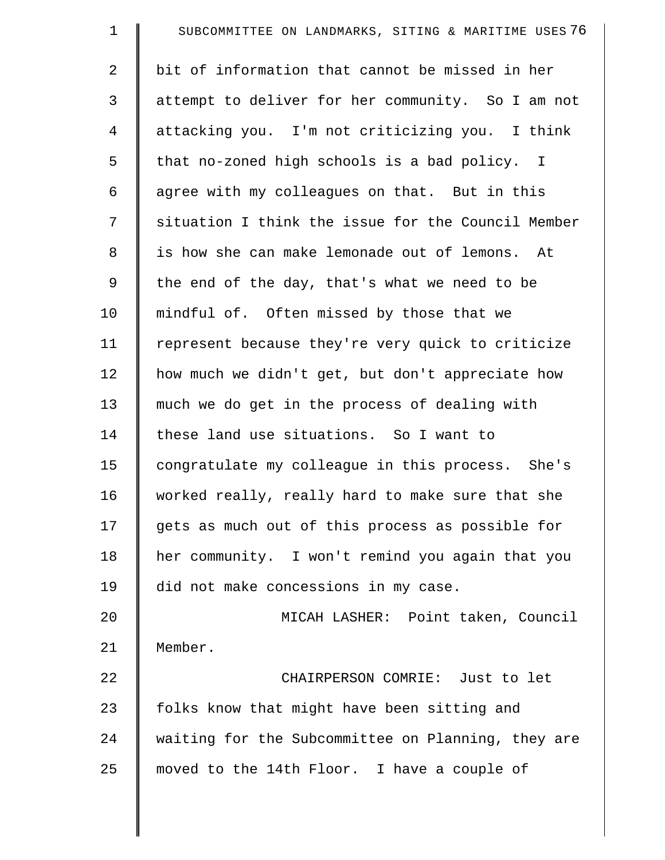| $\mathbf 1$ | SUBCOMMITTEE ON LANDMARKS, SITING & MARITIME USES 76 |
|-------------|------------------------------------------------------|
| 2           | bit of information that cannot be missed in her      |
| 3           | attempt to deliver for her community. So I am not    |
| 4           | attacking you. I'm not criticizing you. I think      |
| 5           | that no-zoned high schools is a bad policy. I        |
| 6           | agree with my colleagues on that. But in this        |
| 7           | situation I think the issue for the Council Member   |
| 8           | is how she can make lemonade out of lemons. At       |
| 9           | the end of the day, that's what we need to be        |
| 10          | mindful of. Often missed by those that we            |
| 11          | represent because they're very quick to criticize    |
| 12          | how much we didn't get, but don't appreciate how     |
| 13          | much we do get in the process of dealing with        |
| 14          | these land use situations. So I want to              |
| 15          | congratulate my colleague in this process. She's     |
| 16          | worked really, really hard to make sure that she     |
| 17          | gets as much out of this process as possible for     |
| 18          | her community. I won't remind you again that you     |
| 19          | did not make concessions in my case.                 |
| 20          | MICAH LASHER: Point taken, Council                   |
| 21          | Member.                                              |
| 22          | CHAIRPERSON COMRIE: Just to let                      |
| 23          | folks know that might have been sitting and          |
| 24          | waiting for the Subcommittee on Planning, they are   |
| 25          | moved to the 14th Floor. I have a couple of          |
|             |                                                      |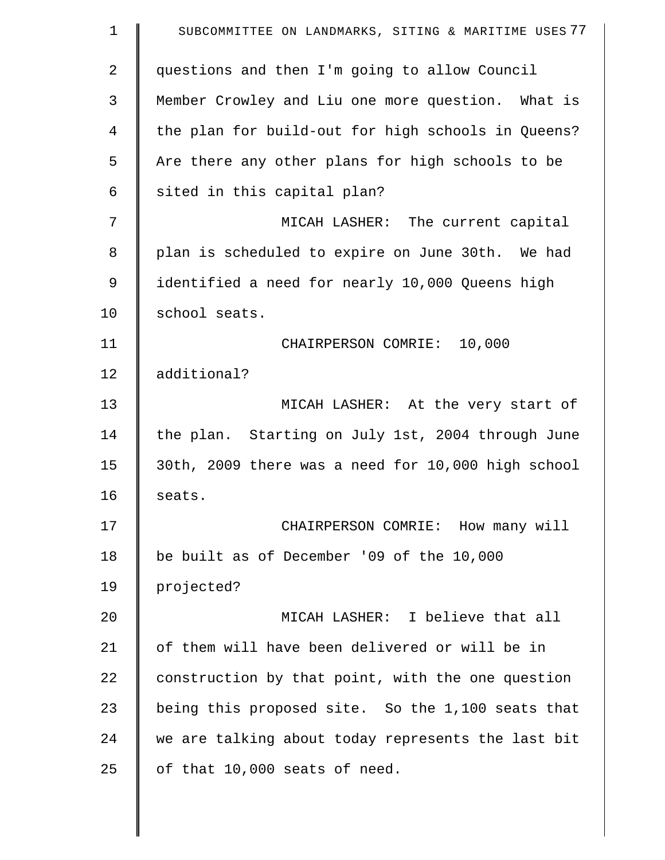| $\mathbf 1$ | SUBCOMMITTEE ON LANDMARKS, SITING & MARITIME USES 77 |
|-------------|------------------------------------------------------|
| 2           | questions and then I'm going to allow Council        |
| 3           | Member Crowley and Liu one more question. What is    |
| 4           | the plan for build-out for high schools in Queens?   |
| 5           | Are there any other plans for high schools to be     |
| 6           | sited in this capital plan?                          |
| 7           | MICAH LASHER: The current capital                    |
| 8           | plan is scheduled to expire on June 30th. We had     |
| 9           | identified a need for nearly 10,000 Queens high      |
| 10          | school seats.                                        |
| 11          | CHAIRPERSON COMRIE: 10,000                           |
| 12          | additional?                                          |
| 13          | MICAH LASHER: At the very start of                   |
| 14          | the plan. Starting on July 1st, 2004 through June    |
| 15          | 30th, 2009 there was a need for 10,000 high school   |
| 16          | seats.                                               |
| 17          | CHAIRPERSON COMRIE: How many will                    |
| 18          | be built as of December '09 of the 10,000            |
| 19          | projected?                                           |
| 20          | MICAH LASHER: I believe that all                     |
| 21          | of them will have been delivered or will be in       |
| 22          | construction by that point, with the one question    |
| 23          | being this proposed site. So the 1,100 seats that    |
| 24          | we are talking about today represents the last bit   |
| 25          | of that 10,000 seats of need.                        |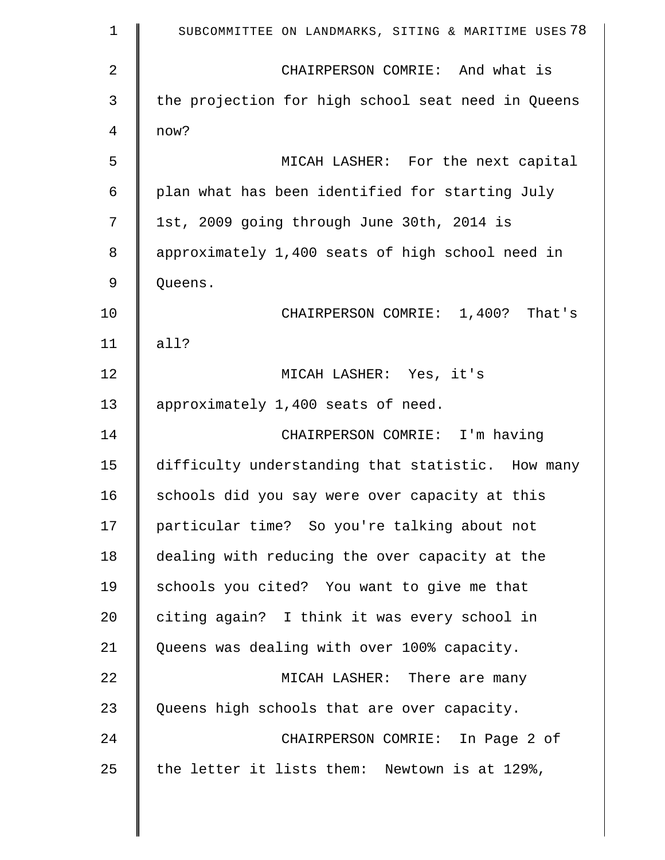| $\mathbf 1$    | SUBCOMMITTEE ON LANDMARKS, SITING & MARITIME USES 78 |
|----------------|------------------------------------------------------|
| $\overline{2}$ | CHAIRPERSON COMRIE: And what is                      |
| 3              | the projection for high school seat need in Queens   |
| 4              | now?                                                 |
| 5              | MICAH LASHER: For the next capital                   |
| 6              | plan what has been identified for starting July      |
| 7              | 1st, 2009 going through June 30th, 2014 is           |
| 8              | approximately 1,400 seats of high school need in     |
| 9              | Queens.                                              |
| 10             | CHAIRPERSON COMRIE: 1,400? That's                    |
| 11             | all?                                                 |
| 12             | MICAH LASHER: Yes, it's                              |
| 13             | approximately 1,400 seats of need.                   |
| 14             | CHAIRPERSON COMRIE: I'm having                       |
| 15             | difficulty understanding that statistic. How many    |
| 16             | schools did you say were over capacity at this       |
| 17             | particular time? So you're talking about not         |
| 18             | dealing with reducing the over capacity at the       |
| 19             | schools you cited? You want to give me that          |
| 20             | citing again? I think it was every school in         |
| 21             | Queens was dealing with over 100% capacity.          |
| 22             | MICAH LASHER: There are many                         |
| 23             | Queens high schools that are over capacity.          |
| 24             | CHAIRPERSON COMRIE: In Page 2 of                     |
| 25             | the letter it lists them: Newtown is at 129%,        |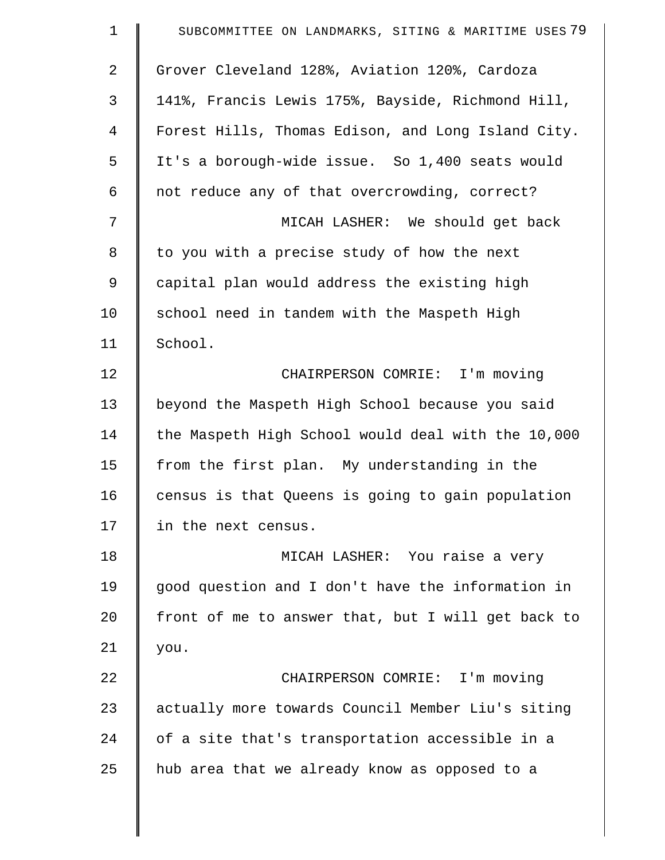| $\mathbf 1$ | SUBCOMMITTEE ON LANDMARKS, SITING & MARITIME USES 79 |
|-------------|------------------------------------------------------|
| 2           | Grover Cleveland 128%, Aviation 120%, Cardoza        |
| 3           | 141%, Francis Lewis 175%, Bayside, Richmond Hill,    |
| 4           | Forest Hills, Thomas Edison, and Long Island City.   |
| 5           | It's a borough-wide issue. So 1,400 seats would      |
| 6           | not reduce any of that overcrowding, correct?        |
| 7           | MICAH LASHER: We should get back                     |
| 8           | to you with a precise study of how the next          |
| 9           | capital plan would address the existing high         |
| 10          | school need in tandem with the Maspeth High          |
| 11          | School.                                              |
| 12          | CHAIRPERSON COMRIE: I'm moving                       |
| 13          | beyond the Maspeth High School because you said      |
| 14          | the Maspeth High School would deal with the 10,000   |
| 15          | from the first plan. My understanding in the         |
| 16          | census is that Queens is going to gain population    |
| 17          | in the next census.                                  |
| 18          | MICAH LASHER: You raise a very                       |
| 19          | good question and I don't have the information in    |
| 20          | front of me to answer that, but I will get back to   |
| 21          | you.                                                 |
| 22          | CHAIRPERSON COMRIE: I'm moving                       |
| 23          | actually more towards Council Member Liu's siting    |
| 24          | of a site that's transportation accessible in a      |
| 25          | hub area that we already know as opposed to a        |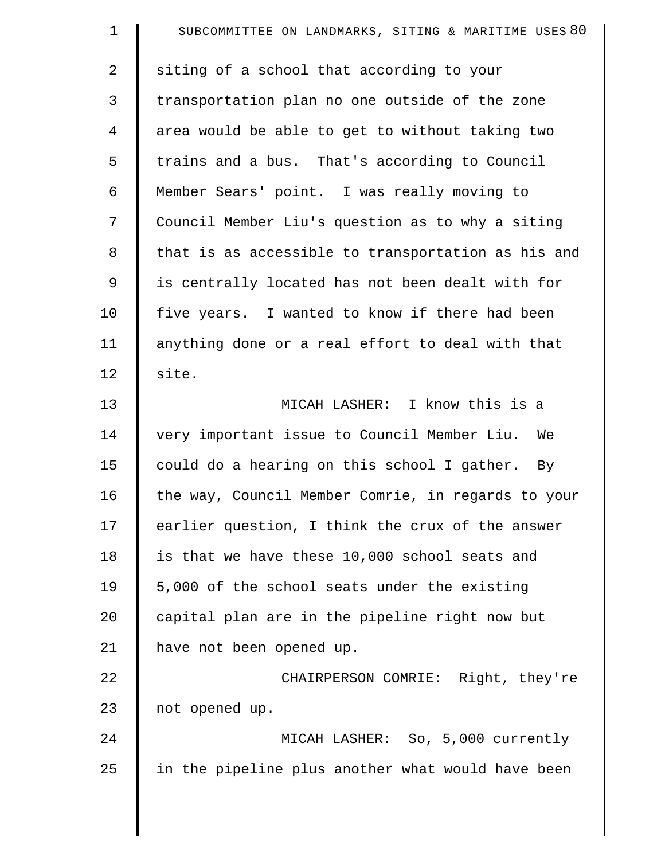| $\mathbf 1$    | SUBCOMMITTEE ON LANDMARKS, SITING & MARITIME USES 80 |
|----------------|------------------------------------------------------|
| $\overline{a}$ | siting of a school that according to your            |
| 3              | transportation plan no one outside of the zone       |
| $\overline{4}$ | area would be able to get to without taking two      |
| 5              | trains and a bus. That's according to Council        |
| 6              | Member Sears' point. I was really moving to          |
| 7              | Council Member Liu's question as to why a siting     |
| 8              | that is as accessible to transportation as his and   |
| 9              | is centrally located has not been dealt with for     |
| 10             | five years. I wanted to know if there had been       |
| 11             | anything done or a real effort to deal with that     |
| 12             | site.                                                |
| 13             | MICAH LASHER: I know this is a                       |
| 14             | very important issue to Council Member Liu.<br>We    |
| 15             | could do a hearing on this school I gather. By       |
| 16             | the way, Council Member Comrie, in regards to your   |
| 17             | earlier question, I think the crux of the answer     |
| 18             | is that we have these 10,000 school seats and        |
| 19             | 5,000 of the school seats under the existing         |
| 20             | capital plan are in the pipeline right now but       |
| 21             | have not been opened up.                             |
| 22             | CHAIRPERSON COMRIE: Right, they're                   |
| 23             | not opened up.                                       |
| 24             | MICAH LASHER: So, 5,000 currently                    |
| 25             | in the pipeline plus another what would have been    |
|                |                                                      |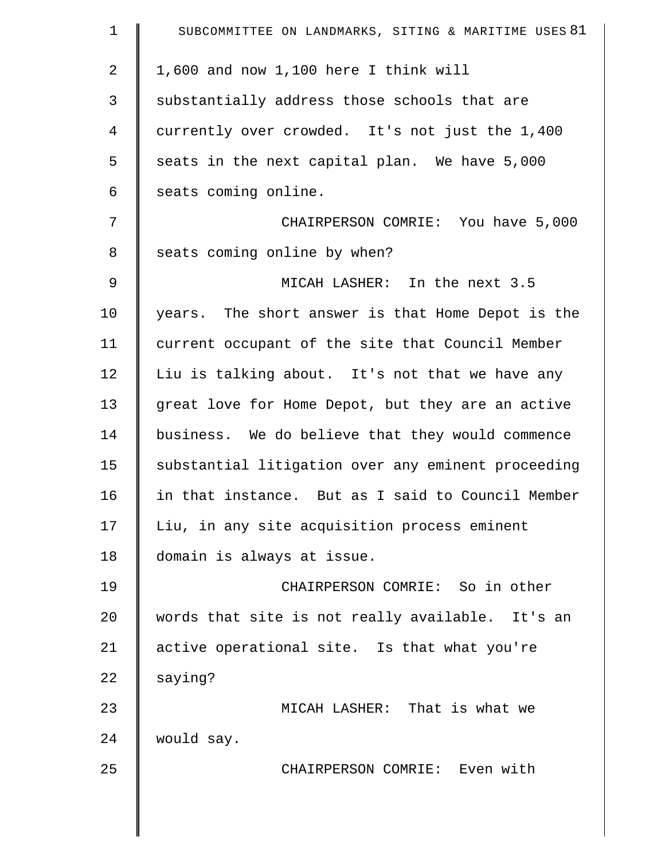| $\mathbf 1$ | SUBCOMMITTEE ON LANDMARKS, SITING & MARITIME USES 81 |
|-------------|------------------------------------------------------|
| 2           | 1,600 and now 1,100 here I think will                |
| 3           | substantially address those schools that are         |
| 4           | currently over crowded. It's not just the 1,400      |
| 5           | seats in the next capital plan. We have 5,000        |
| 6           | seats coming online.                                 |
| 7           | CHAIRPERSON COMRIE: You have 5,000                   |
| 8           | seats coming online by when?                         |
| 9           | MICAH LASHER: In the next 3.5                        |
| 10          | years. The short answer is that Home Depot is the    |
| 11          | current occupant of the site that Council Member     |
| 12          | Liu is talking about. It's not that we have any      |
| 13          | great love for Home Depot, but they are an active    |
| 14          | business. We do believe that they would commence     |
| 15          | substantial litigation over any eminent proceeding   |
| 16          | in that instance. But as I said to Council Member    |
| 17          | Liu, in any site acquisition process eminent         |
| 18          | domain is always at issue.                           |
| 19          | CHAIRPERSON COMRIE: So in other                      |
| 20          | words that site is not really available. It's an     |
| 21          | active operational site. Is that what you're         |
| 22          | saying?                                              |
| 23          | MICAH LASHER: That is what we                        |
| 24          | would say.                                           |
| 25          | CHAIRPERSON COMRIE: Even with                        |
|             |                                                      |
|             |                                                      |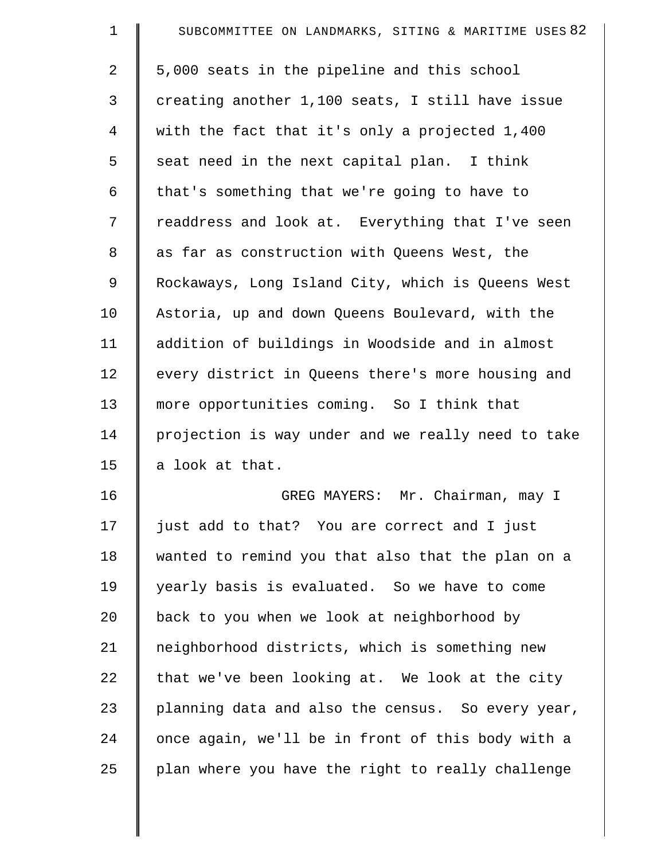| $\mathbf 1$    | SUBCOMMITTEE ON LANDMARKS, SITING & MARITIME USES 82 |
|----------------|------------------------------------------------------|
| $\overline{a}$ | 5,000 seats in the pipeline and this school          |
| 3              | creating another 1,100 seats, I still have issue     |
| $\overline{4}$ | with the fact that it's only a projected 1,400       |
| 5              | seat need in the next capital plan. I think          |
| 6              | that's something that we're going to have to         |
| 7              | readdress and look at. Everything that I've seen     |
| 8              | as far as construction with Queens West, the         |
| 9              | Rockaways, Long Island City, which is Queens West    |
| 10             | Astoria, up and down Queens Boulevard, with the      |
| 11             | addition of buildings in Woodside and in almost      |
| 12             | every district in Queens there's more housing and    |
| 13             | more opportunities coming. So I think that           |
| 14             | projection is way under and we really need to take   |
| 15             | a look at that.                                      |
| 16             | GREG MAYERS: Mr. Chairman, may I                     |
| 17             | just add to that? You are correct and I just         |
| 18             | wanted to remind you that also that the plan on a    |
| 19             | yearly basis is evaluated. So we have to come        |
| 20             | back to you when we look at neighborhood by          |
| 21             | neighborhood districts, which is something new       |
| 22             | that we've been looking at. We look at the city      |
| 23             | planning data and also the census. So every year,    |
| 24             | once again, we'll be in front of this body with a    |
| 25             | plan where you have the right to really challenge    |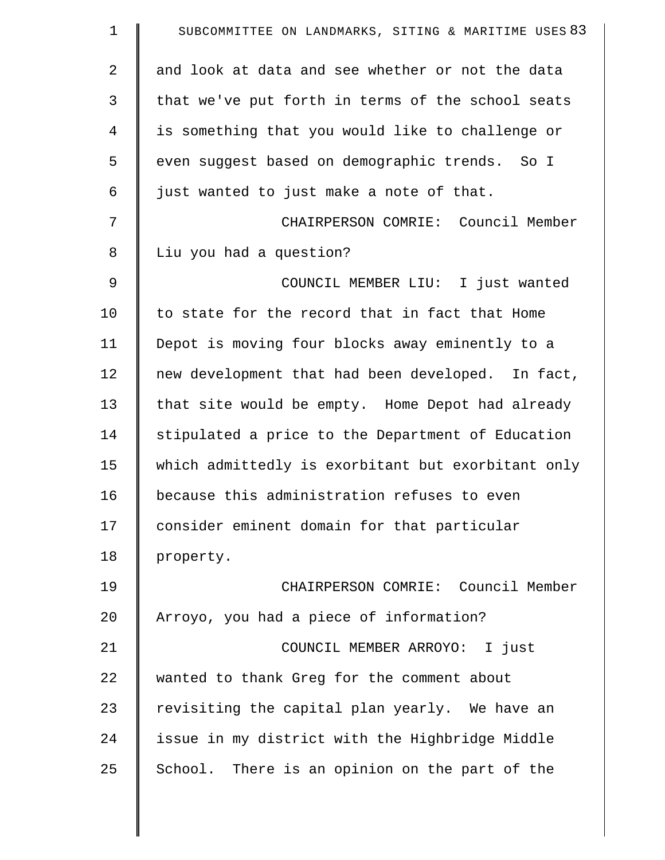| $\mathbf 1$    | SUBCOMMITTEE ON LANDMARKS, SITING & MARITIME USES 83 |
|----------------|------------------------------------------------------|
| 2              | and look at data and see whether or not the data     |
| 3              | that we've put forth in terms of the school seats    |
| $\overline{4}$ | is something that you would like to challenge or     |
| 5              | even suggest based on demographic trends. So I       |
| 6              | just wanted to just make a note of that.             |
| 7              | CHAIRPERSON COMRIE: Council Member                   |
| 8              | Liu you had a question?                              |
| $\mathcal{G}$  | COUNCIL MEMBER LIU: I just wanted                    |
| 10             | to state for the record that in fact that Home       |
| 11             | Depot is moving four blocks away eminently to a      |
| 12             | new development that had been developed. In fact,    |
| 13             | that site would be empty. Home Depot had already     |
| 14             | stipulated a price to the Department of Education    |
| 15             | which admittedly is exorbitant but exorbitant only   |
| 16             | because this administration refuses to even          |
| 17             | consider eminent domain for that particular          |
| 18             | property.                                            |
| 19             | CHAIRPERSON COMRIE: Council Member                   |
| 20             | Arroyo, you had a piece of information?              |
| 21             | COUNCIL MEMBER ARROYO: I just                        |
| 22             | wanted to thank Greg for the comment about           |
| 23             | revisiting the capital plan yearly. We have an       |
| 24             | issue in my district with the Highbridge Middle      |
| 25             | School. There is an opinion on the part of the       |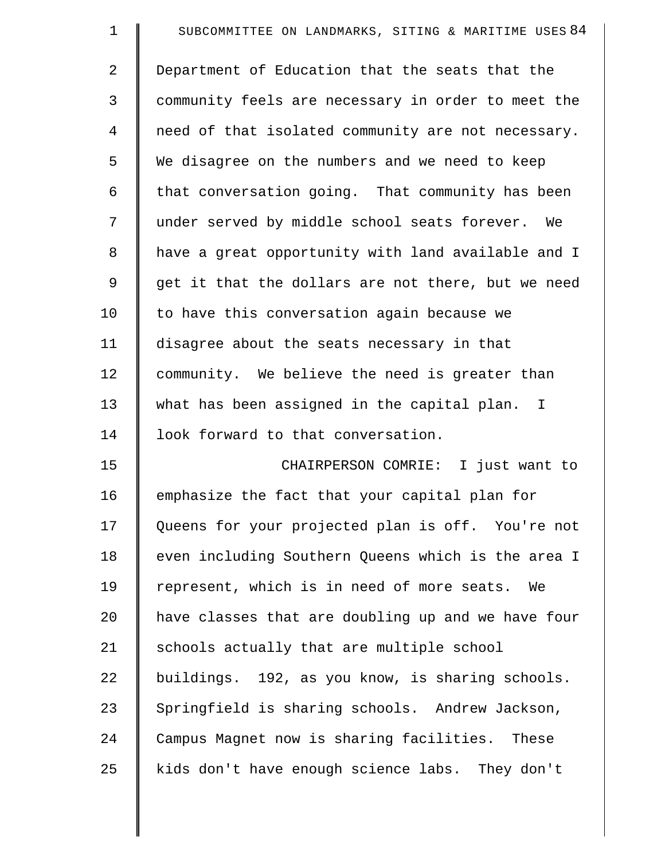| $\mathbf 1$    | SUBCOMMITTEE ON LANDMARKS, SITING & MARITIME USES 84 |
|----------------|------------------------------------------------------|
| $\overline{a}$ | Department of Education that the seats that the      |
| 3              | community feels are necessary in order to meet the   |
| 4              | need of that isolated community are not necessary.   |
| 5              | We disagree on the numbers and we need to keep       |
| 6              | that conversation going. That community has been     |
| 7              | under served by middle school seats forever. We      |
| 8              | have a great opportunity with land available and I   |
| 9              | get it that the dollars are not there, but we need   |
| 10             | to have this conversation again because we           |
| 11             | disagree about the seats necessary in that           |
| 12             | community. We believe the need is greater than       |
| 13             | what has been assigned in the capital plan. I        |
| 14             | look forward to that conversation.                   |
| 15             | CHAIRPERSON COMRIE: I just want to                   |
| 16             | emphasize the fact that your capital plan for        |
| 17             | Queens for your projected plan is off. You're not    |
| 18             | even including Southern Queens which is the area I   |
| 19             | represent, which is in need of more seats.<br>We     |
| 20             | have classes that are doubling up and we have four   |
| 21             | schools actually that are multiple school            |
| 22             | buildings. 192, as you know, is sharing schools.     |
| 23             | Springfield is sharing schools. Andrew Jackson,      |
| 24             | Campus Magnet now is sharing facilities. These       |
| 25             | kids don't have enough science labs. They don't      |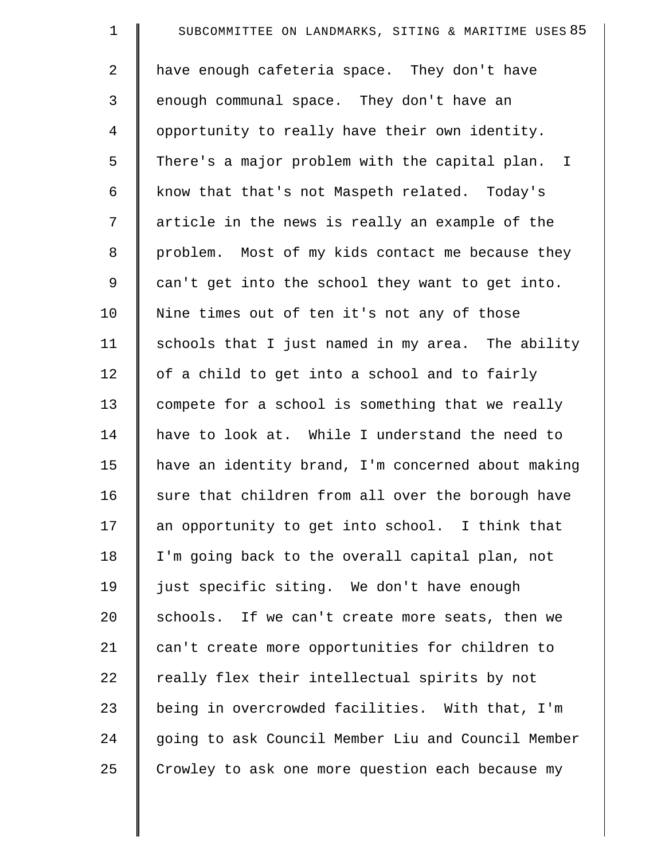| $\mathbf 1$ | SUBCOMMITTEE ON LANDMARKS, SITING & MARITIME USES 85 |
|-------------|------------------------------------------------------|
| 2           | have enough cafeteria space. They don't have         |
| 3           | enough communal space. They don't have an            |
| 4           | opportunity to really have their own identity.       |
| 5           | There's a major problem with the capital plan. I     |
| 6           | know that that's not Maspeth related. Today's        |
| 7           | article in the news is really an example of the      |
| 8           | problem. Most of my kids contact me because they     |
| 9           | can't get into the school they want to get into.     |
| 10          | Nine times out of ten it's not any of those          |
| 11          | schools that I just named in my area. The ability    |
| 12          | of a child to get into a school and to fairly        |
| 13          | compete for a school is something that we really     |
| 14          | have to look at. While I understand the need to      |
| 15          | have an identity brand, I'm concerned about making   |
| 16          | sure that children from all over the borough have    |
| 17          | an opportunity to get into school. I think that      |
| 18          | I'm going back to the overall capital plan, not      |
| 19          | just specific siting. We don't have enough           |
| 20          | schools. If we can't create more seats, then we      |
| 21          | can't create more opportunities for children to      |
| 22          | really flex their intellectual spirits by not        |
| 23          | being in overcrowded facilities. With that, I'm      |
| 24          | going to ask Council Member Liu and Council Member   |
| 25          | Crowley to ask one more question each because my     |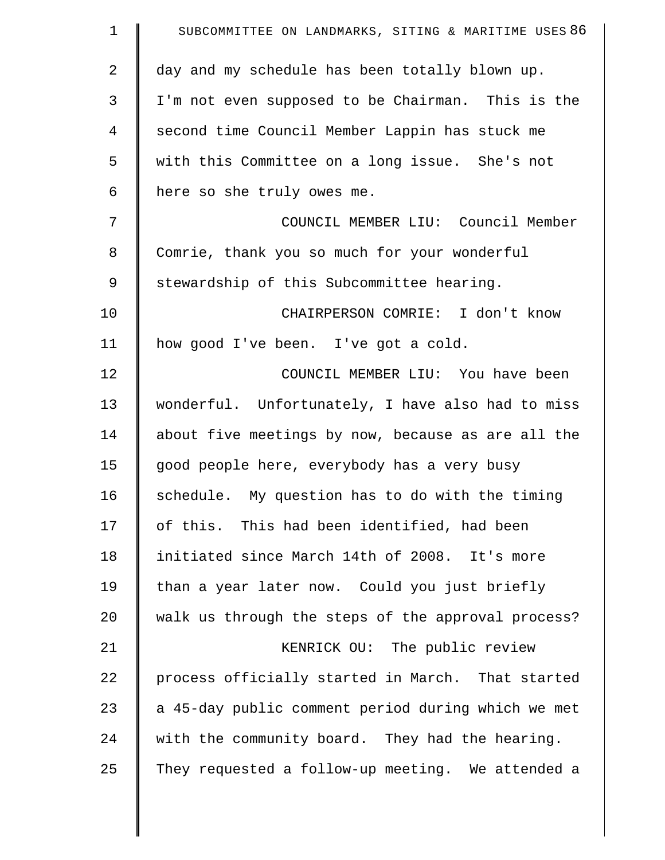| $\mathbf 1$    | SUBCOMMITTEE ON LANDMARKS, SITING & MARITIME USES 86 |
|----------------|------------------------------------------------------|
| $\overline{2}$ | day and my schedule has been totally blown up.       |
| 3              | I'm not even supposed to be Chairman. This is the    |
| 4              | second time Council Member Lappin has stuck me       |
| 5              | with this Committee on a long issue. She's not       |
| 6              | here so she truly owes me.                           |
| 7              | COUNCIL MEMBER LIU: Council Member                   |
| 8              | Comrie, thank you so much for your wonderful         |
| 9              | stewardship of this Subcommittee hearing.            |
| 10             | CHAIRPERSON COMRIE: I don't know                     |
| 11             | how good I've been. I've got a cold.                 |
| 12             | COUNCIL MEMBER LIU: You have been                    |
| 13             | wonderful. Unfortunately, I have also had to miss    |
| 14             | about five meetings by now, because as are all the   |
| 15             | good people here, everybody has a very busy          |
| 16             | schedule. My question has to do with the timing      |
| 17             | of this. This had been identified, had been          |
| 18             | initiated since March 14th of 2008. It's more        |
| 19             | than a year later now. Could you just briefly        |
| 20             | walk us through the steps of the approval process?   |
| 21             | KENRICK OU: The public review                        |
| 22             | process officially started in March. That started    |
| 23             | a 45-day public comment period during which we met   |
| 24             | with the community board. They had the hearing.      |
| 25             | They requested a follow-up meeting. We attended a    |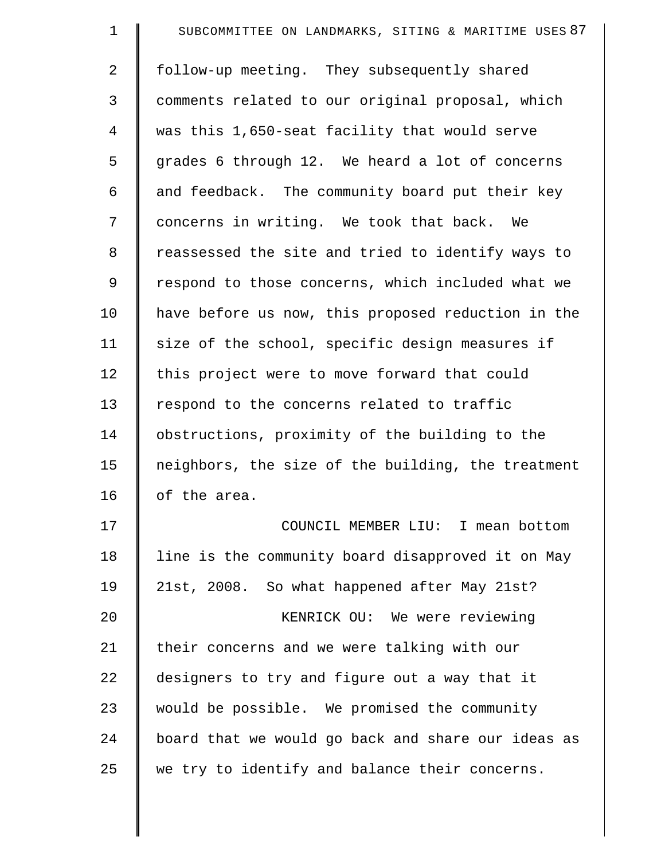| $\mathbf 1$    | SUBCOMMITTEE ON LANDMARKS, SITING & MARITIME USES 87 |
|----------------|------------------------------------------------------|
| $\overline{2}$ | follow-up meeting. They subsequently shared          |
| 3              | comments related to our original proposal, which     |
| 4              | was this 1,650-seat facility that would serve        |
| 5              | grades 6 through 12. We heard a lot of concerns      |
| 6              | and feedback. The community board put their key      |
| 7              | concerns in writing. We took that back. We           |
| 8              | reassessed the site and tried to identify ways to    |
| 9              | respond to those concerns, which included what we    |
| 10             | have before us now, this proposed reduction in the   |
| 11             | size of the school, specific design measures if      |
| 12             | this project were to move forward that could         |
| 13             | respond to the concerns related to traffic           |
| 14             | obstructions, proximity of the building to the       |
| 15             | neighbors, the size of the building, the treatment   |
| 16             | of the area.                                         |
| 17             | COUNCIL MEMBER LIU: I mean bottom                    |
| 18             | line is the community board disapproved it on May    |
| 19             | 21st, 2008. So what happened after May 21st?         |
| 20             | KENRICK OU: We were reviewing                        |
| 21             | their concerns and we were talking with our          |
| 22             | designers to try and figure out a way that it        |
| 23             | would be possible. We promised the community         |
| 24             | board that we would go back and share our ideas as   |
| 25             | we try to identify and balance their concerns.       |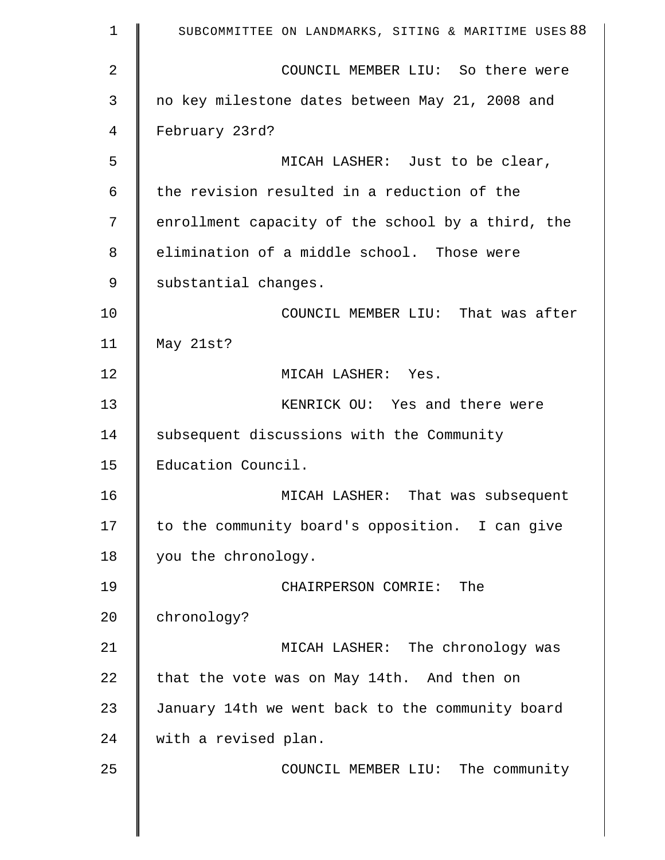| $\mathbf 1$    | SUBCOMMITTEE ON LANDMARKS, SITING & MARITIME USES 88 |
|----------------|------------------------------------------------------|
| $\overline{2}$ | COUNCIL MEMBER LIU: So there were                    |
| 3              | no key milestone dates between May 21, 2008 and      |
| 4              | February 23rd?                                       |
| 5              | MICAH LASHER: Just to be clear,                      |
| 6              | the revision resulted in a reduction of the          |
| 7              | enrollment capacity of the school by a third, the    |
| 8              | elimination of a middle school. Those were           |
| 9              | substantial changes.                                 |
| 10             | COUNCIL MEMBER LIU: That was after                   |
| 11             | May 21st?                                            |
| 12             | MICAH LASHER: Yes.                                   |
| 13             | KENRICK OU: Yes and there were                       |
| 14             | subsequent discussions with the Community            |
| 15             | Education Council.                                   |
| 16             | MICAH LASHER: That was subsequent                    |
| 17             | to the community board's opposition. I can give      |
| 18             | you the chronology.                                  |
| 19             | CHAIRPERSON COMRIE: The                              |
| 20             | chronology?                                          |
| 21             | MICAH LASHER: The chronology was                     |
| 22             | that the vote was on May 14th. And then on           |
| 23             | January 14th we went back to the community board     |
| 24             | with a revised plan.                                 |
| 25             | COUNCIL MEMBER LIU: The community                    |
|                |                                                      |

 $\parallel$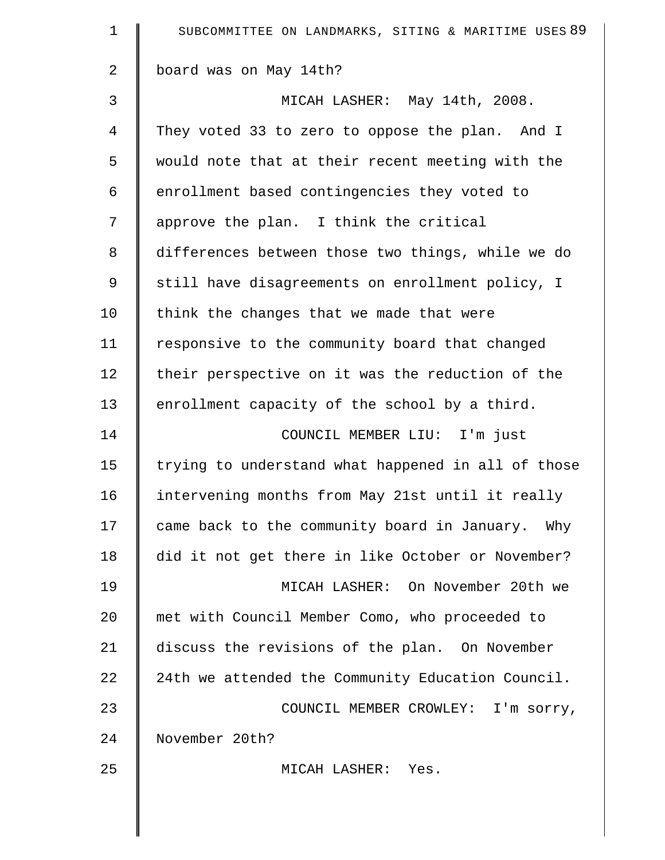| $\mathbf 1$    | SUBCOMMITTEE ON LANDMARKS, SITING & MARITIME USES 89 |
|----------------|------------------------------------------------------|
| $\overline{a}$ | board was on May 14th?                               |
| 3              | MICAH LASHER: May 14th, 2008.                        |
| 4              | They voted 33 to zero to oppose the plan. And I      |
| 5              | would note that at their recent meeting with the     |
| 6              | enrollment based contingencies they voted to         |
| 7              | approve the plan. I think the critical               |
| 8              | differences between those two things, while we do    |
| 9              | still have disagreements on enrollment policy, I     |
| 10             | think the changes that we made that were             |
| 11             | responsive to the community board that changed       |
| 12             | their perspective on it was the reduction of the     |
| 13             | enrollment capacity of the school by a third.        |
| 14             | COUNCIL MEMBER LIU: I'm just                         |
| 15             | trying to understand what happened in all of those   |
| 16             | intervening months from May 21st until it really     |
| 17             | came back to the community board in January. Why     |
| 18             | did it not get there in like October or November?    |
| 19             | MICAH LASHER: On November 20th we                    |
| 20             | met with Council Member Como, who proceeded to       |
| 21             | discuss the revisions of the plan. On November       |
| 22             | 24th we attended the Community Education Council.    |
| 23             | COUNCIL MEMBER CROWLEY: I'm sorry,                   |
| 24             | November 20th?                                       |
| 25             | MICAH LASHER: Yes.                                   |
|                |                                                      |
|                |                                                      |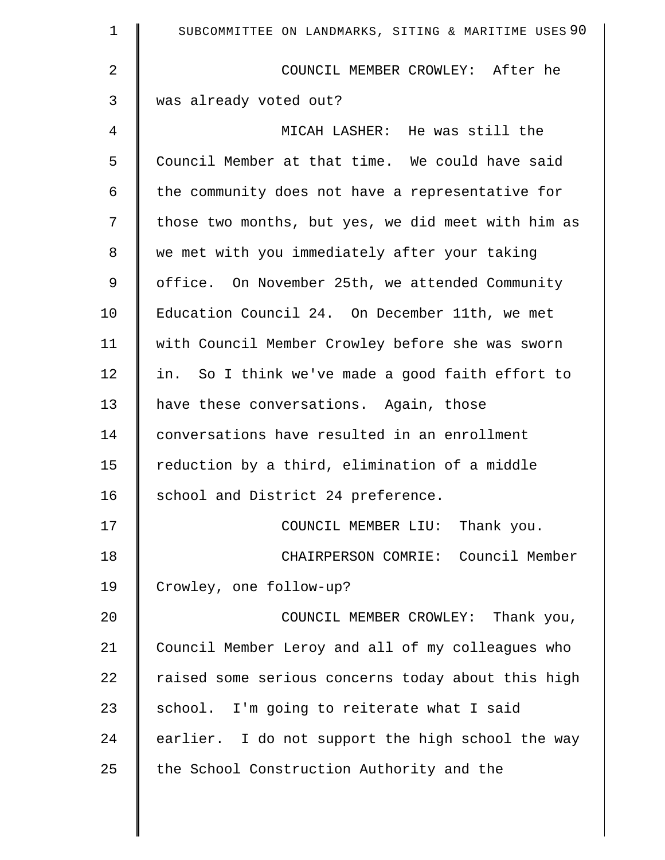| $\mathbf 1$    | SUBCOMMITTEE ON LANDMARKS, SITING & MARITIME USES 90 |
|----------------|------------------------------------------------------|
| $\overline{2}$ | COUNCIL MEMBER CROWLEY: After he                     |
| 3              | was already voted out?                               |
| 4              | MICAH LASHER: He was still the                       |
| 5              | Council Member at that time. We could have said      |
| 6              | the community does not have a representative for     |
| 7              | those two months, but yes, we did meet with him as   |
| 8              | we met with you immediately after your taking        |
| 9              | office. On November 25th, we attended Community      |
| 10             | Education Council 24. On December 11th, we met       |
| 11             | with Council Member Crowley before she was sworn     |
| 12             | in. So I think we've made a good faith effort to     |
| 13             | have these conversations. Again, those               |
| 14             | conversations have resulted in an enrollment         |
| 15             | reduction by a third, elimination of a middle        |
| 16             | school and District 24 preference.                   |
| 17             | COUNCIL MEMBER LIU: Thank you.                       |
| 18             | CHAIRPERSON COMRIE: Council Member                   |
| 19             | Crowley, one follow-up?                              |
| 20             | COUNCIL MEMBER CROWLEY: Thank you,                   |
| 21             | Council Member Leroy and all of my colleagues who    |
| 22             | raised some serious concerns today about this high   |
| 23             | school. I'm going to reiterate what I said           |
| 24             | earlier. I do not support the high school the way    |
| 25             | the School Construction Authority and the            |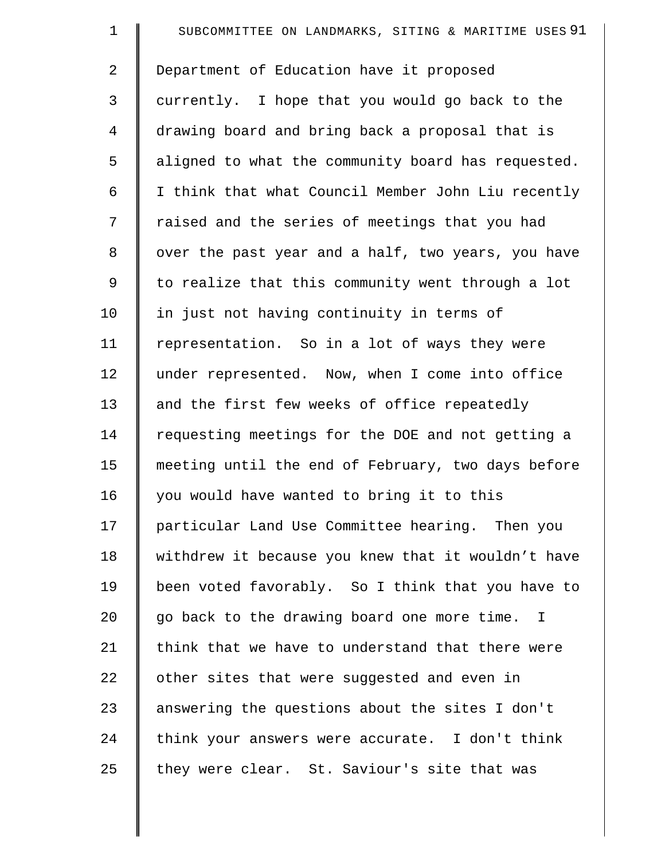| $\mathbf 1$    | SUBCOMMITTEE ON LANDMARKS, SITING & MARITIME USES 91 |
|----------------|------------------------------------------------------|
| $\overline{2}$ | Department of Education have it proposed             |
| 3              | currently. I hope that you would go back to the      |
| $\overline{4}$ | drawing board and bring back a proposal that is      |
| 5              | aligned to what the community board has requested.   |
| 6              | I think that what Council Member John Liu recently   |
| 7              | raised and the series of meetings that you had       |
| 8              | over the past year and a half, two years, you have   |
| 9              | to realize that this community went through a lot    |
| 10             | in just not having continuity in terms of            |
| 11             | representation. So in a lot of ways they were        |
| 12             | under represented. Now, when I come into office      |
| 13             | and the first few weeks of office repeatedly         |
| 14             | requesting meetings for the DOE and not getting a    |
| 15             | meeting until the end of February, two days before   |
| 16             | you would have wanted to bring it to this            |
| 17             | particular Land Use Committee hearing. Then you      |
| 18             | withdrew it because you knew that it wouldn't have   |
| 19             | been voted favorably. So I think that you have to    |
| 20             | go back to the drawing board one more time. I        |
| 21             | think that we have to understand that there were     |
| 22             | other sites that were suggested and even in          |
| 23             | answering the questions about the sites I don't      |
| 24             | think your answers were accurate. I don't think      |
| 25             | they were clear. St. Saviour's site that was         |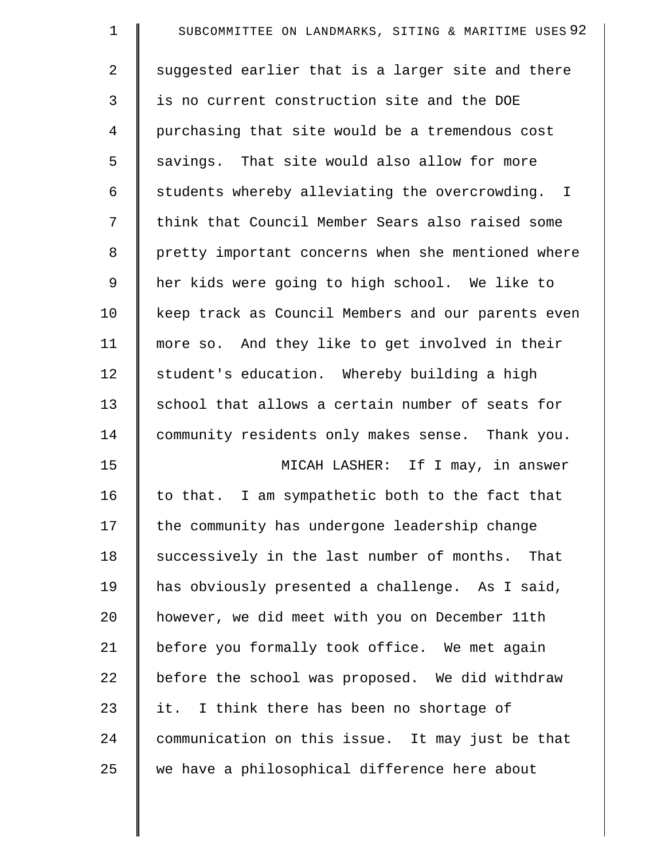| $\mathbf 1$ | SUBCOMMITTEE ON LANDMARKS, SITING & MARITIME USES 92 |
|-------------|------------------------------------------------------|
| 2           | suggested earlier that is a larger site and there    |
| 3           | is no current construction site and the DOE          |
| 4           | purchasing that site would be a tremendous cost      |
| 5           | savings. That site would also allow for more         |
| 6           | students whereby alleviating the overcrowding. I     |
| 7           | think that Council Member Sears also raised some     |
| 8           | pretty important concerns when she mentioned where   |
| 9           | her kids were going to high school. We like to       |
| 10          | keep track as Council Members and our parents even   |
| 11          | more so. And they like to get involved in their      |
| 12          | student's education. Whereby building a high         |
| 13          | school that allows a certain number of seats for     |
| 14          | community residents only makes sense. Thank you.     |
| 15          | MICAH LASHER: If I may, in answer                    |
| 16          | to that. I am sympathetic both to the fact that      |
| 17          | the community has undergone leadership change        |
| 18          | successively in the last number of months. That      |
| 19          | has obviously presented a challenge. As I said,      |
| 20          | however, we did meet with you on December 11th       |
| 21          | before you formally took office. We met again        |
| 22          | before the school was proposed. We did withdraw      |
| 23          | it.<br>I think there has been no shortage of         |
| 24          | communication on this issue. It may just be that     |
| 25          | we have a philosophical difference here about        |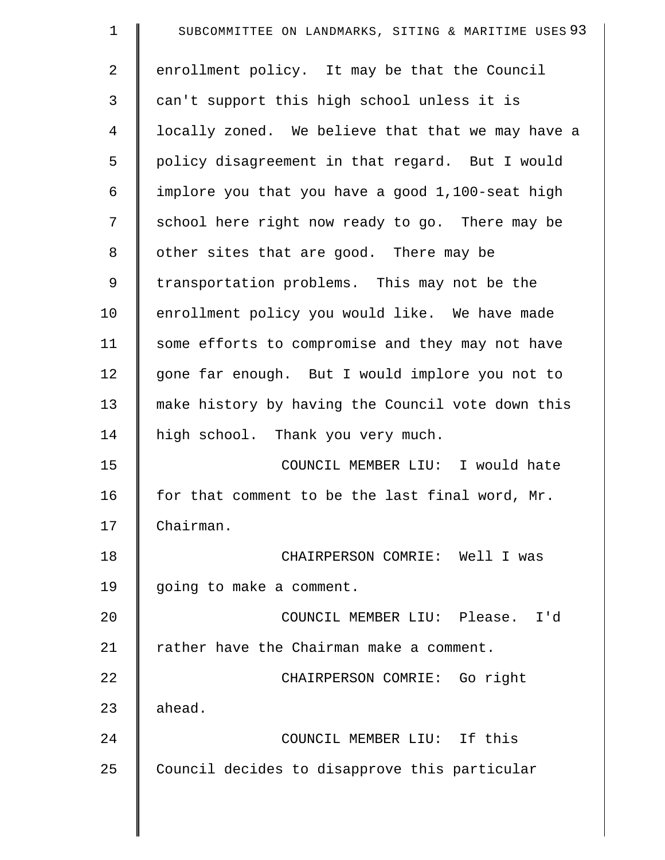| $\mathbf 1$    | SUBCOMMITTEE ON LANDMARKS, SITING & MARITIME USES 93 |
|----------------|------------------------------------------------------|
| $\overline{2}$ | enrollment policy. It may be that the Council        |
| 3              | can't support this high school unless it is          |
| $\overline{4}$ | locally zoned. We believe that that we may have a    |
| 5              | policy disagreement in that regard. But I would      |
| 6              | implore you that you have a good 1,100-seat high     |
| 7              | school here right now ready to go. There may be      |
| 8              | other sites that are good. There may be              |
| 9              | transportation problems. This may not be the         |
| 10             | enrollment policy you would like. We have made       |
| 11             | some efforts to compromise and they may not have     |
| 12             | gone far enough. But I would implore you not to      |
| 13             | make history by having the Council vote down this    |
| 14             | high school. Thank you very much.                    |
| 15             | COUNCIL MEMBER LIU: I would hate                     |
| 16             | for that comment to be the last final word, Mr.      |
| 17             | Chairman.                                            |
| 18             | CHAIRPERSON COMRIE: Well I was                       |
| 19             | going to make a comment.                             |
| 20             | COUNCIL MEMBER LIU: Please. I'd                      |
| 21             | rather have the Chairman make a comment.             |
| 22             | CHAIRPERSON COMRIE: Go right                         |
| 23             | ahead.                                               |
| 24             | COUNCIL MEMBER LIU: If this                          |
| 25             | Council decides to disapprove this particular        |
|                |                                                      |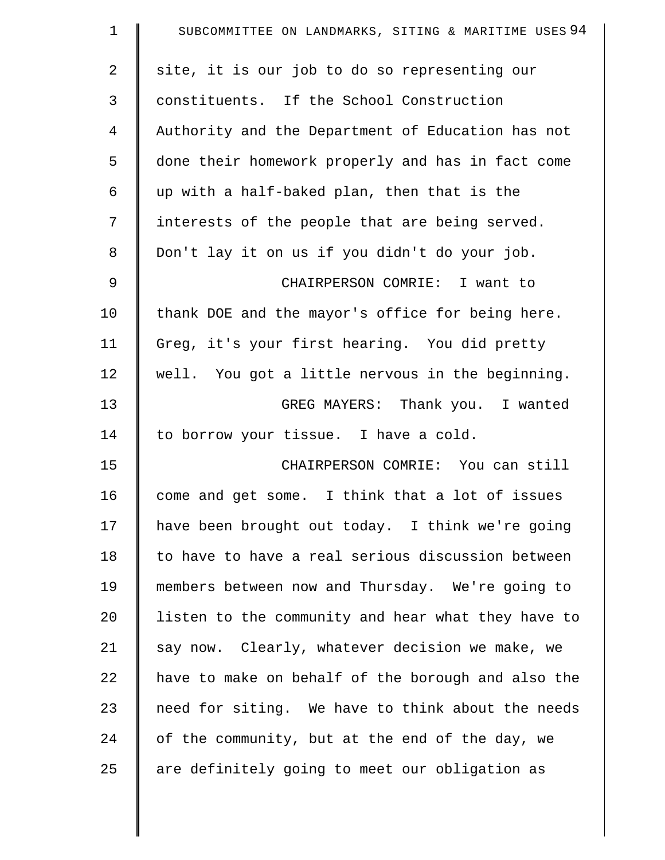| $\mathbf 1$ | SUBCOMMITTEE ON LANDMARKS, SITING & MARITIME USES 94 |
|-------------|------------------------------------------------------|
| 2           | site, it is our job to do so representing our        |
| 3           | constituents. If the School Construction             |
| 4           | Authority and the Department of Education has not    |
| 5           | done their homework properly and has in fact come    |
| 6           | up with a half-baked plan, then that is the          |
| 7           | interests of the people that are being served.       |
| 8           | Don't lay it on us if you didn't do your job.        |
| 9           | CHAIRPERSON COMRIE: I want to                        |
| 10          | thank DOE and the mayor's office for being here.     |
| 11          | Greg, it's your first hearing. You did pretty        |
| 12          | well. You got a little nervous in the beginning.     |
| 13          | GREG MAYERS: Thank you. I wanted                     |
| 14          | to borrow your tissue. I have a cold.                |
| 15          | CHAIRPERSON COMRIE: You can still                    |
| 16          | come and get some. I think that a lot of issues      |
| 17          | have been brought out today. I think we're going     |
| 18          | to have to have a real serious discussion between    |
| 19          | members between now and Thursday. We're going to     |
| 20          | listen to the community and hear what they have to   |
| 21          | say now. Clearly, whatever decision we make, we      |
| 22          | have to make on behalf of the borough and also the   |
| 23          | need for siting. We have to think about the needs    |
| 24          | of the community, but at the end of the day, we      |
| 25          | are definitely going to meet our obligation as       |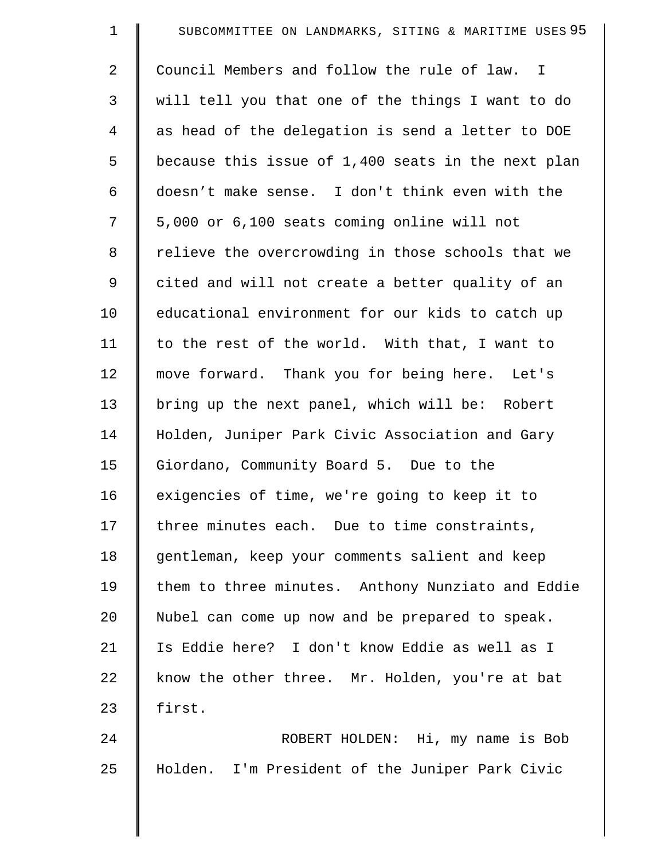| $\mathbf 1$ | SUBCOMMITTEE ON LANDMARKS, SITING & MARITIME USES 95 |
|-------------|------------------------------------------------------|
| 2           | Council Members and follow the rule of law. I        |
| 3           | will tell you that one of the things I want to do    |
| 4           | as head of the delegation is send a letter to DOE    |
| 5           | because this issue of 1,400 seats in the next plan   |
| 6           | doesn't make sense. I don't think even with the      |
| 7           | 5,000 or 6,100 seats coming online will not          |
| 8           | relieve the overcrowding in those schools that we    |
| 9           | cited and will not create a better quality of an     |
| 10          | educational environment for our kids to catch up     |
| 11          | to the rest of the world. With that, I want to       |
| 12          | move forward. Thank you for being here. Let's        |
| 13          | bring up the next panel, which will be: Robert       |
| 14          | Holden, Juniper Park Civic Association and Gary      |
| 15          | Giordano, Community Board 5. Due to the              |
| 16          | exigencies of time, we're going to keep it to        |
| 17          | three minutes each. Due to time constraints,         |
| 18          | gentleman, keep your comments salient and keep       |
| 19          | them to three minutes. Anthony Nunziato and Eddie    |
| 20          | Nubel can come up now and be prepared to speak.      |
| 21          | Is Eddie here? I don't know Eddie as well as I       |
| 22          | know the other three. Mr. Holden, you're at bat      |
| 23          | first.                                               |
| 24          | ROBERT HOLDEN: Hi, my name is Bob                    |
| 25          | Holden. I'm President of the Juniper Park Civic      |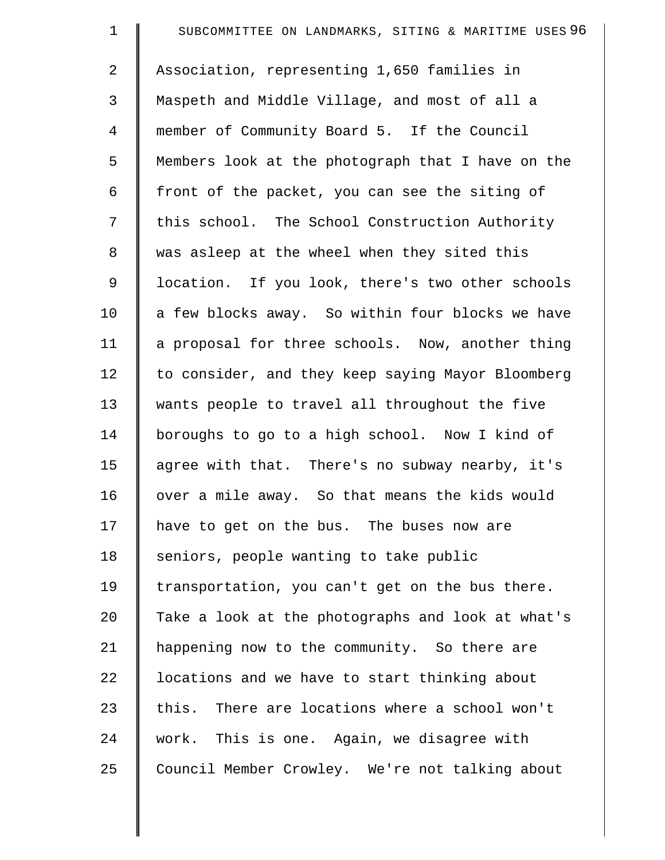| $\mathbf 1$ | SUBCOMMITTEE ON LANDMARKS, SITING & MARITIME USES 96 |
|-------------|------------------------------------------------------|
| 2           | Association, representing 1,650 families in          |
| 3           | Maspeth and Middle Village, and most of all a        |
| 4           | member of Community Board 5. If the Council          |
| 5           | Members look at the photograph that I have on the    |
| 6           | front of the packet, you can see the siting of       |
| 7           | this school. The School Construction Authority       |
| 8           | was asleep at the wheel when they sited this         |
| 9           | location. If you look, there's two other schools     |
| 10          | a few blocks away. So within four blocks we have     |
| 11          | a proposal for three schools. Now, another thing     |
| 12          | to consider, and they keep saying Mayor Bloomberg    |
| 13          | wants people to travel all throughout the five       |
| 14          | boroughs to go to a high school. Now I kind of       |
| 15          | agree with that. There's no subway nearby, it's      |
| 16          | over a mile away. So that means the kids would       |
| 17          | have to get on the bus. The buses now are            |
| 18          | seniors, people wanting to take public               |
| 19          | transportation, you can't get on the bus there.      |
| 20          | Take a look at the photographs and look at what's    |
| 21          | happening now to the community. So there are         |
| 22          | locations and we have to start thinking about        |
| 23          | this. There are locations where a school won't       |
| 24          | work. This is one. Again, we disagree with           |
| 25          | Council Member Crowley. We're not talking about      |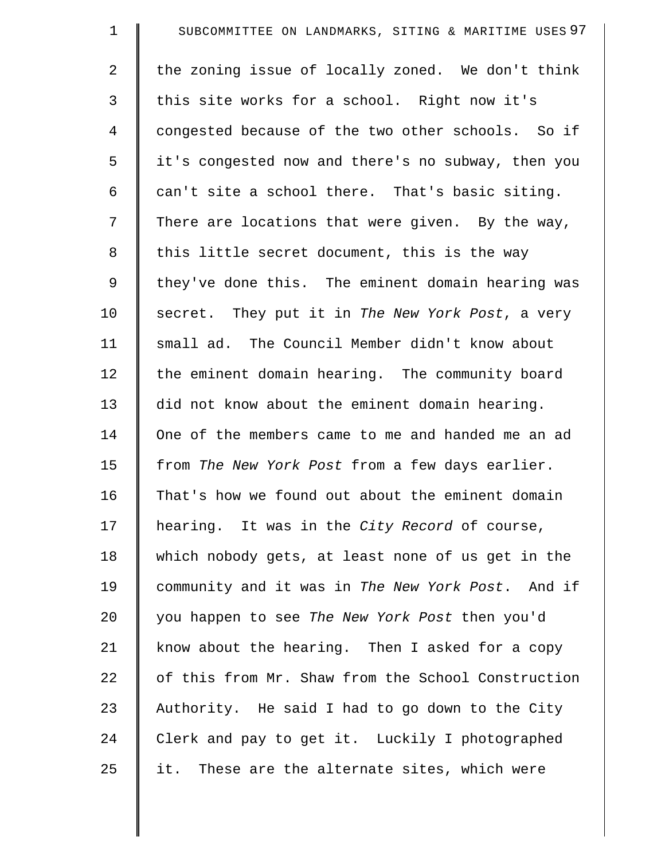| $\mathbf 1$    | SUBCOMMITTEE ON LANDMARKS, SITING & MARITIME USES 97 |
|----------------|------------------------------------------------------|
| $\overline{2}$ | the zoning issue of locally zoned. We don't think    |
| 3              | this site works for a school. Right now it's         |
| $\overline{4}$ | congested because of the two other schools. So if    |
| 5              | it's congested now and there's no subway, then you   |
| 6              | can't site a school there. That's basic siting.      |
| 7              | There are locations that were given. By the way,     |
| 8              | this little secret document, this is the way         |
| 9              | they've done this. The eminent domain hearing was    |
| 10             | secret. They put it in The New York Post, a very     |
| 11             | small ad. The Council Member didn't know about       |
| 12             | the eminent domain hearing. The community board      |
| 13             | did not know about the eminent domain hearing.       |
| 14             | One of the members came to me and handed me an ad    |
| 15             | from The New York Post from a few days earlier.      |
| 16             | That's how we found out about the eminent domain     |
| 17             | hearing. It was in the City Record of course,        |
| 18             | which nobody gets, at least none of us get in the    |
| 19             | community and it was in The New York Post. And if    |
| 20             | you happen to see The New York Post then you'd       |
| 21             | know about the hearing. Then I asked for a copy      |
| 22             | of this from Mr. Shaw from the School Construction   |
| 23             | Authority. He said I had to go down to the City      |
| 24             | Clerk and pay to get it. Luckily I photographed      |
| 25             | These are the alternate sites, which were<br>it.     |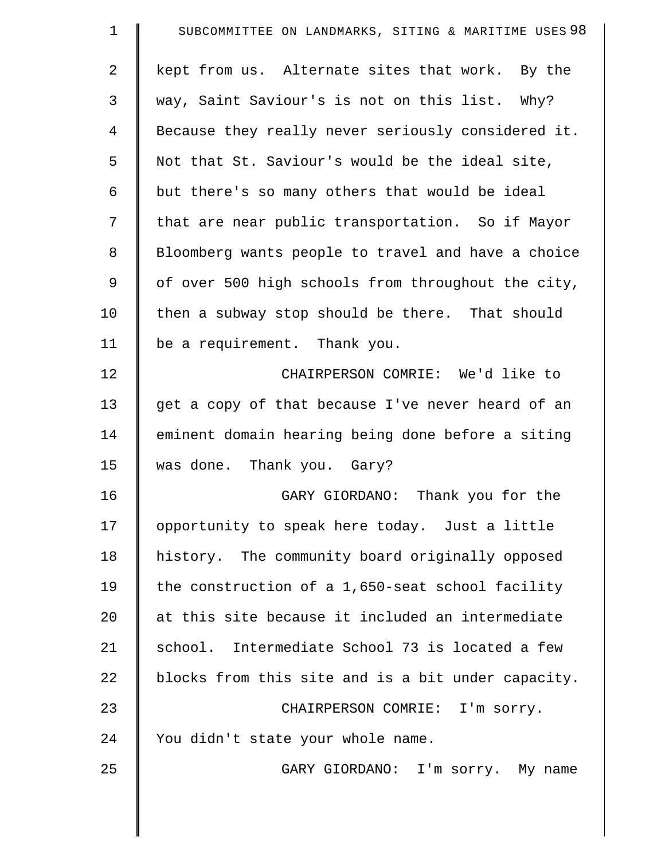| $\mathbf 1$    | SUBCOMMITTEE ON LANDMARKS, SITING & MARITIME USES 98 |
|----------------|------------------------------------------------------|
| 2              | kept from us. Alternate sites that work. By the      |
| 3              | way, Saint Saviour's is not on this list. Why?       |
| $\overline{4}$ | Because they really never seriously considered it.   |
| 5              | Not that St. Saviour's would be the ideal site,      |
| 6              | but there's so many others that would be ideal       |
| 7              | that are near public transportation. So if Mayor     |
| 8              | Bloomberg wants people to travel and have a choice   |
| 9              | of over 500 high schools from throughout the city,   |
| 10             | then a subway stop should be there. That should      |
| 11             | be a requirement. Thank you.                         |
| 12             | CHAIRPERSON COMRIE: We'd like to                     |
| 13             | get a copy of that because I've never heard of an    |
| 14             | eminent domain hearing being done before a siting    |
| 15             | was done. Thank you. Gary?                           |
| 16             | GARY GIORDANO: Thank you for the                     |
| 17             | opportunity to speak here today. Just a little       |
| 18             | history. The community board originally opposed      |
| 19             | the construction of a 1,650-seat school facility     |
| 20             | at this site because it included an intermediate     |
| 21             | school. Intermediate School 73 is located a few      |
| 22             | blocks from this site and is a bit under capacity.   |
| 23             | CHAIRPERSON COMRIE: I'm sorry.                       |
| 24             | You didn't state your whole name.                    |
| 25             | GARY GIORDANO: I'm sorry. My name                    |

 $\parallel$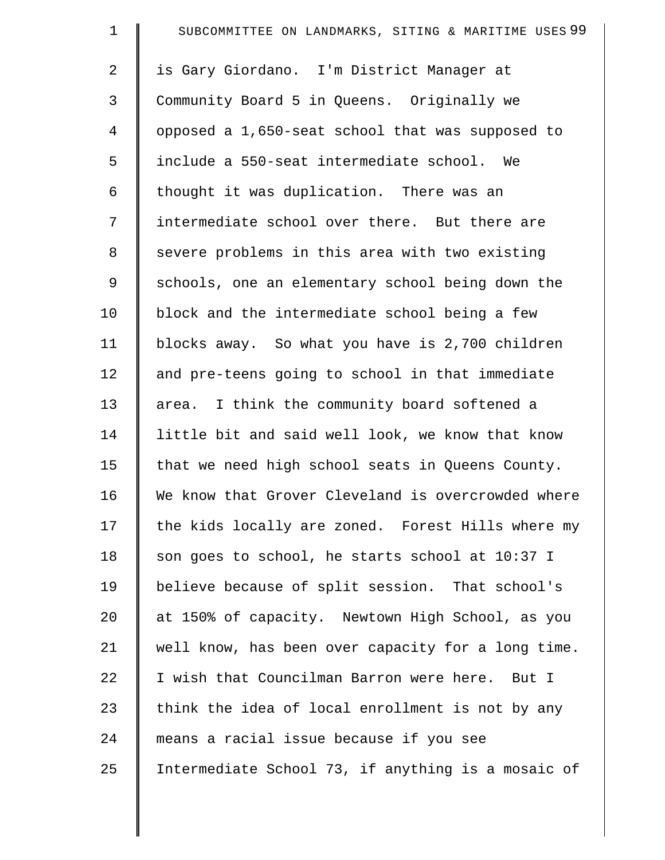| $\mathbf 1$ | SUBCOMMITTEE ON LANDMARKS, SITING & MARITIME USES 99 |
|-------------|------------------------------------------------------|
| 2           | is Gary Giordano. I'm District Manager at            |
| 3           | Community Board 5 in Queens. Originally we           |
| 4           | opposed a 1,650-seat school that was supposed to     |
| 5           | include a 550-seat intermediate school. We           |
| 6           | thought it was duplication. There was an             |
| 7           | intermediate school over there. But there are        |
| 8           | severe problems in this area with two existing       |
| 9           | schools, one an elementary school being down the     |
| 10          | block and the intermediate school being a few        |
| 11          | blocks away. So what you have is 2,700 children      |
| 12          | and pre-teens going to school in that immediate      |
| 13          | area. I think the community board softened a         |
| 14          | little bit and said well look, we know that know     |
| 15          | that we need high school seats in Queens County.     |
| 16          | We know that Grover Cleveland is overcrowded where   |
| 17          | the kids locally are zoned. Forest Hills where my    |
| 18          | son goes to school, he starts school at 10:37 I      |
| 19          | believe because of split session. That school's      |
| 20          | at 150% of capacity. Newtown High School, as you     |
| 21          | well know, has been over capacity for a long time.   |
| 22          | I wish that Councilman Barron were here. But I       |
| 23          | think the idea of local enrollment is not by any     |
| 24          | means a racial issue because if you see              |
| 25          | Intermediate School 73, if anything is a mosaic of   |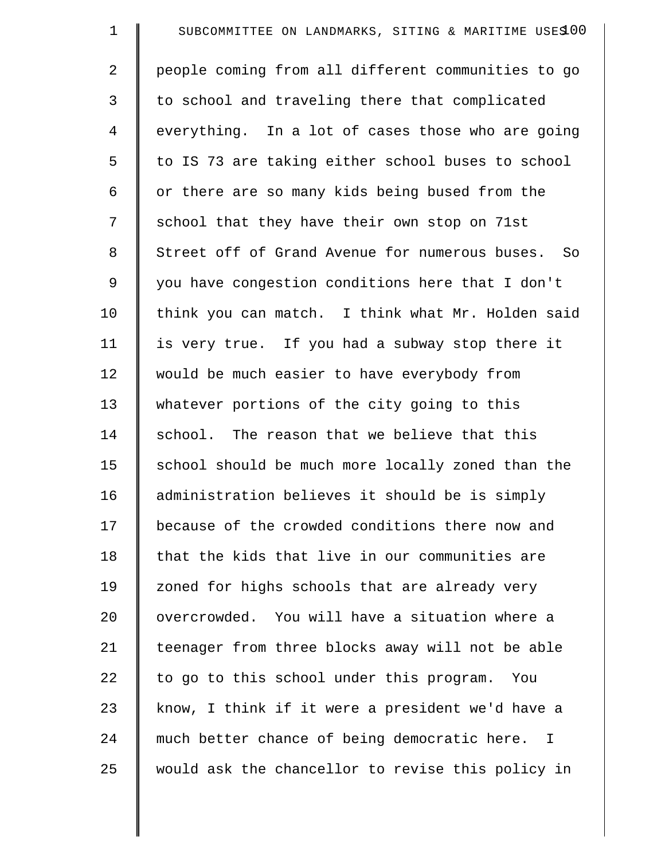| $\mathbf 1$ | SUBCOMMITTEE ON LANDMARKS, SITING & MARITIME USES 00 |
|-------------|------------------------------------------------------|
| 2           | people coming from all different communities to go   |
| 3           | to school and traveling there that complicated       |
| 4           | everything. In a lot of cases those who are going    |
| 5           | to IS 73 are taking either school buses to school    |
| 6           | or there are so many kids being bused from the       |
| 7           | school that they have their own stop on 71st         |
| $\,8\,$     | Street off of Grand Avenue for numerous buses. So    |
| 9           | you have congestion conditions here that I don't     |
| 10          | think you can match. I think what Mr. Holden said    |
| 11          | is very true. If you had a subway stop there it      |
| 12          | would be much easier to have everybody from          |
| 13          | whatever portions of the city going to this          |
| 14          | school. The reason that we believe that this         |
| 15          | school should be much more locally zoned than the    |
| 16          | administration believes it should be is simply       |
| 17          | because of the crowded conditions there now and      |
| 18          | that the kids that live in our communities are       |
| 19          | zoned for highs schools that are already very        |
| 20          | overcrowded. You will have a situation where a       |
| 21          | teenager from three blocks away will not be able     |
| 22          | to go to this school under this program. You         |
| 23          | know, I think if it were a president we'd have a     |
| 24          | much better chance of being democratic here. I       |
| 25          | would ask the chancellor to revise this policy in    |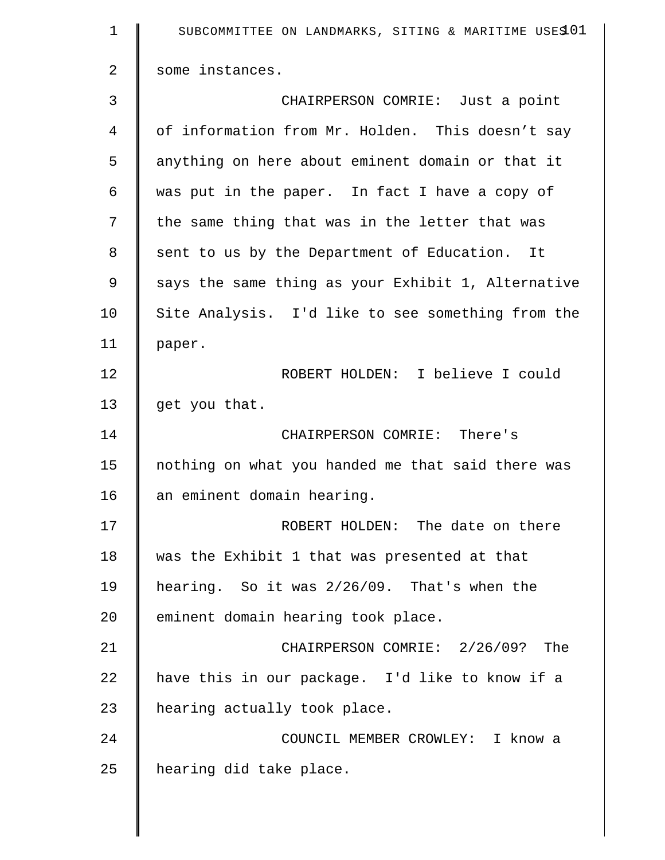| $\mathbf 1$    | SUBCOMMITTEE ON LANDMARKS, SITING & MARITIME USES 01 |
|----------------|------------------------------------------------------|
| $\overline{2}$ | some instances.                                      |
| 3              | CHAIRPERSON COMRIE: Just a point                     |
| 4              | of information from Mr. Holden. This doesn't say     |
| 5              | anything on here about eminent domain or that it     |
| 6              | was put in the paper. In fact I have a copy of       |
| 7              | the same thing that was in the letter that was       |
| 8              | sent to us by the Department of Education. It        |
| 9              | says the same thing as your Exhibit 1, Alternative   |
| 10             | Site Analysis. I'd like to see something from the    |
| 11             | paper.                                               |
| 12             | ROBERT HOLDEN: I believe I could                     |
| 13             | get you that.                                        |
| 14             | CHAIRPERSON COMRIE: There's                          |
| 15             | nothing on what you handed me that said there was    |
| 16             | an eminent domain hearing.                           |
| 17             | ROBERT HOLDEN: The date on there                     |
| 18             | was the Exhibit 1 that was presented at that         |
| 19             | hearing. So it was 2/26/09. That's when the          |
| 20             | eminent domain hearing took place.                   |
| 21             | CHAIRPERSON COMRIE: 2/26/09? The                     |
| 22             | have this in our package. I'd like to know if a      |
| 23             | hearing actually took place.                         |
| 24             | COUNCIL MEMBER CROWLEY: I know a                     |
| 25             | hearing did take place.                              |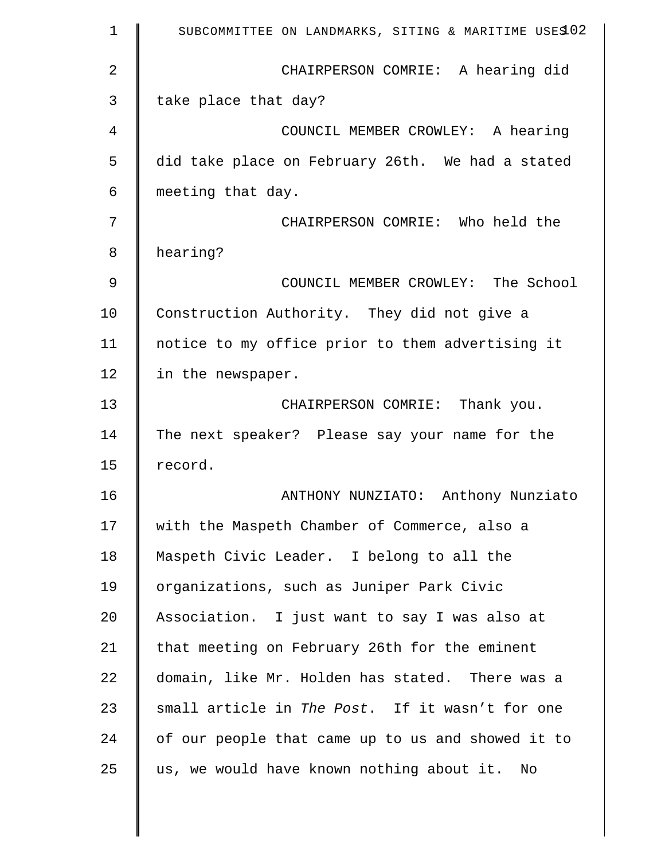| 1  | SUBCOMMITTEE ON LANDMARKS, SITING & MARITIME USES 02 |
|----|------------------------------------------------------|
| 2  | CHAIRPERSON COMRIE: A hearing did                    |
| 3  | take place that day?                                 |
| 4  | COUNCIL MEMBER CROWLEY: A hearing                    |
| 5  | did take place on February 26th. We had a stated     |
| 6  | meeting that day.                                    |
| 7  | CHAIRPERSON COMRIE: Who held the                     |
| 8  | hearing?                                             |
| 9  | COUNCIL MEMBER CROWLEY: The School                   |
| 10 | Construction Authority. They did not give a          |
| 11 | notice to my office prior to them advertising it     |
| 12 | in the newspaper.                                    |
| 13 | CHAIRPERSON COMRIE: Thank you.                       |
| 14 | The next speaker? Please say your name for the       |
| 15 | record.                                              |
| 16 | ANTHONY NUNZIATO: Anthony Nunziato                   |
| 17 | with the Maspeth Chamber of Commerce, also a         |
| 18 | Maspeth Civic Leader. I belong to all the            |
| 19 | organizations, such as Juniper Park Civic            |
| 20 | Association. I just want to say I was also at        |
| 21 | that meeting on February 26th for the eminent        |
| 22 | domain, like Mr. Holden has stated. There was a      |
| 23 | small article in The Post. If it wasn't for one      |
| 24 | of our people that came up to us and showed it to    |
| 25 | us, we would have known nothing about it.<br>No      |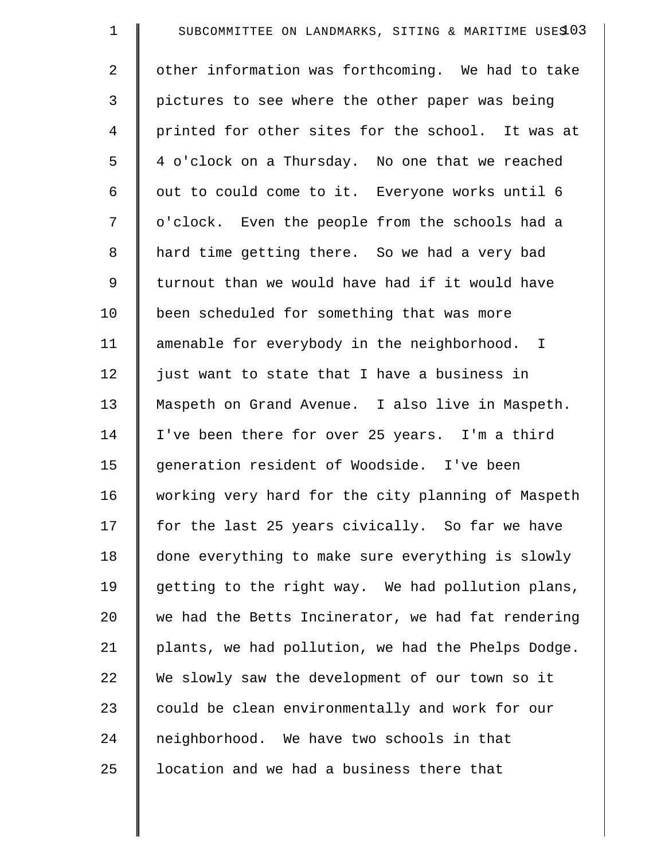| $\mathbf 1$ | SUBCOMMITTEE ON LANDMARKS, SITING & MARITIME USES 03 |
|-------------|------------------------------------------------------|
| 2           | other information was forthcoming. We had to take    |
| 3           | pictures to see where the other paper was being      |
| 4           | printed for other sites for the school. It was at    |
| 5           | 4 o'clock on a Thursday. No one that we reached      |
| 6           | out to could come to it. Everyone works until 6      |
| 7           | o'clock. Even the people from the schools had a      |
| $\,8\,$     | hard time getting there. So we had a very bad        |
| 9           | turnout than we would have had if it would have      |
| 10          | been scheduled for something that was more           |
| 11          | amenable for everybody in the neighborhood. I        |
| 12          | just want to state that I have a business in         |
| 13          | Maspeth on Grand Avenue. I also live in Maspeth.     |
| 14          | I've been there for over 25 years. I'm a third       |
| 15          | generation resident of Woodside. I've been           |
| 16          | working very hard for the city planning of Maspeth   |
| 17          | for the last 25 years civically. So far we have      |
| 18          | done everything to make sure everything is slowly    |
| 19          | getting to the right way. We had pollution plans,    |
| 20          | we had the Betts Incinerator, we had fat rendering   |
| 21          | plants, we had pollution, we had the Phelps Dodge.   |
| 22          | We slowly saw the development of our town so it      |
| 23          | could be clean environmentally and work for our      |
| 24          | neighborhood. We have two schools in that            |
| 25          | location and we had a business there that            |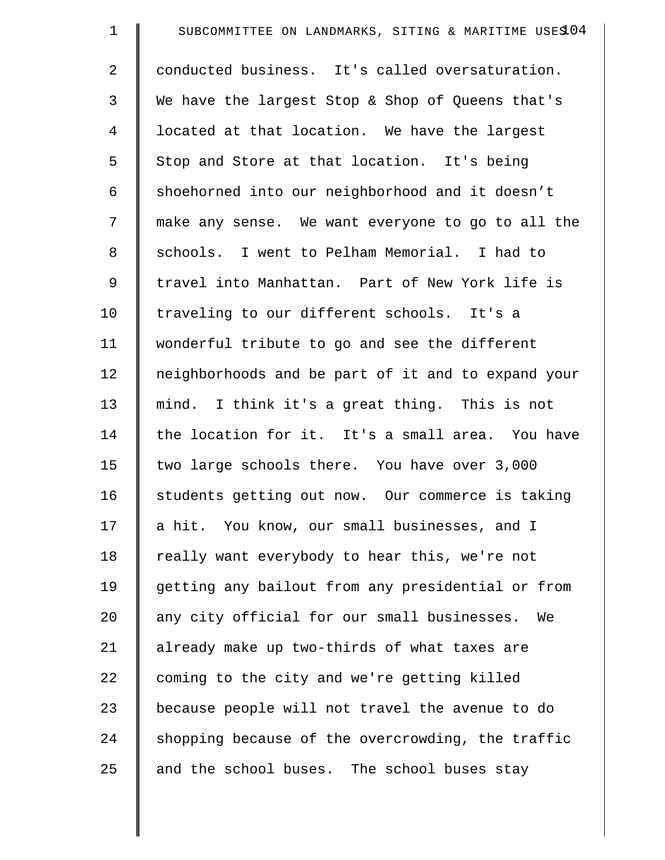| $\mathbf 1$ | SUBCOMMITTEE ON LANDMARKS, SITING & MARITIME USES 04 |
|-------------|------------------------------------------------------|
| 2           | conducted business. It's called oversaturation.      |
| 3           | We have the largest Stop & Shop of Queens that's     |
| 4           | located at that location. We have the largest        |
| 5           | Stop and Store at that location. It's being          |
| 6           | shoehorned into our neighborhood and it doesn't      |
| 7           | make any sense. We want everyone to go to all the    |
| 8           | schools. I went to Pelham Memorial. I had to         |
| 9           | travel into Manhattan. Part of New York life is      |
| 10          | traveling to our different schools. It's a           |
| 11          | wonderful tribute to go and see the different        |
| 12          | neighborhoods and be part of it and to expand your   |
| 13          | mind. I think it's a great thing. This is not        |
| 14          | the location for it. It's a small area. You have     |
| 15          | two large schools there. You have over 3,000         |
| 16          | students getting out now. Our commerce is taking     |
| 17          | a hit. You know, our small businesses, and I         |
| 18          | really want everybody to hear this, we're not        |
| 19          | getting any bailout from any presidential or from    |
| 20          | any city official for our small businesses.<br>We    |
| 21          | already make up two-thirds of what taxes are         |
| 22          | coming to the city and we're getting killed          |
| 23          | because people will not travel the avenue to do      |
| 24          | shopping because of the overcrowding, the traffic    |
| 25          | and the school buses. The school buses stay          |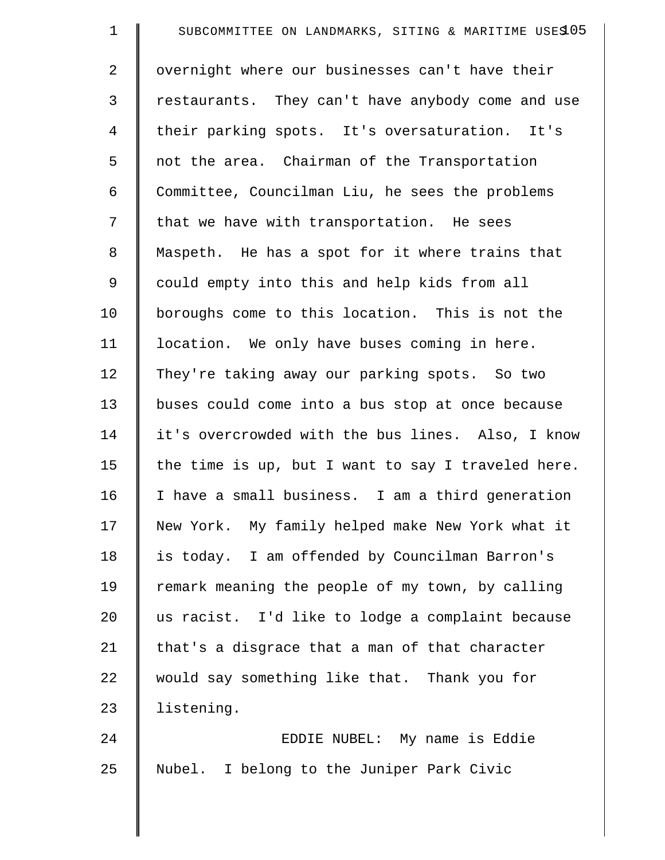| $\mathbf 1$    | SUBCOMMITTEE ON LANDMARKS, SITING & MARITIME USES 05 |
|----------------|------------------------------------------------------|
| $\overline{a}$ | overnight where our businesses can't have their      |
| 3              | restaurants. They can't have anybody come and use    |
| 4              | their parking spots. It's oversaturation. It's       |
| 5              | not the area. Chairman of the Transportation         |
| 6              | Committee, Councilman Liu, he sees the problems      |
| 7              | that we have with transportation. He sees            |
| 8              | Maspeth. He has a spot for it where trains that      |
| $\mathsf 9$    | could empty into this and help kids from all         |
| 10             | boroughs come to this location. This is not the      |
| 11             | location. We only have buses coming in here.         |
| 12             | They're taking away our parking spots. So two        |
| 13             | buses could come into a bus stop at once because     |
| 14             | it's overcrowded with the bus lines. Also, I know    |
| 15             | the time is up, but I want to say I traveled here.   |
| 16             | I have a small business. I am a third generation     |
| 17             | New York. My family helped make New York what it     |
| 18             | is today. I am offended by Councilman Barron's       |
| 19             | remark meaning the people of my town, by calling     |
| 20             | us racist. I'd like to lodge a complaint because     |
| 21             | that's a disgrace that a man of that character       |
| 22             | would say something like that. Thank you for         |
| 23             | listening.                                           |
| 24             | EDDIE NUBEL: My name is Eddie                        |
| 25             | Nubel. I belong to the Juniper Park Civic            |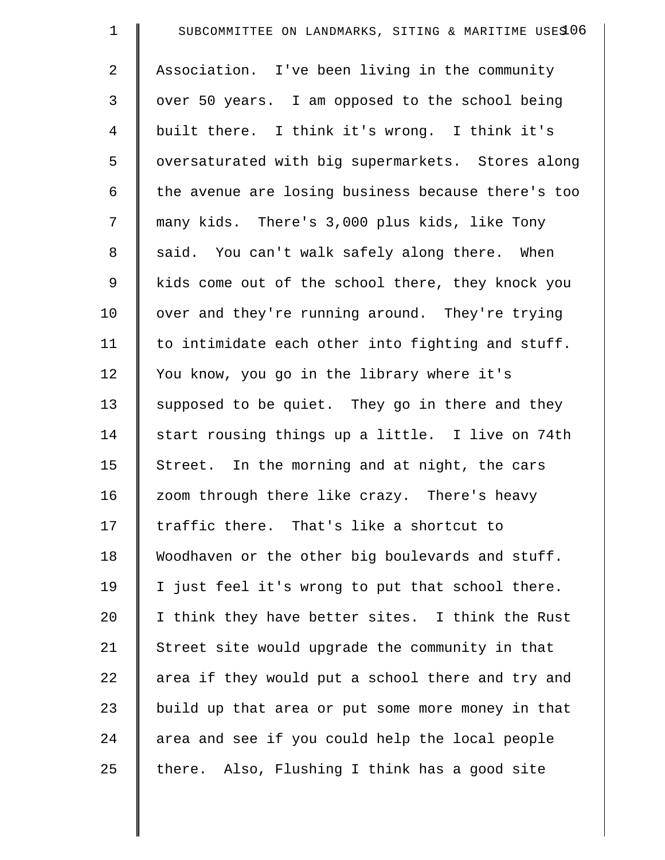| $\mathbf 1$    | SUBCOMMITTEE ON LANDMARKS, SITING & MARITIME USES 06 |
|----------------|------------------------------------------------------|
| 2              | Association. I've been living in the community       |
| $\mathfrak{Z}$ | over 50 years. I am opposed to the school being      |
| 4              | built there. I think it's wrong. I think it's        |
| 5              | oversaturated with big supermarkets. Stores along    |
| 6              | the avenue are losing business because there's too   |
| 7              | many kids. There's 3,000 plus kids, like Tony        |
| 8              | said. You can't walk safely along there. When        |
| 9              | kids come out of the school there, they knock you    |
| 10             | over and they're running around. They're trying      |
| 11             | to intimidate each other into fighting and stuff.    |
| 12             | You know, you go in the library where it's           |
| 13             | supposed to be quiet. They go in there and they      |
| 14             | start rousing things up a little. I live on 74th     |
| 15             | Street. In the morning and at night, the cars        |
| 16             | zoom through there like crazy. There's heavy         |
| 17             | traffic there. That's like a shortcut to             |
| 18             | Woodhaven or the other big boulevards and stuff.     |
| 19             | I just feel it's wrong to put that school there.     |
| 20             | I think they have better sites. I think the Rust     |
| 21             | Street site would upgrade the community in that      |
| 22             | area if they would put a school there and try and    |
| 23             | build up that area or put some more money in that    |
| 24             | area and see if you could help the local people      |
| 25             | there. Also, Flushing I think has a good site        |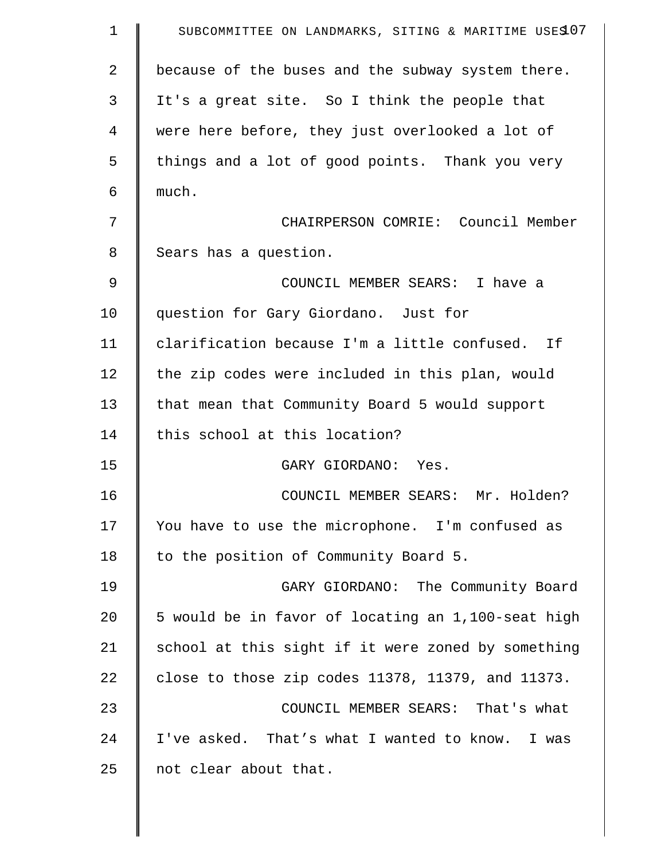| $\mathbf 1$ | SUBCOMMITTEE ON LANDMARKS, SITING & MARITIME USES 07 |
|-------------|------------------------------------------------------|
| 2           | because of the buses and the subway system there.    |
| 3           | It's a great site. So I think the people that        |
| 4           | were here before, they just overlooked a lot of      |
| 5           | things and a lot of good points. Thank you very      |
| 6           | much.                                                |
| 7           | CHAIRPERSON COMRIE: Council Member                   |
| 8           | Sears has a question.                                |
| 9           | COUNCIL MEMBER SEARS: I have a                       |
| 10          | question for Gary Giordano. Just for                 |
| 11          | clarification because I'm a little confused. If      |
| 12          | the zip codes were included in this plan, would      |
| 13          | that mean that Community Board 5 would support       |
| 14          | this school at this location?                        |
| 15          | GARY GIORDANO: Yes.                                  |
| 16          | COUNCIL MEMBER SEARS: Mr. Holden?                    |
| 17          | You have to use the microphone. I'm confused as      |
| 18          | to the position of Community Board 5.                |
| 19          | GARY GIORDANO: The Community Board                   |
| 20          | 5 would be in favor of locating an 1,100-seat high   |
| 21          | school at this sight if it were zoned by something   |
| 22          | close to those zip codes 11378, 11379, and 11373.    |
| 23          | COUNCIL MEMBER SEARS: That's what                    |
| 24          | I've asked. That's what I wanted to know. I was      |
| 25          | not clear about that.                                |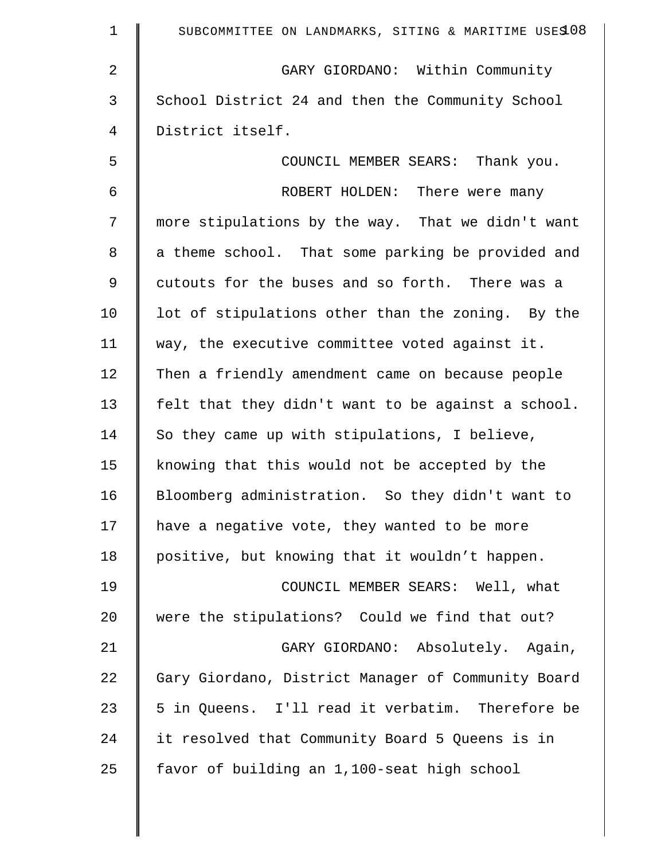| $\mathbf{1}$ | SUBCOMMITTEE ON LANDMARKS, SITING & MARITIME USES 08 |
|--------------|------------------------------------------------------|
| 2            | GARY GIORDANO: Within Community                      |
| 3            | School District 24 and then the Community School     |
| 4            | District itself.                                     |
| 5            | COUNCIL MEMBER SEARS: Thank you.                     |
| 6            | ROBERT HOLDEN: There were many                       |
| 7            | more stipulations by the way. That we didn't want    |
| 8            | a theme school. That some parking be provided and    |
| 9            | cutouts for the buses and so forth. There was a      |
| 10           | lot of stipulations other than the zoning. By the    |
| 11           | way, the executive committee voted against it.       |
| 12           | Then a friendly amendment came on because people     |
| 13           | felt that they didn't want to be against a school.   |
| 14           | So they came up with stipulations, I believe,        |
| 15           | knowing that this would not be accepted by the       |
| 16           | Bloomberg administration. So they didn't want to     |
| 17           | have a negative vote, they wanted to be more         |
| 18           | positive, but knowing that it wouldn't happen.       |
| 19           | COUNCIL MEMBER SEARS: Well, what                     |
| 20           | were the stipulations? Could we find that out?       |
| 21           | GARY GIORDANO: Absolutely. Again,                    |
| 22           | Gary Giordano, District Manager of Community Board   |
| 23           | 5 in Queens. I'll read it verbatim. Therefore be     |
| 24           | it resolved that Community Board 5 Queens is in      |
| 25           | favor of building an 1,100-seat high school          |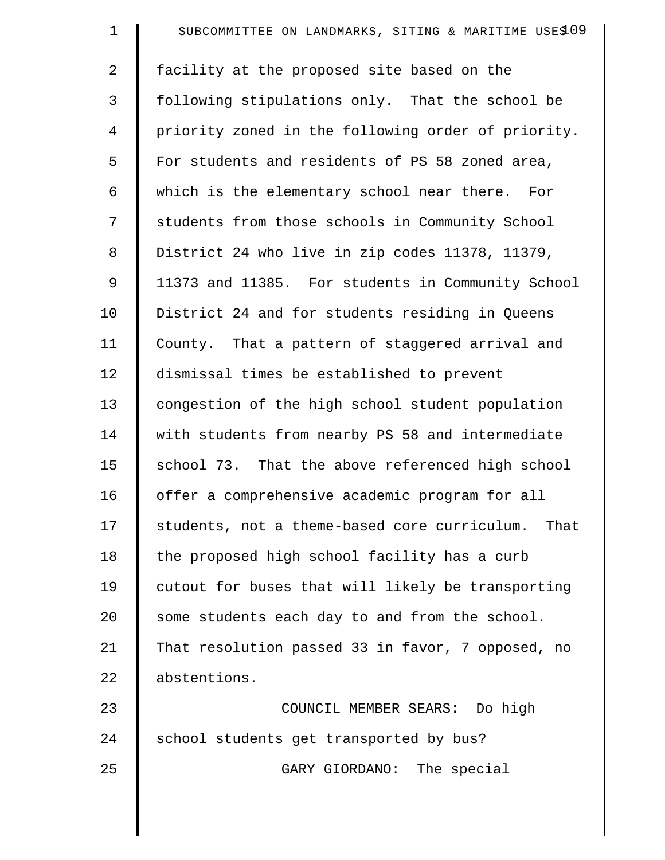| $\mathbf 1$    | SUBCOMMITTEE ON LANDMARKS, SITING & MARITIME USES 09 |
|----------------|------------------------------------------------------|
| $\overline{2}$ | facility at the proposed site based on the           |
| 3              | following stipulations only. That the school be      |
| $\overline{4}$ | priority zoned in the following order of priority.   |
| 5              | For students and residents of PS 58 zoned area,      |
| 6              | which is the elementary school near there. For       |
| 7              | students from those schools in Community School      |
| 8              | District 24 who live in zip codes 11378, 11379,      |
| $\mathsf 9$    | 11373 and 11385. For students in Community School    |
| 10             | District 24 and for students residing in Queens      |
| 11             | County. That a pattern of staggered arrival and      |
| 12             | dismissal times be established to prevent            |
| 13             | congestion of the high school student population     |
| 14             | with students from nearby PS 58 and intermediate     |
| 15             | school 73. That the above referenced high school     |
| 16             | offer a comprehensive academic program for all       |
| 17             | students, not a theme-based core curriculum.<br>That |
| 18             | the proposed high school facility has a curb         |
| 19             | cutout for buses that will likely be transporting    |
| 20             | some students each day to and from the school.       |
| 21             | That resolution passed 33 in favor, 7 opposed, no    |
| 22             | abstentions.                                         |
| 23             | COUNCIL MEMBER SEARS: Do high                        |
| 24             | school students get transported by bus?              |
| 25             | GARY GIORDANO: The special                           |
|                |                                                      |

 $\parallel$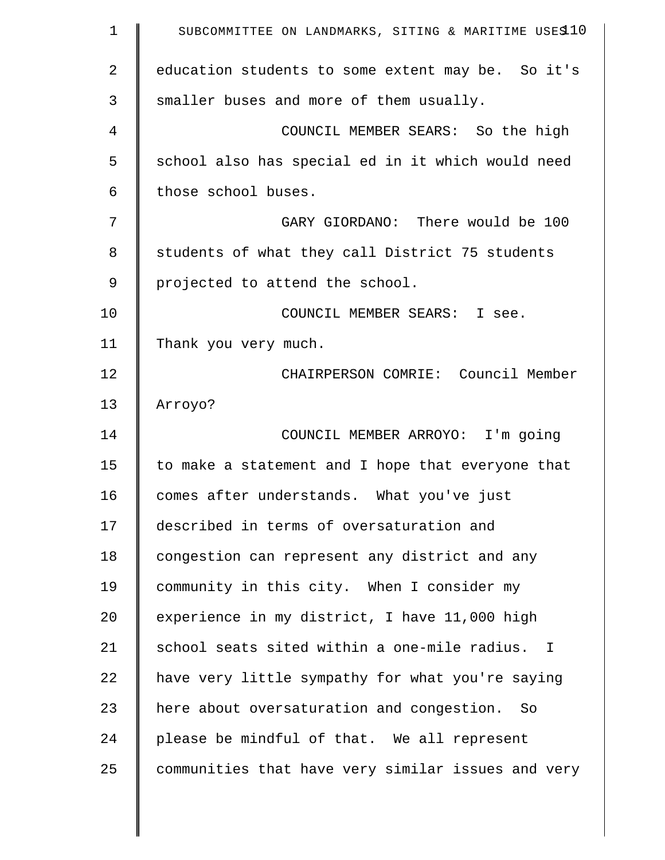| $\mathbf 1$    | SUBCOMMITTEE ON LANDMARKS, SITING & MARITIME USES10 |
|----------------|-----------------------------------------------------|
| $\overline{2}$ | education students to some extent may be. So it's   |
| 3              | smaller buses and more of them usually.             |
| 4              | COUNCIL MEMBER SEARS: So the high                   |
| 5              | school also has special ed in it which would need   |
| 6              | those school buses.                                 |
| 7              | GARY GIORDANO: There would be 100                   |
| 8              | students of what they call District 75 students     |
| 9              | projected to attend the school.                     |
| 10             | COUNCIL MEMBER SEARS: I see.                        |
| 11             | Thank you very much.                                |
| 12             | CHAIRPERSON COMRIE: Council Member                  |
| 13             | Arroyo?                                             |
| 14             | COUNCIL MEMBER ARROYO: I'm going                    |
| 15             | to make a statement and I hope that everyone that   |
| 16             | comes after understands. What you've just           |
| 17             | described in terms of oversaturation and            |
| 18             | congestion can represent any district and any       |
| 19             | community in this city. When I consider my          |
| 20             | experience in my district, I have 11,000 high       |
| 21             | school seats sited within a one-mile radius. I      |
| 22             | have very little sympathy for what you're saying    |
| 23             | here about oversaturation and congestion. So        |
| 24             | please be mindful of that. We all represent         |
| 25             | communities that have very similar issues and very  |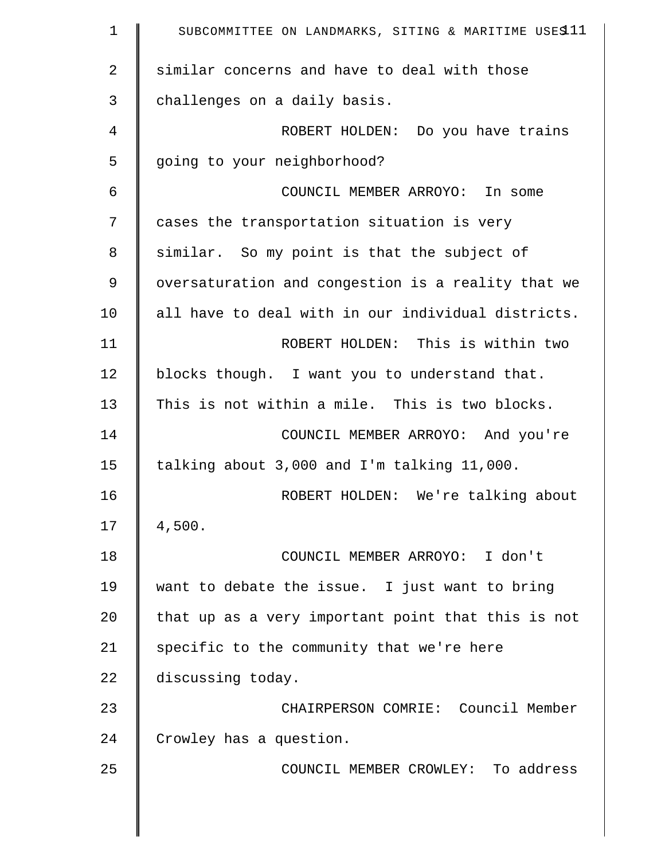| $\mathbf 1$    | SUBCOMMITTEE ON LANDMARKS, SITING & MARITIME USES11 |
|----------------|-----------------------------------------------------|
| $\overline{2}$ | similar concerns and have to deal with those        |
| 3              | challenges on a daily basis.                        |
| 4              | ROBERT HOLDEN: Do you have trains                   |
| 5              | going to your neighborhood?                         |
| $\epsilon$     | COUNCIL MEMBER ARROYO: In some                      |
| 7              | cases the transportation situation is very          |
| 8              | similar. So my point is that the subject of         |
| 9              | oversaturation and congestion is a reality that we  |
| 10             | all have to deal with in our individual districts.  |
| 11             | ROBERT HOLDEN: This is within two                   |
| 12             | blocks though. I want you to understand that.       |
| 13             | This is not within a mile. This is two blocks.      |
| 14             | COUNCIL MEMBER ARROYO: And you're                   |
| 15             | talking about 3,000 and I'm talking 11,000.         |
| 16             | ROBERT HOLDEN: We're talking about                  |
| 17             | 4,500.                                              |
| 18             | COUNCIL MEMBER ARROYO: I don't                      |
| 19             | want to debate the issue. I just want to bring      |
| 20             | that up as a very important point that this is not  |
| 21             | specific to the community that we're here           |
| 22             | discussing today.                                   |
| 23             | CHAIRPERSON COMRIE: Council Member                  |
| 24             | Crowley has a question.                             |
| 25             | COUNCIL MEMBER CROWLEY: To address                  |
|                |                                                     |
|                |                                                     |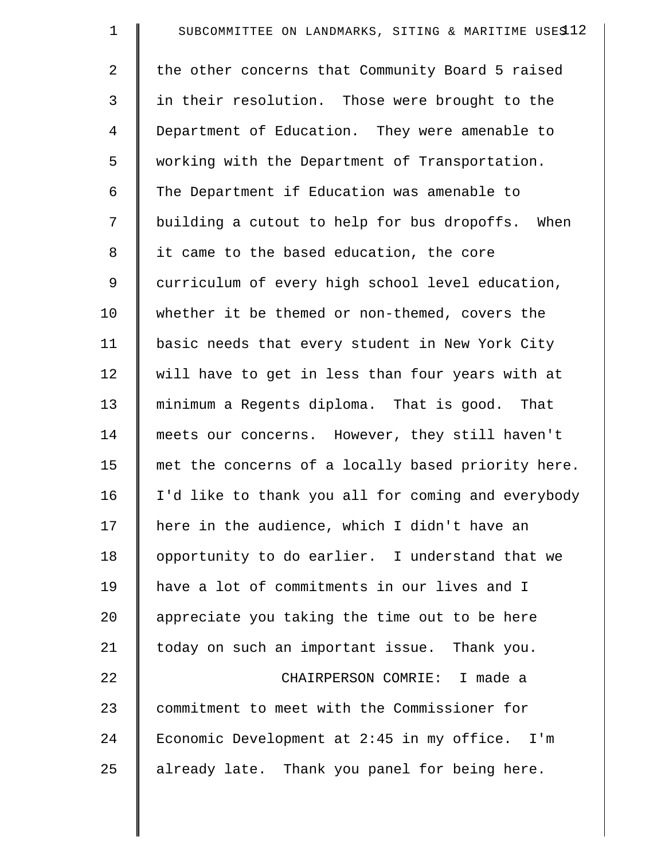| $\mathbf 1$ | SUBCOMMITTEE ON LANDMARKS, SITING & MARITIME USES12 |
|-------------|-----------------------------------------------------|
| 2           | the other concerns that Community Board 5 raised    |
| 3           | in their resolution. Those were brought to the      |
| 4           | Department of Education. They were amenable to      |
| 5           | working with the Department of Transportation.      |
| 6           | The Department if Education was amenable to         |
| 7           | building a cutout to help for bus dropoffs. When    |
| 8           | it came to the based education, the core            |
| 9           | curriculum of every high school level education,    |
| 10          | whether it be themed or non-themed, covers the      |
| 11          | basic needs that every student in New York City     |
| 12          | will have to get in less than four years with at    |
| 13          | minimum a Regents diploma. That is good. That       |
| 14          | meets our concerns. However, they still haven't     |
| 15          | met the concerns of a locally based priority here.  |
| 16          | I'd like to thank you all for coming and everybody  |
| 17          | here in the audience, which I didn't have an        |
| 18          | opportunity to do earlier. I understand that we     |
| 19          | have a lot of commitments in our lives and I        |
| 20          | appreciate you taking the time out to be here       |
| 21          | today on such an important issue. Thank you.        |
| 22          | CHAIRPERSON COMRIE: I made a                        |
| 23          | commitment to meet with the Commissioner for        |
| 24          | Economic Development at 2:45 in my office. I'm      |
| 25          | already late. Thank you panel for being here.       |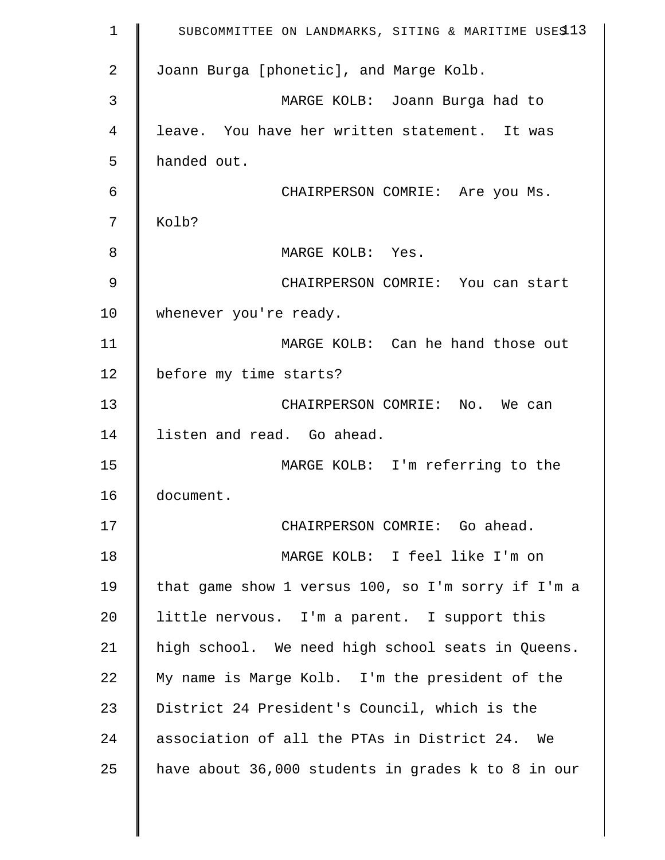| 1  | SUBCOMMITTEE ON LANDMARKS, SITING & MARITIME USES13 |
|----|-----------------------------------------------------|
| 2  | Joann Burga [phonetic], and Marge Kolb.             |
| 3  | MARGE KOLB: Joann Burga had to                      |
| 4  | leave. You have her written statement. It was       |
| 5  | handed out.                                         |
| 6  | CHAIRPERSON COMRIE: Are you Ms.                     |
| 7  | Kolb?                                               |
| 8  | MARGE KOLB: Yes.                                    |
| 9  | CHAIRPERSON COMRIE: You can start                   |
| 10 | whenever you're ready.                              |
| 11 | MARGE KOLB: Can he hand those out                   |
| 12 | before my time starts?                              |
| 13 | CHAIRPERSON COMRIE: No. We can                      |
| 14 | listen and read. Go ahead.                          |
| 15 | MARGE KOLB: I'm referring to the                    |
| 16 | document.                                           |
| 17 | CHAIRPERSON COMRIE: Go ahead.                       |
| 18 | MARGE KOLB: I feel like I'm on                      |
| 19 | that game show 1 versus 100, so I'm sorry if I'm a  |
| 20 | little nervous. I'm a parent. I support this        |
| 21 | high school. We need high school seats in Queens.   |
| 22 | My name is Marge Kolb. I'm the president of the     |
| 23 | District 24 President's Council, which is the       |
| 24 | association of all the PTAs in District 24. We      |
| 25 | have about 36,000 students in grades k to 8 in our  |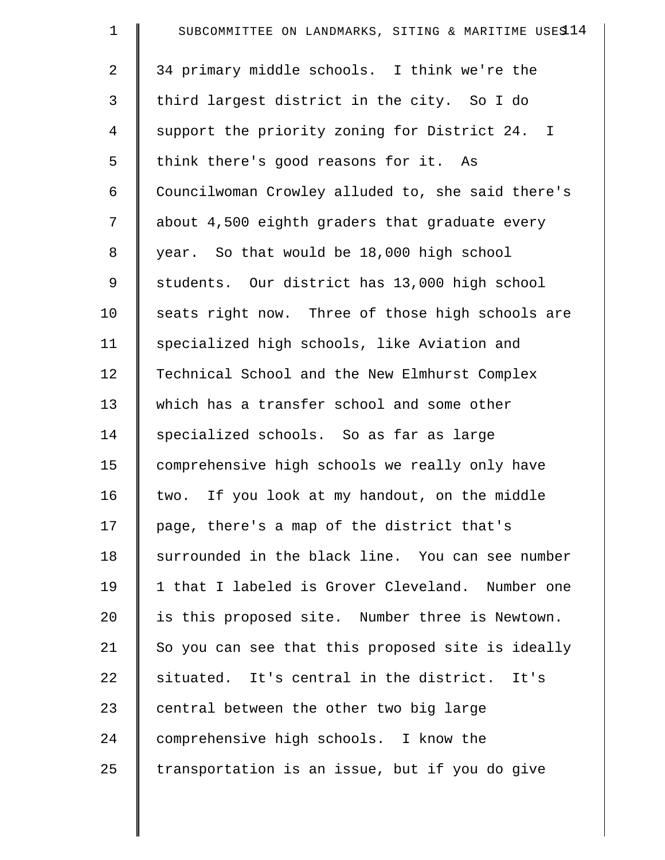| $\mathbf 1$ | SUBCOMMITTEE ON LANDMARKS, SITING & MARITIME USES14 |
|-------------|-----------------------------------------------------|
| 2           | 34 primary middle schools. I think we're the        |
| 3           | third largest district in the city. So I do         |
| 4           | support the priority zoning for District 24. I      |
| 5           | think there's good reasons for it. As               |
| 6           | Councilwoman Crowley alluded to, she said there's   |
| 7           | about 4,500 eighth graders that graduate every      |
| 8           | year. So that would be 18,000 high school           |
| 9           | students. Our district has 13,000 high school       |
| 10          | seats right now. Three of those high schools are    |
| 11          | specialized high schools, like Aviation and         |
| 12          | Technical School and the New Elmhurst Complex       |
| 13          | which has a transfer school and some other          |
| 14          | specialized schools. So as far as large             |
| 15          | comprehensive high schools we really only have      |
| 16          | two. If you look at my handout, on the middle       |
| 17          | page, there's a map of the district that's          |
| 18          | surrounded in the black line. You can see number    |
| 19          | 1 that I labeled is Grover Cleveland. Number one    |
| 20          | is this proposed site. Number three is Newtown.     |
| 21          | So you can see that this proposed site is ideally   |
| 22          | situated. It's central in the district. It's        |
| 23          | central between the other two big large             |
| 24          | comprehensive high schools. I know the              |
| 25          | transportation is an issue, but if you do give      |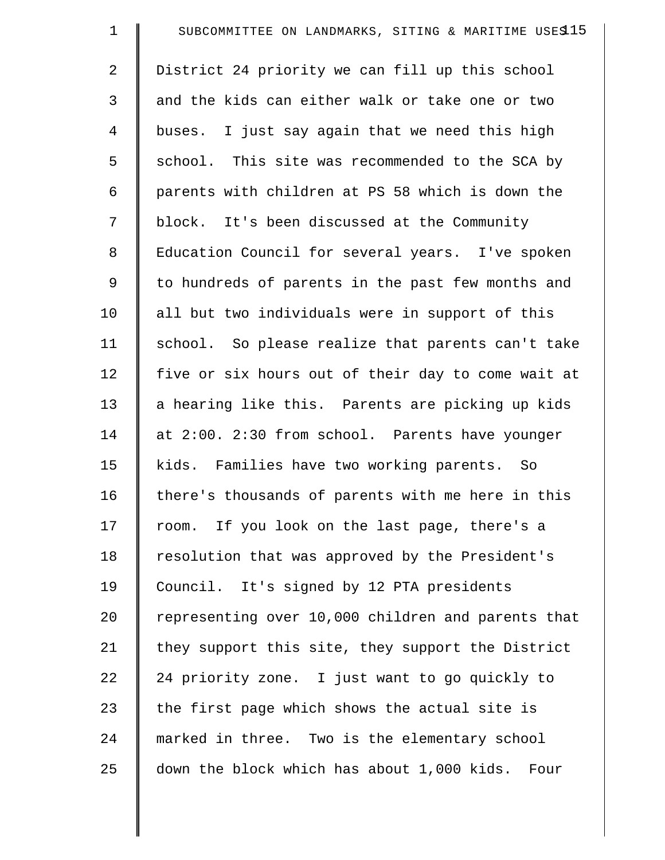| $\mathbf 1$    | SUBCOMMITTEE ON LANDMARKS, SITING & MARITIME USES15 |
|----------------|-----------------------------------------------------|
| $\overline{a}$ | District 24 priority we can fill up this school     |
| 3              | and the kids can either walk or take one or two     |
| 4              | buses. I just say again that we need this high      |
| 5              | school. This site was recommended to the SCA by     |
| 6              | parents with children at PS 58 which is down the    |
| 7              | block. It's been discussed at the Community         |
| 8              | Education Council for several years. I've spoken    |
| 9              | to hundreds of parents in the past few months and   |
| 10             | all but two individuals were in support of this     |
| 11             | school. So please realize that parents can't take   |
| 12             | five or six hours out of their day to come wait at  |
| 13             | a hearing like this. Parents are picking up kids    |
| 14             | at 2:00. 2:30 from school. Parents have younger     |
| 15             | kids. Families have two working parents. So         |
| 16             | there's thousands of parents with me here in this   |
| 17             | room. If you look on the last page, there's a       |
| 18             | resolution that was approved by the President's     |
| 19             | Council. It's signed by 12 PTA presidents           |
| 20             | representing over 10,000 children and parents that  |
| 21             | they support this site, they support the District   |
| 22             | 24 priority zone. I just want to go quickly to      |
| 23             | the first page which shows the actual site is       |
| 24             | marked in three. Two is the elementary school       |
| 25             | down the block which has about 1,000 kids. Four     |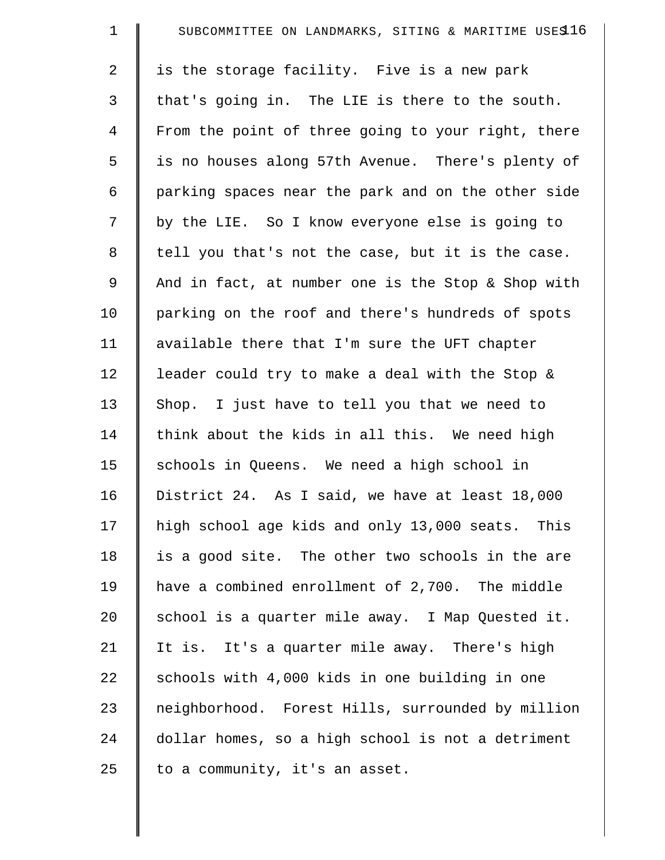| $\mathbf 1$    | SUBCOMMITTEE ON LANDMARKS, SITING & MARITIME USES16 |
|----------------|-----------------------------------------------------|
| $\overline{a}$ | is the storage facility. Five is a new park         |
| 3              | that's going in. The LIE is there to the south.     |
| 4              | From the point of three going to your right, there  |
| 5              | is no houses along 57th Avenue. There's plenty of   |
| 6              | parking spaces near the park and on the other side  |
| 7              | by the LIE. So I know everyone else is going to     |
| 8              | tell you that's not the case, but it is the case.   |
| 9              | And in fact, at number one is the Stop & Shop with  |
| 10             | parking on the roof and there's hundreds of spots   |
| 11             | available there that I'm sure the UFT chapter       |
| 12             | leader could try to make a deal with the Stop &     |
| 13             | Shop. I just have to tell you that we need to       |
| 14             | think about the kids in all this. We need high      |
| 15             | schools in Queens. We need a high school in         |
| 16             | District 24. As I said, we have at least 18,000     |
| 17             | high school age kids and only 13,000 seats. This    |
| 18             | is a good site. The other two schools in the are    |
| 19             | have a combined enrollment of 2,700. The middle     |
| 20             | school is a quarter mile away. I Map Quested it.    |
| 21             | It is. It's a quarter mile away. There's high       |
| 22             | schools with 4,000 kids in one building in one      |
| 23             | neighborhood. Forest Hills, surrounded by million   |
| 24             | dollar homes, so a high school is not a detriment   |
| 25             | to a community, it's an asset.                      |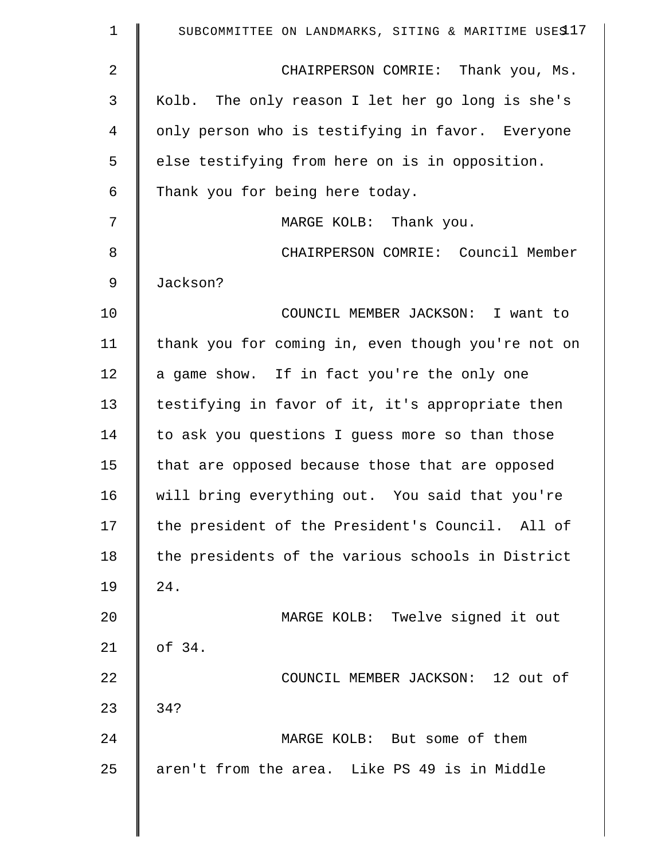| $\mathbf 1$ | SUBCOMMITTEE ON LANDMARKS, SITING & MARITIME USES17 |
|-------------|-----------------------------------------------------|
| 2           | CHAIRPERSON COMRIE: Thank you, Ms.                  |
| 3           | Kolb. The only reason I let her go long is she's    |
| 4           | only person who is testifying in favor. Everyone    |
| 5           | else testifying from here on is in opposition.      |
| 6           | Thank you for being here today.                     |
| 7           | MARGE KOLB: Thank you.                              |
| 8           | CHAIRPERSON COMRIE: Council Member                  |
| 9           | Jackson?                                            |
| 10          | COUNCIL MEMBER JACKSON: I want to                   |
| 11          | thank you for coming in, even though you're not on  |
| 12          | a game show. If in fact you're the only one         |
| 13          | testifying in favor of it, it's appropriate then    |
| 14          | to ask you questions I guess more so than those     |
| 15          | that are opposed because those that are opposed     |
| 16          | will bring everything out. You said that you're     |
| 17          | the president of the President's Council. All of    |
| 18          | the presidents of the various schools in District   |
| 19          | 24.                                                 |
| 20          | MARGE KOLB: Twelve signed it out                    |
| 21          | of 34.                                              |
| 22          | COUNCIL MEMBER JACKSON: 12 out of                   |
| 23          | 34?                                                 |
| 24          | MARGE KOLB: But some of them                        |
| 25          | aren't from the area. Like PS 49 is in Middle       |
|             |                                                     |

 $\parallel$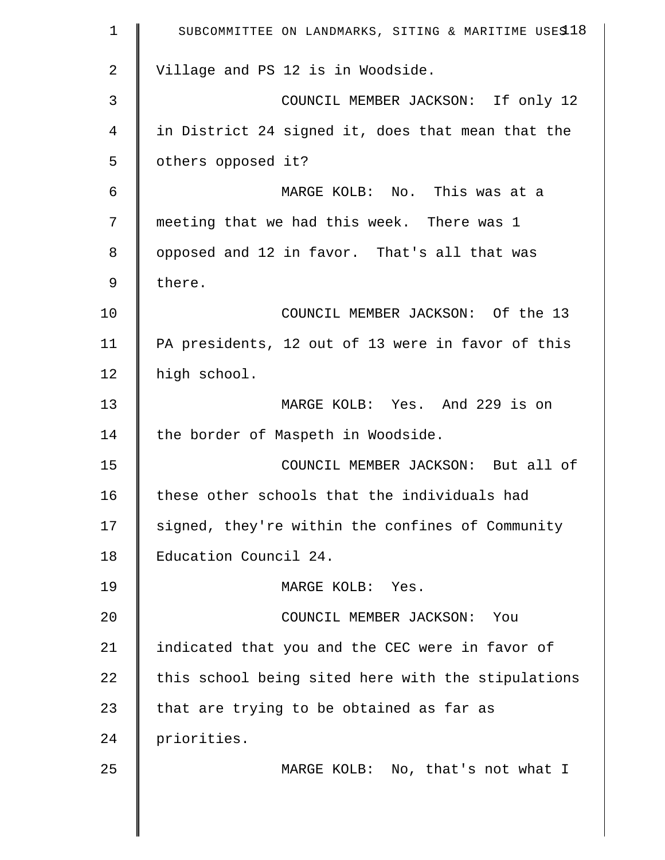| $\mathbf 1$    | SUBCOMMITTEE ON LANDMARKS, SITING & MARITIME USES 18 |
|----------------|------------------------------------------------------|
| 2              | Village and PS 12 is in Woodside.                    |
| 3              | COUNCIL MEMBER JACKSON: If only 12                   |
| $\overline{4}$ | in District 24 signed it, does that mean that the    |
| 5              | others opposed it?                                   |
| 6              | MARGE KOLB: No. This was at a                        |
| 7              | meeting that we had this week. There was 1           |
| 8              | opposed and 12 in favor. That's all that was         |
| $\mathsf 9$    | there.                                               |
| 10             | COUNCIL MEMBER JACKSON: Of the 13                    |
| 11             | PA presidents, 12 out of 13 were in favor of this    |
| 12             | high school.                                         |
| 13             | MARGE KOLB: Yes. And 229 is on                       |
| 14             | the border of Maspeth in Woodside.                   |
| 15             | COUNCIL MEMBER JACKSON: But all of                   |
| 16             | these other schools that the individuals had         |
| 17             | signed, they're within the confines of Community     |
| 18             | Education Council 24.                                |
| 19             | MARGE KOLB: Yes.                                     |
| 20             | COUNCIL MEMBER JACKSON: You                          |
| 21             | indicated that you and the CEC were in favor of      |
| 22             | this school being sited here with the stipulations   |
| 23             | that are trying to be obtained as far as             |
| 24             | priorities.                                          |
| 25             | MARGE KOLB: No, that's not what I                    |
|                |                                                      |
|                |                                                      |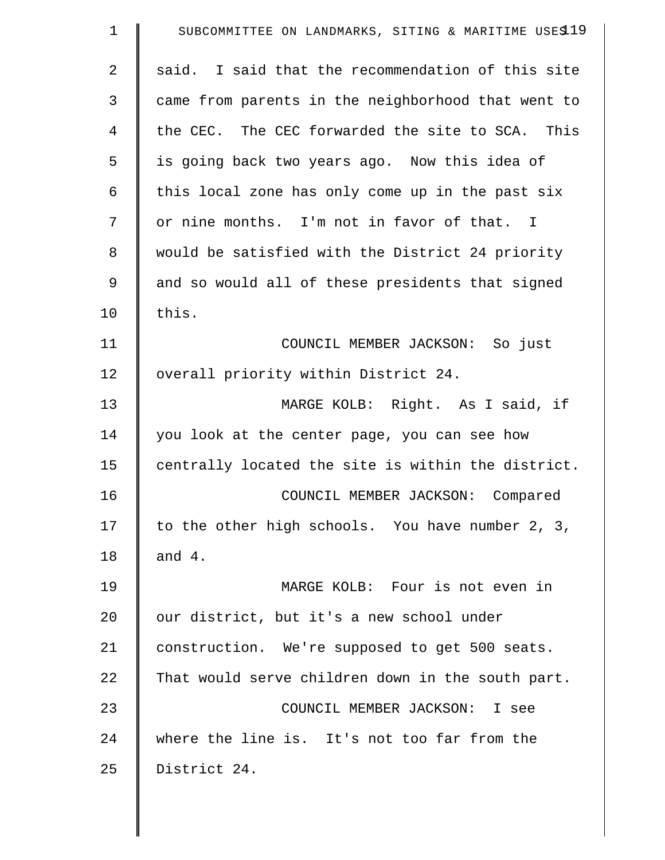| 1  | SUBCOMMITTEE ON LANDMARKS, SITING & MARITIME USES19 |
|----|-----------------------------------------------------|
| 2  | said. I said that the recommendation of this site   |
| 3  | came from parents in the neighborhood that went to  |
| 4  | the CEC. The CEC forwarded the site to SCA. This    |
| 5  | is going back two years ago. Now this idea of       |
| 6  | this local zone has only come up in the past six    |
| 7  | or nine months. I'm not in favor of that. I         |
| 8  | would be satisfied with the District 24 priority    |
| 9  | and so would all of these presidents that signed    |
| 10 | this.                                               |
| 11 | COUNCIL MEMBER JACKSON: So just                     |
| 12 | overall priority within District 24.                |
| 13 | MARGE KOLB: Right. As I said, if                    |
| 14 | you look at the center page, you can see how        |
| 15 | centrally located the site is within the district.  |
| 16 | COUNCIL MEMBER JACKSON: Compared                    |
| 17 | to the other high schools. You have number 2, 3,    |
| 18 | and $4.$                                            |
| 19 | MARGE KOLB: Four is not even in                     |
| 20 | our district, but it's a new school under           |
| 21 | construction. We're supposed to get 500 seats.      |
| 22 | That would serve children down in the south part.   |
| 23 | COUNCIL MEMBER JACKSON: I see                       |
| 24 | where the line is. It's not too far from the        |
| 25 | District 24.                                        |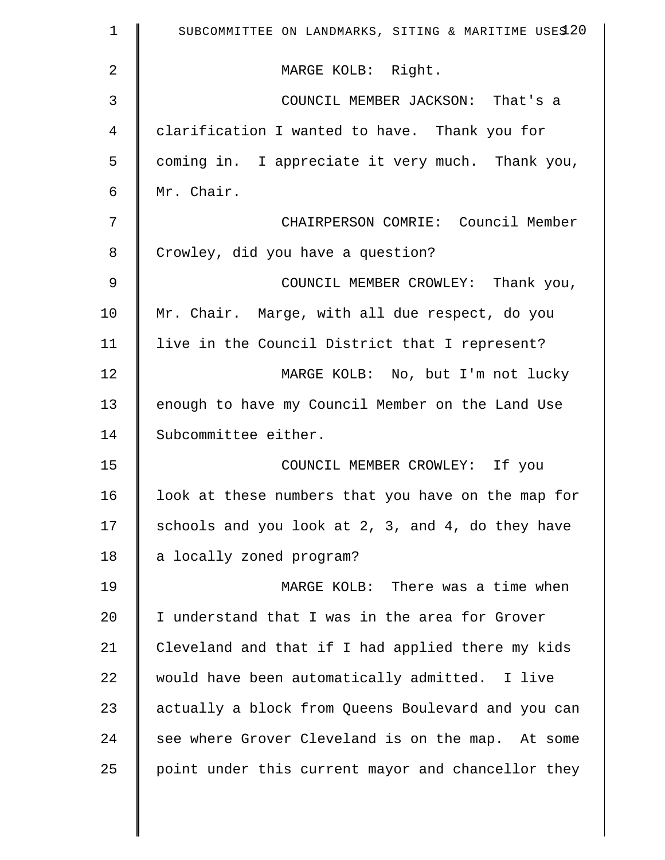| $\mathbf 1$    | SUBCOMMITTEE ON LANDMARKS, SITING & MARITIME USES 20 |
|----------------|------------------------------------------------------|
| $\overline{2}$ | MARGE KOLB: Right.                                   |
| 3              | COUNCIL MEMBER JACKSON: That's a                     |
| $\overline{4}$ | clarification I wanted to have. Thank you for        |
| 5              | coming in. I appreciate it very much. Thank you,     |
| 6              | Mr. Chair.                                           |
| 7              | CHAIRPERSON COMRIE: Council Member                   |
| 8              | Crowley, did you have a question?                    |
| $\mathsf 9$    | COUNCIL MEMBER CROWLEY: Thank you,                   |
| 10             | Mr. Chair. Marge, with all due respect, do you       |
| 11             | live in the Council District that I represent?       |
| 12             | MARGE KOLB: No, but I'm not lucky                    |
| 13             | enough to have my Council Member on the Land Use     |
| 14             | Subcommittee either.                                 |
| 15             | COUNCIL MEMBER CROWLEY: If you                       |
| 16             | look at these numbers that you have on the map for   |
| 17             | schools and you look at 2, 3, and 4, do they have    |
| 18             | a locally zoned program?                             |
| 19             | MARGE KOLB: There was a time when                    |
| 20             | I understand that I was in the area for Grover       |
| 21             | Cleveland and that if I had applied there my kids    |
| 22             | would have been automatically admitted. I live       |
| 23             | actually a block from Queens Boulevard and you can   |
| 24             | see where Grover Cleveland is on the map. At some    |
| 25             | point under this current mayor and chancellor they   |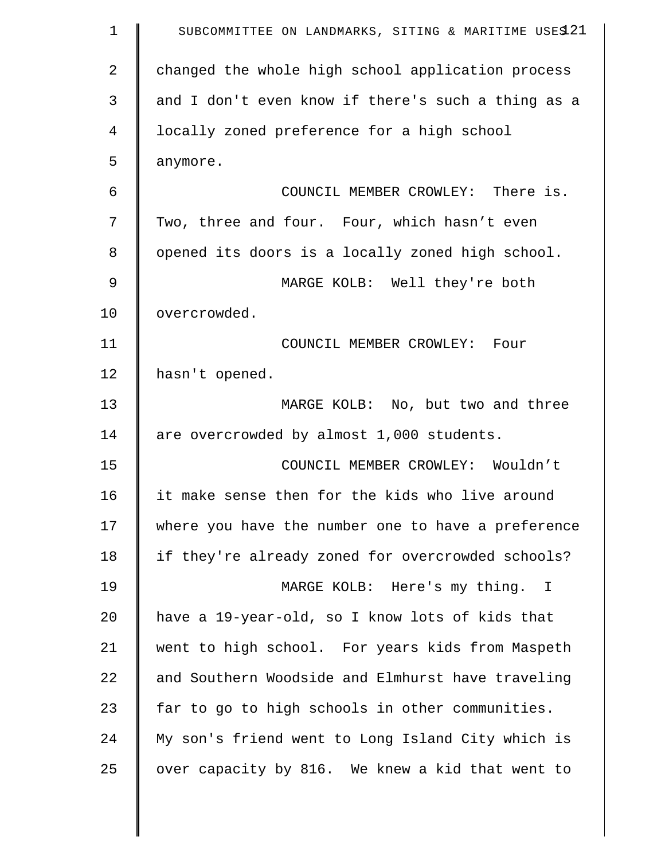| $\mathbf 1$    | SUBCOMMITTEE ON LANDMARKS, SITING & MARITIME USES 21 |
|----------------|------------------------------------------------------|
| $\overline{2}$ | changed the whole high school application process    |
| 3              | and I don't even know if there's such a thing as a   |
| 4              | locally zoned preference for a high school           |
| 5              | anymore.                                             |
| 6              | COUNCIL MEMBER CROWLEY: There is.                    |
| 7              | Two, three and four. Four, which hasn't even         |
| 8              | opened its doors is a locally zoned high school.     |
| 9              | MARGE KOLB: Well they're both                        |
| 10             | overcrowded.                                         |
| 11             | COUNCIL MEMBER CROWLEY: Four                         |
| 12             | hasn't opened.                                       |
| 13             | MARGE KOLB: No, but two and three                    |
| 14             | are overcrowded by almost 1,000 students.            |
| 15             | COUNCIL MEMBER CROWLEY: Wouldn't                     |
| 16             | it make sense then for the kids who live around      |
| 17             | where you have the number one to have a preference   |
| 18             | if they're already zoned for overcrowded schools?    |
| 19             | MARGE KOLB: Here's my thing. I                       |
| 20             | have a 19-year-old, so I know lots of kids that      |
| 21             | went to high school. For years kids from Maspeth     |
| 22             | and Southern Woodside and Elmhurst have traveling    |
| 23             | far to go to high schools in other communities.      |
| 24             | My son's friend went to Long Island City which is    |
| 25             | over capacity by 816. We knew a kid that went to     |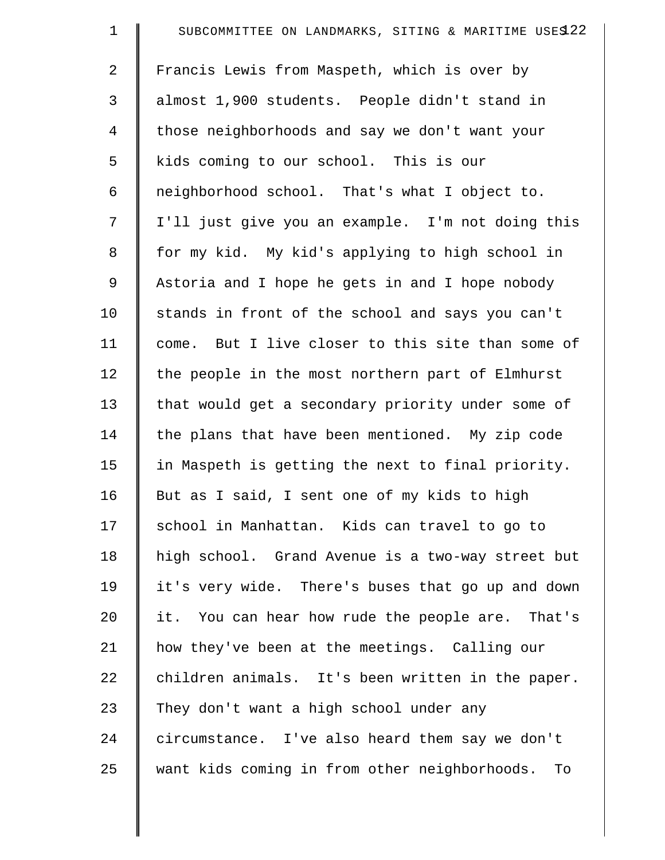| $\mathbf 1$ | SUBCOMMITTEE ON LANDMARKS, SITING & MARITIME USES 22 |
|-------------|------------------------------------------------------|
| 2           | Francis Lewis from Maspeth, which is over by         |
| 3           | almost 1,900 students. People didn't stand in        |
| 4           | those neighborhoods and say we don't want your       |
| 5           | kids coming to our school. This is our               |
| 6           | neighborhood school. That's what I object to.        |
| 7           | I'll just give you an example. I'm not doing this    |
| $\,8\,$     | for my kid. My kid's applying to high school in      |
| $\mathsf 9$ | Astoria and I hope he gets in and I hope nobody      |
| 10          | stands in front of the school and says you can't     |
| 11          | come. But I live closer to this site than some of    |
| 12          | the people in the most northern part of Elmhurst     |
| 13          | that would get a secondary priority under some of    |
| 14          | the plans that have been mentioned. My zip code      |
| 15          | in Maspeth is getting the next to final priority.    |
| 16          | But as I said, I sent one of my kids to high         |
| 17          | school in Manhattan. Kids can travel to go to        |
| 18          | high school. Grand Avenue is a two-way street but    |
| 19          | it's very wide. There's buses that go up and down    |
| 20          | it. You can hear how rude the people are. That's     |
| 21          | how they've been at the meetings. Calling our        |
| 22          | children animals. It's been written in the paper.    |
| 23          | They don't want a high school under any              |
| 24          | circumstance. I've also heard them say we don't      |
| 25          | want kids coming in from other neighborhoods.<br>To  |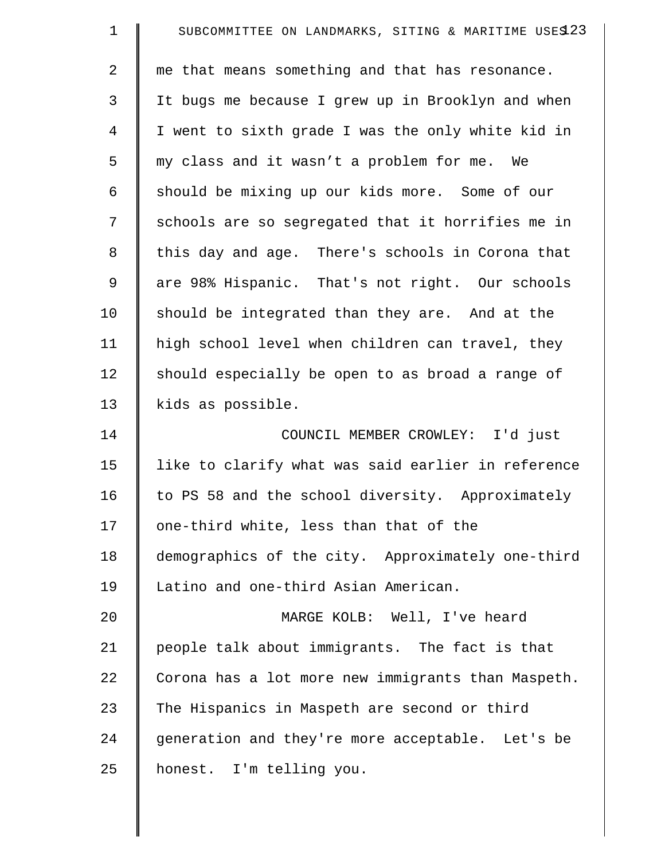| $\mathbf 1$    | SUBCOMMITTEE ON LANDMARKS, SITING & MARITIME USES 23 |
|----------------|------------------------------------------------------|
| $\overline{a}$ | me that means something and that has resonance.      |
| 3              | It bugs me because I grew up in Brooklyn and when    |
| $\overline{4}$ | I went to sixth grade I was the only white kid in    |
| 5              | my class and it wasn't a problem for me. We          |
| 6              | should be mixing up our kids more. Some of our       |
| 7              | schools are so segregated that it horrifies me in    |
| $\,8\,$        | this day and age. There's schools in Corona that     |
| $\mathsf 9$    | are 98% Hispanic. That's not right. Our schools      |
| 10             | should be integrated than they are. And at the       |
| 11             | high school level when children can travel, they     |
| 12             | should especially be open to as broad a range of     |
| 13             | kids as possible.                                    |
| 14             | COUNCIL MEMBER CROWLEY: I'd just                     |
| 15             | like to clarify what was said earlier in reference   |
| 16             | to PS 58 and the school diversity. Approximately     |
| 17             | one-third white, less than that of the               |
| 18             | demographics of the city. Approximately one-third    |
| 19             | Latino and one-third Asian American.                 |
| 20             | MARGE KOLB: Well, I've heard                         |
| 21             | people talk about immigrants. The fact is that       |
| 22             | Corona has a lot more new immigrants than Maspeth.   |
| 23             | The Hispanics in Maspeth are second or third         |
| 24             | generation and they're more acceptable. Let's be     |
| 25             | honest. I'm telling you.                             |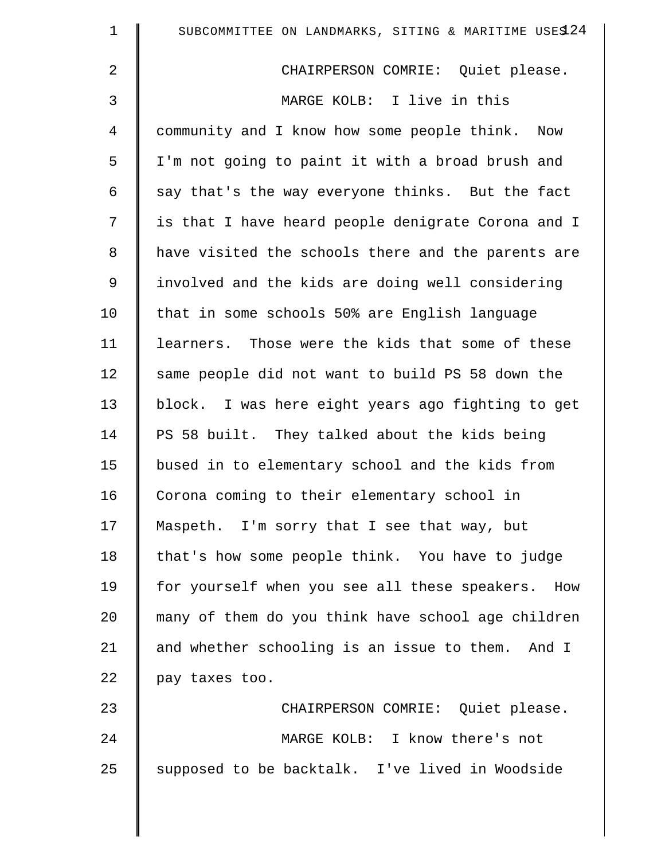| $\mathbf 1$    | SUBCOMMITTEE ON LANDMARKS, SITING & MARITIME USES 24 |
|----------------|------------------------------------------------------|
| $\overline{2}$ | CHAIRPERSON COMRIE: Quiet please.                    |
| 3              | MARGE KOLB: I live in this                           |
| $\overline{4}$ | community and I know how some people think. Now      |
| 5              | I'm not going to paint it with a broad brush and     |
| 6              | say that's the way everyone thinks. But the fact     |
| 7              | is that I have heard people denigrate Corona and I   |
| $\,8\,$        | have visited the schools there and the parents are   |
| 9              | involved and the kids are doing well considering     |
| 10             | that in some schools 50% are English language        |
| 11             | learners. Those were the kids that some of these     |
| 12             | same people did not want to build PS 58 down the     |
| 13             | block. I was here eight years ago fighting to get    |
| 14             | PS 58 built. They talked about the kids being        |
| 15             | bused in to elementary school and the kids from      |
| 16             | Corona coming to their elementary school in          |
| 17             | Maspeth. I'm sorry that I see that way, but          |
| 18             | that's how some people think. You have to judge      |
| 19             | for yourself when you see all these speakers. How    |
| 20             | many of them do you think have school age children   |
| 21             | and whether schooling is an issue to them. And I     |
| 22             | pay taxes too.                                       |
| 23             | CHAIRPERSON COMRIE: Quiet please.                    |
| 24             | MARGE KOLB: I know there's not                       |
| 25             | supposed to be backtalk. I've lived in Woodside      |
|                |                                                      |

 $\parallel$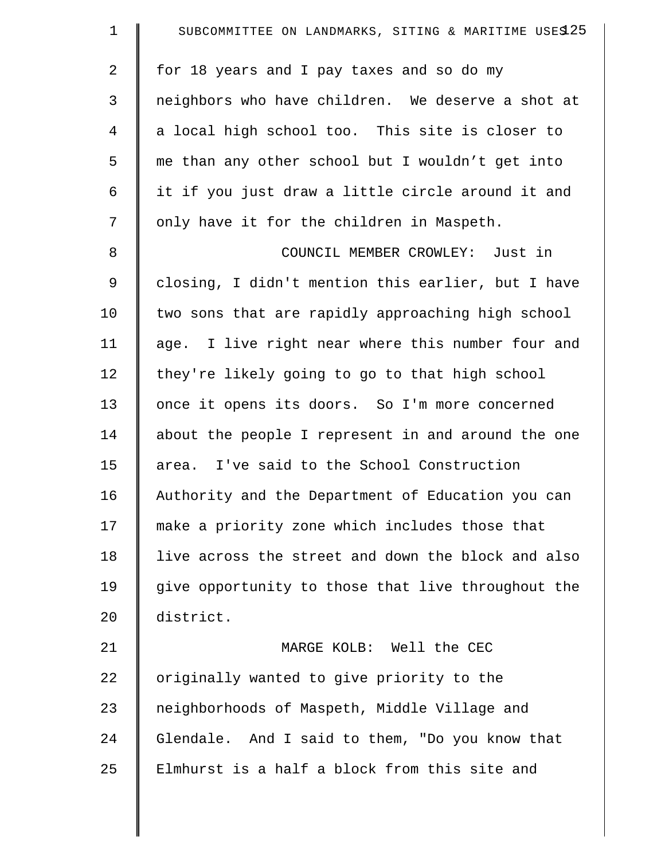| $\mathbf 1$    | SUBCOMMITTEE ON LANDMARKS, SITING & MARITIME USES 25 |
|----------------|------------------------------------------------------|
| $\overline{a}$ | for 18 years and I pay taxes and so do my            |
| $\mathfrak{Z}$ | neighbors who have children. We deserve a shot at    |
| $\overline{4}$ | a local high school too. This site is closer to      |
| 5              | me than any other school but I wouldn't get into     |
| 6              | it if you just draw a little circle around it and    |
| 7              | only have it for the children in Maspeth.            |
| 8              | COUNCIL MEMBER CROWLEY: Just in                      |
| 9              | closing, I didn't mention this earlier, but I have   |
| 10             | two sons that are rapidly approaching high school    |
| 11             | age. I live right near where this number four and    |
| 12             | they're likely going to go to that high school       |
| 13             | once it opens its doors. So I'm more concerned       |
| 14             | about the people I represent in and around the one   |
| 15             | area. I've said to the School Construction           |
| 16             | Authority and the Department of Education you can    |
| 17             | make a priority zone which includes those that       |
| 18             | live across the street and down the block and also   |
| 19             | give opportunity to those that live throughout the   |
| 20             | district.                                            |
| 21             | MARGE KOLB: Well the CEC                             |
| 22             | originally wanted to give priority to the            |
| 23             | neighborhoods of Maspeth, Middle Village and         |
| 24             | Glendale. And I said to them, "Do you know that      |
| 25             | Elmhurst is a half a block from this site and        |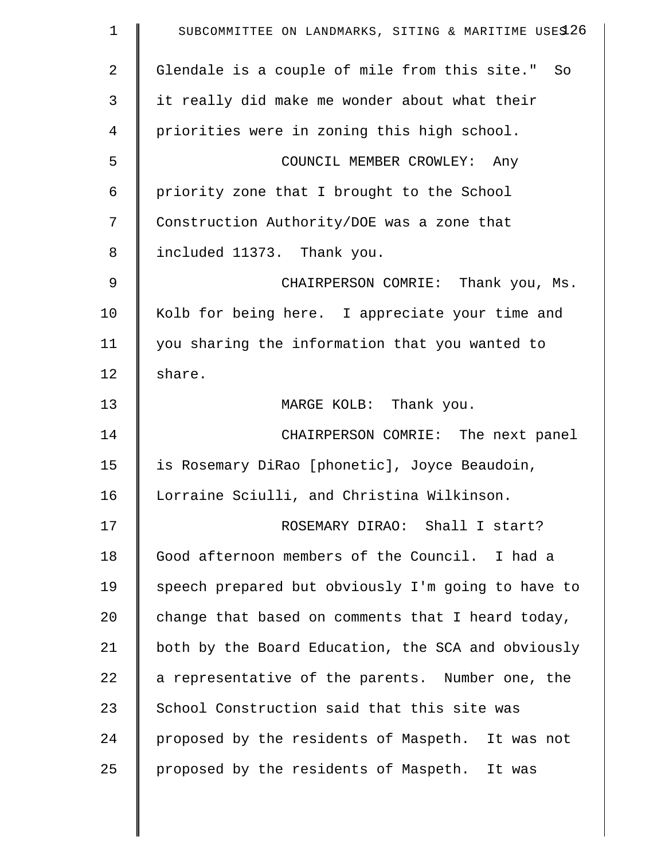| $\mathbf 1$    | SUBCOMMITTEE ON LANDMARKS, SITING & MARITIME USES 26 |
|----------------|------------------------------------------------------|
| $\overline{2}$ | Glendale is a couple of mile from this site." So     |
| 3              | it really did make me wonder about what their        |
| $\overline{4}$ | priorities were in zoning this high school.          |
| 5              | COUNCIL MEMBER CROWLEY: Any                          |
| 6              | priority zone that I brought to the School           |
| 7              | Construction Authority/DOE was a zone that           |
| 8              | included 11373. Thank you.                           |
| 9              | CHAIRPERSON COMRIE: Thank you, Ms.                   |
| 10             | Kolb for being here. I appreciate your time and      |
| 11             | you sharing the information that you wanted to       |
| 12             | share.                                               |
| 13             | MARGE KOLB: Thank you.                               |
| 14             | CHAIRPERSON COMRIE: The next panel                   |
| 15             | is Rosemary DiRao [phonetic], Joyce Beaudoin,        |
| 16             | Lorraine Sciulli, and Christina Wilkinson.           |
| 17             | ROSEMARY DIRAO: Shall I start?                       |
| 18             | Good afternoon members of the Council. I had a       |
| 19             | speech prepared but obviously I'm going to have to   |
| 20             | change that based on comments that I heard today,    |
| 21             | both by the Board Education, the SCA and obviously   |
| 22             | a representative of the parents. Number one, the     |
| 23             | School Construction said that this site was          |
| 24             | proposed by the residents of Maspeth. It was not     |
| 25             | proposed by the residents of Maspeth. It was         |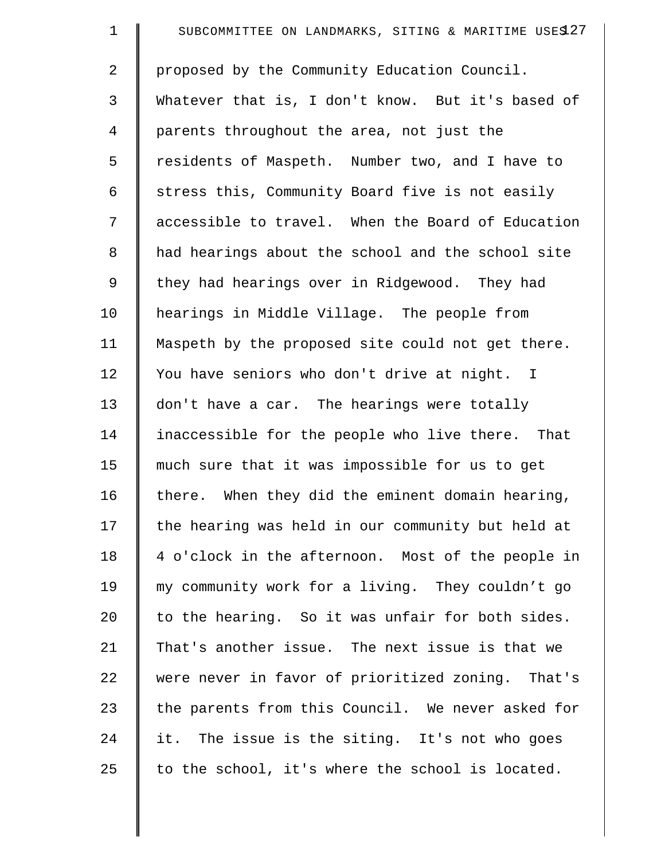| $\mathbf 1$    | SUBCOMMITTEE ON LANDMARKS, SITING & MARITIME USES 27 |
|----------------|------------------------------------------------------|
| $\overline{2}$ | proposed by the Community Education Council.         |
| 3              | Whatever that is, I don't know. But it's based of    |
| 4              | parents throughout the area, not just the            |
| 5              | residents of Maspeth. Number two, and I have to      |
| 6              | stress this, Community Board five is not easily      |
| 7              | accessible to travel. When the Board of Education    |
| 8              | had hearings about the school and the school site    |
| 9              | they had hearings over in Ridgewood. They had        |
| 10             | hearings in Middle Village. The people from          |
| 11             | Maspeth by the proposed site could not get there.    |
| 12             | You have seniors who don't drive at night. I         |
| 13             | don't have a car. The hearings were totally          |
| 14             | inaccessible for the people who live there. That     |
| 15             | much sure that it was impossible for us to get       |
| 16             | there. When they did the eminent domain hearing,     |
| 17             | the hearing was held in our community but held at    |
| 18             | 4 o'clock in the afternoon. Most of the people in    |
| 19             | my community work for a living. They couldn't go     |
| 20             | to the hearing. So it was unfair for both sides.     |
| 21             | That's another issue. The next issue is that we      |
| 22             | were never in favor of prioritized zoning. That's    |
| 23             | the parents from this Council. We never asked for    |
| 24             | it. The issue is the siting. It's not who goes       |
| 25             | to the school, it's where the school is located.     |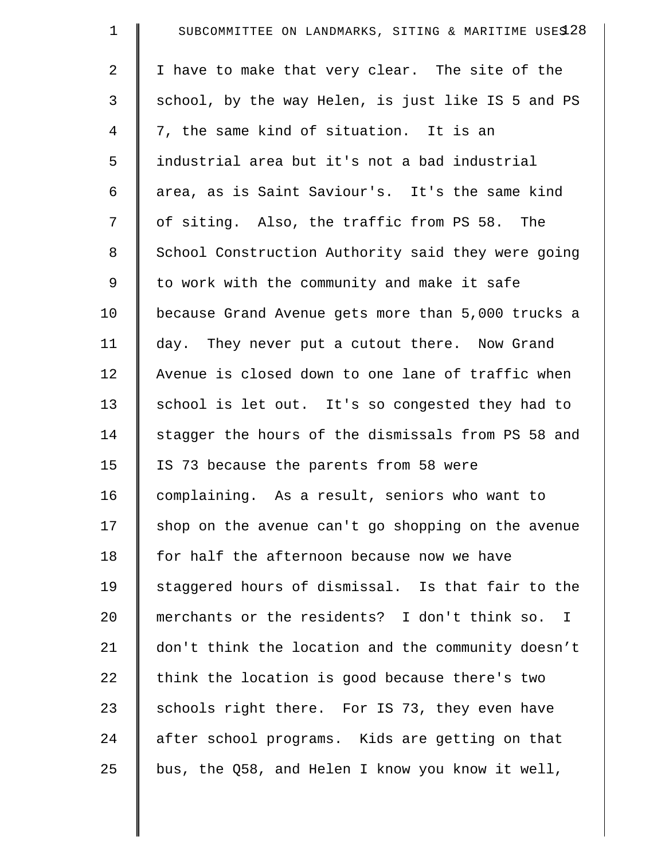| $\mathbf 1$    | SUBCOMMITTEE ON LANDMARKS, SITING & MARITIME USES 28 |
|----------------|------------------------------------------------------|
| $\overline{2}$ | I have to make that very clear. The site of the      |
| 3              | school, by the way Helen, is just like IS 5 and PS   |
| 4              | 7, the same kind of situation. It is an              |
| 5              | industrial area but it's not a bad industrial        |
| 6              | area, as is Saint Saviour's. It's the same kind      |
| 7              | of siting. Also, the traffic from PS 58. The         |
| 8              | School Construction Authority said they were going   |
| 9              | to work with the community and make it safe          |
| 10             | because Grand Avenue gets more than 5,000 trucks a   |
| 11             | day. They never put a cutout there. Now Grand        |
| 12             | Avenue is closed down to one lane of traffic when    |
| 13             | school is let out. It's so congested they had to     |
| 14             | stagger the hours of the dismissals from PS 58 and   |
| 15             | IS 73 because the parents from 58 were               |
| 16             | complaining. As a result, seniors who want to        |
| 17             | shop on the avenue can't go shopping on the avenue   |
| 18             | for half the afternoon because now we have           |
| 19             | staggered hours of dismissal. Is that fair to the    |
| 20             | merchants or the residents? I don't think so. I      |
| 21             | don't think the location and the community doesn't   |
| 22             | think the location is good because there's two       |
| 23             | schools right there. For IS 73, they even have       |
| 24             | after school programs. Kids are getting on that      |
| 25             | bus, the Q58, and Helen I know you know it well,     |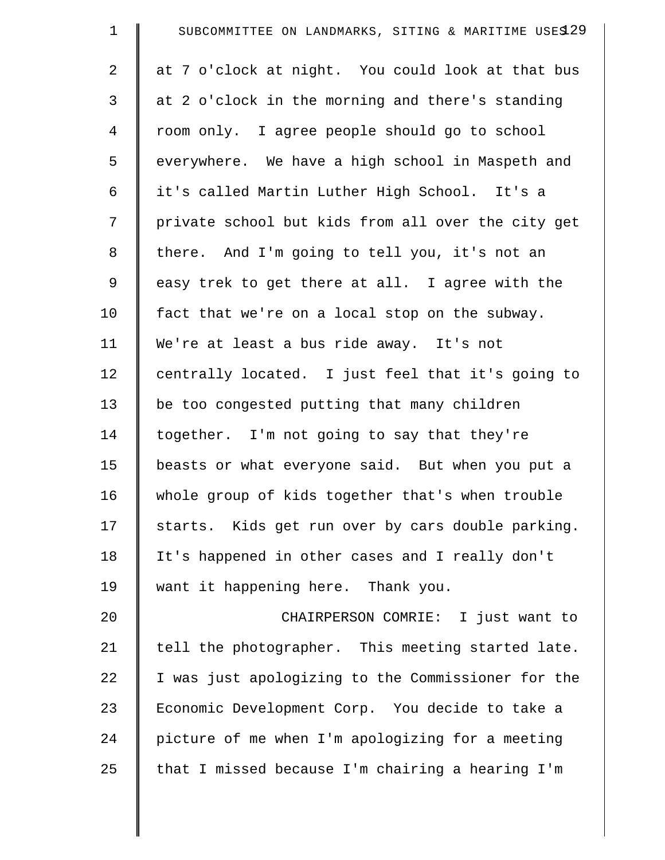| $\mathbf 1$    | SUBCOMMITTEE ON LANDMARKS, SITING & MARITIME USES 29 |
|----------------|------------------------------------------------------|
| 2              | at 7 o'clock at night. You could look at that bus    |
| 3              | at 2 o'clock in the morning and there's standing     |
| $\overline{4}$ | room only. I agree people should go to school        |
| 5              | everywhere. We have a high school in Maspeth and     |
| 6              | it's called Martin Luther High School. It's a        |
| 7              | private school but kids from all over the city get   |
| 8              | there. And I'm going to tell you, it's not an        |
| 9              | easy trek to get there at all. I agree with the      |
| 10             | fact that we're on a local stop on the subway.       |
| 11             | We're at least a bus ride away. It's not             |
| 12             | centrally located. I just feel that it's going to    |
| 13             | be too congested putting that many children          |
| 14             | together. I'm not going to say that they're          |
| 15             | beasts or what everyone said. But when you put a     |
| 16             | whole group of kids together that's when trouble     |
| 17             | starts. Kids get run over by cars double parking.    |
| 18             | It's happened in other cases and I really don't      |
| 19             | want it happening here. Thank you.                   |
| 20             | CHAIRPERSON COMRIE: I just want to                   |
| 21             | tell the photographer. This meeting started late.    |
| 22             | I was just apologizing to the Commissioner for the   |
| 23             | Economic Development Corp. You decide to take a      |
| 24             | picture of me when I'm apologizing for a meeting     |
| 25             | that I missed because I'm chairing a hearing I'm     |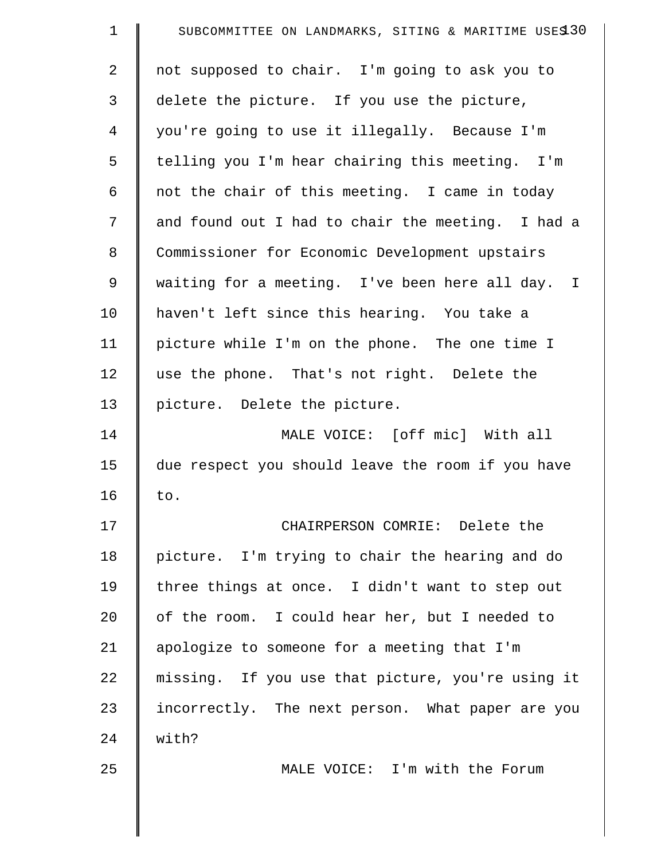| $\mathbf 1$    | SUBCOMMITTEE ON LANDMARKS, SITING & MARITIME USES 30 |
|----------------|------------------------------------------------------|
| 2              | not supposed to chair. I'm going to ask you to       |
| 3              | delete the picture. If you use the picture,          |
| $\overline{4}$ | you're going to use it illegally. Because I'm        |
| 5              | telling you I'm hear chairing this meeting. I'm      |
| 6              | not the chair of this meeting. I came in today       |
| 7              | and found out I had to chair the meeting. I had a    |
| 8              | Commissioner for Economic Development upstairs       |
| 9              | waiting for a meeting. I've been here all day. I     |
| 10             | haven't left since this hearing. You take a          |
| 11             | picture while I'm on the phone. The one time I       |
| 12             | use the phone. That's not right. Delete the          |
| 13             | picture. Delete the picture.                         |
| 14             | MALE VOICE: [off mic] With all                       |
| 15             | due respect you should leave the room if you have    |
| 16             | to.                                                  |
| 17             | CHAIRPERSON COMRIE: Delete the                       |
| 18             | picture. I'm trying to chair the hearing and do      |
| 19             | three things at once. I didn't want to step out      |
| 20             | of the room. I could hear her, but I needed to       |
| 21             | apologize to someone for a meeting that I'm          |
| 22             | missing. If you use that picture, you're using it    |
| 23             | incorrectly. The next person. What paper are you     |
| 24             | with?                                                |
| 25             | MALE VOICE: I'm with the Forum                       |
|                |                                                      |
|                |                                                      |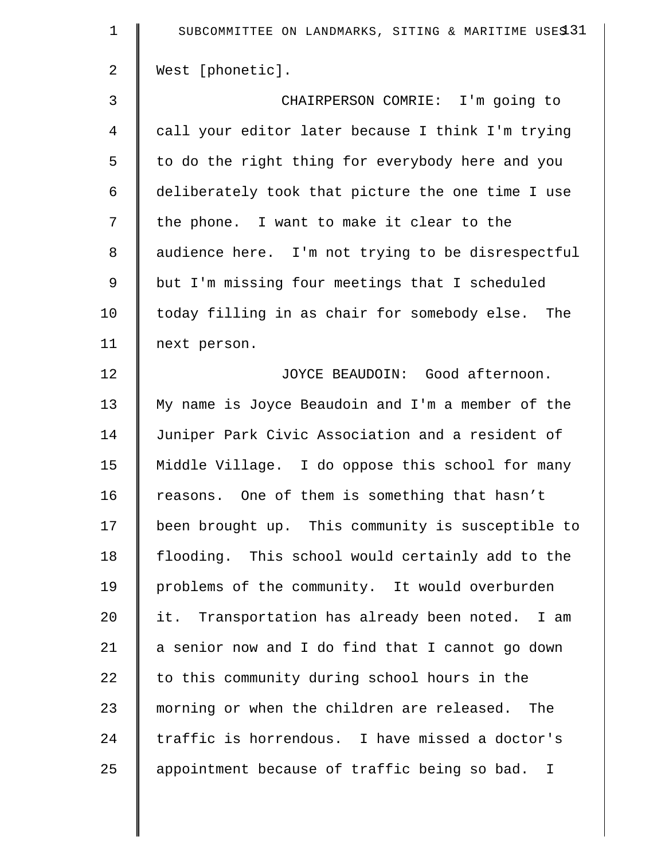| $\mathbf 1$    | SUBCOMMITTEE ON LANDMARKS, SITING & MARITIME USES 31 |
|----------------|------------------------------------------------------|
| $\overline{2}$ | West [phonetic].                                     |
| 3              | CHAIRPERSON COMRIE: I'm going to                     |
| $\overline{4}$ | call your editor later because I think I'm trying    |
| 5              | to do the right thing for everybody here and you     |
| 6              | deliberately took that picture the one time I use    |
| 7              | the phone. I want to make it clear to the            |
| 8              | audience here. I'm not trying to be disrespectful    |
| $\mathsf 9$    | but I'm missing four meetings that I scheduled       |
| 10             | today filling in as chair for somebody else. The     |
| 11             | next person.                                         |
| 12             | JOYCE BEAUDOIN: Good afternoon.                      |
| 13             | My name is Joyce Beaudoin and I'm a member of the    |
| 14             | Juniper Park Civic Association and a resident of     |
| 15             | Middle Village. I do oppose this school for many     |
| 16             | reasons. One of them is something that hasn't        |
| 17             | been brought up. This community is susceptible to    |
| 18             | flooding. This school would certainly add to the     |
| 19             | problems of the community. It would overburden       |
| 20             | it. Transportation has already been noted. I am      |
| 21             | a senior now and I do find that I cannot go down     |
| 22             | to this community during school hours in the         |
| 23             | morning or when the children are released. The       |
| 24             | traffic is horrendous. I have missed a doctor's      |
| 25             | appointment because of traffic being so bad. I       |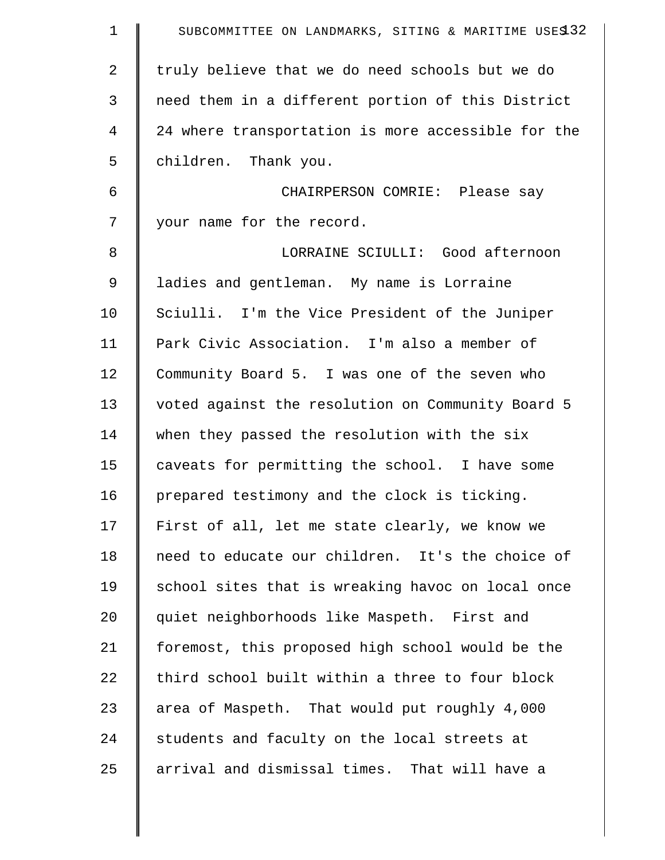| $\mathbf 1$    | SUBCOMMITTEE ON LANDMARKS, SITING & MARITIME USES 32 |
|----------------|------------------------------------------------------|
| 2              | truly believe that we do need schools but we do      |
| 3              | need them in a different portion of this District    |
| $\overline{4}$ | 24 where transportation is more accessible for the   |
| 5              | children. Thank you.                                 |
| 6              | CHAIRPERSON COMRIE: Please say                       |
| 7              | your name for the record.                            |
| 8              | LORRAINE SCIULLI: Good afternoon                     |
| 9              | ladies and gentleman. My name is Lorraine            |
| 10             | Sciulli. I'm the Vice President of the Juniper       |
| 11             | Park Civic Association. I'm also a member of         |
| 12             | Community Board 5. I was one of the seven who        |
| 13             | voted against the resolution on Community Board 5    |
| 14             | when they passed the resolution with the six         |
| 15             | caveats for permitting the school. I have some       |
| 16             | prepared testimony and the clock is ticking.         |
| 17             | First of all, let me state clearly, we know we       |
| 18             | need to educate our children. It's the choice of     |
| 19             | school sites that is wreaking havoc on local once    |
| 20             | quiet neighborhoods like Maspeth. First and          |
| 21             | foremost, this proposed high school would be the     |
| 22             | third school built within a three to four block      |
| 23             | area of Maspeth. That would put roughly 4,000        |
| 24             | students and faculty on the local streets at         |
| 25             | arrival and dismissal times. That will have a        |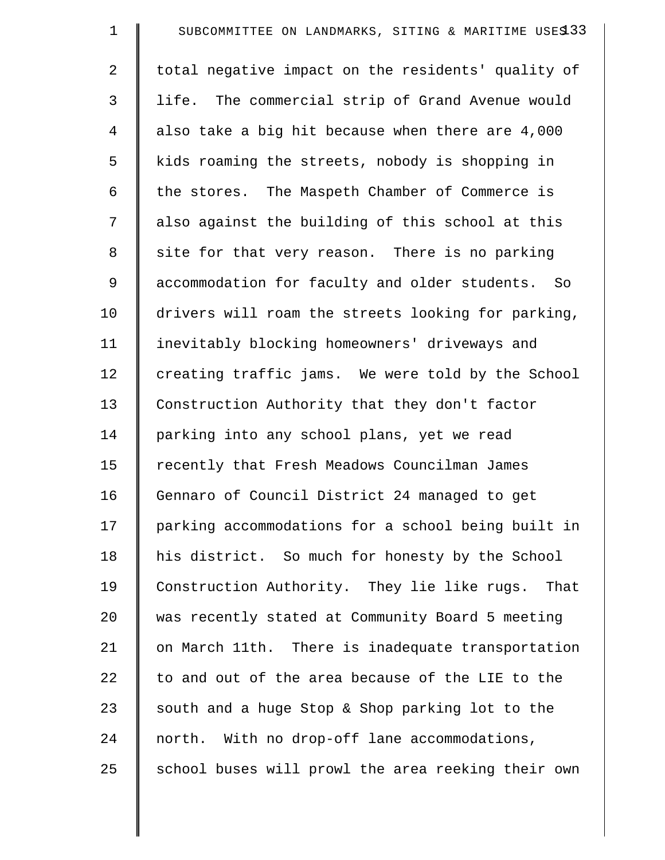| $\mathbf 1$    | SUBCOMMITTEE ON LANDMARKS, SITING & MARITIME USES 33 |
|----------------|------------------------------------------------------|
| $\overline{2}$ | total negative impact on the residents' quality of   |
| 3              | life. The commercial strip of Grand Avenue would     |
| 4              | also take a big hit because when there are 4,000     |
| 5              | kids roaming the streets, nobody is shopping in      |
| 6              | the stores. The Maspeth Chamber of Commerce is       |
| 7              | also against the building of this school at this     |
| 8              | site for that very reason. There is no parking       |
| 9              | accommodation for faculty and older students. So     |
| 10             | drivers will roam the streets looking for parking,   |
| 11             | inevitably blocking homeowners' driveways and        |
| 12             | creating traffic jams. We were told by the School    |
| 13             | Construction Authority that they don't factor        |
| 14             | parking into any school plans, yet we read           |
| 15             | recently that Fresh Meadows Councilman James         |
| 16             | Gennaro of Council District 24 managed to get        |
| 17             | parking accommodations for a school being built in   |
| 18             | his district. So much for honesty by the School      |
| 19             | Construction Authority. They lie like rugs.<br>That  |
| 20             | was recently stated at Community Board 5 meeting     |
| 21             | on March 11th. There is inadequate transportation    |
| 22             | to and out of the area because of the LIE to the     |
| 23             | south and a huge Stop & Shop parking lot to the      |
| 24             | north. With no drop-off lane accommodations,         |
| 25             | school buses will prowl the area reeking their own   |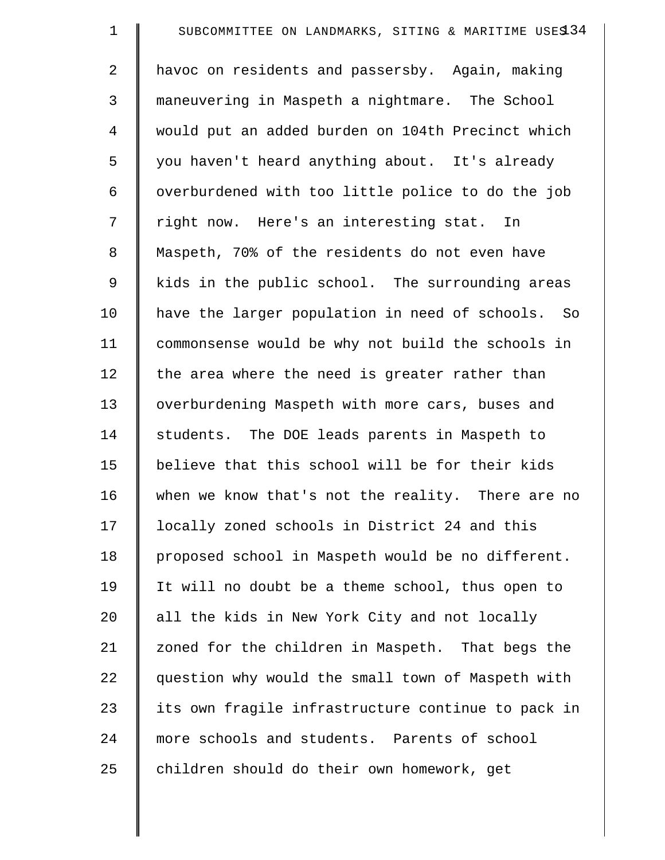| $\mathbf 1$ | SUBCOMMITTEE ON LANDMARKS, SITING & MARITIME USES 34 |
|-------------|------------------------------------------------------|
| 2           | havoc on residents and passersby. Again, making      |
| 3           | maneuvering in Maspeth a nightmare. The School       |
| 4           | would put an added burden on 104th Precinct which    |
| 5           | you haven't heard anything about. It's already       |
| 6           | overburdened with too little police to do the job    |
| 7           | right now. Here's an interesting stat. In            |
| 8           | Maspeth, 70% of the residents do not even have       |
| 9           | kids in the public school. The surrounding areas     |
| 10          | have the larger population in need of schools. So    |
| 11          | commonsense would be why not build the schools in    |
| 12          | the area where the need is greater rather than       |
| 13          | overburdening Maspeth with more cars, buses and      |
| 14          | students. The DOE leads parents in Maspeth to        |
| 15          | believe that this school will be for their kids      |
| 16          | when we know that's not the reality. There are no    |
| 17          | locally zoned schools in District 24 and this        |
| 18          | proposed school in Maspeth would be no different.    |
| 19          | It will no doubt be a theme school, thus open to     |
| 20          | all the kids in New York City and not locally        |
| 21          | zoned for the children in Maspeth. That begs the     |
| 22          | question why would the small town of Maspeth with    |
| 23          | its own fragile infrastructure continue to pack in   |
| 24          | more schools and students. Parents of school         |
| 25          | children should do their own homework, get           |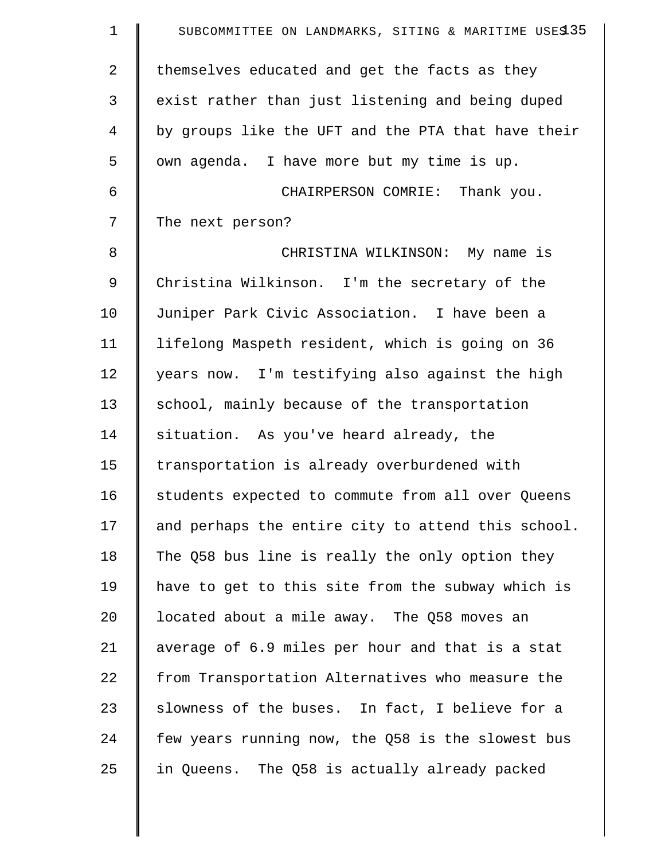| $\mathbf 1$    | SUBCOMMITTEE ON LANDMARKS, SITING & MARITIME USES 35 |
|----------------|------------------------------------------------------|
| $\overline{2}$ | themselves educated and get the facts as they        |
| 3              | exist rather than just listening and being duped     |
| 4              | by groups like the UFT and the PTA that have their   |
| 5              | own agenda. I have more but my time is up.           |
| 6              | CHAIRPERSON COMRIE: Thank you.                       |
| 7              | The next person?                                     |
| 8              | CHRISTINA WILKINSON: My name is                      |
| 9              | Christina Wilkinson. I'm the secretary of the        |
| 10             | Juniper Park Civic Association. I have been a        |
| 11             | lifelong Maspeth resident, which is going on 36      |
| 12             | years now. I'm testifying also against the high      |
| 13             | school, mainly because of the transportation         |
| 14             | situation. As you've heard already, the              |
| 15             | transportation is already overburdened with          |
| 16             | students expected to commute from all over Queens    |
| 17             | and perhaps the entire city to attend this school.   |
| 18             | The Q58 bus line is really the only option they      |
| 19             | have to get to this site from the subway which is    |
| 20             | located about a mile away. The Q58 moves an          |
| 21             | average of 6.9 miles per hour and that is a stat     |
| 22             | from Transportation Alternatives who measure the     |
| 23             | slowness of the buses. In fact, I believe for a      |
| 24             | few years running now, the Q58 is the slowest bus    |
| 25             | in Queens. The Q58 is actually already packed        |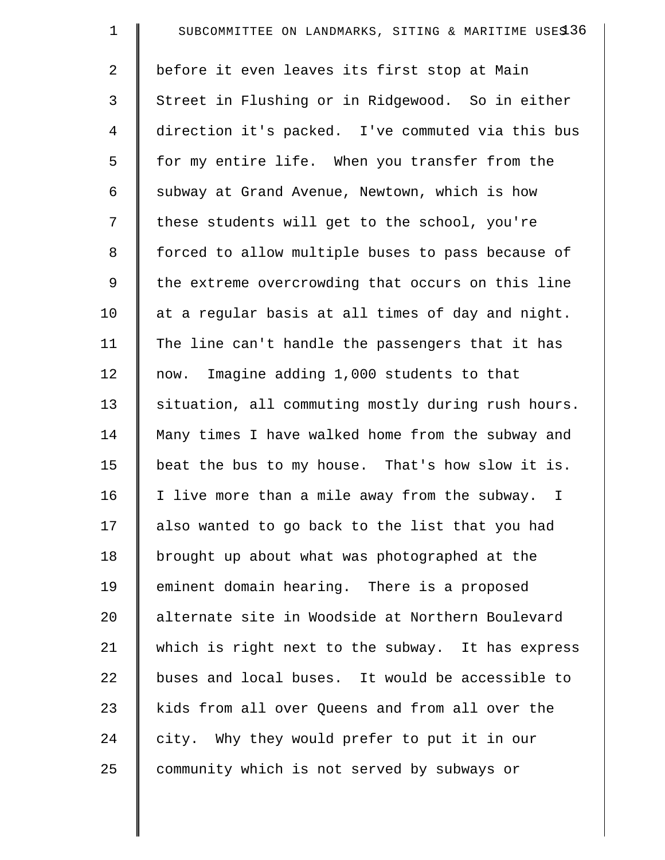| $\mathbf 1$ | SUBCOMMITTEE ON LANDMARKS, SITING & MARITIME USES 36 |
|-------------|------------------------------------------------------|
| 2           | before it even leaves its first stop at Main         |
| 3           | Street in Flushing or in Ridgewood. So in either     |
| 4           | direction it's packed. I've commuted via this bus    |
| 5           | for my entire life. When you transfer from the       |
| 6           | subway at Grand Avenue, Newtown, which is how        |
| 7           | these students will get to the school, you're        |
| 8           | forced to allow multiple buses to pass because of    |
| 9           | the extreme overcrowding that occurs on this line    |
| 10          | at a regular basis at all times of day and night.    |
| 11          | The line can't handle the passengers that it has     |
| 12          | now. Imagine adding 1,000 students to that           |
| 13          | situation, all commuting mostly during rush hours.   |
| 14          | Many times I have walked home from the subway and    |
| 15          | beat the bus to my house. That's how slow it is.     |
| 16          | I live more than a mile away from the subway. I      |
| 17          | also wanted to go back to the list that you had      |
| 18          | brought up about what was photographed at the        |
| 19          | eminent domain hearing. There is a proposed          |
| 20          | alternate site in Woodside at Northern Boulevard     |
| 21          | which is right next to the subway. It has express    |
| 22          | buses and local buses. It would be accessible to     |
| 23          | kids from all over Queens and from all over the      |
| 24          | city. Why they would prefer to put it in our         |
| 25          | community which is not served by subways or          |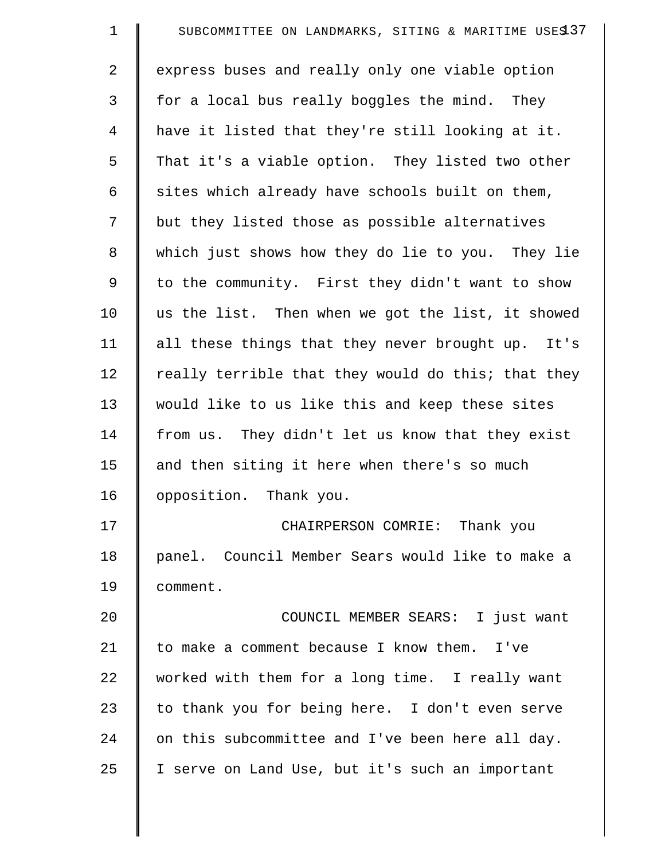| $\mathbf 1$    | SUBCOMMITTEE ON LANDMARKS, SITING & MARITIME USES 37 |
|----------------|------------------------------------------------------|
| $\overline{2}$ | express buses and really only one viable option      |
| 3              | for a local bus really boggles the mind. They        |
| $\overline{4}$ | have it listed that they're still looking at it.     |
| 5              | That it's a viable option. They listed two other     |
| 6              | sites which already have schools built on them,      |
| 7              | but they listed those as possible alternatives       |
| 8              | which just shows how they do lie to you. They lie    |
| 9              | to the community. First they didn't want to show     |
| 10             | us the list. Then when we got the list, it showed    |
| 11             | all these things that they never brought up. It's    |
| 12             | really terrible that they would do this; that they   |
| 13             | would like to us like this and keep these sites      |
| 14             | from us. They didn't let us know that they exist     |
| 15             | and then siting it here when there's so much         |
| 16             | opposition. Thank you.                               |
| 17             | CHAIRPERSON COMRIE: Thank you                        |
| 18             | panel. Council Member Sears would like to make a     |
| 19             | comment.                                             |
| 20             | COUNCIL MEMBER SEARS: I just want                    |
| 21             | to make a comment because I know them. I've          |
| 22             | worked with them for a long time. I really want      |
| 23             | to thank you for being here. I don't even serve      |
| 24             | on this subcommittee and I've been here all day.     |
| 25             | I serve on Land Use, but it's such an important      |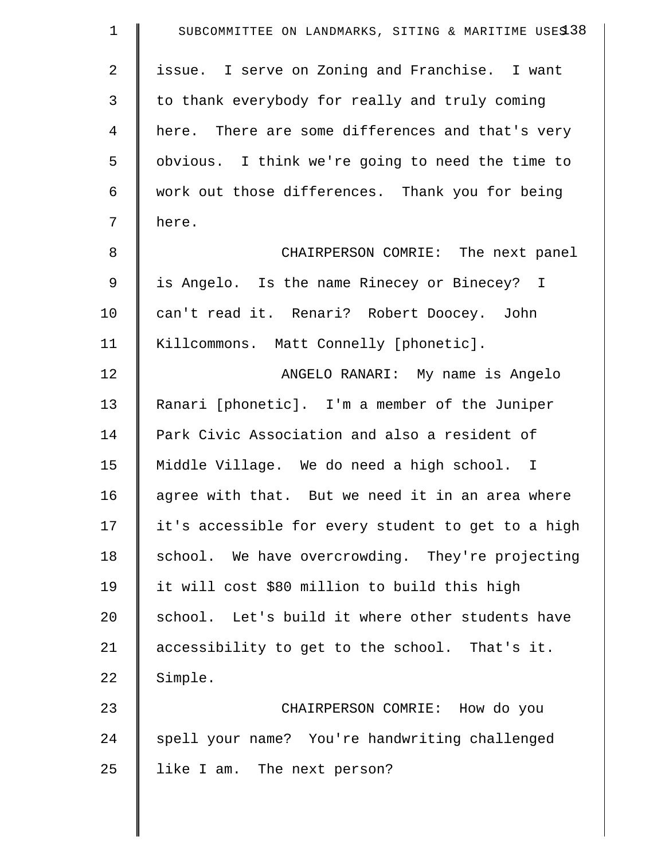| $\mathbf 1$    | SUBCOMMITTEE ON LANDMARKS, SITING & MARITIME USES 38 |
|----------------|------------------------------------------------------|
| $\overline{2}$ | issue. I serve on Zoning and Franchise. I want       |
| 3              | to thank everybody for really and truly coming       |
| $\overline{4}$ | here. There are some differences and that's very     |
| 5              | obvious. I think we're going to need the time to     |
| 6              | work out those differences. Thank you for being      |
| 7              | here.                                                |
| 8              | CHAIRPERSON COMRIE: The next panel                   |
| 9              | is Angelo. Is the name Rinecey or Binecey? I         |
| 10             | can't read it. Renari? Robert Doocey. John           |
| 11             | Killcommons. Matt Connelly [phonetic].               |
| 12             | ANGELO RANARI: My name is Angelo                     |
| 13             | Ranari [phonetic]. I'm a member of the Juniper       |
| 14             | Park Civic Association and also a resident of        |
| 15             | Middle Village. We do need a high school. I          |
| 16             | agree with that. But we need it in an area where     |
| 17             | it's accessible for every student to get to a high   |
| 18             | school. We have overcrowding. They're projecting     |
| 19             | it will cost \$80 million to build this high         |
| 20             | school. Let's build it where other students have     |
| 21             | accessibility to get to the school. That's it.       |
| 22             | Simple.                                              |
| 23             | CHAIRPERSON COMRIE: How do you                       |
| 24             | spell your name? You're handwriting challenged       |
| 25             | like I am. The next person?                          |
|                |                                                      |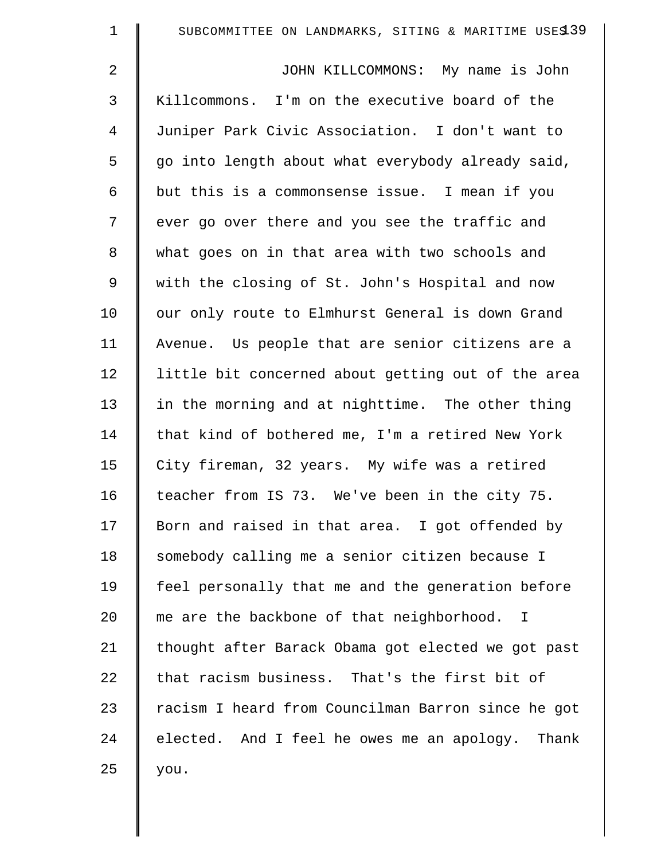| $\mathbf 1$    | SUBCOMMITTEE ON LANDMARKS, SITING & MARITIME USES 39 |
|----------------|------------------------------------------------------|
| $\overline{2}$ | JOHN KILLCOMMONS: My name is John                    |
| $\mathfrak{Z}$ | Killcommons. I'm on the executive board of the       |
| $\overline{4}$ | Juniper Park Civic Association. I don't want to      |
| 5              | go into length about what everybody already said,    |
| 6              | but this is a commonsense issue. I mean if you       |
| 7              | ever go over there and you see the traffic and       |
| 8              | what goes on in that area with two schools and       |
| 9              | with the closing of St. John's Hospital and now      |
| 10             | our only route to Elmhurst General is down Grand     |
| 11             | Avenue. Us people that are senior citizens are a     |
| 12             | little bit concerned about getting out of the area   |
| 13             | in the morning and at nighttime. The other thing     |
| 14             | that kind of bothered me, I'm a retired New York     |
| 15             | City fireman, 32 years. My wife was a retired        |
| 16             | teacher from IS 73. We've been in the city 75.       |
| 17             | Born and raised in that area. I got offended by      |
| 18             | somebody calling me a senior citizen because I       |
| 19             | feel personally that me and the generation before    |
| 20             | me are the backbone of that neighborhood. I          |
| 21             | thought after Barack Obama got elected we got past   |
| 22             | that racism business. That's the first bit of        |
| 23             | racism I heard from Councilman Barron since he got   |
| 24             | elected. And I feel he owes me an apology. Thank     |
| 25             | you.                                                 |
|                |                                                      |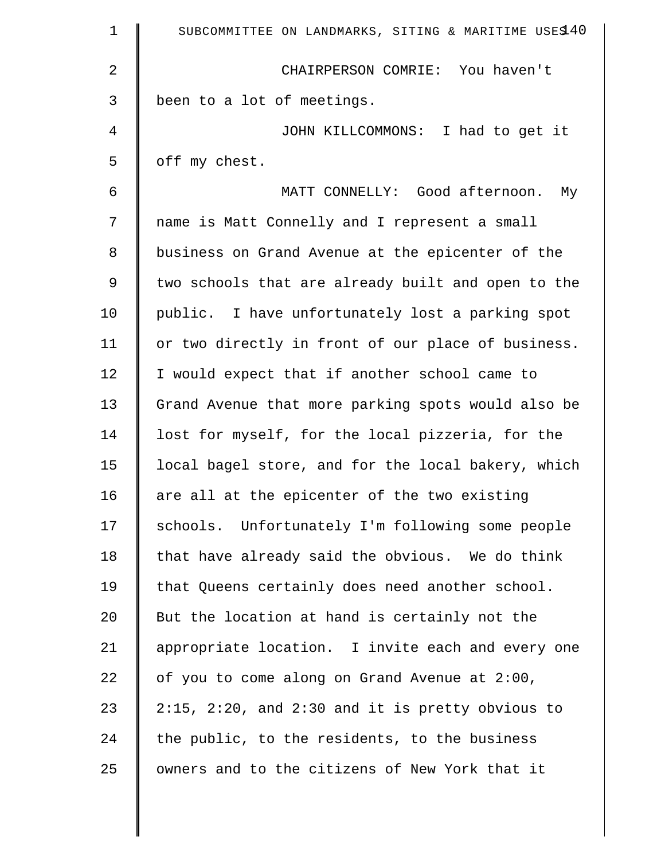| $\mathbf{1}$ | SUBCOMMITTEE ON LANDMARKS, SITING & MARITIME USES 40     |
|--------------|----------------------------------------------------------|
| 2            | CHAIRPERSON COMRIE: You haven't                          |
| 3            | been to a lot of meetings.                               |
| 4            | JOHN KILLCOMMONS: I had to get it                        |
| 5            | off my chest.                                            |
| 6            | MATT CONNELLY: Good afternoon.<br>Мy                     |
| 7            | name is Matt Connelly and I represent a small            |
| 8            | business on Grand Avenue at the epicenter of the         |
| 9            | two schools that are already built and open to the       |
| 10           | public. I have unfortunately lost a parking spot         |
| 11           | or two directly in front of our place of business.       |
| 12           | I would expect that if another school came to            |
| 13           | Grand Avenue that more parking spots would also be       |
| 14           | lost for myself, for the local pizzeria, for the         |
| 15           | local bagel store, and for the local bakery, which       |
| 16           | are all at the epicenter of the two existing             |
| 17           | schools. Unfortunately I'm following some people         |
| 18           | that have already said the obvious. We do think          |
| 19           | that Queens certainly does need another school.          |
| 20           | But the location at hand is certainly not the            |
| 21           | appropriate location. I invite each and every one        |
| 22           | of you to come along on Grand Avenue at 2:00,            |
| 23           | $2:15$ , $2:20$ , and $2:30$ and it is pretty obvious to |
| 24           | the public, to the residents, to the business            |
| 25           | owners and to the citizens of New York that it           |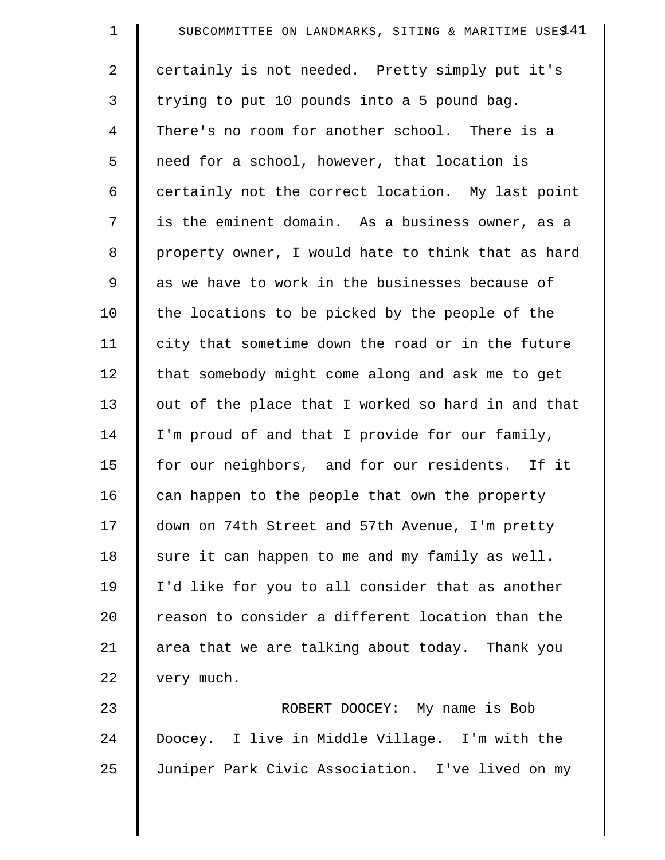| $\mathbf 1$    | SUBCOMMITTEE ON LANDMARKS, SITING & MARITIME USES 41 |
|----------------|------------------------------------------------------|
| $\overline{2}$ | certainly is not needed. Pretty simply put it's      |
| 3              | trying to put 10 pounds into a 5 pound bag.          |
| 4              | There's no room for another school. There is a       |
| 5              | need for a school, however, that location is         |
| 6              | certainly not the correct location. My last point    |
| 7              | is the eminent domain. As a business owner, as a     |
| 8              | property owner, I would hate to think that as hard   |
| 9              | as we have to work in the businesses because of      |
| 10             | the locations to be picked by the people of the      |
| 11             | city that sometime down the road or in the future    |
| 12             | that somebody might come along and ask me to get     |
| 13             | out of the place that I worked so hard in and that   |
| 14             | I'm proud of and that I provide for our family,      |
| 15             | for our neighbors, and for our residents. If it      |
| 16             | can happen to the people that own the property       |
| 17             | down on 74th Street and 57th Avenue, I'm pretty      |
| 18             | sure it can happen to me and my family as well.      |
| 19             | I'd like for you to all consider that as another     |
| 20             | reason to consider a different location than the     |
| 21             | area that we are talking about today. Thank you      |
| 22             | very much.                                           |
| 23             | ROBERT DOOCEY: My name is Bob                        |
| 24             | Doocey. I live in Middle Village. I'm with the       |

25 Juniper Park Civic Association. I've lived on my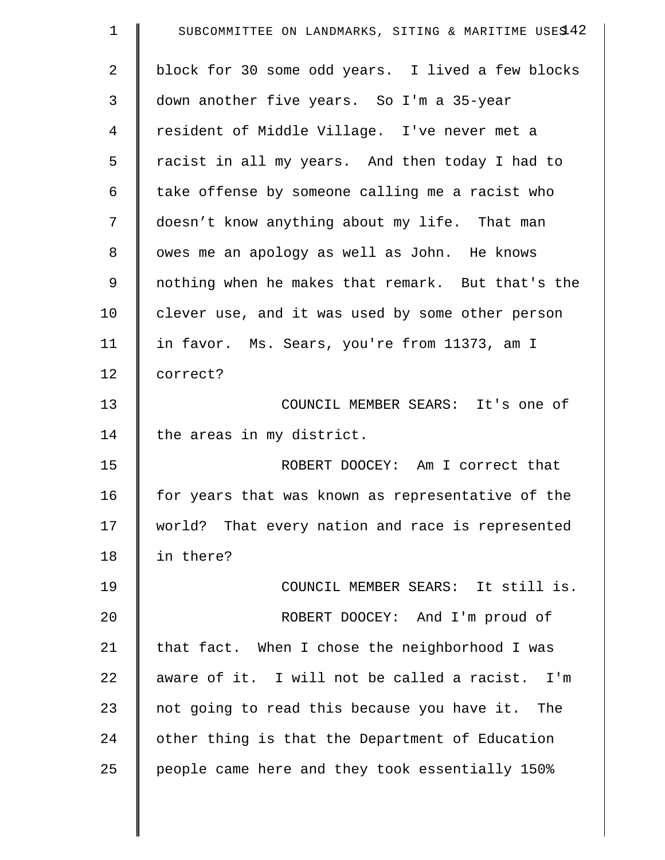| $\mathbf 1$    | SUBCOMMITTEE ON LANDMARKS, SITING & MARITIME USES 42 |
|----------------|------------------------------------------------------|
| $\overline{2}$ | block for 30 some odd years. I lived a few blocks    |
| 3              | down another five years. So I'm a 35-year            |
| 4              | resident of Middle Village. I've never met a         |
| 5              | racist in all my years. And then today I had to      |
| 6              | take offense by someone calling me a racist who      |
| 7              | doesn't know anything about my life. That man        |
| 8              | owes me an apology as well as John. He knows         |
| 9              | nothing when he makes that remark. But that's the    |
| 10             | clever use, and it was used by some other person     |
| 11             | in favor. Ms. Sears, you're from 11373, am I         |
| 12             | correct?                                             |
| 13             | COUNCIL MEMBER SEARS: It's one of                    |
| 14             | the areas in my district.                            |
| 15             | ROBERT DOOCEY: Am I correct that                     |
| 16             | for years that was known as representative of the    |
| 17             | world? That every nation and race is represented     |
| 18             | in there?                                            |
| 19             | COUNCIL MEMBER SEARS: It still is.                   |
| 20             | ROBERT DOOCEY: And I'm proud of                      |
| 21             | that fact. When I chose the neighborhood I was       |
| 22             | aware of it. I will not be called a racist. I'm      |
| 23             | not going to read this because you have it. The      |
| 24             | other thing is that the Department of Education      |
| 25             | people came here and they took essentially 150%      |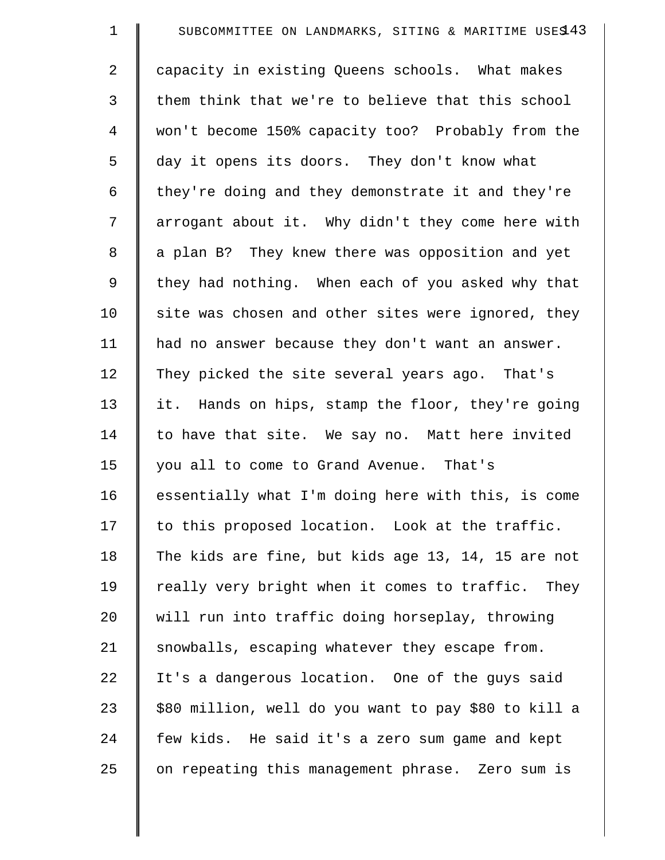| $\mathbf 1$    | SUBCOMMITTEE ON LANDMARKS, SITING & MARITIME USES 43 |
|----------------|------------------------------------------------------|
| $\overline{2}$ | capacity in existing Queens schools. What makes      |
| 3              | them think that we're to believe that this school    |
| 4              | won't become 150% capacity too? Probably from the    |
| 5              | day it opens its doors. They don't know what         |
| 6              | they're doing and they demonstrate it and they're    |
| 7              | arrogant about it. Why didn't they come here with    |
| $\,8\,$        | a plan B? They knew there was opposition and yet     |
| 9              | they had nothing. When each of you asked why that    |
| 10             | site was chosen and other sites were ignored, they   |
| 11             | had no answer because they don't want an answer.     |
| 12             | They picked the site several years ago. That's       |
| 13             | it. Hands on hips, stamp the floor, they're going    |
| 14             | to have that site. We say no. Matt here invited      |
| 15             | you all to come to Grand Avenue. That's              |
| 16             | essentially what I'm doing here with this, is come   |
| 17             | to this proposed location. Look at the traffic.      |
| 18             | The kids are fine, but kids age 13, 14, 15 are not   |
| 19             | really very bright when it comes to traffic. They    |
| 20             | will run into traffic doing horseplay, throwing      |
| 21             | snowballs, escaping whatever they escape from.       |
| 22             | It's a dangerous location. One of the guys said      |
| 23             | \$80 million, well do you want to pay \$80 to kill a |
| 24             | few kids. He said it's a zero sum game and kept      |
| 25             | on repeating this management phrase. Zero sum is     |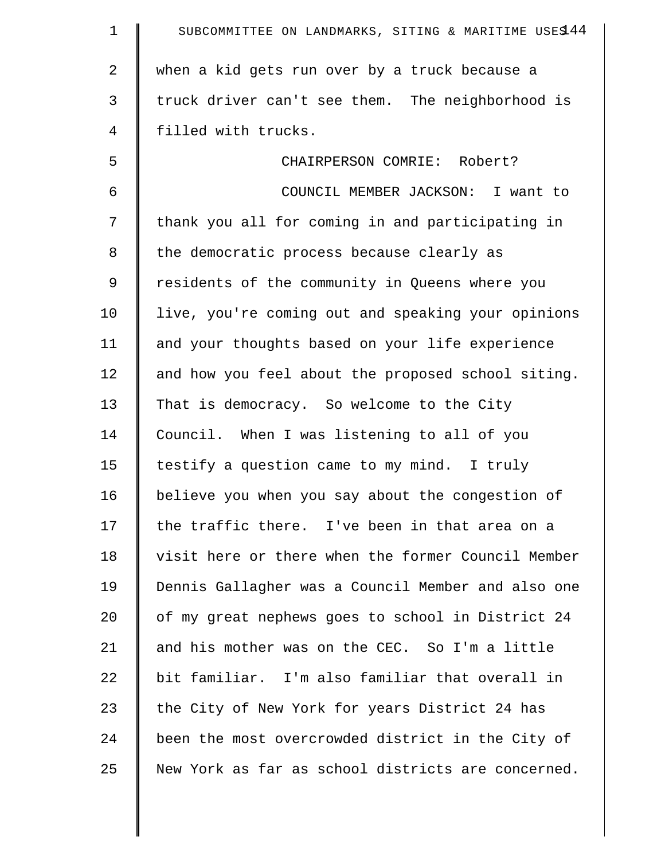| $\mathbf 1$    | SUBCOMMITTEE ON LANDMARKS, SITING & MARITIME USES 44 |
|----------------|------------------------------------------------------|
| $\overline{a}$ | when a kid gets run over by a truck because a        |
| 3              | truck driver can't see them. The neighborhood is     |
| 4              | filled with trucks.                                  |
| 5              | CHAIRPERSON COMRIE: Robert?                          |
| 6              | COUNCIL MEMBER JACKSON: I want to                    |
| 7              | thank you all for coming in and participating in     |
| 8              | the democratic process because clearly as            |
| 9              | residents of the community in Queens where you       |
| 10             | live, you're coming out and speaking your opinions   |
| 11             | and your thoughts based on your life experience      |
| 12             | and how you feel about the proposed school siting.   |
| 13             | That is democracy. So welcome to the City            |
| 14             | Council. When I was listening to all of you          |
| 15             | testify a question came to my mind. I truly          |
| 16             | believe you when you say about the congestion of     |
| 17             | the traffic there. I've been in that area on a       |
| 18             | visit here or there when the former Council Member   |
| 19             | Dennis Gallagher was a Council Member and also one   |
| 20             | of my great nephews goes to school in District 24    |
| 21             | and his mother was on the CEC. So I'm a little       |
| 22             | bit familiar. I'm also familiar that overall in      |
| 23             | the City of New York for years District 24 has       |
| 24             | been the most overcrowded district in the City of    |
| 25             | New York as far as school districts are concerned.   |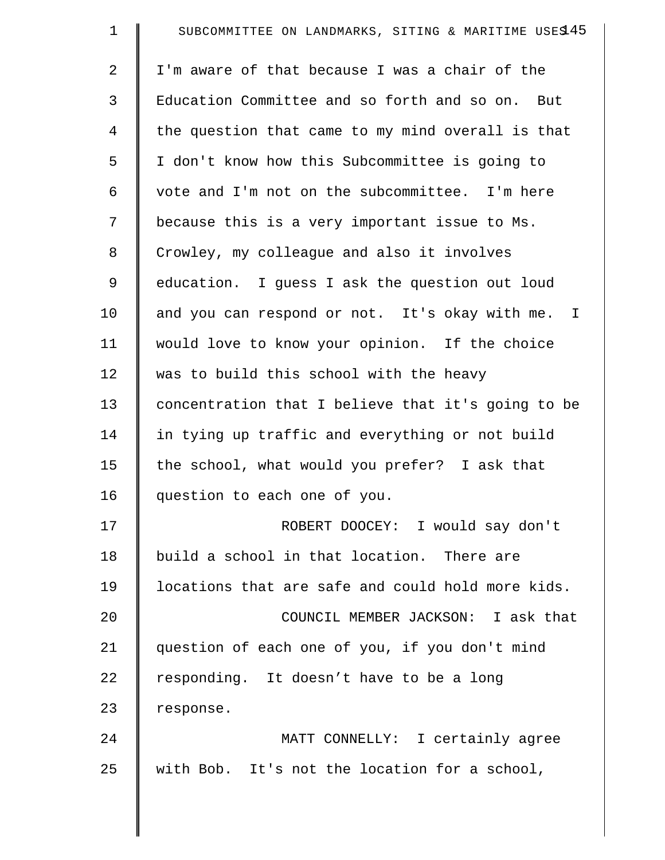| $\mathbf 1$ | SUBCOMMITTEE ON LANDMARKS, SITING & MARITIME USES 45 |
|-------------|------------------------------------------------------|
| 2           | I'm aware of that because I was a chair of the       |
| 3           | Education Committee and so forth and so on. But      |
| 4           | the question that came to my mind overall is that    |
| 5           | I don't know how this Subcommittee is going to       |
| 6           | vote and I'm not on the subcommittee. I'm here       |
| 7           | because this is a very important issue to Ms.        |
| 8           | Crowley, my colleague and also it involves           |
| 9           | education. I guess I ask the question out loud       |
| 10          | and you can respond or not. It's okay with me. I     |
| 11          | would love to know your opinion. If the choice       |
| 12          | was to build this school with the heavy              |
| 13          | concentration that I believe that it's going to be   |
| 14          | in tying up traffic and everything or not build      |
| 15          | the school, what would you prefer? I ask that        |
| 16          | question to each one of you.                         |
| 17          | ROBERT DOOCEY: I would say don't                     |
| 18          | build a school in that location. There are           |
| 19          | locations that are safe and could hold more kids.    |
| 20          | COUNCIL MEMBER JACKSON: I ask that                   |
| 21          | question of each one of you, if you don't mind       |
| 22          | responding. It doesn't have to be a long             |
| 23          | response.                                            |
| 24          | MATT CONNELLY: I certainly agree                     |
| 25          | with Bob. It's not the location for a school,        |
|             |                                                      |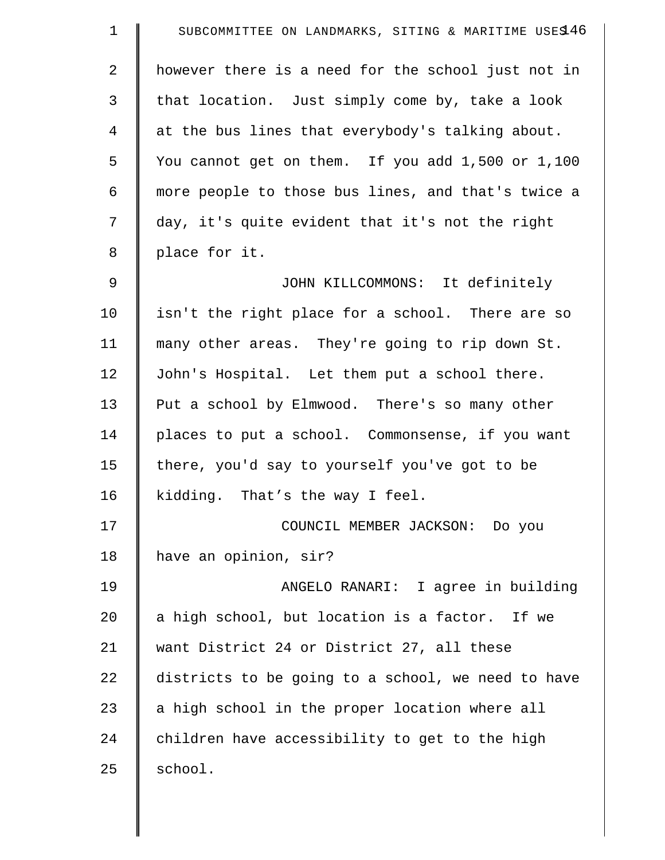| $\mathbf 1$    | SUBCOMMITTEE ON LANDMARKS, SITING & MARITIME USES 46 |
|----------------|------------------------------------------------------|
| $\overline{a}$ | however there is a need for the school just not in   |
| 3              | that location. Just simply come by, take a look      |
| $\overline{4}$ | at the bus lines that everybody's talking about.     |
| 5              | You cannot get on them. If you add 1,500 or 1,100    |
| 6              | more people to those bus lines, and that's twice a   |
| 7              | day, it's quite evident that it's not the right      |
| 8              | place for it.                                        |
| 9              | JOHN KILLCOMMONS: It definitely                      |
| 10             | isn't the right place for a school. There are so     |
| 11             | many other areas. They're going to rip down St.      |
| 12             | John's Hospital. Let them put a school there.        |
| 13             | Put a school by Elmwood. There's so many other       |
| 14             | places to put a school. Commonsense, if you want     |
| 15             | there, you'd say to yourself you've got to be        |
| 16             | kidding. That's the way I feel.                      |
| 17             | COUNCIL MEMBER JACKSON: Do you                       |
| 18             | have an opinion, sir?                                |
| 19             | ANGELO RANARI: I agree in building                   |
| 20             | a high school, but location is a factor. If we       |
| 21             | want District 24 or District 27, all these           |
| 22             | districts to be going to a school, we need to have   |
| 23             | a high school in the proper location where all       |
| 24             | children have accessibility to get to the high       |
| 25             | school.                                              |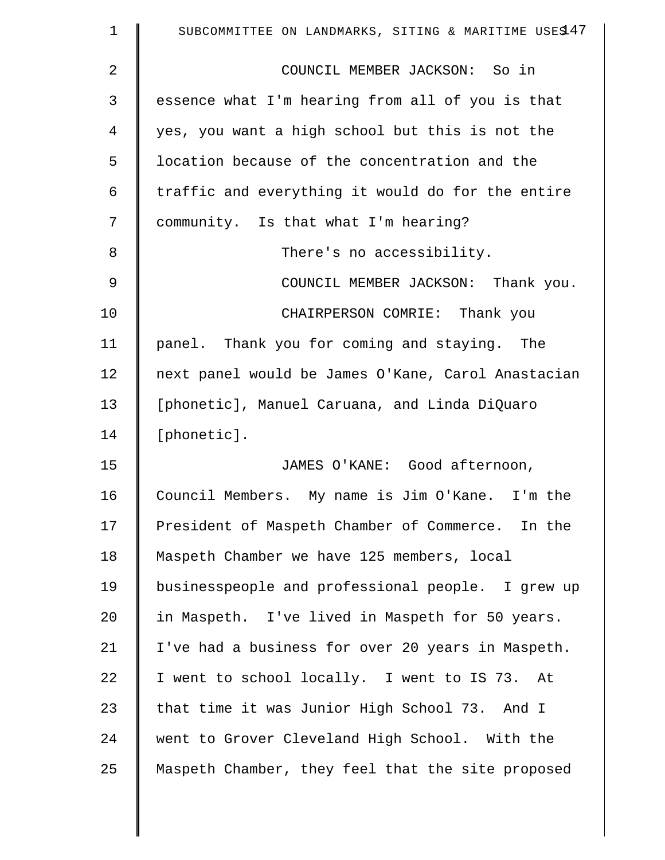| $\mathbf 1$    | SUBCOMMITTEE ON LANDMARKS, SITING & MARITIME USES 47 |
|----------------|------------------------------------------------------|
| $\overline{2}$ | COUNCIL MEMBER JACKSON: So in                        |
| 3              | essence what I'm hearing from all of you is that     |
| 4              | yes, you want a high school but this is not the      |
| 5              | location because of the concentration and the        |
| 6              | traffic and everything it would do for the entire    |
| 7              | community. Is that what I'm hearing?                 |
| 8              | There's no accessibility.                            |
| $\mathsf 9$    | COUNCIL MEMBER JACKSON: Thank you.                   |
| 10             | CHAIRPERSON COMRIE: Thank you                        |
| 11             | panel. Thank you for coming and staying. The         |
| 12             | next panel would be James O'Kane, Carol Anastacian   |
| 13             | [phonetic], Manuel Caruana, and Linda DiQuaro        |
| 14             | [phonetic].                                          |
| 15             | JAMES O'KANE: Good afternoon,                        |
| 16             | Council Members. My name is Jim O'Kane. I'm the      |
| 17             | President of Maspeth Chamber of Commerce. In the     |
| 18             | Maspeth Chamber we have 125 members, local           |
| 19             | businesspeople and professional people. I grew up    |
| 20             | in Maspeth. I've lived in Maspeth for 50 years.      |
| 21             | I've had a business for over 20 years in Maspeth.    |
| 22             | I went to school locally. I went to IS 73. At        |
| 23             | that time it was Junior High School 73. And I        |
| 24             | went to Grover Cleveland High School. With the       |
| 25             | Maspeth Chamber, they feel that the site proposed    |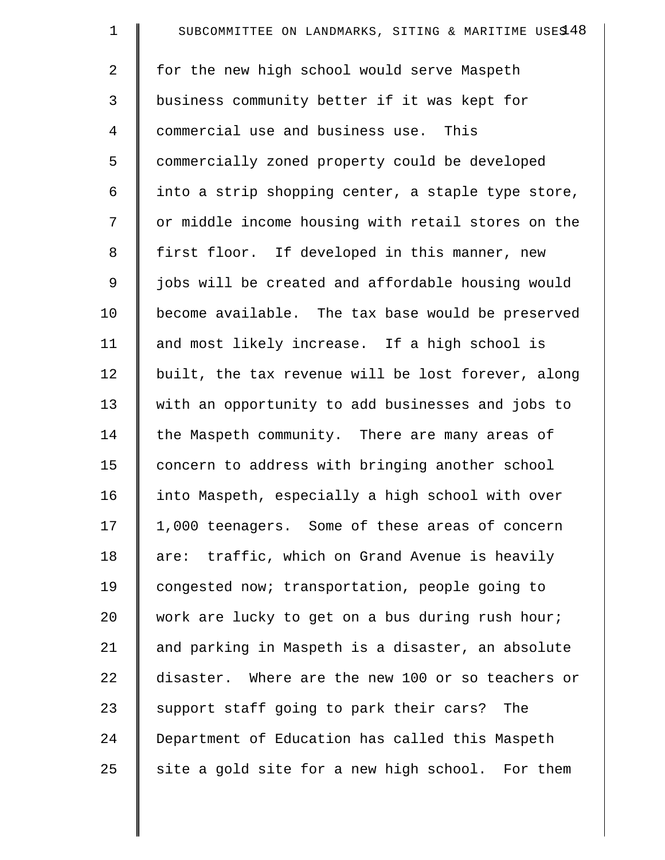| $\mathbf 1$ | SUBCOMMITTEE ON LANDMARKS, SITING & MARITIME USES 48 |
|-------------|------------------------------------------------------|
| 2           | for the new high school would serve Maspeth          |
| 3           | business community better if it was kept for         |
| 4           | commercial use and business use. This                |
| 5           | commercially zoned property could be developed       |
| 6           | into a strip shopping center, a staple type store,   |
| 7           | or middle income housing with retail stores on the   |
| 8           | first floor. If developed in this manner, new        |
| $\mathsf 9$ | jobs will be created and affordable housing would    |
| 10          | become available. The tax base would be preserved    |
| 11          | and most likely increase. If a high school is        |
| 12          | built, the tax revenue will be lost forever, along   |
| 13          | with an opportunity to add businesses and jobs to    |
| 14          | the Maspeth community. There are many areas of       |
| 15          | concern to address with bringing another school      |
| 16          | into Maspeth, especially a high school with over     |
| 17          | 1,000 teenagers. Some of these areas of concern      |
| 18          | are: traffic, which on Grand Avenue is heavily       |
| 19          | congested now; transportation, people going to       |
| 20          | work are lucky to get on a bus during rush hour;     |
| 21          | and parking in Maspeth is a disaster, an absolute    |
| 22          | disaster. Where are the new 100 or so teachers or    |
| 23          | support staff going to park their cars? The          |
| 24          | Department of Education has called this Maspeth      |
| 25          | site a gold site for a new high school. For them     |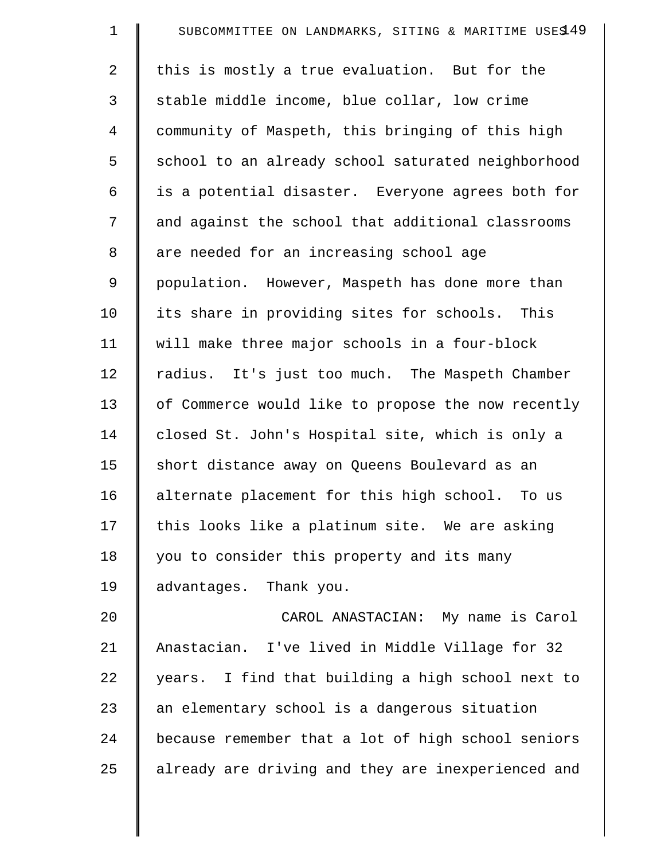| $\mathbf 1$    | SUBCOMMITTEE ON LANDMARKS, SITING & MARITIME USES 49 |
|----------------|------------------------------------------------------|
| $\overline{2}$ | this is mostly a true evaluation. But for the        |
| 3              | stable middle income, blue collar, low crime         |
| $\overline{4}$ | community of Maspeth, this bringing of this high     |
| 5              | school to an already school saturated neighborhood   |
| 6              | is a potential disaster. Everyone agrees both for    |
| 7              | and against the school that additional classrooms    |
| 8              | are needed for an increasing school age              |
| $\mathsf 9$    | population. However, Maspeth has done more than      |
| 10             | its share in providing sites for schools. This       |
| 11             | will make three major schools in a four-block        |
| 12             | radius. It's just too much. The Maspeth Chamber      |
| 13             | of Commerce would like to propose the now recently   |
| 14             | closed St. John's Hospital site, which is only a     |
| 15             | short distance away on Queens Boulevard as an        |
| 16             | alternate placement for this high school. To us      |
| 17             | this looks like a platinum site. We are asking       |
| 18             | you to consider this property and its many           |
| 19             | advantages. Thank you.                               |
| 20             | CAROL ANASTACIAN: My name is Carol                   |
| 21             | Anastacian. I've lived in Middle Village for 32      |
| 22             | years. I find that building a high school next to    |
| 23             | an elementary school is a dangerous situation        |
| 24             | because remember that a lot of high school seniors   |
| 25             | already are driving and they are inexperienced and   |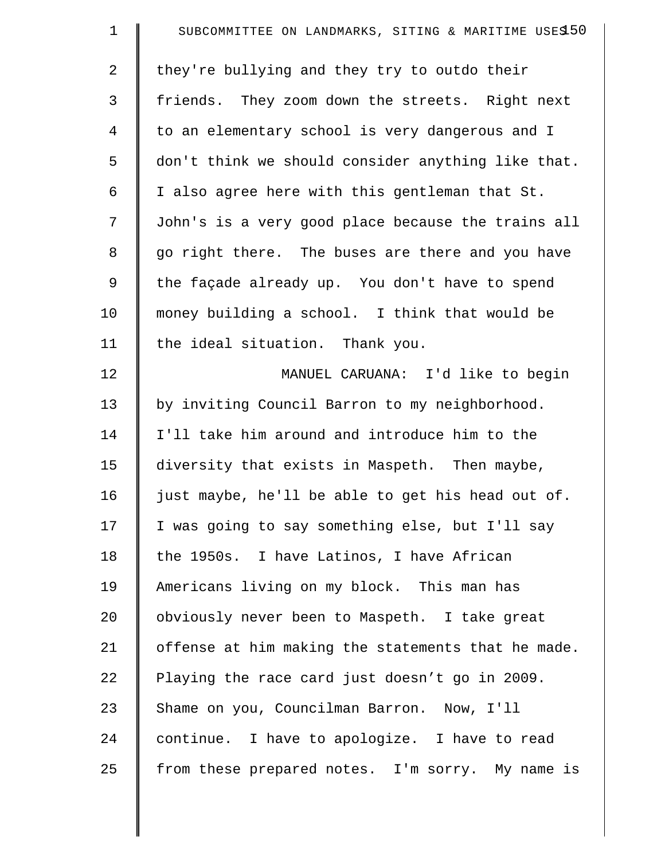| $\mathbf 1$    | SUBCOMMITTEE ON LANDMARKS, SITING & MARITIME USES 50 |
|----------------|------------------------------------------------------|
| $\overline{2}$ | they're bullying and they try to outdo their         |
| 3              | friends. They zoom down the streets. Right next      |
| $\overline{4}$ | to an elementary school is very dangerous and I      |
| 5              | don't think we should consider anything like that.   |
| 6              | I also agree here with this gentleman that St.       |
| 7              | John's is a very good place because the trains all   |
| 8              | go right there. The buses are there and you have     |
| 9              | the façade already up. You don't have to spend       |
| 10             | money building a school. I think that would be       |
| 11             | the ideal situation. Thank you.                      |
| 12             | MANUEL CARUANA: I'd like to begin                    |
| 13             | by inviting Council Barron to my neighborhood.       |
| 14             | I'll take him around and introduce him to the        |
| 15             | diversity that exists in Maspeth. Then maybe,        |
| 16             | just maybe, he'll be able to get his head out of.    |
| 17             | I was going to say something else, but I'll say      |
| 18             | the 1950s. I have Latinos, I have African            |
| 19             | Americans living on my block. This man has           |
| 20             | obviously never been to Maspeth. I take great        |
| 21             | offense at him making the statements that he made.   |
| 22             | Playing the race card just doesn't go in 2009.       |
| 23             | Shame on you, Councilman Barron. Now, I'll           |
| 24             | continue. I have to apologize. I have to read        |
| 25             | from these prepared notes. I'm sorry. My name is     |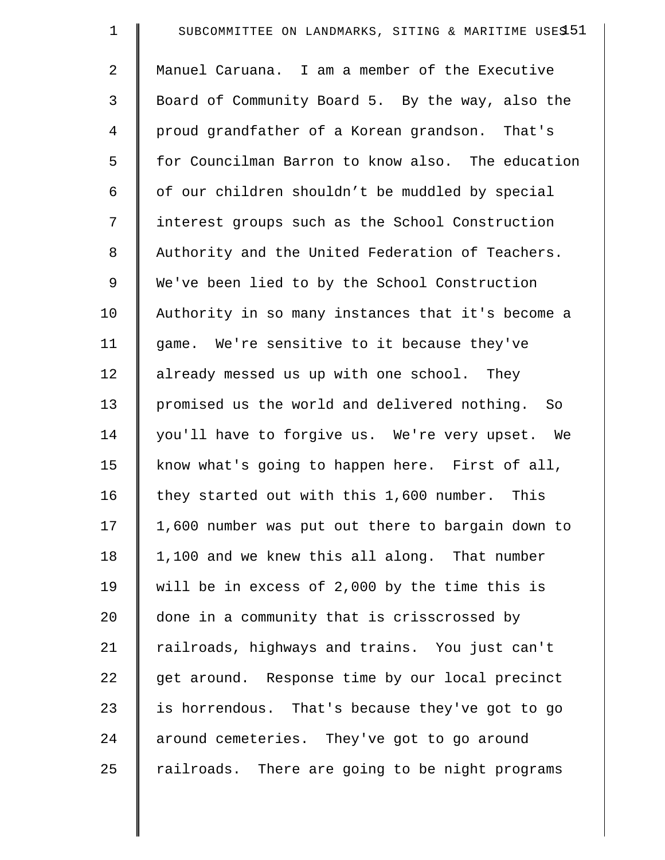| $\mathbf 1$    | SUBCOMMITTEE ON LANDMARKS, SITING & MARITIME USES 51 |
|----------------|------------------------------------------------------|
| $\overline{a}$ | Manuel Caruana. I am a member of the Executive       |
| 3              | Board of Community Board 5. By the way, also the     |
| 4              | proud grandfather of a Korean grandson. That's       |
| 5              | for Councilman Barron to know also. The education    |
| 6              | of our children shouldn't be muddled by special      |
| 7              | interest groups such as the School Construction      |
| 8              | Authority and the United Federation of Teachers.     |
| 9              | We've been lied to by the School Construction        |
| 10             | Authority in so many instances that it's become a    |
| 11             | game. We're sensitive to it because they've          |
| 12             | already messed us up with one school. They           |
| 13             | promised us the world and delivered nothing. So      |
| 14             | you'll have to forgive us. We're very upset. We      |
| 15             | know what's going to happen here. First of all,      |
| 16             | they started out with this 1,600 number. This        |
| 17             | 1,600 number was put out there to bargain down to    |
| 18             | 1,100 and we knew this all along. That number        |
| 19             | will be in excess of 2,000 by the time this is       |
| 20             | done in a community that is crisscrossed by          |
| 21             | railroads, highways and trains. You just can't       |
| 22             | get around. Response time by our local precinct      |
| 23             | is horrendous. That's because they've got to go      |
| 24             | around cemeteries. They've got to go around          |
| 25             | railroads.<br>There are going to be night programs   |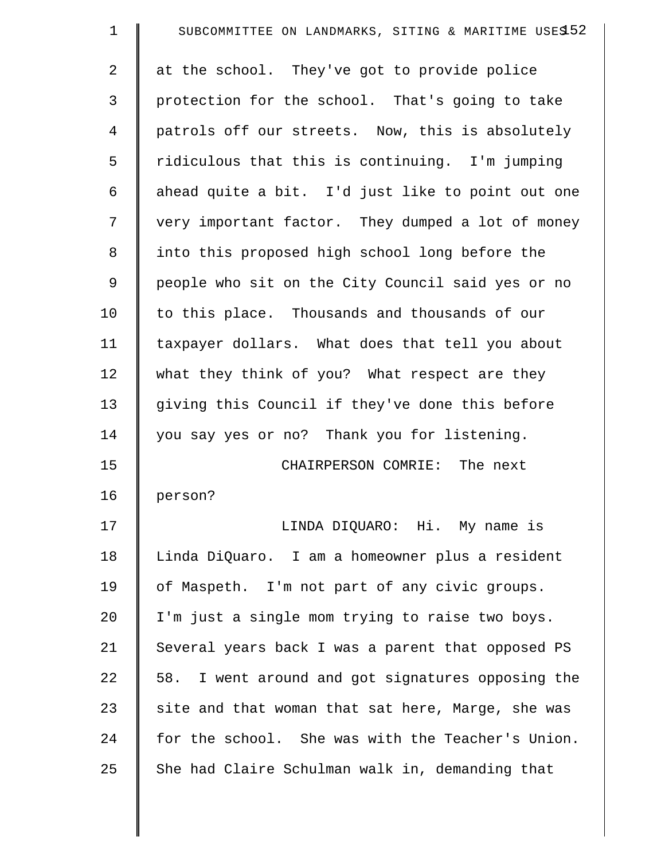| $\mathbf 1$    | SUBCOMMITTEE ON LANDMARKS, SITING & MARITIME USES52 |
|----------------|-----------------------------------------------------|
| $\overline{2}$ | at the school. They've got to provide police        |
| 3              | protection for the school. That's going to take     |
| 4              | patrols off our streets. Now, this is absolutely    |
| 5              | ridiculous that this is continuing. I'm jumping     |
| 6              | ahead quite a bit. I'd just like to point out one   |
| 7              | very important factor. They dumped a lot of money   |
| 8              | into this proposed high school long before the      |
| 9              | people who sit on the City Council said yes or no   |
| 10             | to this place. Thousands and thousands of our       |
| 11             | taxpayer dollars. What does that tell you about     |
| 12             | what they think of you? What respect are they       |
| 13             | giving this Council if they've done this before     |
| 14             | you say yes or no? Thank you for listening.         |
| 15             | CHAIRPERSON COMRIE: The next                        |
| 16             | person?                                             |
| 17             | LINDA DIQUARO: Hi. My name is                       |
| 18             | Linda DiQuaro. I am a homeowner plus a resident     |
| 19             | of Maspeth. I'm not part of any civic groups.       |
| 20             | I'm just a single mom trying to raise two boys.     |
| 21             | Several years back I was a parent that opposed PS   |
| 22             | 58. I went around and got signatures opposing the   |
| 23             | site and that woman that sat here, Marge, she was   |
| 24             | for the school. She was with the Teacher's Union.   |
| 25             | She had Claire Schulman walk in, demanding that     |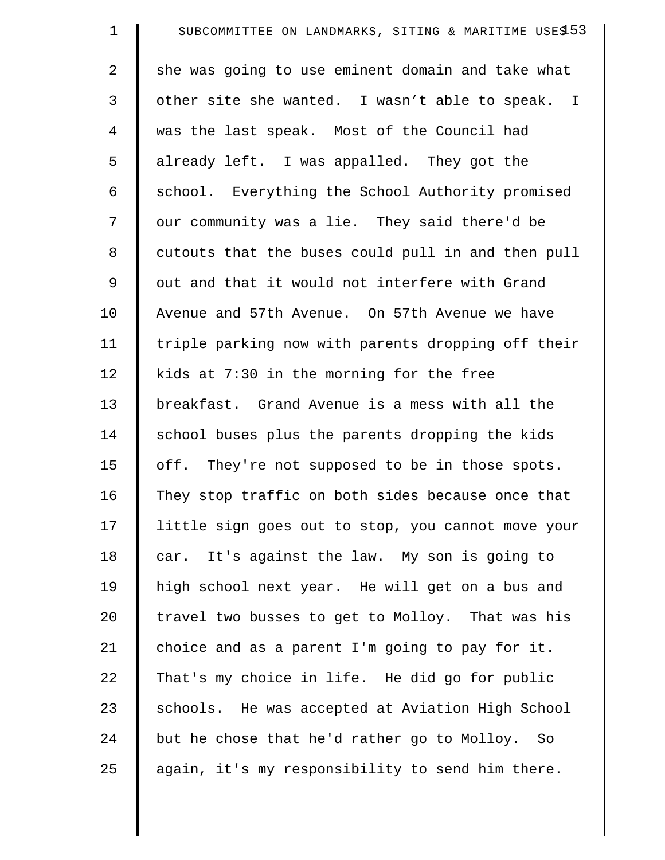| $\mathbf 1$ | SUBCOMMITTEE ON LANDMARKS, SITING & MARITIME USES 53 |
|-------------|------------------------------------------------------|
| 2           | she was going to use eminent domain and take what    |
| 3           | other site she wanted. I wasn't able to speak. I     |
| 4           | was the last speak. Most of the Council had          |
| 5           | already left. I was appalled. They got the           |
| 6           | school. Everything the School Authority promised     |
| 7           | our community was a lie. They said there'd be        |
| 8           | cutouts that the buses could pull in and then pull   |
| $\mathsf 9$ | out and that it would not interfere with Grand       |
| 10          | Avenue and 57th Avenue. On 57th Avenue we have       |
| 11          | triple parking now with parents dropping off their   |
| 12          | kids at 7:30 in the morning for the free             |
| 13          | breakfast. Grand Avenue is a mess with all the       |
| 14          | school buses plus the parents dropping the kids      |
| 15          | off. They're not supposed to be in those spots.      |
| 16          | They stop traffic on both sides because once that    |
| 17          | little sign goes out to stop, you cannot move your   |
| 18          | car. It's against the law. My son is going to        |
| 19          | high school next year. He will get on a bus and      |
| 20          | travel two busses to get to Molloy. That was his     |
| 21          | choice and as a parent I'm going to pay for it.      |
| 22          | That's my choice in life. He did go for public       |
| 23          | schools. He was accepted at Aviation High School     |
| 24          | but he chose that he'd rather go to Molloy. So       |
| 25          | again, it's my responsibility to send him there.     |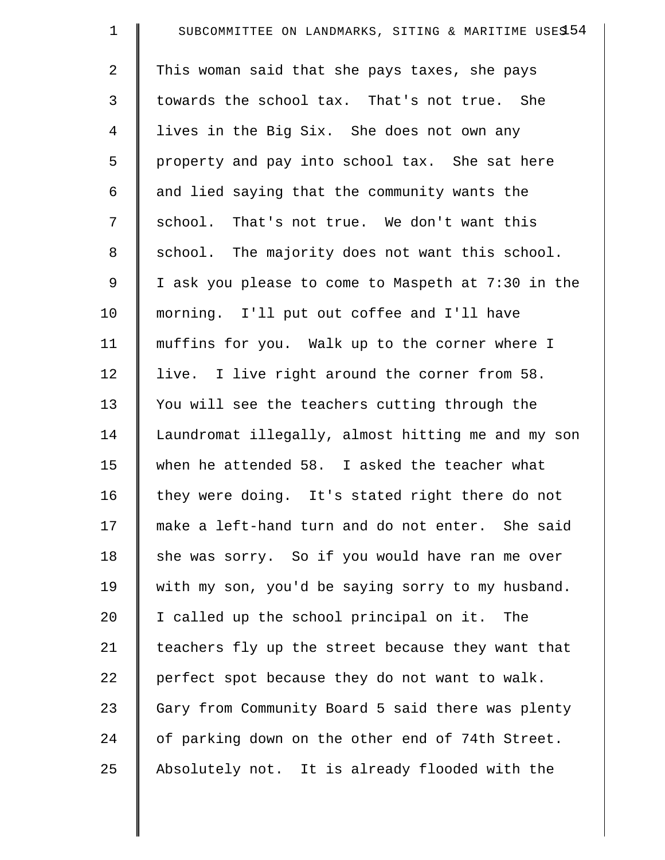| $\mathbf 1$    | SUBCOMMITTEE ON LANDMARKS, SITING & MARITIME USES 54 |
|----------------|------------------------------------------------------|
| $\overline{2}$ | This woman said that she pays taxes, she pays        |
| 3              | towards the school tax. That's not true. She         |
| 4              | lives in the Big Six. She does not own any           |
| 5              | property and pay into school tax. She sat here       |
| 6              | and lied saying that the community wants the         |
| 7              | school. That's not true. We don't want this          |
| 8              | school. The majority does not want this school.      |
| $\mathsf 9$    | I ask you please to come to Maspeth at 7:30 in the   |
| 10             | morning. I'll put out coffee and I'll have           |
| 11             | muffins for you. Walk up to the corner where I       |
| 12             | live. I live right around the corner from 58.        |
| 13             | You will see the teachers cutting through the        |
| 14             | Laundromat illegally, almost hitting me and my son   |
| 15             | when he attended 58. I asked the teacher what        |
| 16             | they were doing. It's stated right there do not      |
| 17             | make a left-hand turn and do not enter. She said     |
| 18             | she was sorry. So if you would have ran me over      |
| 19             | with my son, you'd be saying sorry to my husband.    |
| 20             | I called up the school principal on it. The          |
| 21             | teachers fly up the street because they want that    |
| 22             | perfect spot because they do not want to walk.       |
| 23             | Gary from Community Board 5 said there was plenty    |
| 24             | of parking down on the other end of 74th Street.     |
| 25             | Absolutely not. It is already flooded with the       |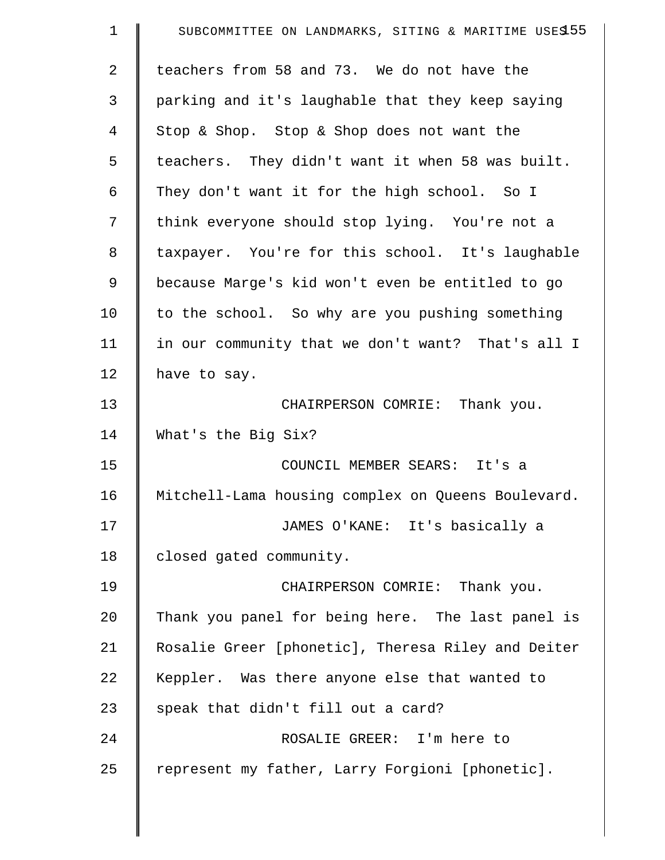| $\mathbf 1$    | SUBCOMMITTEE ON LANDMARKS, SITING & MARITIME USES 55 |
|----------------|------------------------------------------------------|
| $\overline{2}$ | teachers from 58 and 73. We do not have the          |
| 3              | parking and it's laughable that they keep saying     |
| 4              | Stop & Shop. Stop & Shop does not want the           |
| 5              | teachers. They didn't want it when 58 was built.     |
| 6              | They don't want it for the high school. So I         |
| 7              | think everyone should stop lying. You're not a       |
| 8              | taxpayer. You're for this school. It's laughable     |
| 9              | because Marge's kid won't even be entitled to go     |
| 10             | to the school. So why are you pushing something      |
| 11             | in our community that we don't want? That's all I    |
| 12             | have to say.                                         |
| 13             | CHAIRPERSON COMRIE: Thank you.                       |
| 14             | What's the Big Six?                                  |
| 15             | COUNCIL MEMBER SEARS: It's a                         |
| 16             | Mitchell-Lama housing complex on Queens Boulevard.   |
| 17             | JAMES O'KANE: It's basically a                       |
| 18             | closed gated community.                              |
| 19             | CHAIRPERSON COMRIE: Thank you.                       |
| 20             | Thank you panel for being here. The last panel is    |
| 21             | Rosalie Greer [phonetic], Theresa Riley and Deiter   |
| 22             | Keppler. Was there anyone else that wanted to        |
| 23             | speak that didn't fill out a card?                   |
| 24             | ROSALIE GREER: I'm here to                           |
| 25             | represent my father, Larry Forgioni [phonetic].      |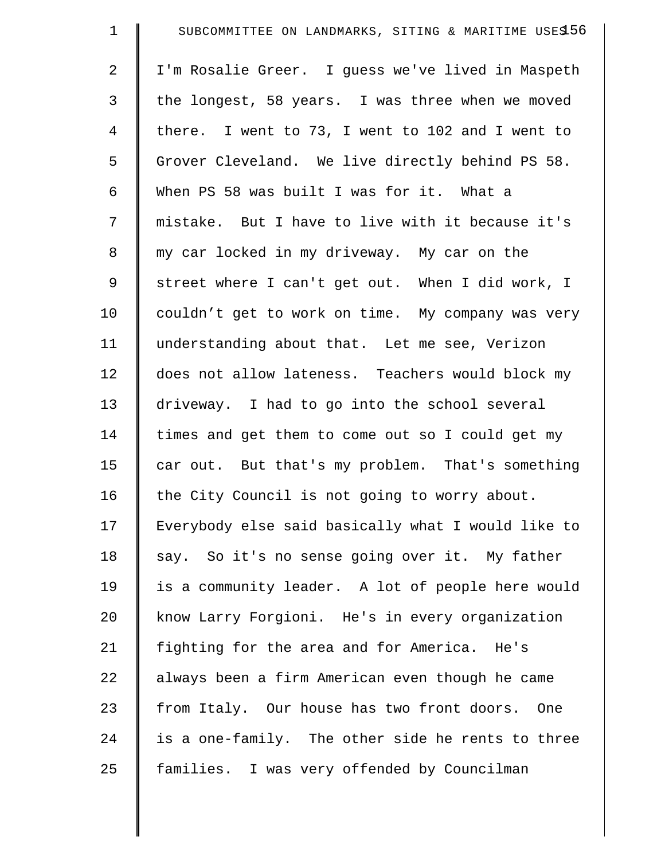| $\mathbf 1$    | SUBCOMMITTEE ON LANDMARKS, SITING & MARITIME USE\$56 |
|----------------|------------------------------------------------------|
| $\overline{2}$ | I'm Rosalie Greer. I guess we've lived in Maspeth    |
| 3              | the longest, 58 years. I was three when we moved     |
| $\overline{4}$ | there. I went to 73, I went to 102 and I went to     |
| 5              | Grover Cleveland. We live directly behind PS 58.     |
| 6              | When PS 58 was built I was for it. What a            |
| 7              | mistake. But I have to live with it because it's     |
| 8              | my car locked in my driveway. My car on the          |
| 9              | street where I can't get out. When I did work, I     |
| 10             | couldn't get to work on time. My company was very    |
| 11             | understanding about that. Let me see, Verizon        |
| 12             | does not allow lateness. Teachers would block my     |
| 13             | driveway. I had to go into the school several        |
| 14             | times and get them to come out so I could get my     |
| 15             | car out. But that's my problem. That's something     |
| 16             | the City Council is not going to worry about.        |
| 17             | Everybody else said basically what I would like to   |
| 18             | say. So it's no sense going over it. My father       |
| 19             | is a community leader. A lot of people here would    |
| 20             | know Larry Forgioni. He's in every organization      |
| 21             | fighting for the area and for America. He's          |
| 22             | always been a firm American even though he came      |
| 23             | from Italy. Our house has two front doors. One       |
| 24             | is a one-family. The other side he rents to three    |
| 25             | families. I was very offended by Councilman          |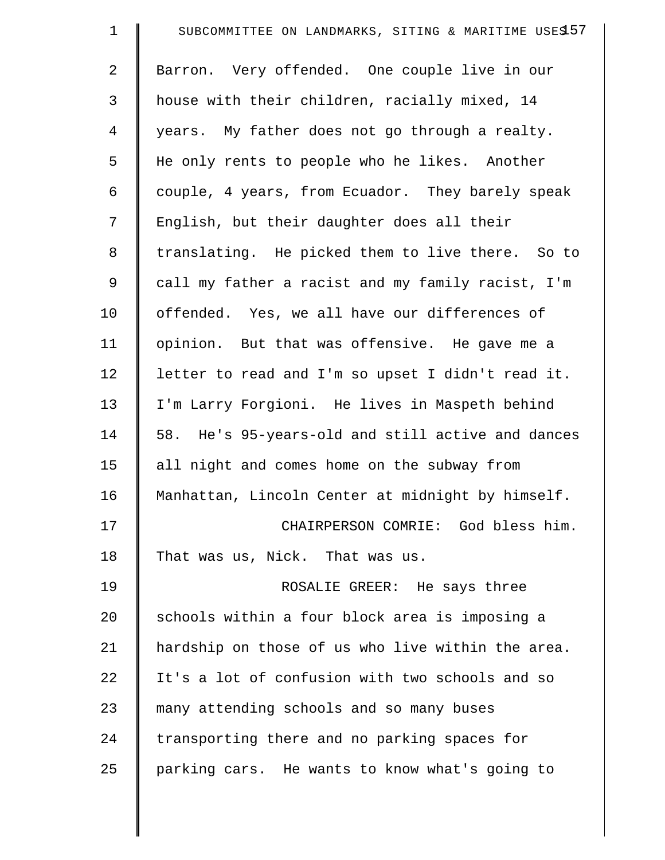| $\mathbf 1$    | SUBCOMMITTEE ON LANDMARKS, SITING & MARITIME USES 57 |
|----------------|------------------------------------------------------|
| 2              | Barron. Very offended. One couple live in our        |
| 3              | house with their children, racially mixed, 14        |
| $\overline{4}$ | years. My father does not go through a realty.       |
| 5              | He only rents to people who he likes. Another        |
| 6              | couple, 4 years, from Ecuador. They barely speak     |
| 7              | English, but their daughter does all their           |
| $\,8\,$        | translating. He picked them to live there. So to     |
| 9              | call my father a racist and my family racist, I'm    |
| 10             | offended. Yes, we all have our differences of        |
| 11             | opinion. But that was offensive. He gave me a        |
| 12             | letter to read and I'm so upset I didn't read it.    |
| 13             | I'm Larry Forgioni. He lives in Maspeth behind       |
| 14             | 58. He's 95-years-old and still active and dances    |
| 15             | all night and comes home on the subway from          |
| 16             | Manhattan, Lincoln Center at midnight by himself.    |
| 17             | CHAIRPERSON COMRIE: God bless him.                   |
| 18             | That was us, Nick. That was us.                      |
| 19             | ROSALIE GREER: He says three                         |
| 20             | schools within a four block area is imposing a       |
| 21             | hardship on those of us who live within the area.    |
| 22             | It's a lot of confusion with two schools and so      |
| 23             | many attending schools and so many buses             |
| 24             | transporting there and no parking spaces for         |
| 25             | parking cars. He wants to know what's going to       |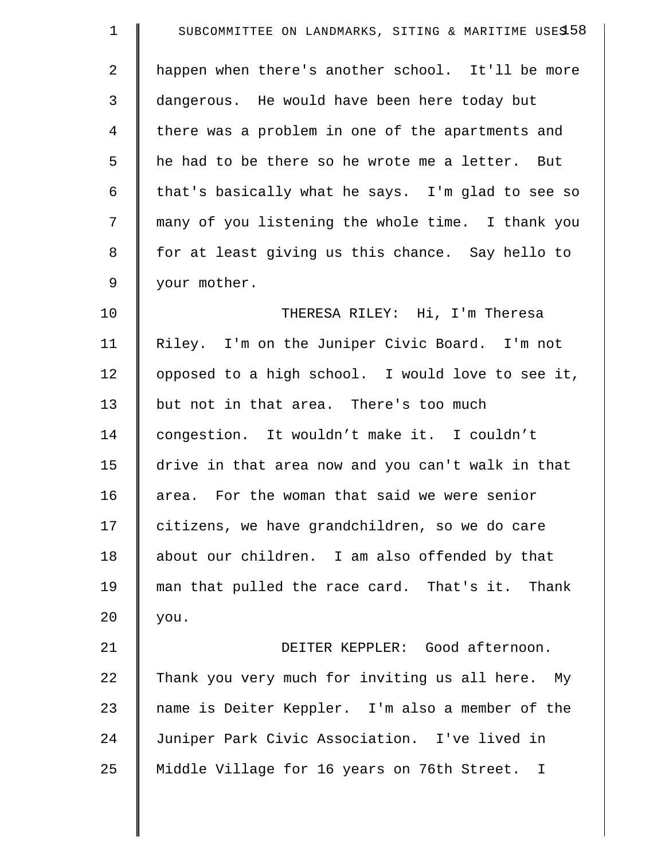| $\mathbf 1$    | SUBCOMMITTEE ON LANDMARKS, SITING & MARITIME USES 58 |
|----------------|------------------------------------------------------|
| 2              | happen when there's another school. It'll be more    |
| 3              | dangerous. He would have been here today but         |
| $\overline{4}$ | there was a problem in one of the apartments and     |
| 5              | he had to be there so he wrote me a letter. But      |
| 6              | that's basically what he says. I'm glad to see so    |
| 7              | many of you listening the whole time. I thank you    |
| 8              | for at least giving us this chance. Say hello to     |
| 9              | your mother.                                         |
| 10             | THERESA RILEY: Hi, I'm Theresa                       |
| 11             | Riley. I'm on the Juniper Civic Board. I'm not       |
| 12             | opposed to a high school. I would love to see it,    |
| 13             | but not in that area. There's too much               |
| 14             | congestion. It wouldn't make it. I couldn't          |
| 15             | drive in that area now and you can't walk in that    |
| 16             | area. For the woman that said we were senior         |
| 17             | citizens, we have grandchildren, so we do care       |
| 18             | about our children. I am also offended by that       |
| 19             | man that pulled the race card. That's it. Thank      |
| 20             | you.                                                 |
| 21             | DEITER KEPPLER: Good afternoon.                      |
| 22             | Thank you very much for inviting us all here. My     |
| 23             | name is Deiter Keppler. I'm also a member of the     |
| 24             | Juniper Park Civic Association. I've lived in        |
| 25             | Middle Village for 16 years on 76th Street. I        |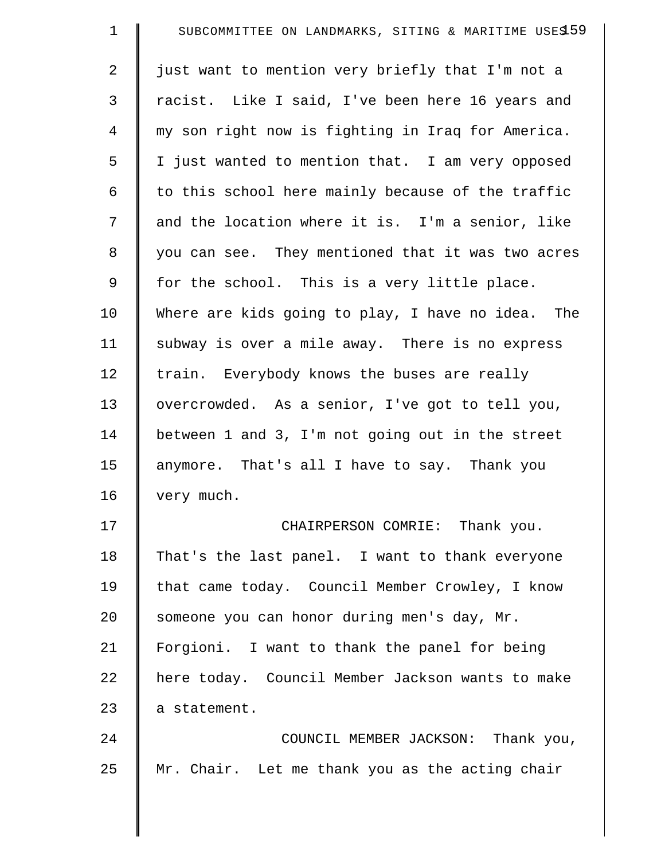| $\mathbf 1$    | SUBCOMMITTEE ON LANDMARKS, SITING & MARITIME USES 59 |
|----------------|------------------------------------------------------|
| $\overline{2}$ | just want to mention very briefly that I'm not a     |
| 3              | racist. Like I said, I've been here 16 years and     |
| $\overline{4}$ | my son right now is fighting in Iraq for America.    |
| 5              | I just wanted to mention that. I am very opposed     |
| 6              | to this school here mainly because of the traffic    |
| 7              | and the location where it is. I'm a senior, like     |
| 8              | you can see. They mentioned that it was two acres    |
| 9              | for the school. This is a very little place.         |
| 10             | Where are kids going to play, I have no idea. The    |
| 11             | subway is over a mile away. There is no express      |
| 12             | train. Everybody knows the buses are really          |
| 13             | overcrowded. As a senior, I've got to tell you,      |
| 14             | between 1 and 3, I'm not going out in the street     |
| 15             | anymore. That's all I have to say. Thank you         |
| 16             | very much.                                           |
| 17             | CHAIRPERSON COMRIE: Thank you.                       |
| 18             | That's the last panel. I want to thank everyone      |
| 19             | that came today. Council Member Crowley, I know      |
| 20             | someone you can honor during men's day, Mr.          |
| 21             | Forgioni. I want to thank the panel for being        |
| 22             | here today. Council Member Jackson wants to make     |
| 23             | a statement.                                         |
| 24             | COUNCIL MEMBER JACKSON: Thank you,                   |
| 25             | Mr. Chair. Let me thank you as the acting chair      |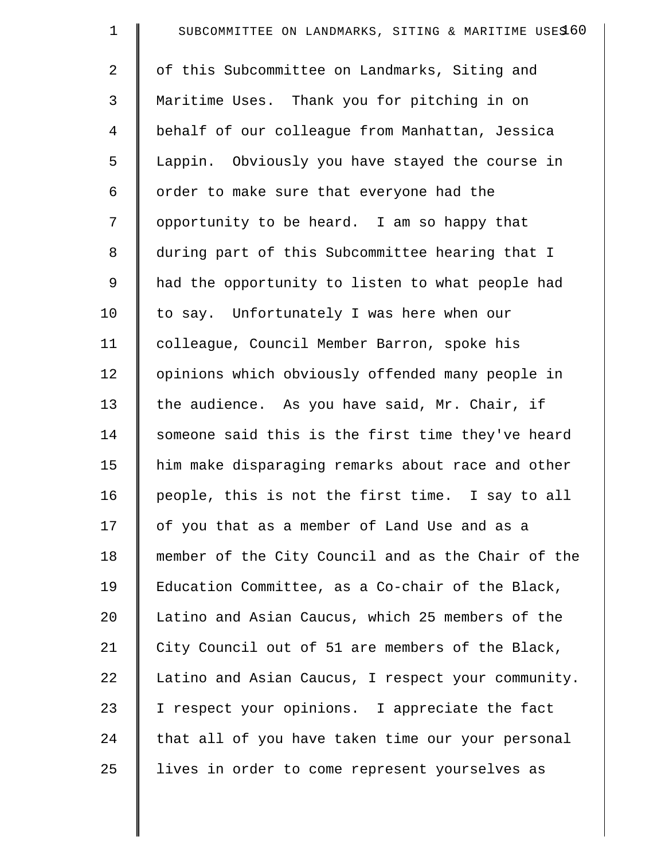| $\mathbf 1$ | SUBCOMMITTEE ON LANDMARKS, SITING & MARITIME USES 60 |
|-------------|------------------------------------------------------|
| 2           | of this Subcommittee on Landmarks, Siting and        |
| 3           | Maritime Uses. Thank you for pitching in on          |
| 4           | behalf of our colleague from Manhattan, Jessica      |
| 5           | Lappin. Obviously you have stayed the course in      |
| 6           | order to make sure that everyone had the             |
| 7           | opportunity to be heard. I am so happy that          |
| 8           | during part of this Subcommittee hearing that I      |
| 9           | had the opportunity to listen to what people had     |
| 10          | to say. Unfortunately I was here when our            |
| 11          | colleague, Council Member Barron, spoke his          |
| 12          | opinions which obviously offended many people in     |
| 13          | the audience. As you have said, Mr. Chair, if        |
| 14          | someone said this is the first time they've heard    |
| 15          | him make disparaging remarks about race and other    |
| 16          | people, this is not the first time. I say to all     |
| 17          | of you that as a member of Land Use and as a         |
| 18          | member of the City Council and as the Chair of the   |
| 19          | Education Committee, as a Co-chair of the Black,     |
| 20          | Latino and Asian Caucus, which 25 members of the     |
| 21          | City Council out of 51 are members of the Black,     |
| 22          | Latino and Asian Caucus, I respect your community.   |
| 23          | I respect your opinions. I appreciate the fact       |
| 24          | that all of you have taken time our your personal    |
| 25          | lives in order to come represent yourselves as       |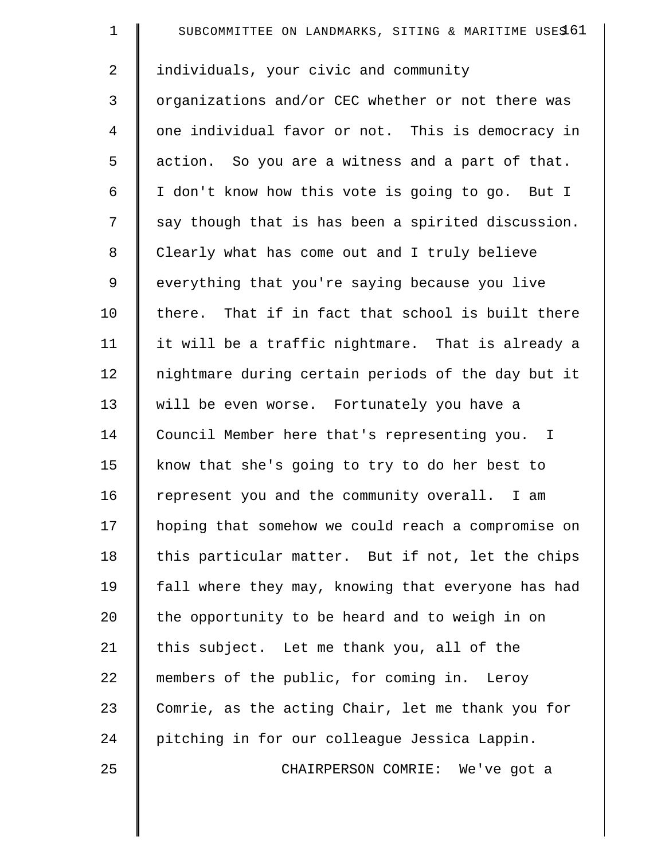| $\mathbf 1$ | SUBCOMMITTEE ON LANDMARKS, SITING & MARITIME USES 61 |
|-------------|------------------------------------------------------|
| 2           | individuals, your civic and community                |
| 3           | organizations and/or CEC whether or not there was    |
| 4           | one individual favor or not. This is democracy in    |
| 5           | action. So you are a witness and a part of that.     |
| 6           | I don't know how this vote is going to go. But I     |
| 7           | say though that is has been a spirited discussion.   |
| $\,8\,$     | Clearly what has come out and I truly believe        |
| 9           | everything that you're saying because you live       |
| 10          | there. That if in fact that school is built there    |
| 11          | it will be a traffic nightmare. That is already a    |
| 12          | nightmare during certain periods of the day but it   |
| 13          | will be even worse. Fortunately you have a           |
| 14          | Council Member here that's representing you. I       |
| 15          | know that she's going to try to do her best to       |
| 16          | represent you and the community overall. I am        |
| 17          | hoping that somehow we could reach a compromise on   |
| 18          | this particular matter. But if not, let the chips    |
| 19          | fall where they may, knowing that everyone has had   |
| 20          | the opportunity to be heard and to weigh in on       |
| 21          | this subject. Let me thank you, all of the           |
| 22          | members of the public, for coming in. Leroy          |
| 23          | Comrie, as the acting Chair, let me thank you for    |
| 24          | pitching in for our colleague Jessica Lappin.        |
| 25          | CHAIRPERSON COMRIE: We've got a                      |
|             |                                                      |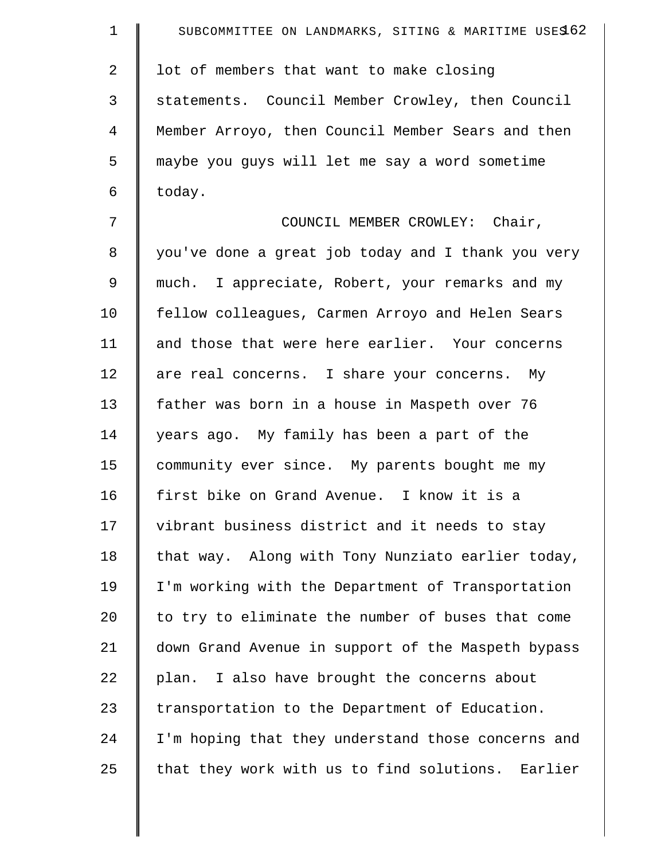| $\mathbf 1$    | SUBCOMMITTEE ON LANDMARKS, SITING & MARITIME USES 62 |
|----------------|------------------------------------------------------|
| $\overline{a}$ | lot of members that want to make closing             |
| 3              | statements. Council Member Crowley, then Council     |
| 4              | Member Arroyo, then Council Member Sears and then    |
| 5              | maybe you guys will let me say a word sometime       |
| 6              | today.                                               |
| 7              | COUNCIL MEMBER CROWLEY: Chair,                       |
| 8              | you've done a great job today and I thank you very   |
| 9              | much. I appreciate, Robert, your remarks and my      |
| 10             | fellow colleagues, Carmen Arroyo and Helen Sears     |
| 11             | and those that were here earlier. Your concerns      |
| 12             | are real concerns. I share your concerns. My         |
| 13             | father was born in a house in Maspeth over 76        |
| 14             | years ago. My family has been a part of the          |
| 15             | community ever since. My parents bought me my        |
| 16             | first bike on Grand Avenue. I know it is a           |
| 17             | vibrant business district and it needs to stay       |
| 18             | that way. Along with Tony Nunziato earlier today,    |
| 19             | I'm working with the Department of Transportation    |
| 20             | to try to eliminate the number of buses that come    |
| 21             | down Grand Avenue in support of the Maspeth bypass   |
| 22             | plan. I also have brought the concerns about         |
| 23             | transportation to the Department of Education.       |
| 24             | I'm hoping that they understand those concerns and   |
| 25             | that they work with us to find solutions. Earlier    |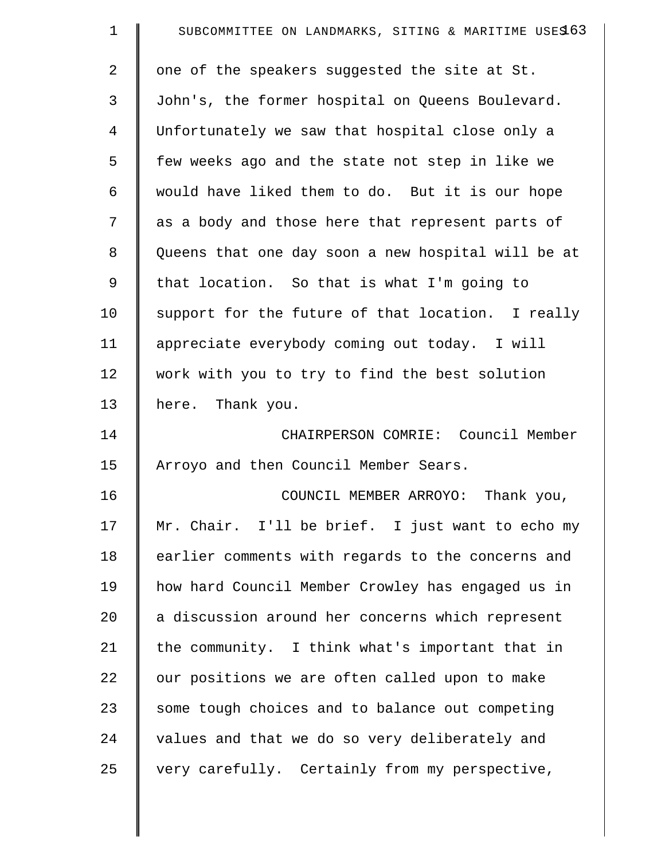| $\mathbf 1$    | SUBCOMMITTEE ON LANDMARKS, SITING & MARITIME USES 63 |
|----------------|------------------------------------------------------|
| $\overline{2}$ | one of the speakers suggested the site at St.        |
| 3              | John's, the former hospital on Queens Boulevard.     |
| 4              | Unfortunately we saw that hospital close only a      |
| 5              | few weeks ago and the state not step in like we      |
| 6              | would have liked them to do. But it is our hope      |
| 7              | as a body and those here that represent parts of     |
| 8              | Queens that one day soon a new hospital will be at   |
| 9              | that location. So that is what I'm going to          |
| 10             | support for the future of that location. I really    |
| 11             | appreciate everybody coming out today. I will        |
| 12             | work with you to try to find the best solution       |
| 13             | here. Thank you.                                     |
| 14             | CHAIRPERSON COMRIE: Council Member                   |
| 15             | Arroyo and then Council Member Sears.                |
| 16             | COUNCIL MEMBER ARROYO: Thank you,                    |
| 17             | Mr. Chair. I'll be brief. I just want to echo my     |
| 18             | earlier comments with regards to the concerns and    |
| 19             | how hard Council Member Crowley has engaged us in    |
| 20             | a discussion around her concerns which represent     |
| 21             | the community. I think what's important that in      |
| 22             | our positions we are often called upon to make       |
| 23             | some tough choices and to balance out competing      |
| 24             | values and that we do so very deliberately and       |
| 25             | very carefully. Certainly from my perspective,       |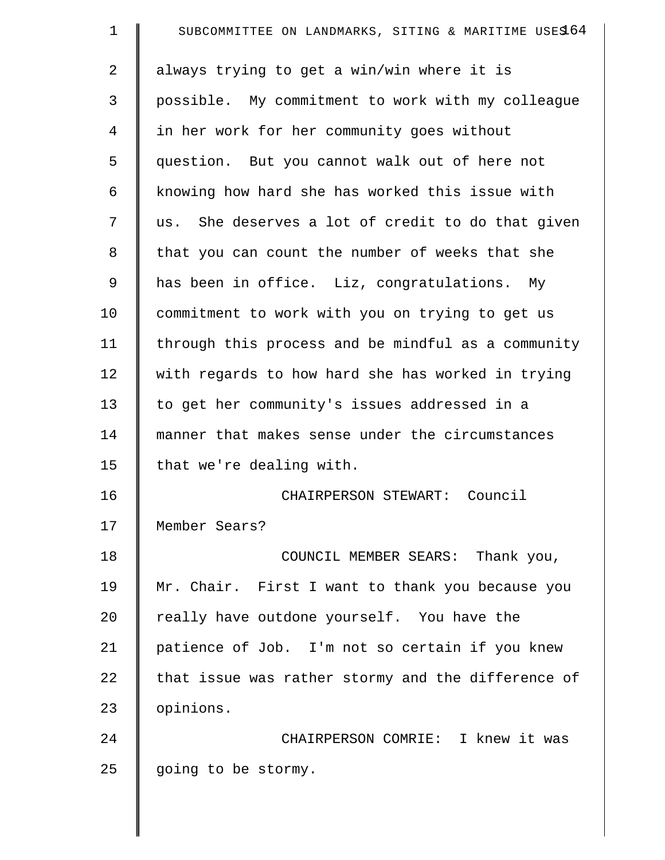| $\mathbf 1$    | SUBCOMMITTEE ON LANDMARKS, SITING & MARITIME USES 64 |
|----------------|------------------------------------------------------|
| $\overline{a}$ | always trying to get a win/win where it is           |
| 3              | possible. My commitment to work with my colleague    |
| 4              | in her work for her community goes without           |
| 5              | question. But you cannot walk out of here not        |
| 6              | knowing how hard she has worked this issue with      |
| 7              | us. She deserves a lot of credit to do that given    |
| 8              | that you can count the number of weeks that she      |
| 9              | has been in office. Liz, congratulations. My         |
| 10             | commitment to work with you on trying to get us      |
| 11             | through this process and be mindful as a community   |
| 12             | with regards to how hard she has worked in trying    |
| 13             | to get her community's issues addressed in a         |
| 14             | manner that makes sense under the circumstances      |
| 15             | that we're dealing with.                             |
| 16             | CHAIRPERSON STEWART: Council                         |
| 17             | Member Sears?                                        |
| 18             | COUNCIL MEMBER SEARS: Thank you,                     |
| 19             | Mr. Chair. First I want to thank you because you     |
| 20             | really have outdone yourself. You have the           |
| 21             | patience of Job. I'm not so certain if you knew      |
| 22             | that issue was rather stormy and the difference of   |
| 23             | opinions.                                            |
| 24             | CHAIRPERSON COMRIE: I knew it was                    |
| 25             | going to be stormy.                                  |
|                |                                                      |

 $\parallel$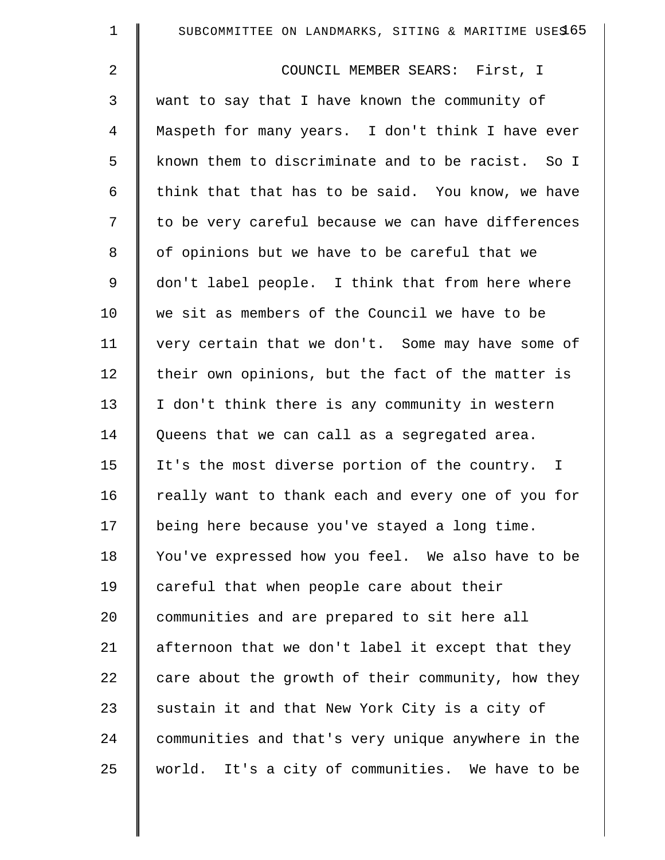| $\mathbf 1$    | SUBCOMMITTEE ON LANDMARKS, SITING & MARITIME USES 65 |
|----------------|------------------------------------------------------|
| $\overline{2}$ | COUNCIL MEMBER SEARS: First, I                       |
| 3              | want to say that I have known the community of       |
| 4              | Maspeth for many years. I don't think I have ever    |
| 5              | known them to discriminate and to be racist. So I    |
| 6              | think that that has to be said. You know, we have    |
| 7              | to be very careful because we can have differences   |
| 8              | of opinions but we have to be careful that we        |
| $\mathsf 9$    | don't label people. I think that from here where     |
| 10             | we sit as members of the Council we have to be       |
| 11             | very certain that we don't. Some may have some of    |
| 12             | their own opinions, but the fact of the matter is    |
| 13             | I don't think there is any community in western      |
| 14             | Queens that we can call as a segregated area.        |
| 15             | It's the most diverse portion of the country. I      |
| 16             | really want to thank each and every one of you for   |
| 17             | being here because you've stayed a long time.        |
| 18             | You've expressed how you feel. We also have to be    |
| 19             | careful that when people care about their            |
| 20             | communities and are prepared to sit here all         |
| 21             | afternoon that we don't label it except that they    |
| 22             | care about the growth of their community, how they   |
| 23             | sustain it and that New York City is a city of       |
| 24             | communities and that's very unique anywhere in the   |
| 25             | world. It's a city of communities. We have to be     |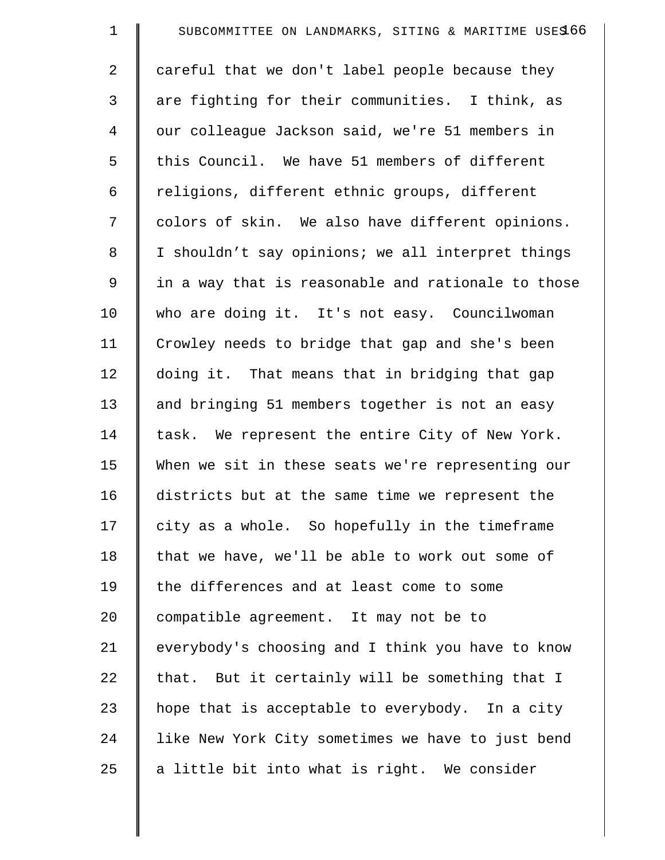| $\mathbf 1$ | SUBCOMMITTEE ON LANDMARKS, SITING & MARITIME USE\$66 |
|-------------|------------------------------------------------------|
| 2           | careful that we don't label people because they      |
| 3           | are fighting for their communities. I think, as      |
| 4           | our colleague Jackson said, we're 51 members in      |
| 5           | this Council. We have 51 members of different        |
| 6           | religions, different ethnic groups, different        |
| 7           | colors of skin. We also have different opinions.     |
| 8           | I shouldn't say opinions; we all interpret things    |
| 9           | in a way that is reasonable and rationale to those   |
| 10          | who are doing it. It's not easy. Councilwoman        |
| 11          | Crowley needs to bridge that gap and she's been      |
| 12          | doing it. That means that in bridging that gap       |
| 13          | and bringing 51 members together is not an easy      |
| 14          | task. We represent the entire City of New York.      |
| 15          | When we sit in these seats we're representing our    |
| 16          | districts but at the same time we represent the      |
| 17          | city as a whole. So hopefully in the timeframe       |
| 18          | that we have, we'll be able to work out some of      |
| 19          | the differences and at least come to some            |
| 20          | compatible agreement. It may not be to               |
| 21          | everybody's choosing and I think you have to know    |
| 22          | that. But it certainly will be something that I      |
| 23          | hope that is acceptable to everybody. In a city      |
| 24          | like New York City sometimes we have to just bend    |
| 25          | a little bit into what is right. We consider         |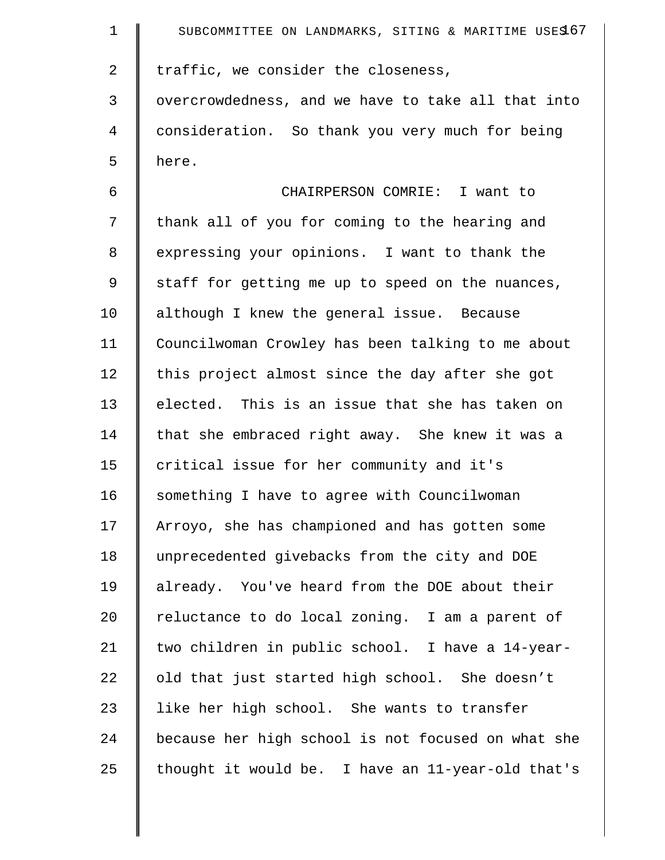| $\mathbf 1$    | SUBCOMMITTEE ON LANDMARKS, SITING & MARITIME USES 67 |
|----------------|------------------------------------------------------|
| $\overline{2}$ | traffic, we consider the closeness,                  |
| 3              | overcrowdedness, and we have to take all that into   |
| $\overline{4}$ | consideration. So thank you very much for being      |
| 5              | here.                                                |
| 6              | CHAIRPERSON COMRIE: I want to                        |
| 7              | thank all of you for coming to the hearing and       |
| 8              | expressing your opinions. I want to thank the        |
| 9              | staff for getting me up to speed on the nuances,     |
| 10             | although I knew the general issue. Because           |
| 11             | Councilwoman Crowley has been talking to me about    |
| 12             | this project almost since the day after she got      |
| 13             | elected. This is an issue that she has taken on      |
| 14             | that she embraced right away. She knew it was a      |
| 15             | critical issue for her community and it's            |
| 16             | something I have to agree with Councilwoman          |
| 17             | Arroyo, she has championed and has gotten some       |
| 18             | unprecedented givebacks from the city and DOE        |
| 19             | already. You've heard from the DOE about their       |
| 20             | reluctance to do local zoning. I am a parent of      |
| 21             | two children in public school. I have a 14-year-     |
| 22             | old that just started high school. She doesn't       |
| 23             | like her high school. She wants to transfer          |
| 24             | because her high school is not focused on what she   |
| 25             | thought it would be. I have an 11-year-old that's    |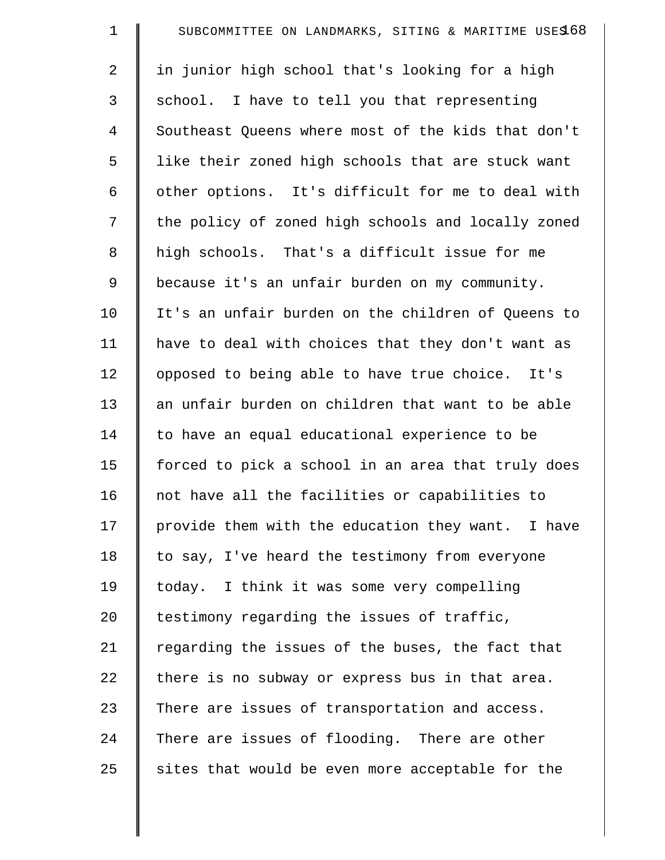| $\mathbf 1$ | SUBCOMMITTEE ON LANDMARKS, SITING & MARITIME USE\$68 |
|-------------|------------------------------------------------------|
| 2           | in junior high school that's looking for a high      |
| 3           | school. I have to tell you that representing         |
| 4           | Southeast Queens where most of the kids that don't   |
| 5           | like their zoned high schools that are stuck want    |
| 6           | other options. It's difficult for me to deal with    |
| 7           | the policy of zoned high schools and locally zoned   |
| 8           | high schools. That's a difficult issue for me        |
| $\mathsf 9$ | because it's an unfair burden on my community.       |
| 10          | It's an unfair burden on the children of Queens to   |
| 11          | have to deal with choices that they don't want as    |
| 12          | opposed to being able to have true choice. It's      |
| 13          | an unfair burden on children that want to be able    |
| 14          | to have an equal educational experience to be        |
| 15          | forced to pick a school in an area that truly does   |
| 16          | not have all the facilities or capabilities to       |
| 17          | provide them with the education they want. I have    |
| 18          | to say, I've heard the testimony from everyone       |
| 19          | today. I think it was some very compelling           |
| 20          | testimony regarding the issues of traffic,           |
| 21          | regarding the issues of the buses, the fact that     |
| 22          | there is no subway or express bus in that area.      |
| 23          | There are issues of transportation and access.       |
| 24          | There are issues of flooding. There are other        |
| 25          | sites that would be even more acceptable for the     |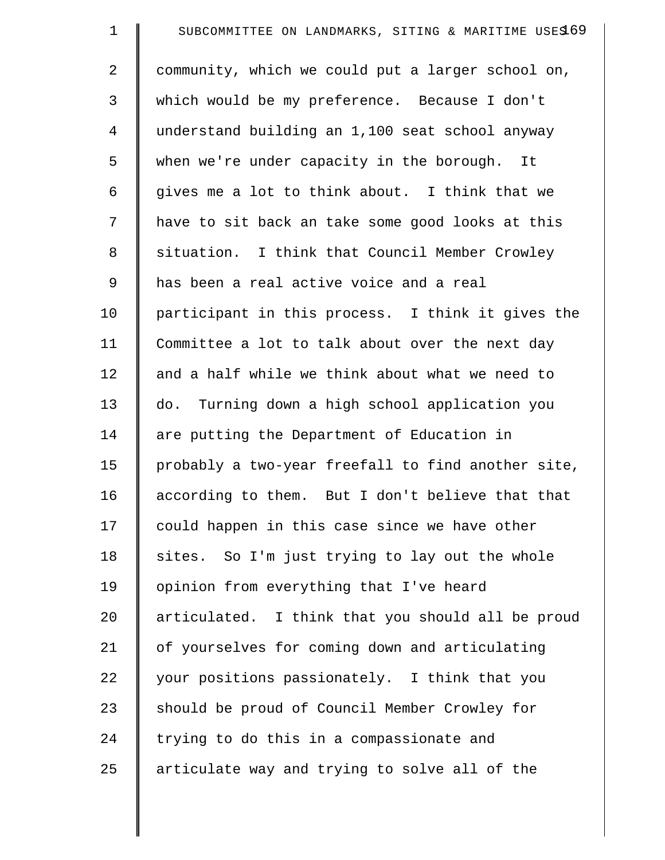| $\mathbf 1$ | SUBCOMMITTEE ON LANDMARKS, SITING & MARITIME USES 69 |
|-------------|------------------------------------------------------|
| 2           | community, which we could put a larger school on,    |
| 3           | which would be my preference. Because I don't        |
| 4           | understand building an 1,100 seat school anyway      |
| 5           | when we're under capacity in the borough. It         |
| 6           | gives me a lot to think about. I think that we       |
| 7           | have to sit back an take some good looks at this     |
| 8           | situation. I think that Council Member Crowley       |
| 9           | has been a real active voice and a real              |
| 10          | participant in this process. I think it gives the    |
| 11          | Committee a lot to talk about over the next day      |
| 12          | and a half while we think about what we need to      |
| 13          | do. Turning down a high school application you       |
| 14          | are putting the Department of Education in           |
| 15          | probably a two-year freefall to find another site,   |
| 16          | according to them. But I don't believe that that     |
| 17          | could happen in this case since we have other        |
| 18          | sites. So I'm just trying to lay out the whole       |
| 19          | opinion from everything that I've heard              |
| 20          | articulated. I think that you should all be proud    |
| 21          | of yourselves for coming down and articulating       |
| 22          | your positions passionately. I think that you        |
| 23          | should be proud of Council Member Crowley for        |
| 24          | trying to do this in a compassionate and             |
| 25          | articulate way and trying to solve all of the        |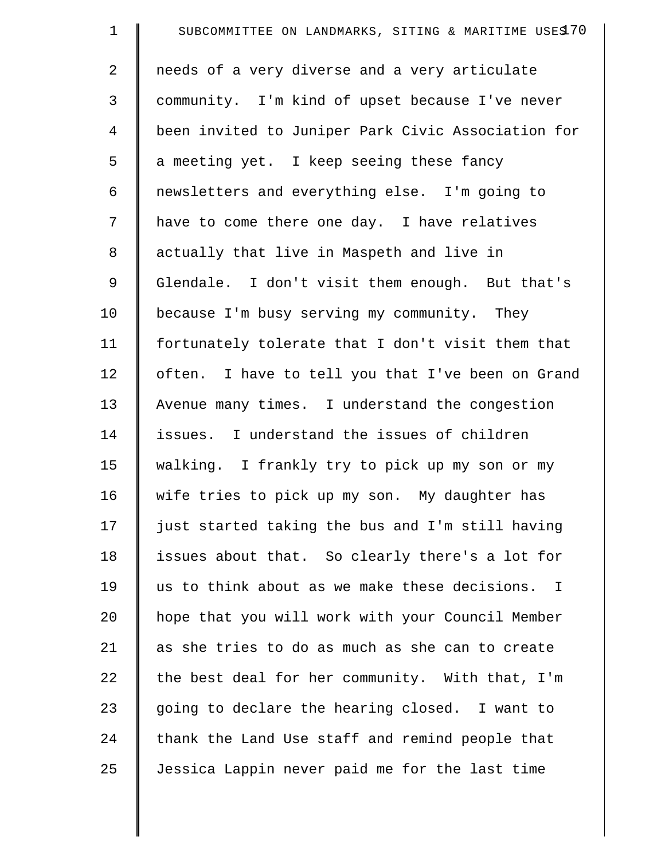| $\mathbf 1$ | SUBCOMMITTEE ON LANDMARKS, SITING & MARITIME USES 70 |
|-------------|------------------------------------------------------|
| 2           | needs of a very diverse and a very articulate        |
| 3           | community. I'm kind of upset because I've never      |
| 4           | been invited to Juniper Park Civic Association for   |
| 5           | a meeting yet. I keep seeing these fancy             |
| 6           | newsletters and everything else. I'm going to        |
| 7           | have to come there one day. I have relatives         |
| 8           | actually that live in Maspeth and live in            |
| 9           | Glendale. I don't visit them enough. But that's      |
| 10          | because I'm busy serving my community. They          |
| 11          | fortunately tolerate that I don't visit them that    |
| 12          | often. I have to tell you that I've been on Grand    |
| 13          | Avenue many times. I understand the congestion       |
| 14          | issues. I understand the issues of children          |
| 15          | walking. I frankly try to pick up my son or my       |
| 16          | wife tries to pick up my son. My daughter has        |
| 17          | just started taking the bus and I'm still having     |
| 18          | issues about that. So clearly there's a lot for      |
| 19          | us to think about as we make these decisions. I      |
| 20          | hope that you will work with your Council Member     |
| 21          | as she tries to do as much as she can to create      |
| 22          | the best deal for her community. With that, I'm      |
| 23          | going to declare the hearing closed. I want to       |
| 24          | thank the Land Use staff and remind people that      |
| 25          | Jessica Lappin never paid me for the last time       |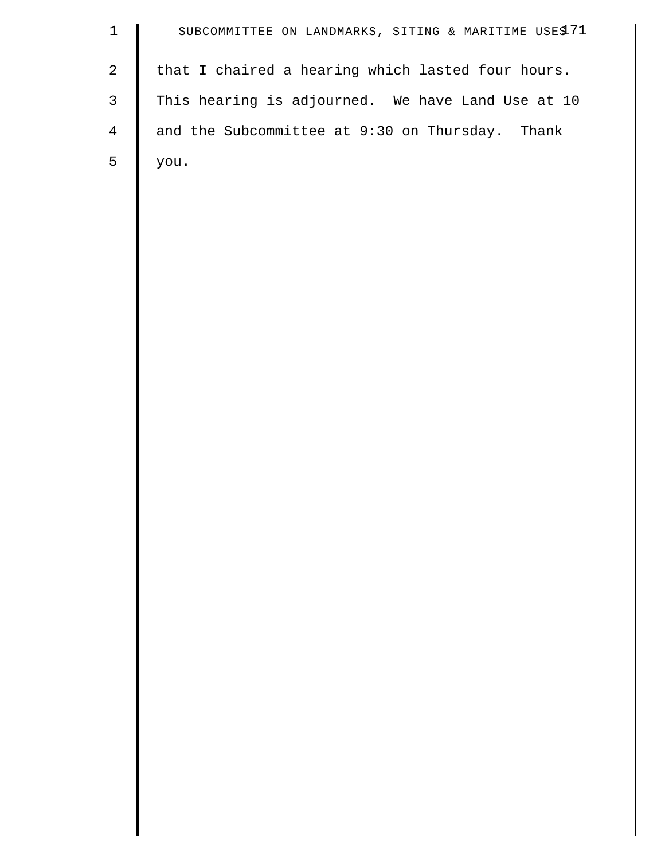| $\mathbf{1}$   | SUBCOMMITTEE ON LANDMARKS, SITING & MARITIME USES 71 |
|----------------|------------------------------------------------------|
| $\mathbf{2}$   | that I chaired a hearing which lasted four hours.    |
| $\mathsf{3}$   | This hearing is adjourned. We have Land Use at 10    |
| $\overline{4}$ | and the Subcommittee at 9:30 on Thursday. Thank      |
| 5              | you.                                                 |
|                |                                                      |
|                |                                                      |
|                |                                                      |
|                |                                                      |
|                |                                                      |
|                |                                                      |
|                |                                                      |
|                |                                                      |
|                |                                                      |
|                |                                                      |
|                |                                                      |
|                |                                                      |
|                |                                                      |
|                |                                                      |
|                |                                                      |
|                |                                                      |
|                |                                                      |
|                |                                                      |
|                |                                                      |
|                |                                                      |